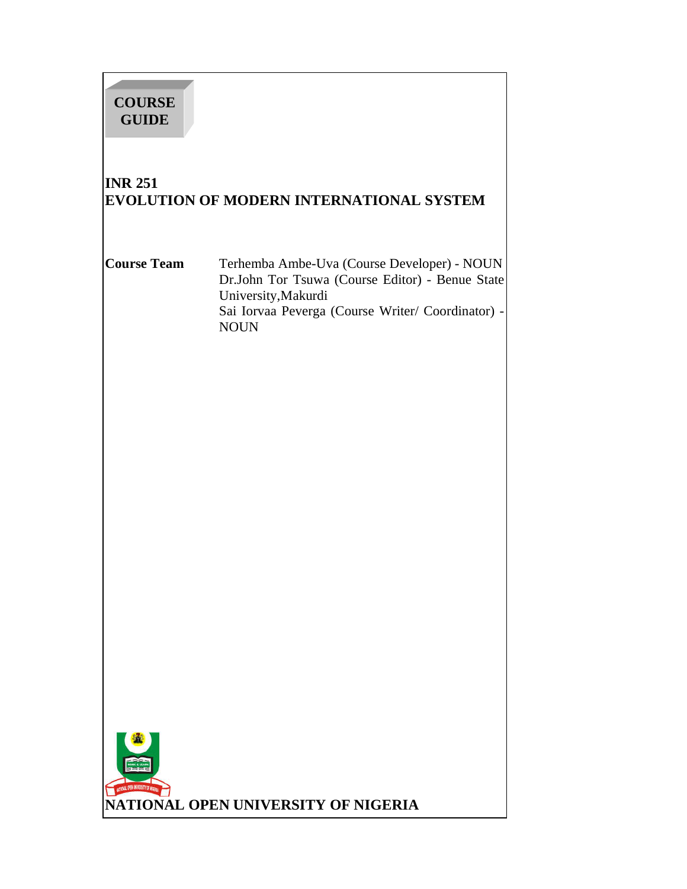# **COURSE GUIDE**

# **INR 251 EVOLUTION OF MODERN INTERNATIONAL SYSTEM**

**Course Team** Terhemba Ambe-Uva (Course Developer) - NOUN Dr.John Tor Tsuwa (Course Editor) - Benue State University,Makurdi Sai Iorvaa Peverga (Course Writer/ Coordinator) - NOUN

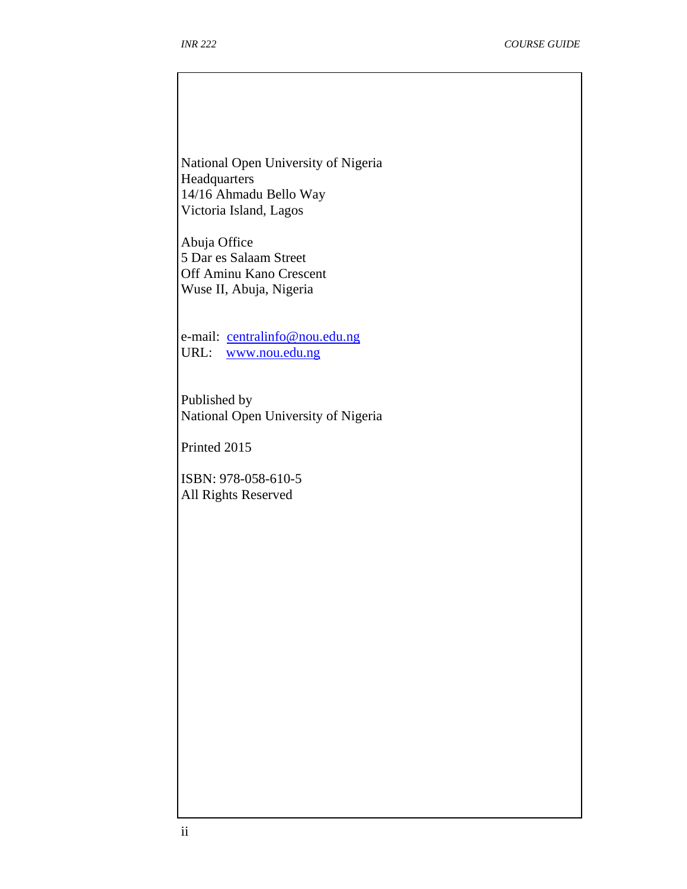National Open University of Nigeria Headquarters 14/16 Ahmadu Bello Way Victoria Island, Lagos

Abuja Office 5 Dar es Salaam Street Off Aminu Kano Crescent Wuse II, Abuja, Nigeria

e-mail: centralinfo@nou.edu.ng URL: www.nou.edu.ng

Published by National Open University of Nigeria

Printed 2015

ISBN: 978-058-610-5 All Rights Reserved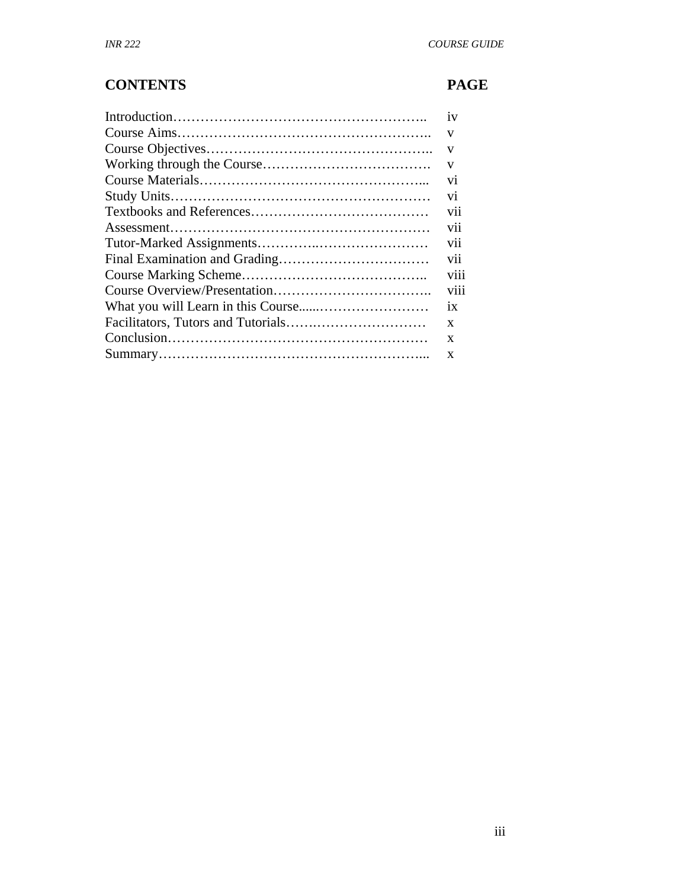# **CONTENTS PAGE**

| 1V             |
|----------------|
| V              |
| V              |
| V              |
| V <sub>1</sub> |
| V1             |
| V11            |
| vii            |
| V11            |
| V11            |
| viii           |
| V111           |
| 1X             |
| X              |
| X              |
| X              |
|                |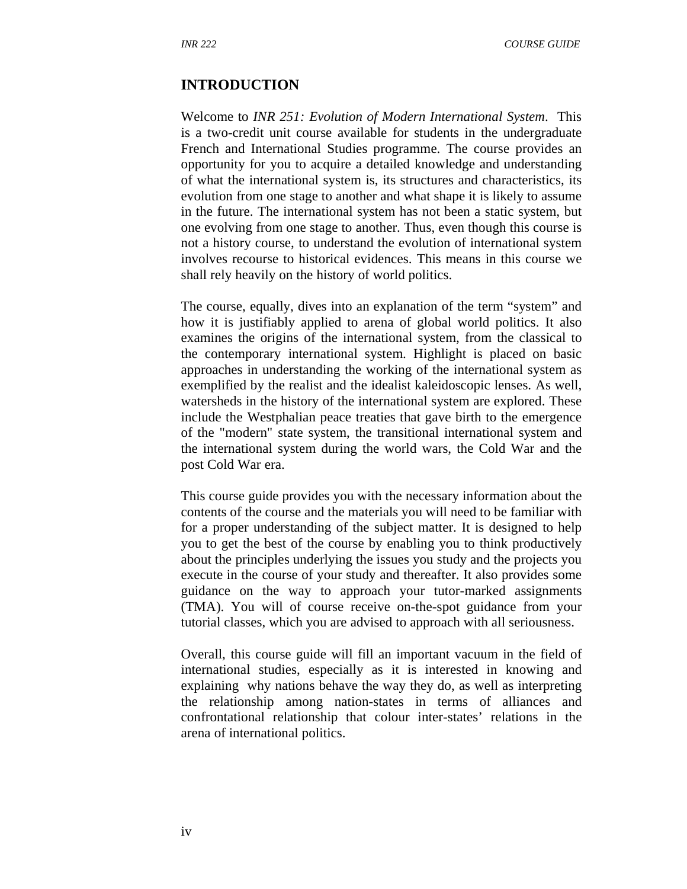#### **INTRODUCTION**

Welcome to *INR 251: Evolution of Modern International System*. This is a two-credit unit course available for students in the undergraduate French and International Studies programme. The course provides an opportunity for you to acquire a detailed knowledge and understanding of what the international system is, its structures and characteristics, its evolution from one stage to another and what shape it is likely to assume in the future. The international system has not been a static system, but one evolving from one stage to another. Thus, even though this course is not a history course, to understand the evolution of international system involves recourse to historical evidences. This means in this course we shall rely heavily on the history of world politics.

The course, equally, dives into an explanation of the term "system" and how it is justifiably applied to arena of global world politics. It also examines the origins of the international system, from the classical to the contemporary international system. Highlight is placed on basic approaches in understanding the working of the international system as exemplified by the realist and the idealist kaleidoscopic lenses. As well, watersheds in the history of the international system are explored. These include the Westphalian peace treaties that gave birth to the emergence of the "modern" state system, the transitional international system and the international system during the world wars, the Cold War and the post Cold War era.

This course guide provides you with the necessary information about the contents of the course and the materials you will need to be familiar with for a proper understanding of the subject matter. It is designed to help you to get the best of the course by enabling you to think productively about the principles underlying the issues you study and the projects you execute in the course of your study and thereafter. It also provides some guidance on the way to approach your tutor-marked assignments (TMA). You will of course receive on-the-spot guidance from your tutorial classes, which you are advised to approach with all seriousness.

Overall, this course guide will fill an important vacuum in the field of international studies, especially as it is interested in knowing and explaining why nations behave the way they do, as well as interpreting the relationship among nation-states in terms of alliances and confrontational relationship that colour inter-states' relations in the arena of international politics.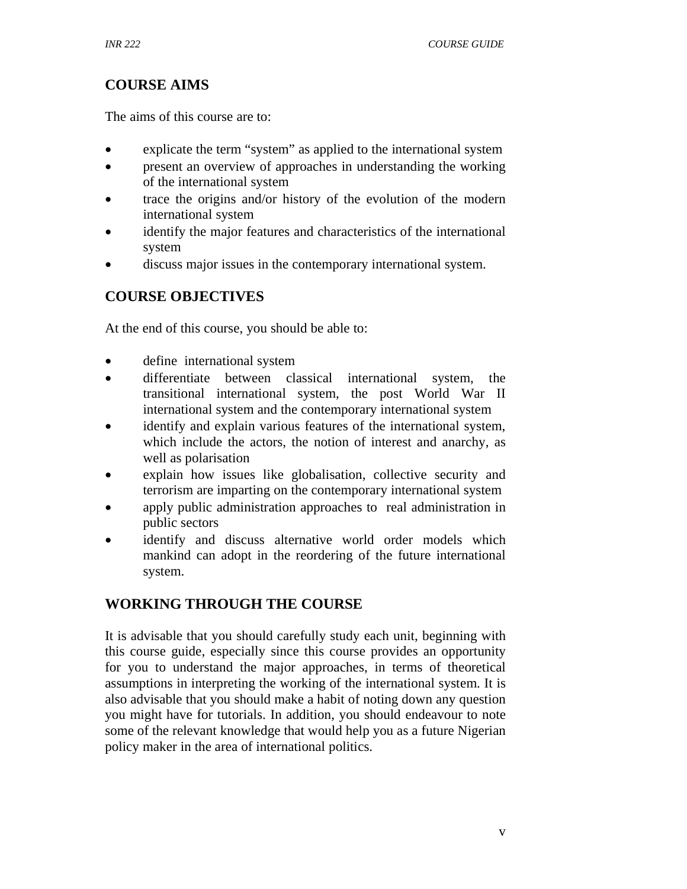## **COURSE AIMS**

The aims of this course are to:

- explicate the term "system" as applied to the international system
- present an overview of approaches in understanding the working of the international system
- trace the origins and/or history of the evolution of the modern international system
- identify the major features and characteristics of the international system
- discuss major issues in the contemporary international system.

## **COURSE OBJECTIVES**

At the end of this course, you should be able to:

- define international system
- differentiate between classical international system, the transitional international system, the post World War II international system and the contemporary international system
- identify and explain various features of the international system, which include the actors, the notion of interest and anarchy, as well as polarisation
- explain how issues like globalisation, collective security and terrorism are imparting on the contemporary international system
- apply public administration approaches to real administration in public sectors
- identify and discuss alternative world order models which mankind can adopt in the reordering of the future international system.

## **WORKING THROUGH THE COURSE**

It is advisable that you should carefully study each unit, beginning with this course guide, especially since this course provides an opportunity for you to understand the major approaches, in terms of theoretical assumptions in interpreting the working of the international system. It is also advisable that you should make a habit of noting down any question you might have for tutorials. In addition, you should endeavour to note some of the relevant knowledge that would help you as a future Nigerian policy maker in the area of international politics.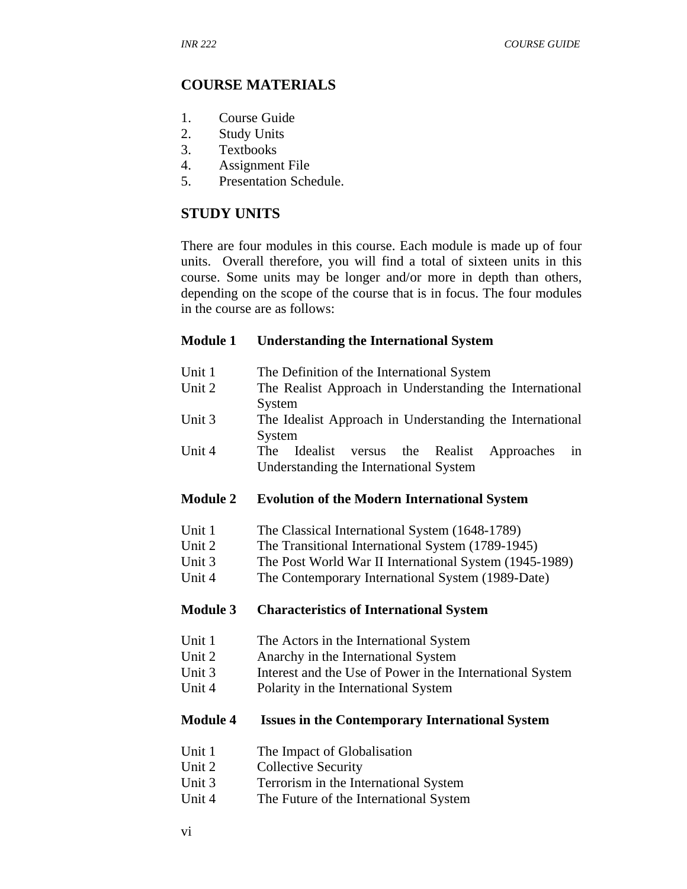## **COURSE MATERIALS**

- 1. Course Guide
- 2. Study Units
- 3. Textbooks
- 4. Assignment File
- 5. Presentation Schedule.

## **STUDY UNITS**

There are four modules in this course. Each module is made up of four units. Overall therefore, you will find a total of sixteen units in this course. Some units may be longer and/or more in depth than others, depending on the scope of the course that is in focus. The four modules in the course are as follows:

#### **Module 1 Understanding the International System**

Unit 1 The Definition of the International System Unit 2 The Realist Approach in Understanding the International System Unit 3 The Idealist Approach in Understanding the International System Unit 4 The Idealist versus the Realist Approaches in

#### **Module 2 Evolution of the Modern International System**

Understanding the International System

- Unit 1 The Classical International System (1648-1789)
- Unit 2 The Transitional International System (1789-1945)
- Unit 3 The Post World War II International System (1945-1989)
- Unit 4 The Contemporary International System (1989-Date)

#### **Module 3 Characteristics of International System**

- Unit 1 The Actors in the International System
- Unit 2 Anarchy in the International System
- Unit 3 Interest and the Use of Power in the International System
- Unit 4 Polarity in the International System

#### **Module 4 Issues in the Contemporary International System**

- Unit 1 The Impact of Globalisation
- Unit 2 Collective Security
- Unit 3 Terrorism in the International System
- Unit 4 The Future of the International System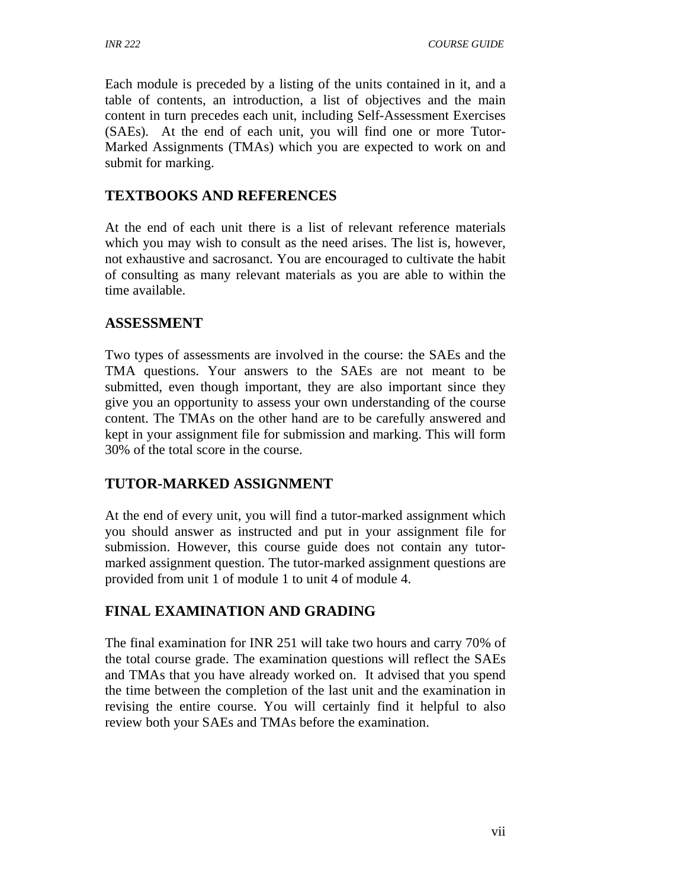Each module is preceded by a listing of the units contained in it, and a table of contents, an introduction, a list of objectives and the main content in turn precedes each unit, including Self-Assessment Exercises (SAEs). At the end of each unit, you will find one or more Tutor-Marked Assignments (TMAs) which you are expected to work on and submit for marking.

## **TEXTBOOKS AND REFERENCES**

At the end of each unit there is a list of relevant reference materials which you may wish to consult as the need arises. The list is, however, not exhaustive and sacrosanct. You are encouraged to cultivate the habit of consulting as many relevant materials as you are able to within the time available.

## **ASSESSMENT**

Two types of assessments are involved in the course: the SAEs and the TMA questions. Your answers to the SAEs are not meant to be submitted, even though important, they are also important since they give you an opportunity to assess your own understanding of the course content. The TMAs on the other hand are to be carefully answered and kept in your assignment file for submission and marking. This will form 30% of the total score in the course.

## **TUTOR-MARKED ASSIGNMENT**

At the end of every unit, you will find a tutor-marked assignment which you should answer as instructed and put in your assignment file for submission. However, this course guide does not contain any tutormarked assignment question. The tutor-marked assignment questions are provided from unit 1 of module 1 to unit 4 of module 4.

## **FINAL EXAMINATION AND GRADING**

The final examination for INR 251 will take two hours and carry 70% of the total course grade. The examination questions will reflect the SAEs and TMAs that you have already worked on. It advised that you spend the time between the completion of the last unit and the examination in revising the entire course. You will certainly find it helpful to also review both your SAEs and TMAs before the examination.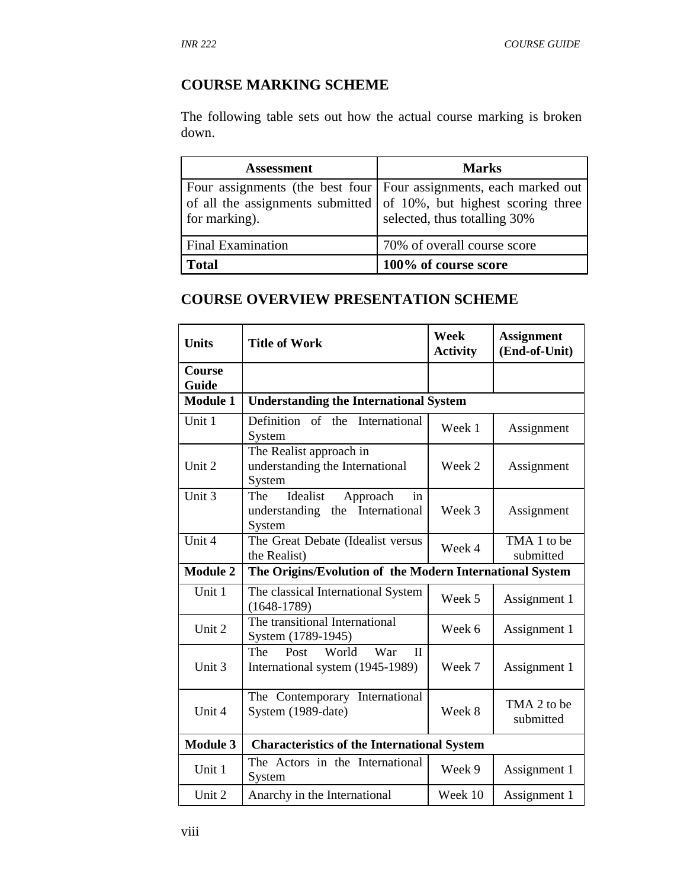# **COURSE MARKING SCHEME**

The following table sets out how the actual course marking is broken down.

| <b>Assessment</b>        | <b>Marks</b>                                                                                                                                                              |
|--------------------------|---------------------------------------------------------------------------------------------------------------------------------------------------------------------------|
| for marking).            | Four assignments (the best four   Four assignments, each marked out<br>of all the assignments submitted of 10%, but highest scoring three<br>selected, thus totalling 30% |
| <b>Final Examination</b> | 70% of overall course score                                                                                                                                               |
| <b>Total</b>             | 100% of course score                                                                                                                                                      |

## **COURSE OVERVIEW PRESENTATION SCHEME**

| <b>Units</b>           | <b>Title of Work</b>                                                            | <b>Week</b><br><b>Activity</b> | <b>Assignment</b><br>(End-of-Unit) |
|------------------------|---------------------------------------------------------------------------------|--------------------------------|------------------------------------|
| <b>Course</b><br>Guide |                                                                                 |                                |                                    |
| <b>Module 1</b>        | <b>Understanding the International System</b>                                   |                                |                                    |
| Unit 1                 | Definition<br>of the<br>International<br>System                                 | Week 1                         | Assignment                         |
| Unit 2                 | The Realist approach in<br>understanding the International<br>System            | Week 2                         | Assignment                         |
| Unit 3                 | Idealist<br>Approach<br>The<br>in<br>understanding the International<br>System  | Week 3                         | Assignment                         |
| Unit 4                 | The Great Debate (Idealist versus<br>the Realist)                               | Week 4                         | TMA 1 to be<br>submitted           |
| <b>Module 2</b>        | The Origins/Evolution of the Modern International System                        |                                |                                    |
| Unit 1                 | The classical International System<br>$(1648-1789)$                             | Week 5                         | Assignment 1                       |
| Unit 2                 | The transitional International<br>System (1789-1945)                            | Week 6                         | Assignment 1                       |
| Unit 3                 | World<br>The<br>Post<br>War<br>$\mathbf{H}$<br>International system (1945-1989) | Week 7                         | Assignment 1                       |
| Unit 4                 | The Contemporary International<br>System (1989-date)                            | Week 8                         | TMA 2 to be<br>submitted           |
| <b>Module 3</b>        | <b>Characteristics of the International System</b>                              |                                |                                    |
| Unit 1                 | The Actors in the International<br>System                                       | Week 9                         | Assignment 1                       |
| Unit 2                 | Anarchy in the International                                                    | Week 10                        | Assignment 1                       |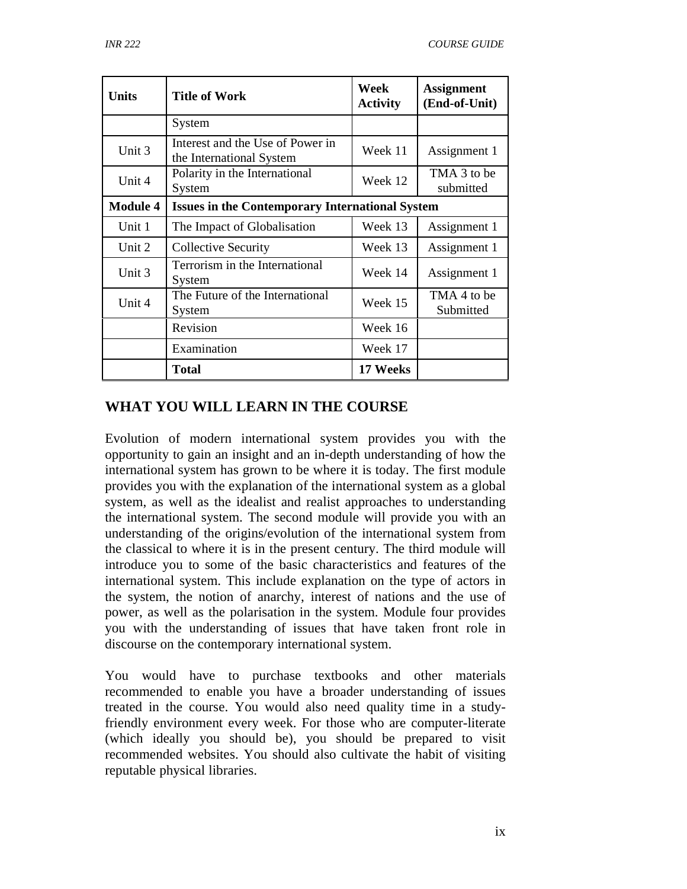| <b>Units</b>    | <b>Title of Work</b>                                         | Week<br><b>Activity</b> | <b>Assignment</b><br>(End-of-Unit) |
|-----------------|--------------------------------------------------------------|-------------------------|------------------------------------|
|                 | System                                                       |                         |                                    |
| Unit 3          | Interest and the Use of Power in<br>the International System | Week 11                 | Assignment 1                       |
| Unit 4          | Polarity in the International<br>System                      | Week 12                 | TMA 3 to be<br>submitted           |
| <b>Module 4</b> | <b>Issues in the Contemporary International System</b>       |                         |                                    |
| Unit 1          | The Impact of Globalisation                                  | Week 13                 | Assignment 1                       |
| Unit 2          | <b>Collective Security</b>                                   | Week 13                 | Assignment 1                       |
| Unit 3          | Terrorism in the International<br>System                     | Week 14                 | Assignment 1                       |
| Unit 4          | The Future of the International<br>System                    | Week 15                 | TMA 4 to be<br>Submitted           |
|                 | Revision                                                     | Week 16                 |                                    |
|                 | Examination                                                  | Week 17                 |                                    |
|                 | <b>Total</b>                                                 | 17 Weeks                |                                    |

## **WHAT YOU WILL LEARN IN THE COURSE**

Evolution of modern international system provides you with the opportunity to gain an insight and an in-depth understanding of how the international system has grown to be where it is today. The first module provides you with the explanation of the international system as a global system, as well as the idealist and realist approaches to understanding the international system. The second module will provide you with an understanding of the origins/evolution of the international system from the classical to where it is in the present century. The third module will introduce you to some of the basic characteristics and features of the international system. This include explanation on the type of actors in the system, the notion of anarchy, interest of nations and the use of power, as well as the polarisation in the system. Module four provides you with the understanding of issues that have taken front role in discourse on the contemporary international system.

You would have to purchase textbooks and other materials recommended to enable you have a broader understanding of issues treated in the course. You would also need quality time in a studyfriendly environment every week. For those who are computer-literate (which ideally you should be), you should be prepared to visit recommended websites. You should also cultivate the habit of visiting reputable physical libraries.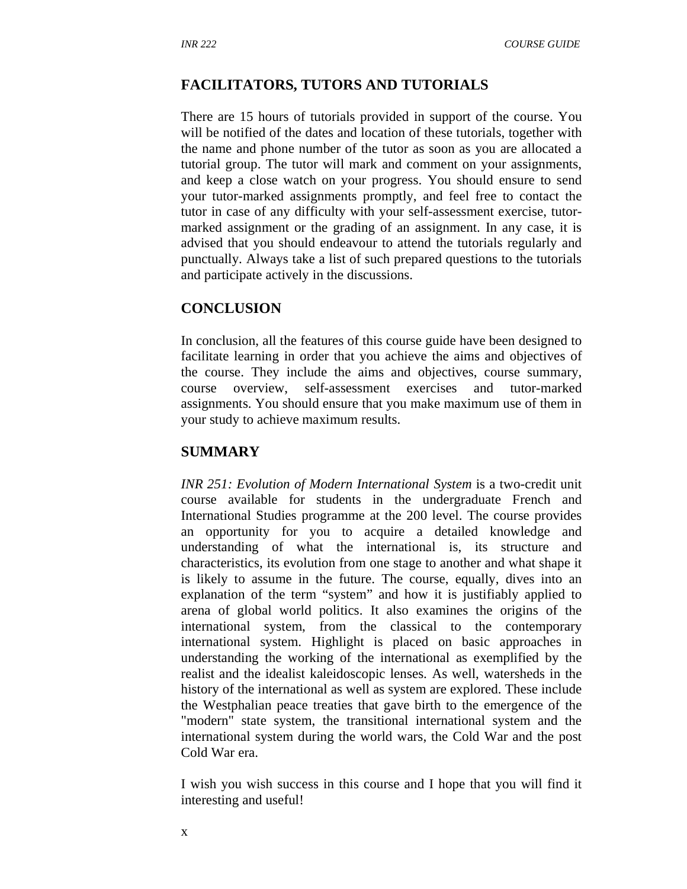#### **FACILITATORS, TUTORS AND TUTORIALS**

There are 15 hours of tutorials provided in support of the course. You will be notified of the dates and location of these tutorials, together with the name and phone number of the tutor as soon as you are allocated a tutorial group. The tutor will mark and comment on your assignments, and keep a close watch on your progress. You should ensure to send your tutor-marked assignments promptly, and feel free to contact the tutor in case of any difficulty with your self-assessment exercise, tutormarked assignment or the grading of an assignment. In any case, it is advised that you should endeavour to attend the tutorials regularly and punctually. Always take a list of such prepared questions to the tutorials and participate actively in the discussions.

#### **CONCLUSION**

In conclusion, all the features of this course guide have been designed to facilitate learning in order that you achieve the aims and objectives of the course. They include the aims and objectives, course summary, course overview, self-assessment exercises and tutor-marked assignments. You should ensure that you make maximum use of them in your study to achieve maximum results.

#### **SUMMARY**

*INR 251: Evolution of Modern International System* is a two-credit unit course available for students in the undergraduate French and International Studies programme at the 200 level. The course provides an opportunity for you to acquire a detailed knowledge and understanding of what the international is, its structure and characteristics, its evolution from one stage to another and what shape it is likely to assume in the future. The course, equally, dives into an explanation of the term "system" and how it is justifiably applied to arena of global world politics. It also examines the origins of the international system, from the classical to the contemporary international system. Highlight is placed on basic approaches in understanding the working of the international as exemplified by the realist and the idealist kaleidoscopic lenses. As well, watersheds in the history of the international as well as system are explored. These include the Westphalian peace treaties that gave birth to the emergence of the "modern" state system, the transitional international system and the international system during the world wars, the Cold War and the post Cold War era.

I wish you wish success in this course and I hope that you will find it interesting and useful!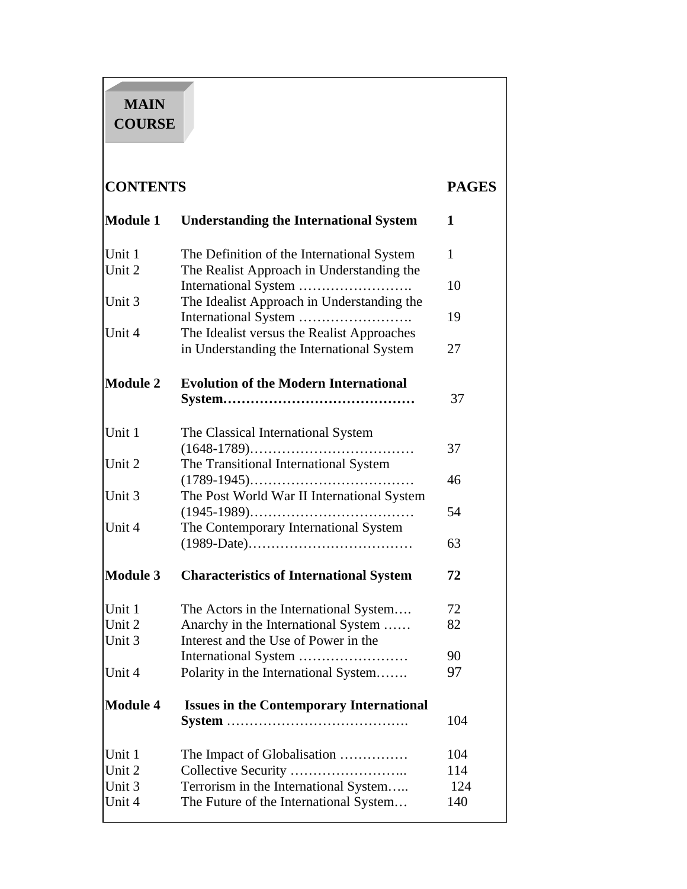# **MAIN COURSE**

# **CONTENTS PAGES**

| <b>Module 1</b>  | <b>Understanding the International System</b>                               | 1            |
|------------------|-----------------------------------------------------------------------------|--------------|
| Unit 1           | The Definition of the International System                                  | $\mathbf{1}$ |
| Unit 2           | The Realist Approach in Understanding the                                   | 10           |
| Unit 3           | The Idealist Approach in Understanding the                                  |              |
| Unit 4           | The Idealist versus the Realist Approaches                                  | 19           |
|                  | in Understanding the International System                                   | 27           |
| <b>Module 2</b>  | <b>Evolution of the Modern International</b>                                |              |
|                  |                                                                             | 37           |
| Unit 1           | The Classical International System                                          |              |
| Unit 2           | The Transitional International System                                       | 37           |
|                  |                                                                             | 46           |
| Unit 3           | The Post World War II International System                                  | 54           |
| Unit 4           | The Contemporary International System                                       |              |
|                  |                                                                             | 63           |
| <b>Module 3</b>  | <b>Characteristics of International System</b>                              | 72           |
| Unit 1           | The Actors in the International System                                      | 72           |
| Unit 2<br>Unit 3 | Anarchy in the International System<br>Interest and the Use of Power in the | 82           |
|                  |                                                                             | 90           |
| Unit 4           | Polarity in the International System                                        | 97           |
| <b>Module 4</b>  | <b>Issues in the Contemporary International</b>                             |              |
|                  |                                                                             | 104          |
| Unit 1           | The Impact of Globalisation                                                 | 104          |
| Unit 2<br>Unit 3 | Terrorism in the International System                                       | 114<br>124   |
| Unit 4           | The Future of the International System                                      | 140          |
|                  |                                                                             |              |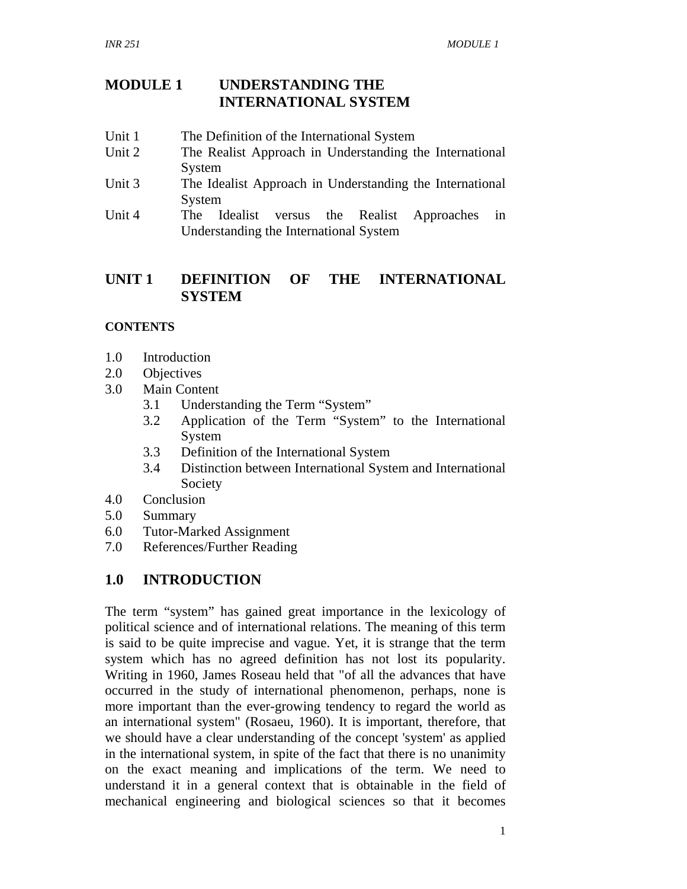## **MODULE 1 UNDERSTANDING THE INTERNATIONAL SYSTEM**

- Unit 1 The Definition of the International System
- Unit 2 The Realist Approach in Understanding the International System
- Unit 3 The Idealist Approach in Understanding the International System
- Unit 4 The Idealist versus the Realist Approaches in Understanding the International System

## **UNIT 1 DEFINITION OF THE INTERNATIONAL SYSTEM**

## **CONTENTS**

- 1.0 Introduction
- 2.0 Objectives
- 3.0 Main Content
	- 3.1 Understanding the Term "System"
	- 3.2 Application of the Term "System" to the International System
	- 3.3 Definition of the International System
	- 3.4 Distinction between International System and International Society
- 4.0 Conclusion
- 5.0 Summary
- 6.0 Tutor-Marked Assignment
- 7.0 References/Further Reading

## **1.0 INTRODUCTION**

The term "system" has gained great importance in the lexicology of political science and of international relations. The meaning of this term is said to be quite imprecise and vague. Yet, it is strange that the term system which has no agreed definition has not lost its popularity. Writing in 1960, James Roseau held that "of all the advances that have occurred in the study of international phenomenon, perhaps, none is more important than the ever-growing tendency to regard the world as an international system" (Rosaeu, 1960). It is important, therefore, that we should have a clear understanding of the concept 'system' as applied in the international system, in spite of the fact that there is no unanimity on the exact meaning and implications of the term. We need to understand it in a general context that is obtainable in the field of mechanical engineering and biological sciences so that it becomes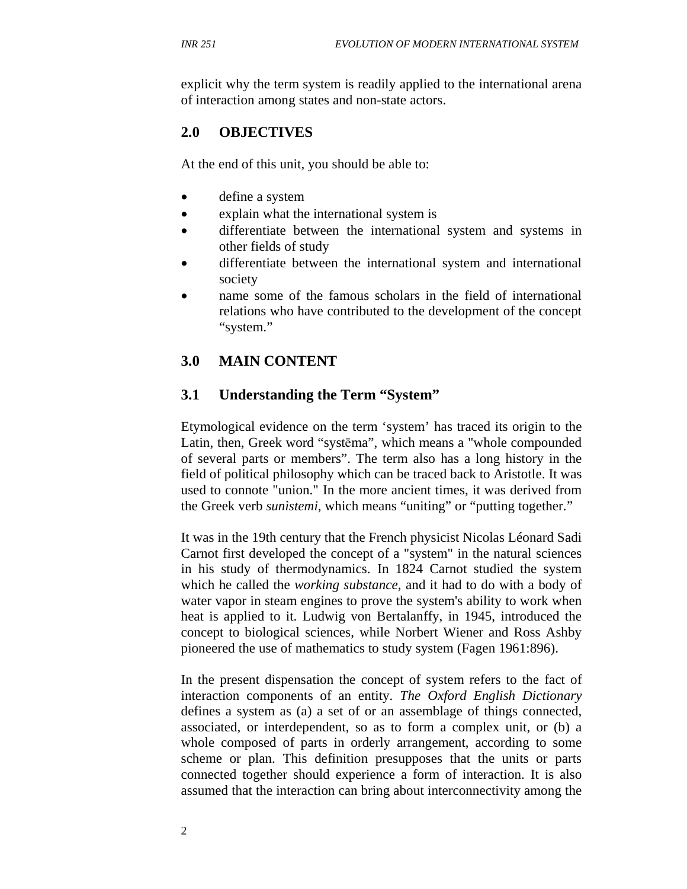explicit why the term system is readily applied to the international arena of interaction among states and non-state actors.

## **2.0 OBJECTIVES**

At the end of this unit, you should be able to:

- define a system
- explain what the international system is
- differentiate between the international system and systems in other fields of study
- differentiate between the international system and international society
- name some of the famous scholars in the field of international relations who have contributed to the development of the concept "system."

## **3.0 MAIN CONTENT**

## **3.1 Understanding the Term "System"**

Etymological evidence on the term 'system' has traced its origin to the Latin, then, Greek word "systēma", which means a "whole compounded of several parts or members". The term also has a long history in the field of political philosophy which can be traced back to Aristotle. It was used to connote "union." In the more ancient times, it was derived from the Greek verb *sunìstemi*, which means "uniting" or "putting together."

It was in the 19th century that the French physicist Nicolas Léonard Sadi Carnot first developed the concept of a "system" in the natural sciences in his study of thermodynamics. In 1824 Carnot studied the system which he called the *working substance*, and it had to do with a body of water vapor in steam engines to prove the system's ability to work when heat is applied to it. Ludwig von Bertalanffy, in 1945, introduced the concept to biological sciences, while Norbert Wiener and Ross Ashby pioneered the use of mathematics to study system (Fagen 1961:896).

In the present dispensation the concept of system refers to the fact of interaction components of an entity. *The Oxford English Dictionary* defines a system as (a) a set of or an assemblage of things connected, associated, or interdependent, so as to form a complex unit, or (b) a whole composed of parts in orderly arrangement, according to some scheme or plan. This definition presupposes that the units or parts connected together should experience a form of interaction. It is also assumed that the interaction can bring about interconnectivity among the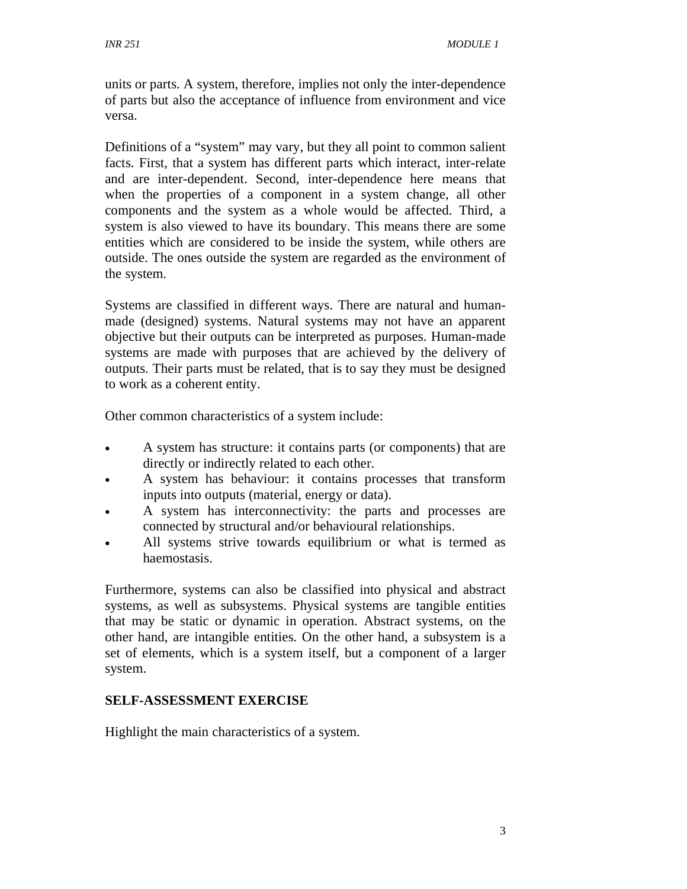units or parts. A system, therefore, implies not only the inter-dependence of parts but also the acceptance of influence from environment and vice versa.

Definitions of a "system" may vary, but they all point to common salient facts. First, that a system has different parts which interact, inter-relate and are inter-dependent. Second, inter-dependence here means that when the properties of a component in a system change, all other components and the system as a whole would be affected. Third, a system is also viewed to have its boundary. This means there are some entities which are considered to be inside the system, while others are outside. The ones outside the system are regarded as the environment of the system.

Systems are classified in different ways. There are natural and humanmade (designed) systems. Natural systems may not have an apparent objective but their outputs can be interpreted as purposes. Human-made systems are made with purposes that are achieved by the delivery of outputs. Their parts must be related, that is to say they must be designed to work as a coherent entity.

Other common characteristics of a system include:

- A system has structure: it contains parts (or components) that are directly or indirectly related to each other.
- A system has behaviour: it contains processes that transform inputs into outputs (material, energy or data).
- A system has interconnectivity: the parts and processes are connected by structural and/or behavioural relationships.
- All systems strive towards equilibrium or what is termed as haemostasis.

Furthermore, systems can also be classified into physical and abstract systems, as well as subsystems. Physical systems are tangible entities that may be static or dynamic in operation. Abstract systems, on the other hand, are intangible entities. On the other hand, a subsystem is a set of elements, which is a system itself, but a component of a larger system.

### **SELF-ASSESSMENT EXERCISE**

Highlight the main characteristics of a system.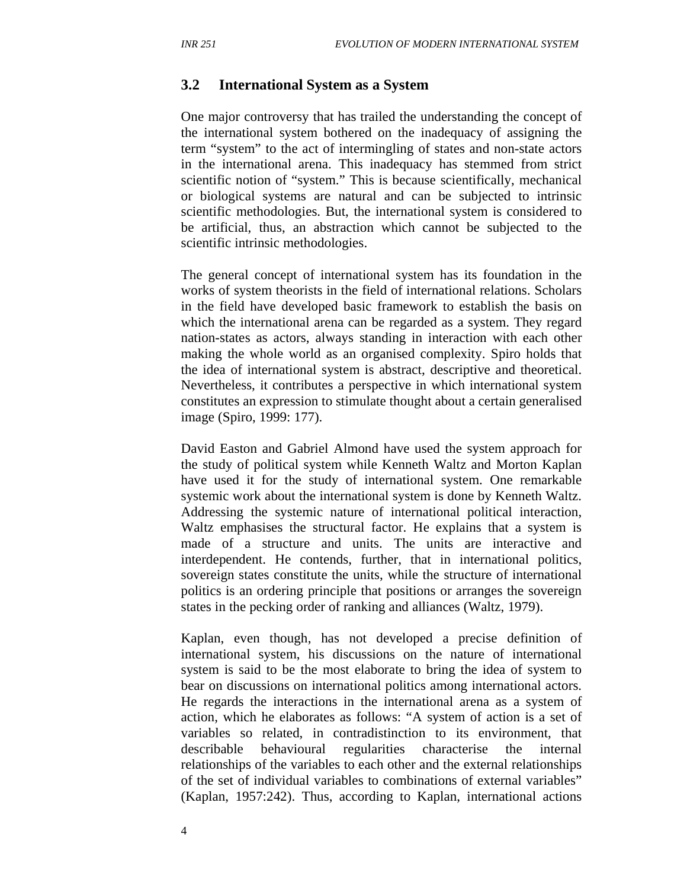#### **3.2 International System as a System**

One major controversy that has trailed the understanding the concept of the international system bothered on the inadequacy of assigning the term "system" to the act of intermingling of states and non-state actors in the international arena. This inadequacy has stemmed from strict scientific notion of "system." This is because scientifically, mechanical or biological systems are natural and can be subjected to intrinsic scientific methodologies. But, the international system is considered to be artificial, thus, an abstraction which cannot be subjected to the scientific intrinsic methodologies.

The general concept of international system has its foundation in the works of system theorists in the field of international relations. Scholars in the field have developed basic framework to establish the basis on which the international arena can be regarded as a system. They regard nation-states as actors, always standing in interaction with each other making the whole world as an organised complexity. Spiro holds that the idea of international system is abstract, descriptive and theoretical. Nevertheless, it contributes a perspective in which international system constitutes an expression to stimulate thought about a certain generalised image (Spiro, 1999: 177).

David Easton and Gabriel Almond have used the system approach for the study of political system while Kenneth Waltz and Morton Kaplan have used it for the study of international system. One remarkable systemic work about the international system is done by Kenneth Waltz. Addressing the systemic nature of international political interaction, Waltz emphasises the structural factor. He explains that a system is made of a structure and units. The units are interactive and interdependent. He contends, further, that in international politics, sovereign states constitute the units, while the structure of international politics is an ordering principle that positions or arranges the sovereign states in the pecking order of ranking and alliances (Waltz, 1979).

Kaplan, even though, has not developed a precise definition of international system, his discussions on the nature of international system is said to be the most elaborate to bring the idea of system to bear on discussions on international politics among international actors. He regards the interactions in the international arena as a system of action, which he elaborates as follows: "A system of action is a set of variables so related, in contradistinction to its environment, that describable behavioural regularities characterise the internal relationships of the variables to each other and the external relationships of the set of individual variables to combinations of external variables" (Kaplan, 1957:242). Thus, according to Kaplan, international actions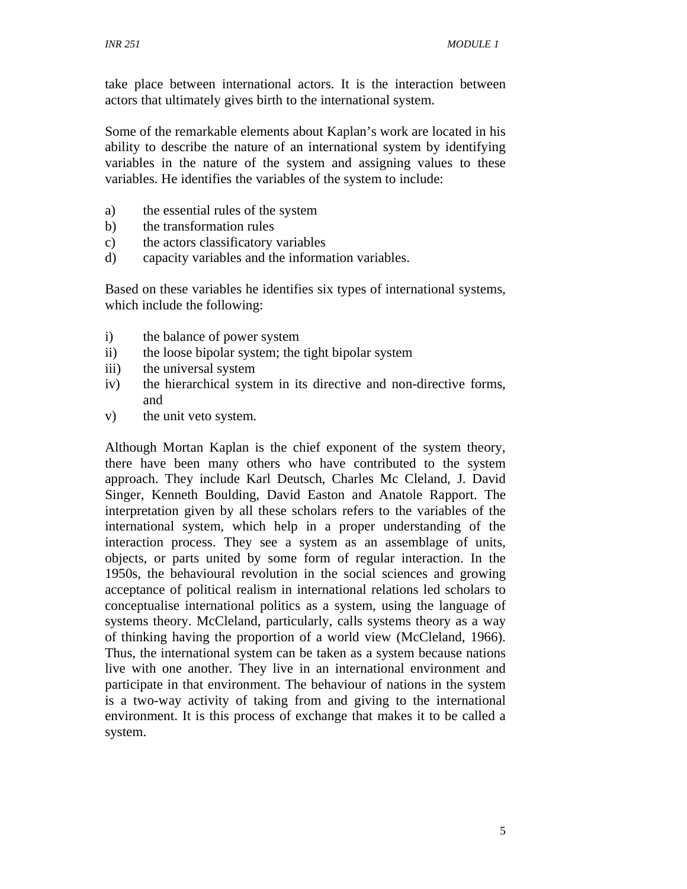take place between international actors. It is the interaction between actors that ultimately gives birth to the international system.

Some of the remarkable elements about Kaplan's work are located in his ability to describe the nature of an international system by identifying variables in the nature of the system and assigning values to these variables. He identifies the variables of the system to include:

- a) the essential rules of the system
- b) the transformation rules
- c) the actors classificatory variables
- d) capacity variables and the information variables.

Based on these variables he identifies six types of international systems, which include the following:

- i) the balance of power system
- ii) the loose bipolar system; the tight bipolar system
- iii) the universal system
- iv) the hierarchical system in its directive and non-directive forms, and
- v) the unit veto system.

Although Mortan Kaplan is the chief exponent of the system theory, there have been many others who have contributed to the system approach. They include Karl Deutsch, Charles Mc Cleland, J. David Singer, Kenneth Boulding, David Easton and Anatole Rapport. The interpretation given by all these scholars refers to the variables of the international system, which help in a proper understanding of the interaction process. They see a system as an assemblage of units, objects, or parts united by some form of regular interaction. In the 1950s, the behavioural revolution in the social sciences and growing acceptance of political realism in international relations led scholars to conceptualise international politics as a system, using the language of systems theory. McCleland, particularly, calls systems theory as a way of thinking having the proportion of a world view (McCleland, 1966). Thus, the international system can be taken as a system because nations live with one another. They live in an international environment and participate in that environment. The behaviour of nations in the system is a two-way activity of taking from and giving to the international environment. It is this process of exchange that makes it to be called a system.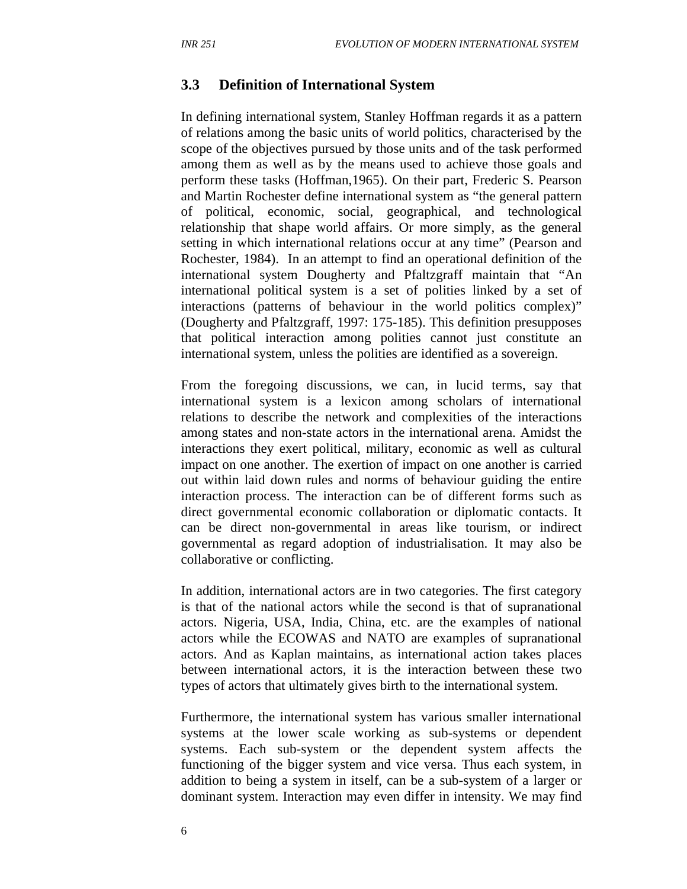#### **3.3 Definition of International System**

In defining international system, Stanley Hoffman regards it as a pattern of relations among the basic units of world politics, characterised by the scope of the objectives pursued by those units and of the task performed among them as well as by the means used to achieve those goals and perform these tasks (Hoffman,1965). On their part, Frederic S. Pearson and Martin Rochester define international system as "the general pattern of political, economic, social, geographical, and technological relationship that shape world affairs. Or more simply, as the general setting in which international relations occur at any time" (Pearson and Rochester, 1984). In an attempt to find an operational definition of the international system Dougherty and Pfaltzgraff maintain that "An international political system is a set of polities linked by a set of interactions (patterns of behaviour in the world politics complex)" (Dougherty and Pfaltzgraff, 1997: 175-185). This definition presupposes that political interaction among polities cannot just constitute an international system, unless the polities are identified as a sovereign.

From the foregoing discussions, we can, in lucid terms, say that international system is a lexicon among scholars of international relations to describe the network and complexities of the interactions among states and non-state actors in the international arena. Amidst the interactions they exert political, military, economic as well as cultural impact on one another. The exertion of impact on one another is carried out within laid down rules and norms of behaviour guiding the entire interaction process. The interaction can be of different forms such as direct governmental economic collaboration or diplomatic contacts. It can be direct non-governmental in areas like tourism, or indirect governmental as regard adoption of industrialisation. It may also be collaborative or conflicting.

In addition, international actors are in two categories. The first category is that of the national actors while the second is that of supranational actors. Nigeria, USA, India, China, etc. are the examples of national actors while the ECOWAS and NATO are examples of supranational actors. And as Kaplan maintains, as international action takes places between international actors, it is the interaction between these two types of actors that ultimately gives birth to the international system.

Furthermore, the international system has various smaller international systems at the lower scale working as sub-systems or dependent systems. Each sub-system or the dependent system affects the functioning of the bigger system and vice versa. Thus each system, in addition to being a system in itself, can be a sub-system of a larger or dominant system. Interaction may even differ in intensity. We may find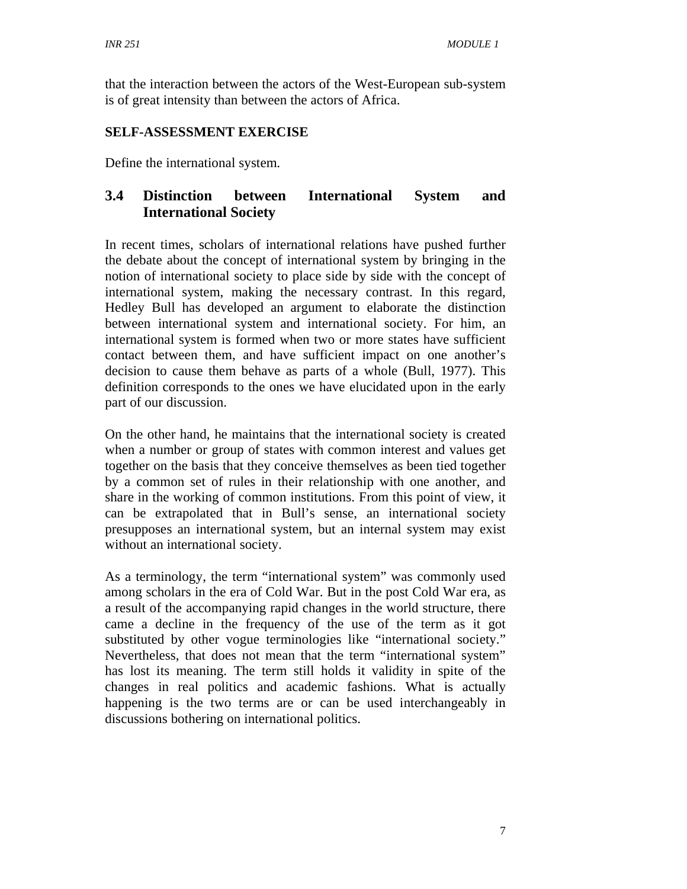that the interaction between the actors of the West-European sub-system is of great intensity than between the actors of Africa.

## **SELF-ASSESSMENT EXERCISE**

Define the international system.

## **3.4 Distinction between International System and International Society**

In recent times, scholars of international relations have pushed further the debate about the concept of international system by bringing in the notion of international society to place side by side with the concept of international system, making the necessary contrast. In this regard, Hedley Bull has developed an argument to elaborate the distinction between international system and international society. For him, an international system is formed when two or more states have sufficient contact between them, and have sufficient impact on one another's decision to cause them behave as parts of a whole (Bull, 1977). This definition corresponds to the ones we have elucidated upon in the early part of our discussion.

On the other hand, he maintains that the international society is created when a number or group of states with common interest and values get together on the basis that they conceive themselves as been tied together by a common set of rules in their relationship with one another, and share in the working of common institutions. From this point of view, it can be extrapolated that in Bull's sense, an international society presupposes an international system, but an internal system may exist without an international society.

As a terminology, the term "international system" was commonly used among scholars in the era of Cold War. But in the post Cold War era, as a result of the accompanying rapid changes in the world structure, there came a decline in the frequency of the use of the term as it got substituted by other vogue terminologies like "international society." Nevertheless, that does not mean that the term "international system" has lost its meaning. The term still holds it validity in spite of the changes in real politics and academic fashions. What is actually happening is the two terms are or can be used interchangeably in discussions bothering on international politics.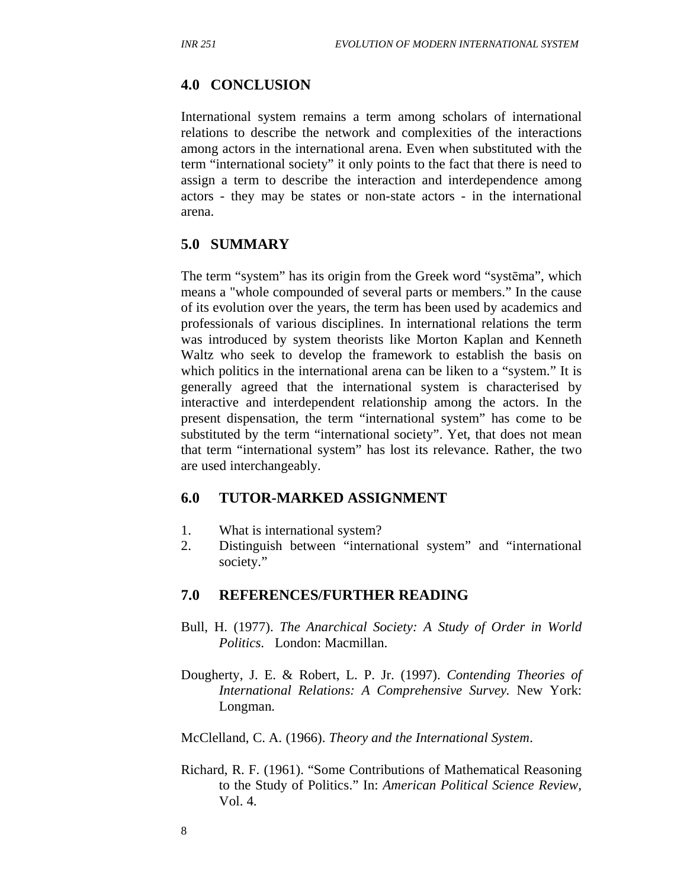#### **4.0 CONCLUSION**

International system remains a term among scholars of international relations to describe the network and complexities of the interactions among actors in the international arena. Even when substituted with the term "international society" it only points to the fact that there is need to assign a term to describe the interaction and interdependence among actors - they may be states or non-state actors - in the international arena.

#### **5.0 SUMMARY**

The term "system" has its origin from the Greek word "systēma", which means a "whole compounded of several parts or members." In the cause of its evolution over the years, the term has been used by academics and professionals of various disciplines. In international relations the term was introduced by system theorists like Morton Kaplan and Kenneth Waltz who seek to develop the framework to establish the basis on which politics in the international arena can be liken to a "system." It is generally agreed that the international system is characterised by interactive and interdependent relationship among the actors. In the present dispensation, the term "international system" has come to be substituted by the term "international society". Yet, that does not mean that term "international system" has lost its relevance. Rather, the two are used interchangeably.

#### **6.0 TUTOR-MARKED ASSIGNMENT**

- 1. What is international system?
- 2. Distinguish between "international system" and "international society."

#### **7.0 REFERENCES/FURTHER READING**

- Bull, H. (1977). *The Anarchical Society: A Study of Order in World Politics*. London: Macmillan.
- Dougherty, J. E. & Robert, L. P. Jr. (1997). *Contending Theories of International Relations: A Comprehensive Survey.* New York: Longman.

McClelland, C. A. (1966). *Theory and the International System*.

Richard, R. F. (1961). "Some Contributions of Mathematical Reasoning to the Study of Politics." In: *American Political Science Review,*  Vol. 4.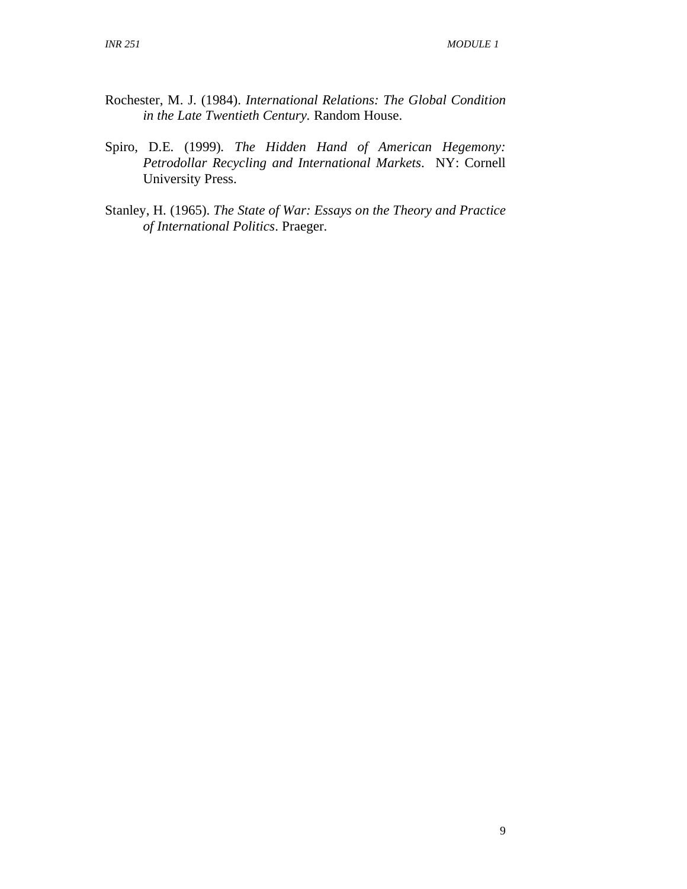- Rochester, M. J. (1984). *International Relations: The Global Condition in the Late Twentieth Century.* Random House.
- Spiro, D.E. (1999)*. The Hidden Hand of American Hegemony: Petrodollar Recycling and International Markets*. NY: Cornell University Press.
- Stanley, H. (1965). *The State of War: Essays on the Theory and Practice of International Politics*. Praeger.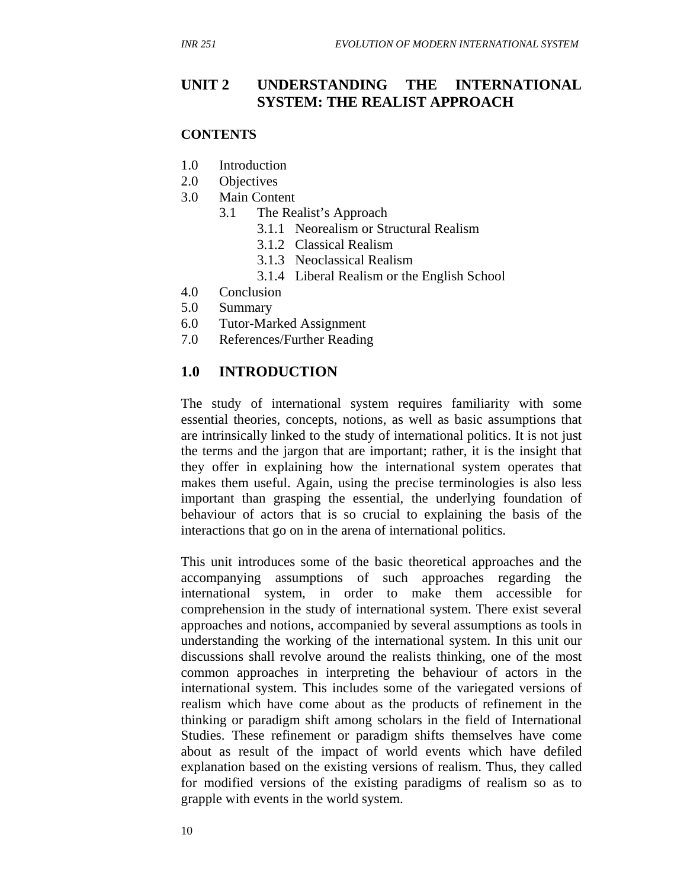## **UNIT 2 UNDERSTANDING THE INTERNATIONAL SYSTEM: THE REALIST APPROACH**

#### **CONTENTS**

- 1.0 Introduction
- 2.0 Objectives
- 3.0 Main Content
	- 3.1 The Realist's Approach
		- 3.1.1 Neorealism or Structural Realism
		- 3.1.2 Classical Realism
		- 3.1.3 Neoclassical Realism
		- 3.1.4 Liberal Realism or the English School
- 4.0 Conclusion
- 5.0 Summary
- 6.0 Tutor-Marked Assignment
- 7.0 References/Further Reading

### **1.0 INTRODUCTION**

The study of international system requires familiarity with some essential theories, concepts, notions, as well as basic assumptions that are intrinsically linked to the study of international politics. It is not just the terms and the jargon that are important; rather, it is the insight that they offer in explaining how the international system operates that makes them useful. Again, using the precise terminologies is also less important than grasping the essential, the underlying foundation of behaviour of actors that is so crucial to explaining the basis of the interactions that go on in the arena of international politics.

This unit introduces some of the basic theoretical approaches and the accompanying assumptions of such approaches regarding the international system, in order to make them accessible for comprehension in the study of international system. There exist several approaches and notions, accompanied by several assumptions as tools in understanding the working of the international system. In this unit our discussions shall revolve around the realists thinking, one of the most common approaches in interpreting the behaviour of actors in the international system. This includes some of the variegated versions of realism which have come about as the products of refinement in the thinking or paradigm shift among scholars in the field of International Studies. These refinement or paradigm shifts themselves have come about as result of the impact of world events which have defiled explanation based on the existing versions of realism. Thus, they called for modified versions of the existing paradigms of realism so as to grapple with events in the world system.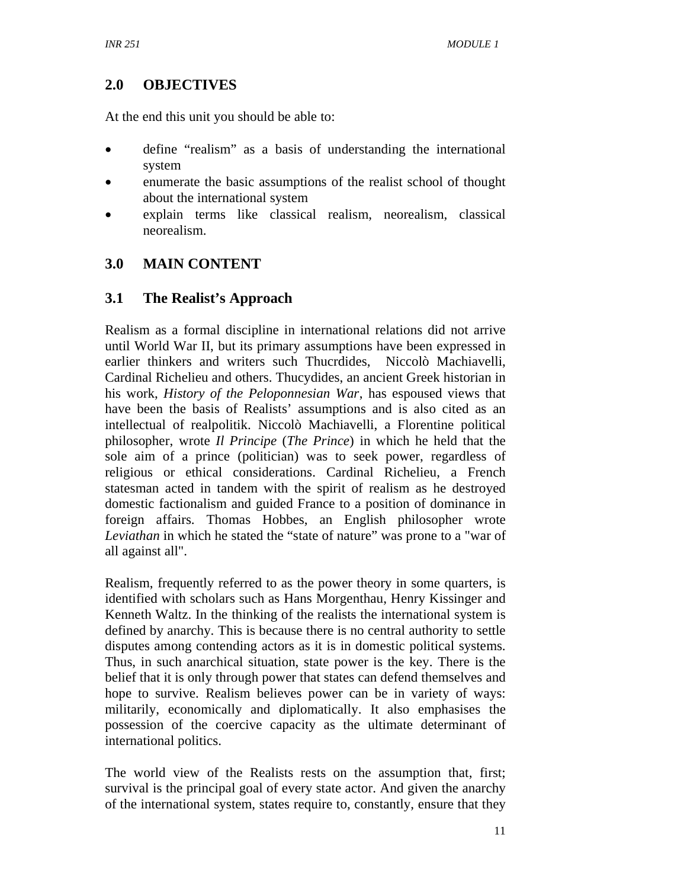## **2.0 OBJECTIVES**

At the end this unit you should be able to:

- define "realism" as a basis of understanding the international system
- enumerate the basic assumptions of the realist school of thought about the international system
- explain terms like classical realism, neorealism, classical neorealism.

## **3.0 MAIN CONTENT**

## **3.1 The Realist's Approach**

Realism as a formal discipline in international relations did not arrive until World War II, but its primary assumptions have been expressed in earlier thinkers and writers such Thucrdides, Niccolò Machiavelli, Cardinal Richelieu and others. Thucydides, an ancient Greek historian in his work, *History of the Peloponnesian War*, has espoused views that have been the basis of Realists' assumptions and is also cited as an intellectual of realpolitik. Niccolò Machiavelli, a Florentine political philosopher, wrote *Il Principe* (*The Prince*) in which he held that the sole aim of a prince (politician) was to seek power, regardless of religious or ethical considerations. Cardinal Richelieu, a French statesman acted in tandem with the spirit of realism as he destroyed domestic factionalism and guided France to a position of dominance in foreign affairs. Thomas Hobbes, an English philosopher wrote *Leviathan* in which he stated the "state of nature" was prone to a "war of all against all".

Realism, frequently referred to as the power theory in some quarters, is identified with scholars such as Hans Morgenthau, Henry Kissinger and Kenneth Waltz. In the thinking of the realists the international system is defined by anarchy. This is because there is no central authority to settle disputes among contending actors as it is in domestic political systems. Thus, in such anarchical situation, state power is the key. There is the belief that it is only through power that states can defend themselves and hope to survive. Realism believes power can be in variety of ways: militarily, economically and diplomatically. It also emphasises the possession of the coercive capacity as the ultimate determinant of international politics.

The world view of the Realists rests on the assumption that, first; survival is the principal goal of every state actor. And given the anarchy of the international system, states require to, constantly, ensure that they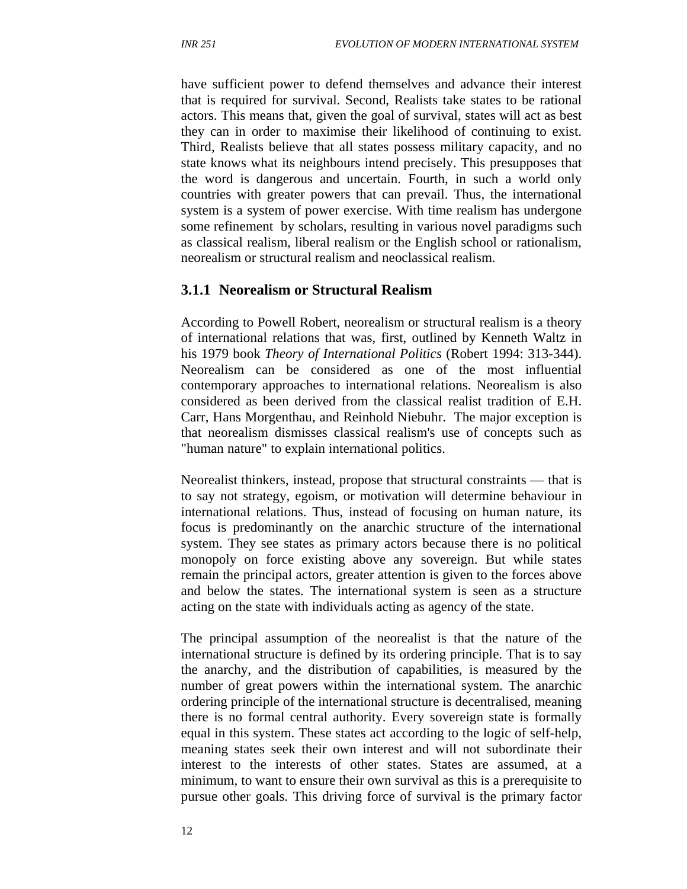have sufficient power to defend themselves and advance their interest that is required for survival. Second, Realists take states to be rational actors. This means that, given the goal of survival, states will act as best they can in order to maximise their likelihood of continuing to exist. Third, Realists believe that all states possess military capacity, and no state knows what its neighbours intend precisely. This presupposes that the word is dangerous and uncertain. Fourth, in such a world only countries with greater powers that can prevail. Thus, the international system is a system of power exercise. With time realism has undergone some refinement by scholars, resulting in various novel paradigms such as classical realism, liberal realism or the English school or rationalism, neorealism or structural realism and neoclassical realism.

#### **3.1.1 Neorealism or Structural Realism**

According to Powell Robert, neorealism or structural realism is a theory of international relations that was, first, outlined by Kenneth Waltz in his 1979 book *Theory of International Politics* (Robert 1994: 313-344). Neorealism can be considered as one of the most influential contemporary approaches to international relations. Neorealism is also considered as been derived from the classical realist tradition of E.H. Carr, Hans Morgenthau, and Reinhold Niebuhr. The major exception is that neorealism dismisses classical realism's use of concepts such as "human nature" to explain international politics.

Neorealist thinkers, instead, propose that structural constraints — that is to say not strategy, egoism, or motivation will determine behaviour in international relations. Thus, instead of focusing on human nature, its focus is predominantly on the anarchic structure of the international system. They see states as primary actors because there is no political monopoly on force existing above any sovereign. But while states remain the principal actors, greater attention is given to the forces above and below the states. The international system is seen as a structure acting on the state with individuals acting as agency of the state.

The principal assumption of the neorealist is that the nature of the international structure is defined by its ordering principle. That is to say the anarchy, and the distribution of capabilities, is measured by the number of great powers within the international system. The anarchic ordering principle of the international structure is decentralised, meaning there is no formal central authority. Every sovereign state is formally equal in this system. These states act according to the logic of self-help, meaning states seek their own interest and will not subordinate their interest to the interests of other states. States are assumed, at a minimum, to want to ensure their own survival as this is a prerequisite to pursue other goals. This driving force of survival is the primary factor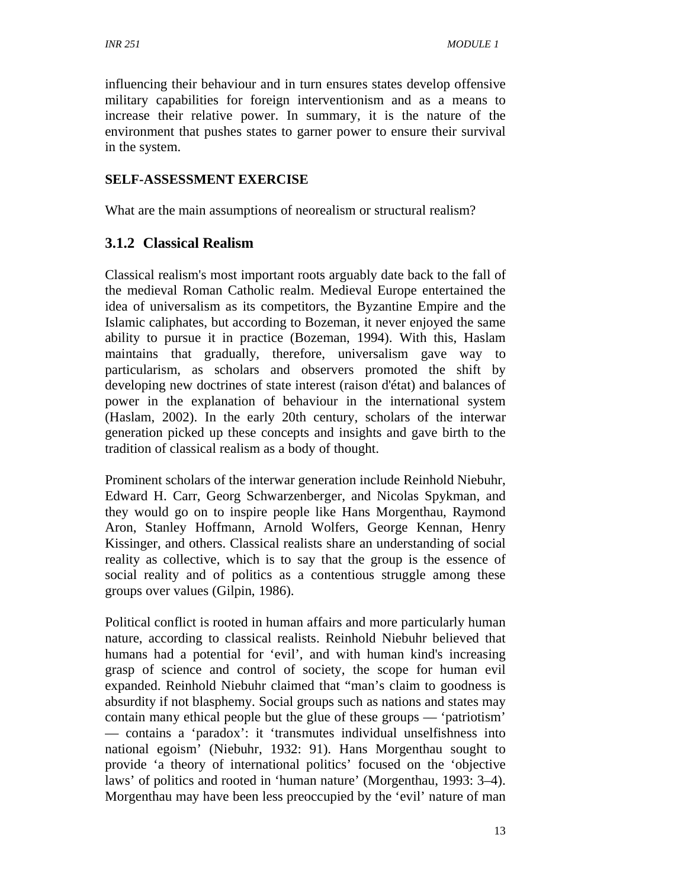influencing their behaviour and in turn ensures states develop offensive military capabilities for foreign interventionism and as a means to increase their relative power. In summary, it is the nature of the environment that pushes states to garner power to ensure their survival in the system.

## **SELF-ASSESSMENT EXERCISE**

What are the main assumptions of neorealism or structural realism?

## **3.1.2 Classical Realism**

Classical realism's most important roots arguably date back to the fall of the medieval Roman Catholic realm. Medieval Europe entertained the idea of universalism as its competitors, the Byzantine Empire and the Islamic caliphates, but according to Bozeman, it never enjoyed the same ability to pursue it in practice (Bozeman, 1994). With this, Haslam maintains that gradually, therefore, universalism gave way to particularism, as scholars and observers promoted the shift by developing new doctrines of state interest (raison d'état) and balances of power in the explanation of behaviour in the international system (Haslam, 2002). In the early 20th century, scholars of the interwar generation picked up these concepts and insights and gave birth to the tradition of classical realism as a body of thought.

Prominent scholars of the interwar generation include Reinhold Niebuhr, Edward H. Carr, Georg Schwarzenberger, and Nicolas Spykman, and they would go on to inspire people like Hans Morgenthau, Raymond Aron, Stanley Hoffmann, Arnold Wolfers, George Kennan, Henry Kissinger, and others. Classical realists share an understanding of social reality as collective, which is to say that the group is the essence of social reality and of politics as a contentious struggle among these groups over values (Gilpin, 1986).

Political conflict is rooted in human affairs and more particularly human nature, according to classical realists. Reinhold Niebuhr believed that humans had a potential for 'evil', and with human kind's increasing grasp of science and control of society, the scope for human evil expanded. Reinhold Niebuhr claimed that "man's claim to goodness is absurdity if not blasphemy. Social groups such as nations and states may contain many ethical people but the glue of these groups — 'patriotism' — contains a 'paradox': it 'transmutes individual unselfishness into national egoism' (Niebuhr, 1932: 91). Hans Morgenthau sought to provide 'a theory of international politics' focused on the 'objective laws' of politics and rooted in 'human nature' (Morgenthau, 1993: 3–4). Morgenthau may have been less preoccupied by the 'evil' nature of man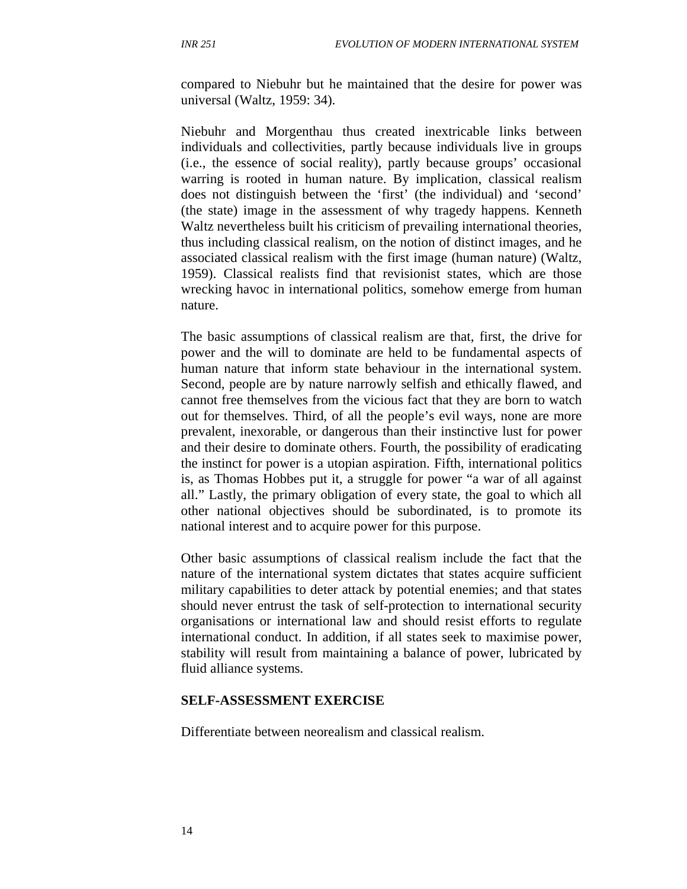compared to Niebuhr but he maintained that the desire for power was universal (Waltz, 1959: 34).

Niebuhr and Morgenthau thus created inextricable links between individuals and collectivities, partly because individuals live in groups (i.e., the essence of social reality), partly because groups' occasional warring is rooted in human nature. By implication, classical realism does not distinguish between the 'first' (the individual) and 'second' (the state) image in the assessment of why tragedy happens. Kenneth Waltz nevertheless built his criticism of prevailing international theories, thus including classical realism, on the notion of distinct images, and he associated classical realism with the first image (human nature) (Waltz, 1959). Classical realists find that revisionist states, which are those wrecking havoc in international politics, somehow emerge from human nature.

The basic assumptions of classical realism are that, first, the drive for power and the will to dominate are held to be fundamental aspects of human nature that inform state behaviour in the international system. Second, people are by nature narrowly selfish and ethically flawed, and cannot free themselves from the vicious fact that they are born to watch out for themselves. Third, of all the people's evil ways, none are more prevalent, inexorable, or dangerous than their instinctive lust for power and their desire to dominate others. Fourth, the possibility of eradicating the instinct for power is a utopian aspiration. Fifth, international politics is, as Thomas Hobbes put it, a struggle for power "a war of all against all." Lastly, the primary obligation of every state, the goal to which all other national objectives should be subordinated, is to promote its national interest and to acquire power for this purpose.

Other basic assumptions of classical realism include the fact that the nature of the international system dictates that states acquire sufficient military capabilities to deter attack by potential enemies; and that states should never entrust the task of self-protection to international security organisations or international law and should resist efforts to regulate international conduct. In addition, if all states seek to maximise power, stability will result from maintaining a balance of power, lubricated by fluid alliance systems.

#### **SELF-ASSESSMENT EXERCISE**

Differentiate between neorealism and classical realism.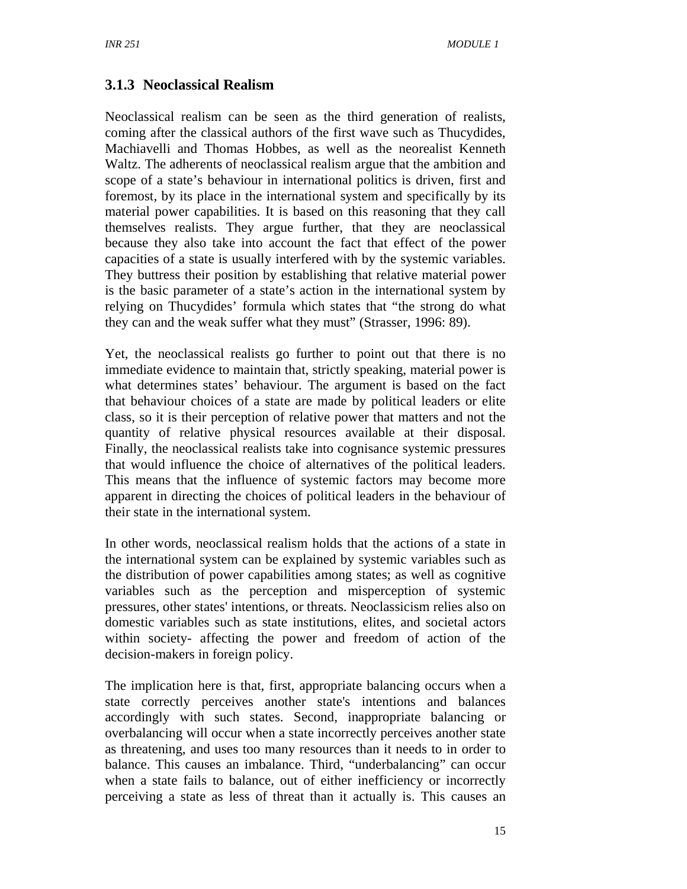## **3.1.3 Neoclassical Realism**

Neoclassical realism can be seen as the third generation of realists, coming after the classical authors of the first wave such as Thucydides, Machiavelli and Thomas Hobbes, as well as the neorealist Kenneth Waltz. The adherents of neoclassical realism argue that the ambition and scope of a state's behaviour in international politics is driven, first and foremost, by its place in the international system and specifically by its material power capabilities. It is based on this reasoning that they call themselves realists. They argue further, that they are neoclassical because they also take into account the fact that effect of the power capacities of a state is usually interfered with by the systemic variables. They buttress their position by establishing that relative material power is the basic parameter of a state's action in the international system by relying on Thucydides' formula which states that "the strong do what they can and the weak suffer what they must" (Strasser, 1996: 89).

Yet, the neoclassical realists go further to point out that there is no immediate evidence to maintain that, strictly speaking, material power is what determines states' behaviour. The argument is based on the fact that behaviour choices of a state are made by political leaders or elite class, so it is their perception of relative power that matters and not the quantity of relative physical resources available at their disposal. Finally, the neoclassical realists take into cognisance systemic pressures that would influence the choice of alternatives of the political leaders. This means that the influence of systemic factors may become more apparent in directing the choices of political leaders in the behaviour of their state in the international system.

In other words, neoclassical realism holds that the actions of a state in the international system can be explained by systemic variables such as the distribution of power capabilities among states; as well as cognitive variables such as the perception and misperception of systemic pressures, other states' intentions, or threats. Neoclassicism relies also on domestic variables such as state institutions, elites, and societal actors within society- affecting the power and freedom of action of the decision-makers in foreign policy.

The implication here is that, first, appropriate balancing occurs when a state correctly perceives another state's intentions and balances accordingly with such states. Second, inappropriate balancing or overbalancing will occur when a state incorrectly perceives another state as threatening, and uses too many resources than it needs to in order to balance. This causes an imbalance. Third, "underbalancing" can occur when a state fails to balance, out of either inefficiency or incorrectly perceiving a state as less of threat than it actually is. This causes an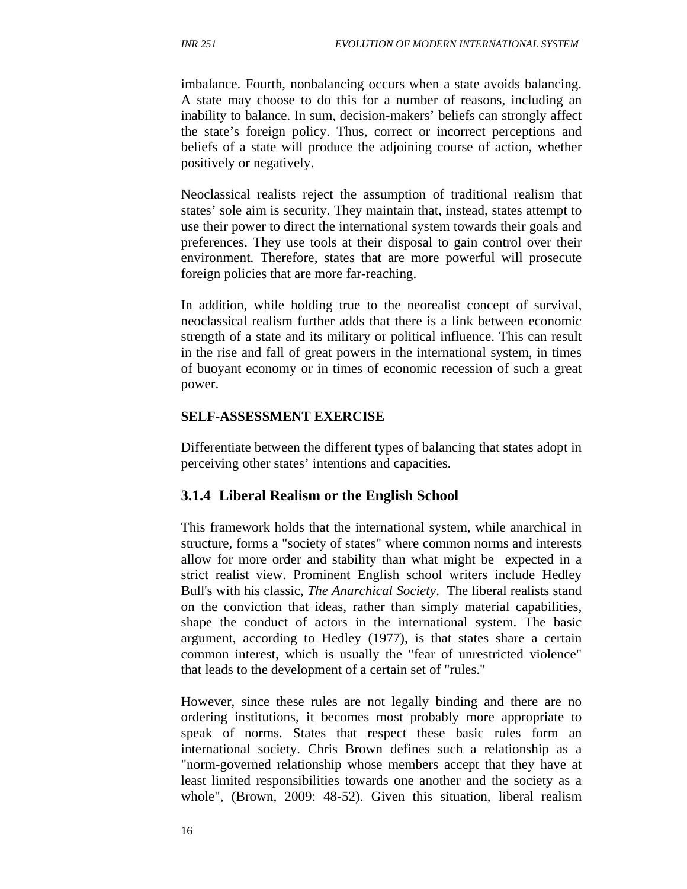imbalance. Fourth, nonbalancing occurs when a state avoids balancing. A state may choose to do this for a number of reasons, including an inability to balance. In sum, decision-makers' beliefs can strongly affect the state's foreign policy. Thus, correct or incorrect perceptions and beliefs of a state will produce the adjoining course of action, whether positively or negatively.

Neoclassical realists reject the assumption of traditional realism that states' sole aim is security. They maintain that, instead, states attempt to use their power to direct the international system towards their goals and preferences. They use tools at their disposal to gain control over their environment. Therefore, states that are more powerful will prosecute foreign policies that are more far-reaching.

In addition, while holding true to the neorealist concept of survival, neoclassical realism further adds that there is a link between economic strength of a state and its military or political influence. This can result in the rise and fall of great powers in the international system, in times of buoyant economy or in times of economic recession of such a great power.

#### **SELF-ASSESSMENT EXERCISE**

Differentiate between the different types of balancing that states adopt in perceiving other states' intentions and capacities.

#### **3.1.4 Liberal Realism or the English School**

This framework holds that the international system, while anarchical in structure, forms a "society of states" where common norms and interests allow for more order and stability than what might be expected in a strict realist view. Prominent English school writers include Hedley Bull's with his classic, *The Anarchical Society*. The liberal realists stand on the conviction that ideas, rather than simply material capabilities, shape the conduct of actors in the international system. The basic argument, according to Hedley (1977), is that states share a certain common interest, which is usually the "fear of unrestricted violence" that leads to the development of a certain set of "rules."

However, since these rules are not legally binding and there are no ordering institutions, it becomes most probably more appropriate to speak of norms. States that respect these basic rules form an international society. Chris Brown defines such a relationship as a "norm-governed relationship whose members accept that they have at least limited responsibilities towards one another and the society as a whole", (Brown, 2009: 48-52). Given this situation, liberal realism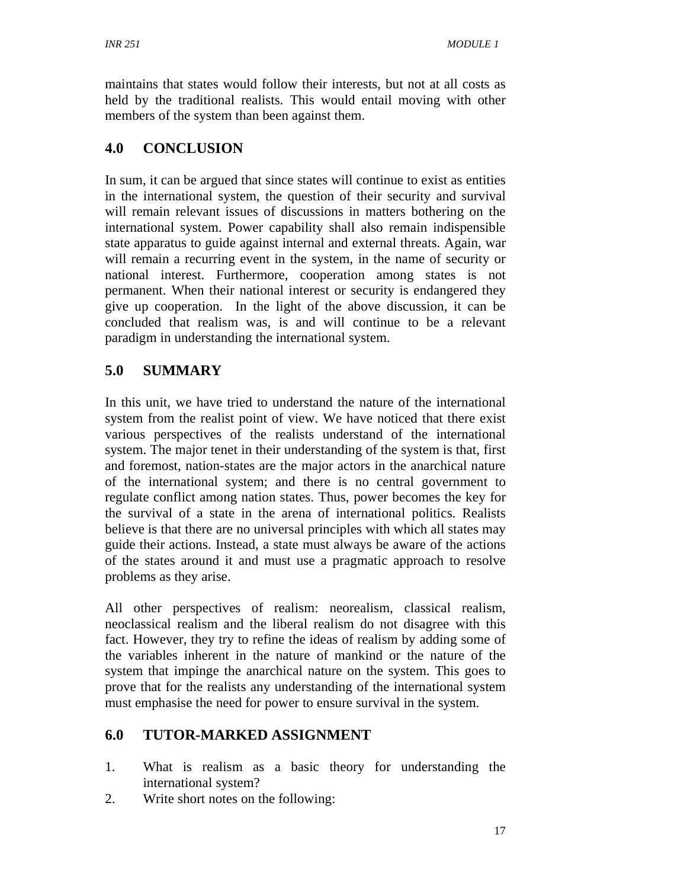maintains that states would follow their interests, but not at all costs as held by the traditional realists. This would entail moving with other members of the system than been against them.

# **4.0 CONCLUSION**

In sum, it can be argued that since states will continue to exist as entities in the international system, the question of their security and survival will remain relevant issues of discussions in matters bothering on the international system. Power capability shall also remain indispensible state apparatus to guide against internal and external threats. Again, war will remain a recurring event in the system, in the name of security or national interest. Furthermore, cooperation among states is not permanent. When their national interest or security is endangered they give up cooperation. In the light of the above discussion, it can be concluded that realism was, is and will continue to be a relevant paradigm in understanding the international system.

# **5.0 SUMMARY**

In this unit, we have tried to understand the nature of the international system from the realist point of view. We have noticed that there exist various perspectives of the realists understand of the international system. The major tenet in their understanding of the system is that, first and foremost, nation-states are the major actors in the anarchical nature of the international system; and there is no central government to regulate conflict among nation states. Thus, power becomes the key for the survival of a state in the arena of international politics. Realists believe is that there are no universal principles with which all states may guide their actions. Instead, a state must always be aware of the actions of the states around it and must use a pragmatic approach to resolve problems as they arise.

All other perspectives of realism: neorealism, classical realism, neoclassical realism and the liberal realism do not disagree with this fact. However, they try to refine the ideas of realism by adding some of the variables inherent in the nature of mankind or the nature of the system that impinge the anarchical nature on the system. This goes to prove that for the realists any understanding of the international system must emphasise the need for power to ensure survival in the system.

# **6.0 TUTOR-MARKED ASSIGNMENT**

- 1. What is realism as a basic theory for understanding the international system?
- 2. Write short notes on the following: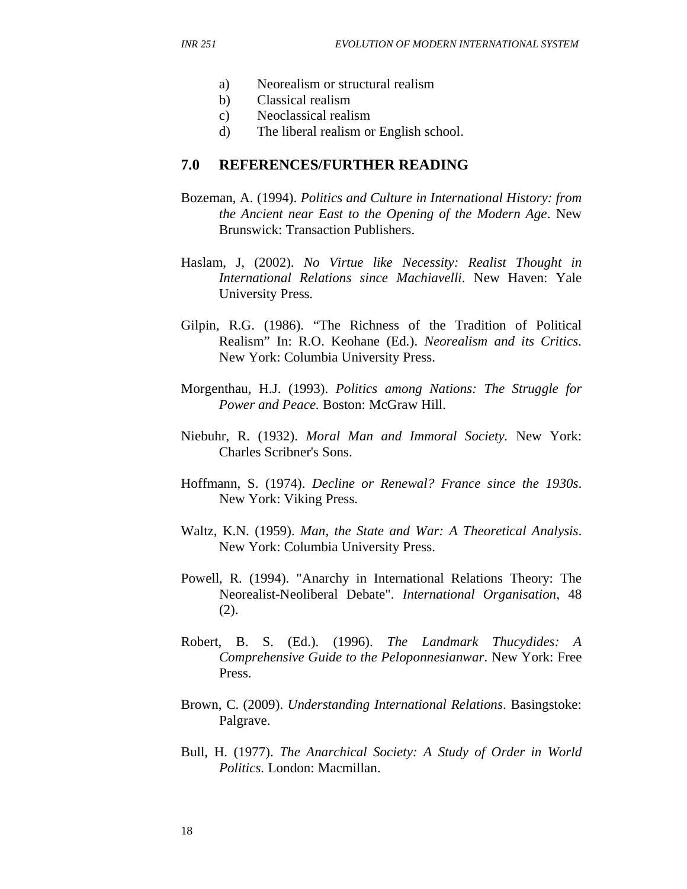- a) Neorealism or structural realism
- b) Classical realism
- c) Neoclassical realism
- d) The liberal realism or English school.

#### **7.0 REFERENCES/FURTHER READING**

- Bozeman, A. (1994). *Politics and Culture in International History: from the Ancient near East to the Opening of the Modern Age*. New Brunswick: Transaction Publishers.
- Haslam, J, (2002). *No Virtue like Necessity: Realist Thought in International Relations since Machiavelli*. New Haven: Yale University Press.
- Gilpin, R.G. (1986). "The Richness of the Tradition of Political Realism" In: R.O. Keohane (Ed.). *Neorealism and its Critics*. New York: Columbia University Press.
- Morgenthau, H.J. (1993). *Politics among Nations: The Struggle for Power and Peace.* Boston: McGraw Hill.
- Niebuhr, R. (1932). *Moral Man and Immoral Society.* New York: Charles Scribner's Sons.
- Hoffmann, S. (1974). *Decline or Renewal? France since the 1930s*. New York: Viking Press.
- Waltz, K.N. (1959). *Man, the State and War: A Theoretical Analysis*. New York: Columbia University Press.
- Powell, R. (1994). "Anarchy in International Relations Theory: The Neorealist-Neoliberal Debate". *International Organisation*, 48 (2).
- Robert, B. S. (Ed.). (1996). *The Landmark Thucydides: A Comprehensive Guide to the Peloponnesianwar*. New York: Free Press.
- Brown, C. (2009). *Understanding International Relations*. Basingstoke: Palgrave.
- Bull, H. (1977). *The Anarchical Society: A Study of Order in World Politics*. London: Macmillan.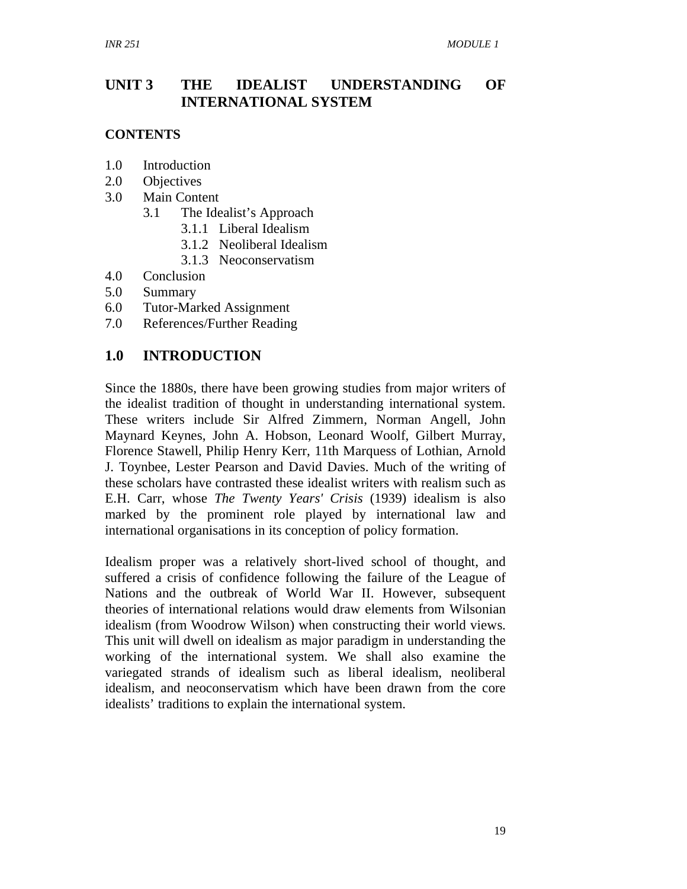## **UNIT 3 THE IDEALIST UNDERSTANDING OF INTERNATIONAL SYSTEM**

#### **CONTENTS**

- 1.0 Introduction
- 2.0 Objectives
- 3.0 Main Content
	- 3.1 The Idealist's Approach
		- 3.1.1 Liberal Idealism
		- 3.1.2 Neoliberal Idealism
		- 3.1.3 Neoconservatism
- 4.0 Conclusion
- 5.0 Summary
- 6.0 Tutor-Marked Assignment
- 7.0 References/Further Reading

## **1.0 INTRODUCTION**

Since the 1880s, there have been growing studies from major writers of the idealist tradition of thought in understanding international system. These writers include Sir Alfred Zimmern, Norman Angell, John Maynard Keynes, John A. Hobson, Leonard Woolf, Gilbert Murray, Florence Stawell, Philip Henry Kerr, 11th Marquess of Lothian, Arnold J. Toynbee, Lester Pearson and David Davies. Much of the writing of these scholars have contrasted these idealist writers with realism such as E.H. Carr, whose *The Twenty Years' Crisis* (1939) idealism is also marked by the prominent role played by international law and international organisations in its conception of policy formation.

Idealism proper was a relatively short-lived school of thought, and suffered a crisis of confidence following the failure of the League of Nations and the outbreak of World War II. However, subsequent theories of international relations would draw elements from Wilsonian idealism (from Woodrow Wilson) when constructing their world views. This unit will dwell on idealism as major paradigm in understanding the working of the international system. We shall also examine the variegated strands of idealism such as liberal idealism, neoliberal idealism, and neoconservatism which have been drawn from the core idealists' traditions to explain the international system.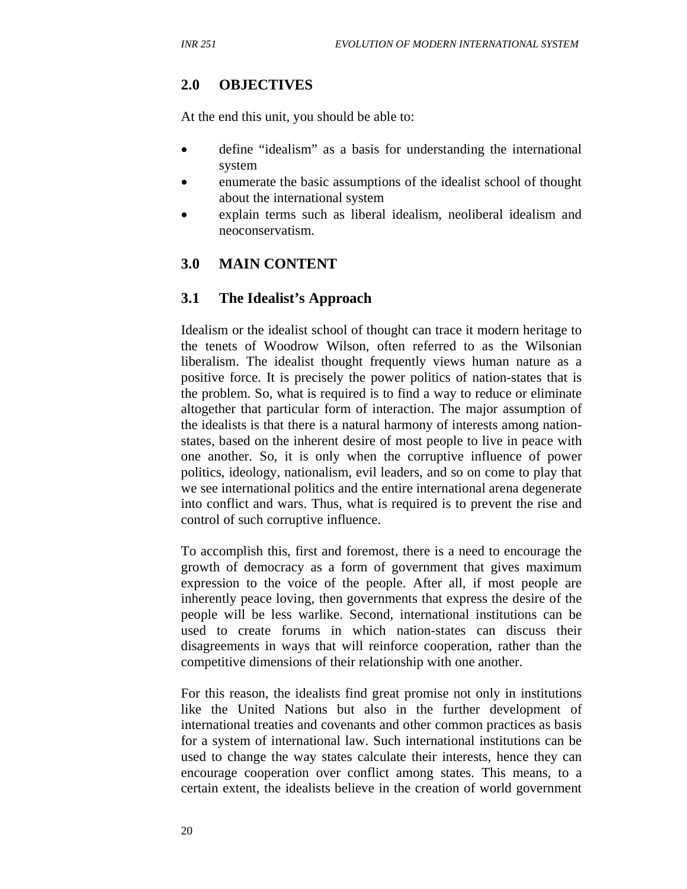## **2.0 OBJECTIVES**

At the end this unit, you should be able to:

- define "idealism" as a basis for understanding the international system
- enumerate the basic assumptions of the idealist school of thought about the international system
- explain terms such as liberal idealism, neoliberal idealism and neoconservatism.

### **3.0 MAIN CONTENT**

#### **3.1 The Idealist's Approach**

Idealism or the idealist school of thought can trace it modern heritage to the tenets of Woodrow Wilson, often referred to as the Wilsonian liberalism. The idealist thought frequently views human nature as a positive force. It is precisely the power politics of nation-states that is the problem. So, what is required is to find a way to reduce or eliminate altogether that particular form of interaction. The major assumption of the idealists is that there is a natural harmony of interests among nationstates, based on the inherent desire of most people to live in peace with one another. So, it is only when the corruptive influence of power politics, ideology, nationalism, evil leaders, and so on come to play that we see international politics and the entire international arena degenerate into conflict and wars. Thus, what is required is to prevent the rise and control of such corruptive influence.

To accomplish this, first and foremost, there is a need to encourage the growth of democracy as a form of government that gives maximum expression to the voice of the people. After all, if most people are inherently peace loving, then governments that express the desire of the people will be less warlike. Second, international institutions can be used to create forums in which nation-states can discuss their disagreements in ways that will reinforce cooperation, rather than the competitive dimensions of their relationship with one another.

For this reason, the idealists find great promise not only in institutions like the United Nations but also in the further development of international treaties and covenants and other common practices as basis for a system of international law. Such international institutions can be used to change the way states calculate their interests, hence they can encourage cooperation over conflict among states. This means, to a certain extent, the idealists believe in the creation of world government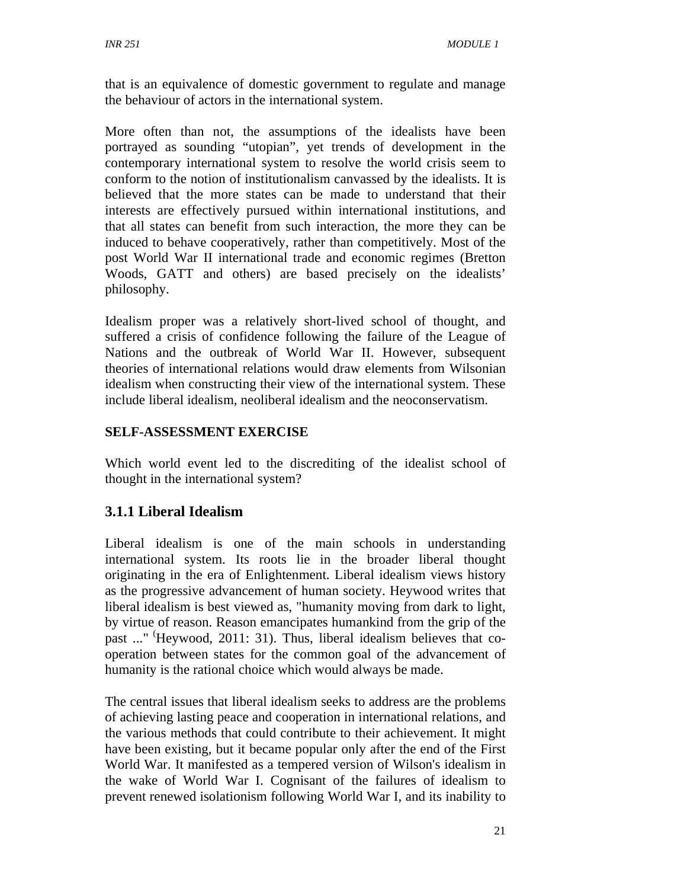that is an equivalence of domestic government to regulate and manage the behaviour of actors in the international system.

More often than not, the assumptions of the idealists have been portrayed as sounding "utopian", yet trends of development in the contemporary international system to resolve the world crisis seem to conform to the notion of institutionalism canvassed by the idealists. It is believed that the more states can be made to understand that their interests are effectively pursued within international institutions, and that all states can benefit from such interaction, the more they can be induced to behave cooperatively, rather than competitively. Most of the post World War II international trade and economic regimes (Bretton Woods, GATT and others) are based precisely on the idealists' philosophy.

Idealism proper was a relatively short-lived school of thought, and suffered a crisis of confidence following the failure of the League of Nations and the outbreak of World War II. However, subsequent theories of international relations would draw elements from Wilsonian idealism when constructing their view of the international system. These include liberal idealism, neoliberal idealism and the neoconservatism.

## **SELF-ASSESSMENT EXERCISE**

Which world event led to the discrediting of the idealist school of thought in the international system?

## **3.1.1 Liberal Idealism**

Liberal idealism is one of the main schools in understanding international system. Its roots lie in the broader liberal thought originating in the era of Enlightenment. Liberal idealism views history as the progressive advancement of human society. Heywood writes that liberal idealism is best viewed as, "humanity moving from dark to light, by virtue of reason. Reason emancipates humankind from the grip of the past ..." (Heywood, 2011: 31). Thus, liberal idealism believes that cooperation between states for the common goal of the advancement of humanity is the rational choice which would always be made.

The central issues that liberal idealism seeks to address are the problems of achieving lasting peace and cooperation in international relations, and the various methods that could contribute to their achievement. It might have been existing, but it became popular only after the end of the First World War. It manifested as a tempered version of Wilson's idealism in the wake of World War I. Cognisant of the failures of idealism to prevent renewed isolationism following World War I, and its inability to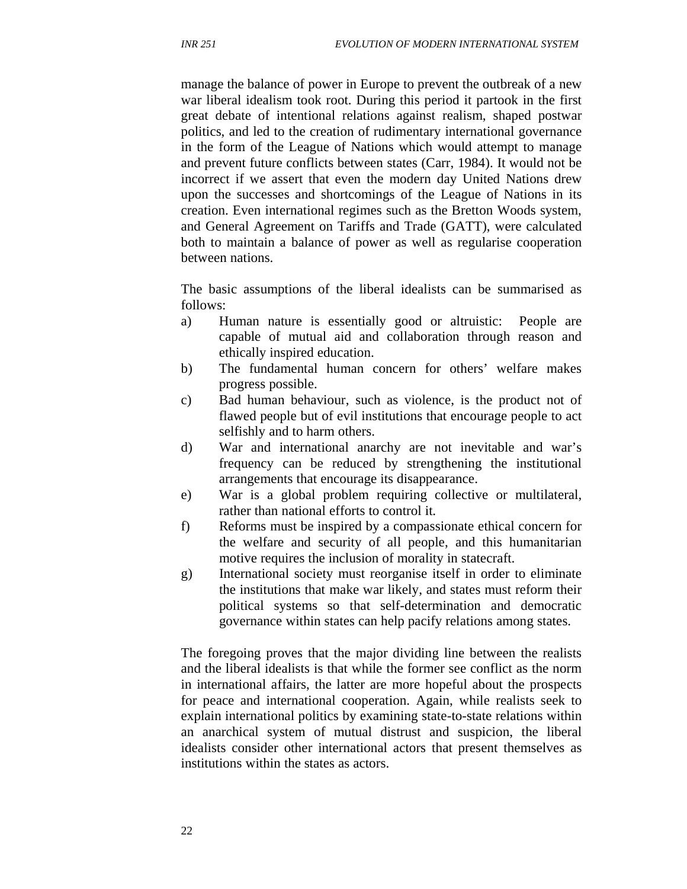manage the balance of power in Europe to prevent the outbreak of a new war liberal idealism took root. During this period it partook in the first great debate of intentional relations against realism, shaped postwar politics, and led to the creation of rudimentary international governance in the form of the League of Nations which would attempt to manage and prevent future conflicts between states (Carr, 1984). It would not be incorrect if we assert that even the modern day United Nations drew upon the successes and shortcomings of the League of Nations in its creation. Even international regimes such as the Bretton Woods system, and General Agreement on Tariffs and Trade (GATT), were calculated both to maintain a balance of power as well as regularise cooperation between nations.

The basic assumptions of the liberal idealists can be summarised as follows:

- a) Human nature is essentially good or altruistic: People are capable of mutual aid and collaboration through reason and ethically inspired education.
- b) The fundamental human concern for others' welfare makes progress possible.
- c) Bad human behaviour, such as violence, is the product not of flawed people but of evil institutions that encourage people to act selfishly and to harm others.
- d) War and international anarchy are not inevitable and war's frequency can be reduced by strengthening the institutional arrangements that encourage its disappearance.
- e) War is a global problem requiring collective or multilateral, rather than national efforts to control it.
- f) Reforms must be inspired by a compassionate ethical concern for the welfare and security of all people, and this humanitarian motive requires the inclusion of morality in statecraft.
- g) International society must reorganise itself in order to eliminate the institutions that make war likely, and states must reform their political systems so that self-determination and democratic governance within states can help pacify relations among states.

The foregoing proves that the major dividing line between the realists and the liberal idealists is that while the former see conflict as the norm in international affairs, the latter are more hopeful about the prospects for peace and international cooperation. Again, while realists seek to explain international politics by examining state-to-state relations within an anarchical system of mutual distrust and suspicion, the liberal idealists consider other international actors that present themselves as institutions within the states as actors.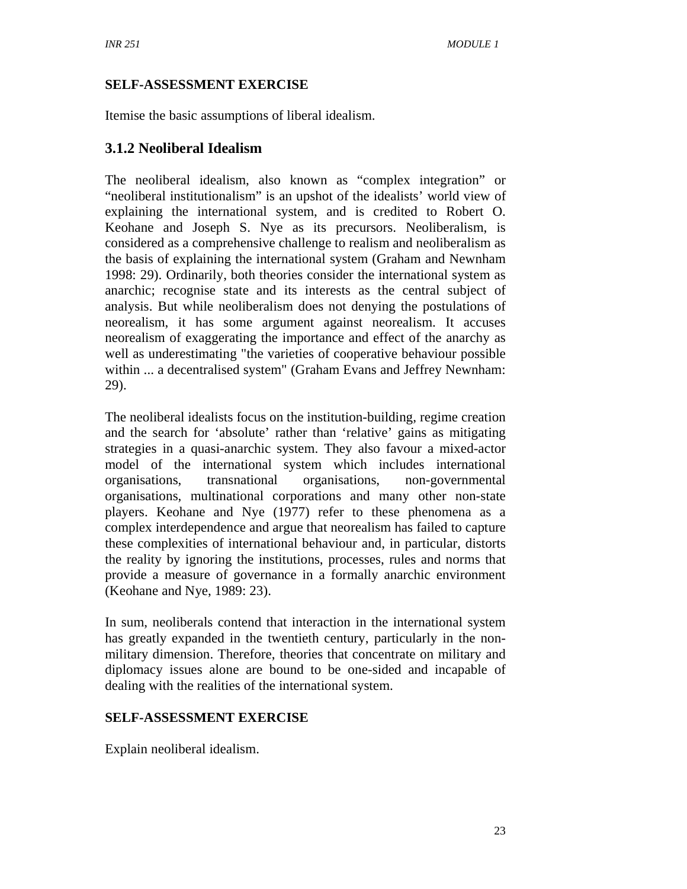## **SELF-ASSESSMENT EXERCISE**

Itemise the basic assumptions of liberal idealism.

## **3.1.2 Neoliberal Idealism**

The neoliberal idealism, also known as "complex integration" or "neoliberal institutionalism" is an upshot of the idealists' world view of explaining the international system, and is credited to Robert O. Keohane and Joseph S. Nye as its precursors. Neoliberalism, is considered as a comprehensive challenge to realism and neoliberalism as the basis of explaining the international system (Graham and Newnham 1998: 29). Ordinarily, both theories consider the international system as anarchic; recognise state and its interests as the central subject of analysis. But while neoliberalism does not denying the postulations of neorealism, it has some argument against neorealism. It accuses neorealism of exaggerating the importance and effect of the anarchy as well as underestimating "the varieties of cooperative behaviour possible within ... a decentralised system" (Graham Evans and Jeffrey Newnham: 29).

The neoliberal idealists focus on the institution-building, regime creation and the search for 'absolute' rather than 'relative' gains as mitigating strategies in a quasi-anarchic system. They also favour a mixed-actor model of the international system which includes international organisations, transnational organisations, non-governmental organisations, multinational corporations and many other non-state players. Keohane and Nye (1977) refer to these phenomena as a complex interdependence and argue that neorealism has failed to capture these complexities of international behaviour and, in particular, distorts the reality by ignoring the institutions, processes, rules and norms that provide a measure of governance in a formally anarchic environment (Keohane and Nye, 1989: 23).

In sum, neoliberals contend that interaction in the international system has greatly expanded in the twentieth century, particularly in the nonmilitary dimension. Therefore, theories that concentrate on military and diplomacy issues alone are bound to be one-sided and incapable of dealing with the realities of the international system.

## **SELF-ASSESSMENT EXERCISE**

Explain neoliberal idealism.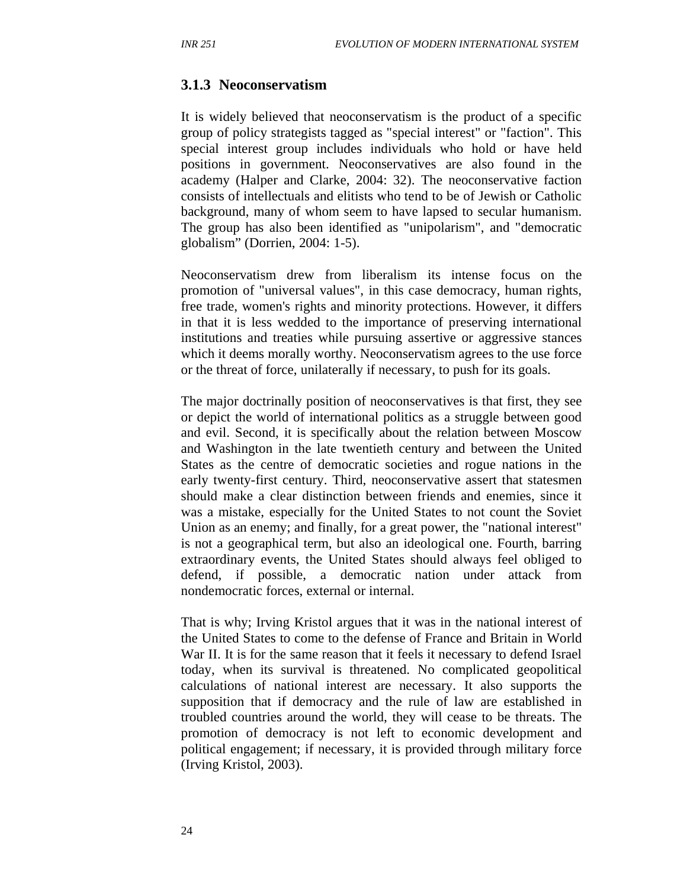#### **3.1.3 Neoconservatism**

It is widely believed that neoconservatism is the product of a specific group of policy strategists tagged as "special interest" or "faction". This special interest group includes individuals who hold or have held positions in government. Neoconservatives are also found in the academy (Halper and Clarke, 2004: 32). The neoconservative faction consists of intellectuals and elitists who tend to be of Jewish or Catholic background, many of whom seem to have lapsed to secular humanism. The group has also been identified as "unipolarism", and "democratic globalism" (Dorrien, 2004: 1-5).

Neoconservatism drew from liberalism its intense focus on the promotion of "universal values", in this case democracy, human rights, free trade, women's rights and minority protections. However, it differs in that it is less wedded to the importance of preserving international institutions and treaties while pursuing assertive or aggressive stances which it deems morally worthy. Neoconservatism agrees to the use force or the threat of force, unilaterally if necessary, to push for its goals.

The major doctrinally position of neoconservatives is that first, they see or depict the world of international politics as a struggle between good and evil. Second, it is specifically about the relation between Moscow and Washington in the late twentieth century and between the United States as the centre of democratic societies and rogue nations in the early twenty-first century. Third, neoconservative assert that statesmen should make a clear distinction between friends and enemies, since it was a mistake, especially for the United States to not count the Soviet Union as an enemy; and finally, for a great power, the "national interest" is not a geographical term, but also an ideological one. Fourth, barring extraordinary events, the United States should always feel obliged to defend, if possible, a democratic nation under attack from nondemocratic forces, external or internal.

That is why; Irving Kristol argues that it was in the national interest of the United States to come to the defense of France and Britain in World War II. It is for the same reason that it feels it necessary to defend Israel today, when its survival is threatened. No complicated geopolitical calculations of national interest are necessary. It also supports the supposition that if democracy and the rule of law are established in troubled countries around the world, they will cease to be threats. The promotion of democracy is not left to economic development and political engagement; if necessary, it is provided through military force (Irving Kristol, 2003).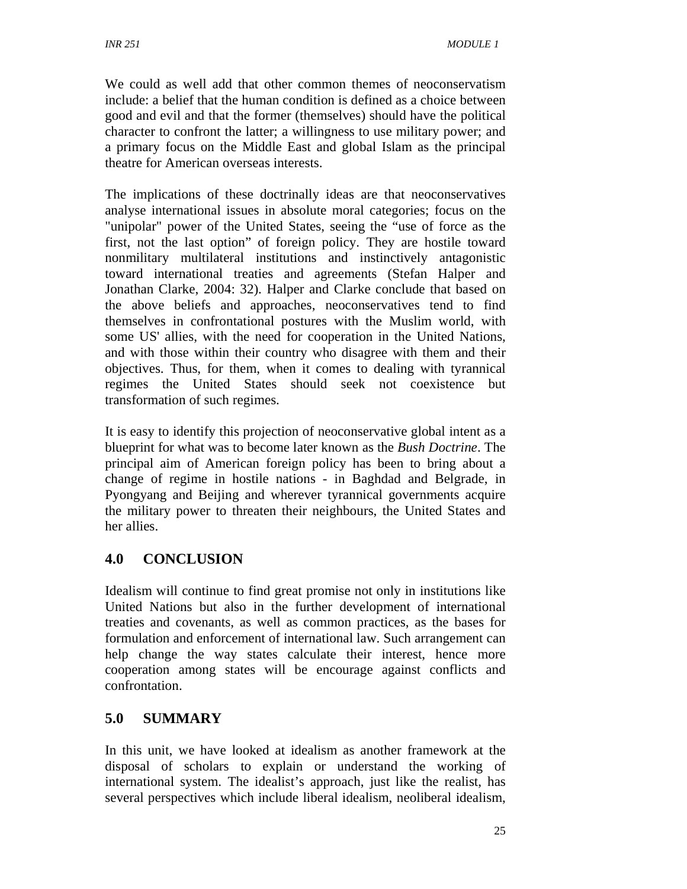We could as well add that other common themes of neoconservatism include: a belief that the human condition is defined as a choice between good and evil and that the former (themselves) should have the political character to confront the latter; a willingness to use military power; and a primary focus on the Middle East and global Islam as the principal theatre for American overseas interests.

The implications of these doctrinally ideas are that neoconservatives analyse international issues in absolute moral categories; focus on the "unipolar" power of the United States, seeing the "use of force as the first, not the last option" of foreign policy. They are hostile toward nonmilitary multilateral institutions and instinctively antagonistic toward international treaties and agreements (Stefan Halper and Jonathan Clarke, 2004: 32). Halper and Clarke conclude that based on the above beliefs and approaches, neoconservatives tend to find themselves in confrontational postures with the Muslim world, with some US' allies, with the need for cooperation in the United Nations, and with those within their country who disagree with them and their objectives. Thus, for them, when it comes to dealing with tyrannical regimes the United States should seek not coexistence but transformation of such regimes.

It is easy to identify this projection of neoconservative global intent as a blueprint for what was to become later known as the *Bush Doctrine*. The principal aim of American foreign policy has been to bring about a change of regime in hostile nations - in Baghdad and Belgrade, in Pyongyang and Beijing and wherever tyrannical governments acquire the military power to threaten their neighbours, the United States and her allies.

## **4.0 CONCLUSION**

Idealism will continue to find great promise not only in institutions like United Nations but also in the further development of international treaties and covenants, as well as common practices, as the bases for formulation and enforcement of international law. Such arrangement can help change the way states calculate their interest, hence more cooperation among states will be encourage against conflicts and confrontation.

## **5.0 SUMMARY**

In this unit, we have looked at idealism as another framework at the disposal of scholars to explain or understand the working of international system. The idealist's approach, just like the realist, has several perspectives which include liberal idealism, neoliberal idealism,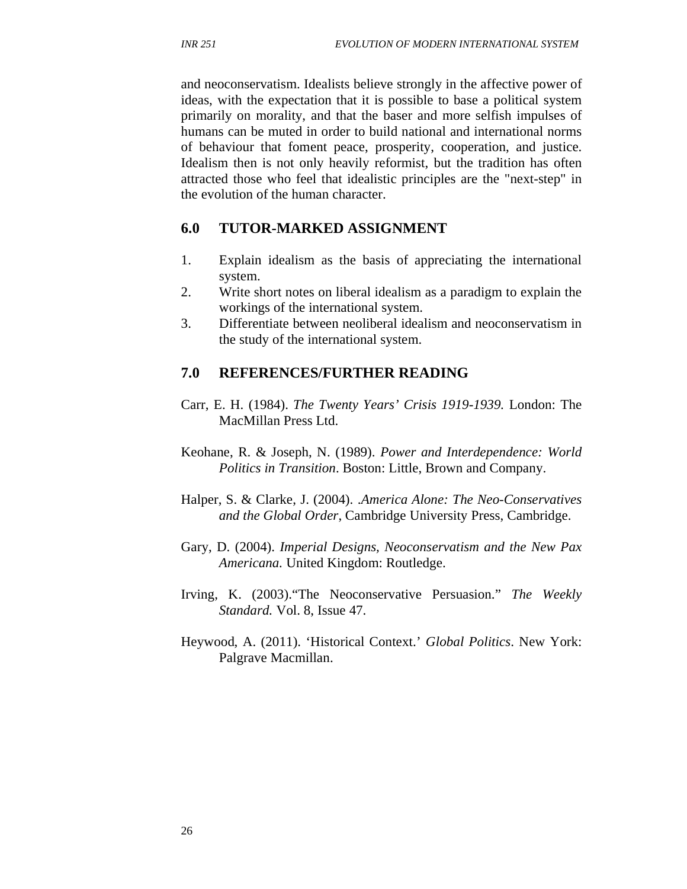and neoconservatism. Idealists believe strongly in the affective power of ideas, with the expectation that it is possible to base a political system primarily on morality, and that the baser and more selfish impulses of humans can be muted in order to build national and international norms of behaviour that foment peace, prosperity, cooperation, and justice. Idealism then is not only heavily reformist, but the tradition has often attracted those who feel that idealistic principles are the "next-step" in the evolution of the human character.

### **6.0 TUTOR-MARKED ASSIGNMENT**

- 1. Explain idealism as the basis of appreciating the international system.
- 2. Write short notes on liberal idealism as a paradigm to explain the workings of the international system.
- 3. Differentiate between neoliberal idealism and neoconservatism in the study of the international system.

### **7.0 REFERENCES/FURTHER READING**

- Carr, E. H. (1984). *The Twenty Years' Crisis 1919-1939.* London: The MacMillan Press Ltd.
- Keohane, R. & Joseph, N. (1989). *Power and Interdependence: World Politics in Transition*. Boston: Little, Brown and Company.
- Halper, S. & Clarke, J. (2004). .*America Alone: The Neo-Conservatives and the Global Order*, Cambridge University Press, Cambridge.
- Gary, D. (2004). *Imperial Designs, Neoconservatism and the New Pax Americana.* United Kingdom: Routledge.
- Irving, K. (2003)."The Neoconservative Persuasion." *The Weekly Standard.* Vol. 8, Issue 47.
- Heywood, A. (2011). 'Historical Context.' *Global Politics*. New York: Palgrave Macmillan.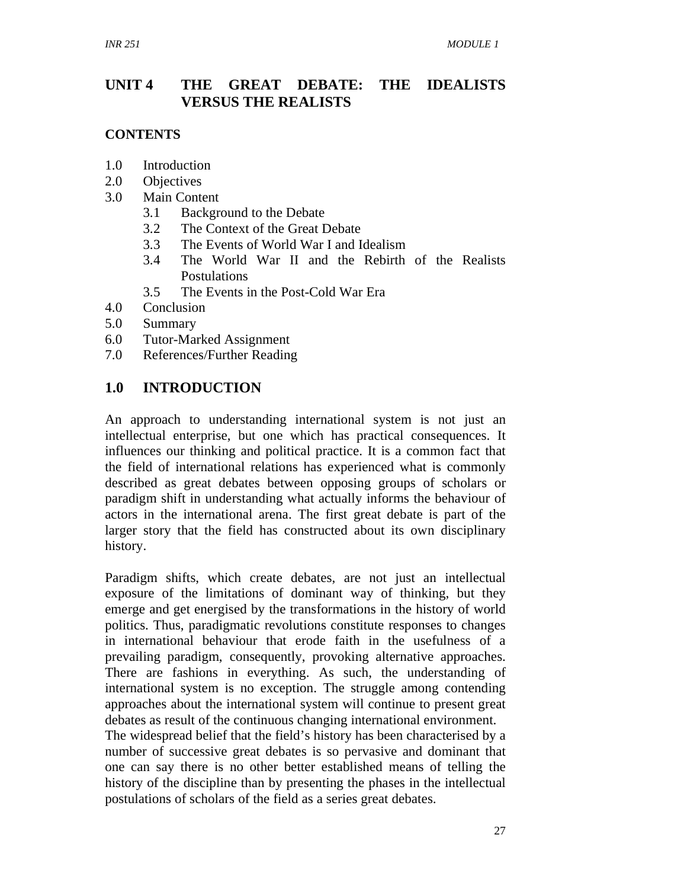## **UNIT 4 THE GREAT DEBATE: THE IDEALISTS VERSUS THE REALISTS**

### **CONTENTS**

- 1.0 Introduction
- 2.0 Objectives
- 3.0 Main Content
	- 3.1 Background to the Debate
	- 3.2 The Context of the Great Debate
	- 3.3 The Events of World War I and Idealism
	- 3.4 The World War II and the Rebirth of the Realists Postulations
	- 3.5 The Events in the Post-Cold War Era
- 4.0 Conclusion
- 5.0 Summary
- 6.0 Tutor-Marked Assignment
- 7.0 References/Further Reading

## **1.0 INTRODUCTION**

An approach to understanding international system is not just an intellectual enterprise, but one which has practical consequences. It influences our thinking and political practice. It is a common fact that the field of international relations has experienced what is commonly described as great debates between opposing groups of scholars or paradigm shift in understanding what actually informs the behaviour of actors in the international arena. The first great debate is part of the larger story that the field has constructed about its own disciplinary history.

Paradigm shifts, which create debates, are not just an intellectual exposure of the limitations of dominant way of thinking, but they emerge and get energised by the transformations in the history of world politics. Thus, paradigmatic revolutions constitute responses to changes in international behaviour that erode faith in the usefulness of a prevailing paradigm, consequently, provoking alternative approaches. There are fashions in everything. As such, the understanding of international system is no exception. The struggle among contending approaches about the international system will continue to present great debates as result of the continuous changing international environment.

The widespread belief that the field's history has been characterised by a number of successive great debates is so pervasive and dominant that one can say there is no other better established means of telling the history of the discipline than by presenting the phases in the intellectual postulations of scholars of the field as a series great debates.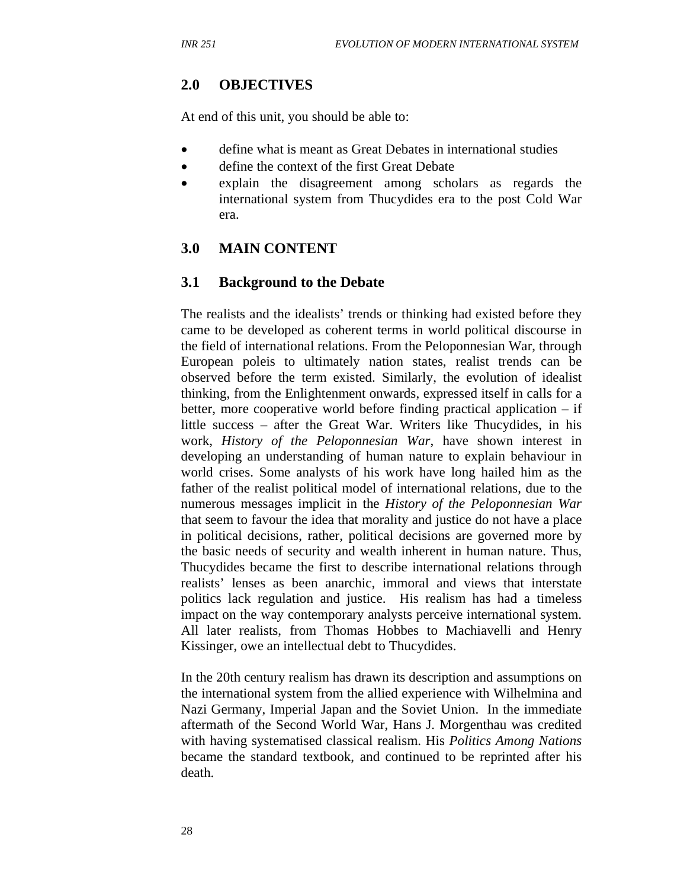### **2.0 OBJECTIVES**

At end of this unit, you should be able to:

- define what is meant as Great Debates in international studies
- define the context of the first Great Debate
- explain the disagreement among scholars as regards the international system from Thucydides era to the post Cold War era.

### **3.0 MAIN CONTENT**

### **3.1 Background to the Debate**

The realists and the idealists' trends or thinking had existed before they came to be developed as coherent terms in world political discourse in the field of international relations. From the Peloponnesian War, through European poleis to ultimately nation states, realist trends can be observed before the term existed. Similarly, the evolution of idealist thinking, from the Enlightenment onwards, expressed itself in calls for a better, more cooperative world before finding practical application – if little success – after the Great War. Writers like Thucydides, in his work, *History of the Peloponnesian War*, have shown interest in developing an understanding of human nature to explain behaviour in world crises. Some analysts of his work have long hailed him as the father of the realist political model of international relations, due to the numerous messages implicit in the *History of the Peloponnesian War*  that seem to favour the idea that morality and justice do not have a place in political decisions, rather, political decisions are governed more by the basic needs of security and wealth inherent in human nature. Thus, Thucydides became the first to describe international relations through realists' lenses as been anarchic, immoral and views that interstate politics lack regulation and justice. His realism has had a timeless impact on the way contemporary analysts perceive international system. All later realists, from Thomas Hobbes to Machiavelli and Henry Kissinger, owe an intellectual debt to Thucydides.

In the 20th century realism has drawn its description and assumptions on the international system from the allied experience with Wilhelmina and Nazi Germany, Imperial Japan and the Soviet Union. In the immediate aftermath of the Second World War, Hans J. Morgenthau was credited with having systematised classical realism. His *Politics Among Nations* became the standard textbook, and continued to be reprinted after his death.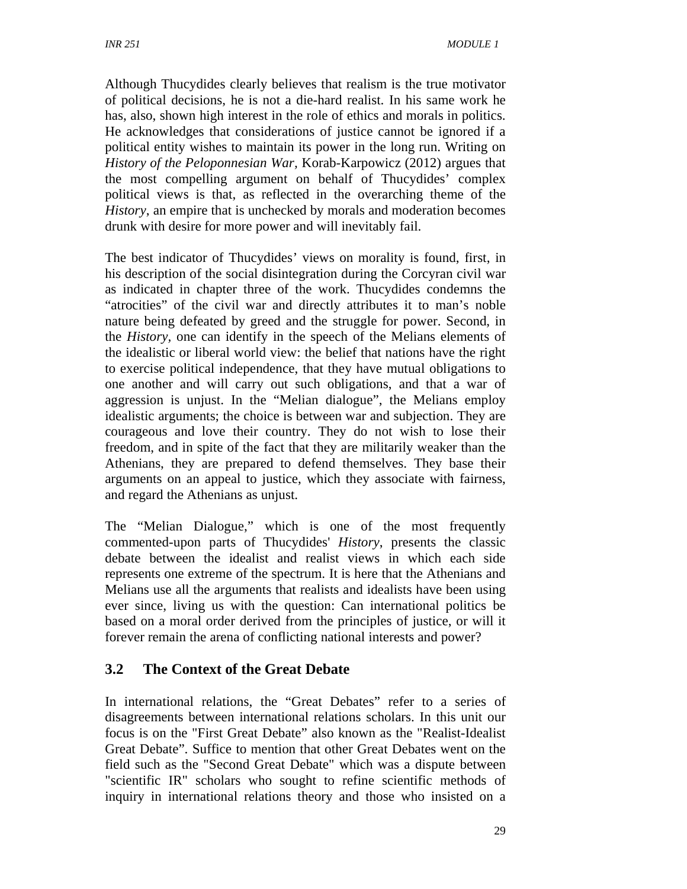Although Thucydides clearly believes that realism is the true motivator of political decisions, he is not a die-hard realist. In his same work he has, also, shown high interest in the role of ethics and morals in politics. He acknowledges that considerations of justice cannot be ignored if a political entity wishes to maintain its power in the long run. Writing on *History of the Peloponnesian War,* Korab-Karpowicz (2012) argues that the most compelling argument on behalf of Thucydides' complex political views is that, as reflected in the overarching theme of the *History*, an empire that is unchecked by morals and moderation becomes drunk with desire for more power and will inevitably fail.

The best indicator of Thucydides' views on morality is found, first, in his description of the social disintegration during the Corcyran civil war as indicated in chapter three of the work. Thucydides condemns the "atrocities" of the civil war and directly attributes it to man's noble nature being defeated by greed and the struggle for power. Second, in the *History,* one can identify in the speech of the Melians elements of the idealistic or liberal world view: the belief that nations have the right to exercise political independence, that they have mutual obligations to one another and will carry out such obligations, and that a war of aggression is unjust. In the "Melian dialogue", the Melians employ idealistic arguments; the choice is between war and subjection. They are courageous and love their country. They do not wish to lose their freedom, and in spite of the fact that they are militarily weaker than the Athenians, they are prepared to defend themselves. They base their arguments on an appeal to justice, which they associate with fairness, and regard the Athenians as unjust.

The "Melian Dialogue," which is one of the most frequently commented-upon parts of Thucydides' *History*, presents the classic debate between the idealist and realist views in which each side represents one extreme of the spectrum. It is here that the Athenians and Melians use all the arguments that realists and idealists have been using ever since, living us with the question: Can international politics be based on a moral order derived from the principles of justice, or will it forever remain the arena of conflicting national interests and power?

## **3.2 The Context of the Great Debate**

In international relations, the "Great Debates" refer to a series of disagreements between international relations scholars. In this unit our focus is on the "First Great Debate" also known as the "Realist-Idealist Great Debate". Suffice to mention that other Great Debates went on the field such as the "Second Great Debate" which was a dispute between "scientific IR" scholars who sought to refine scientific methods of inquiry in international relations theory and those who insisted on a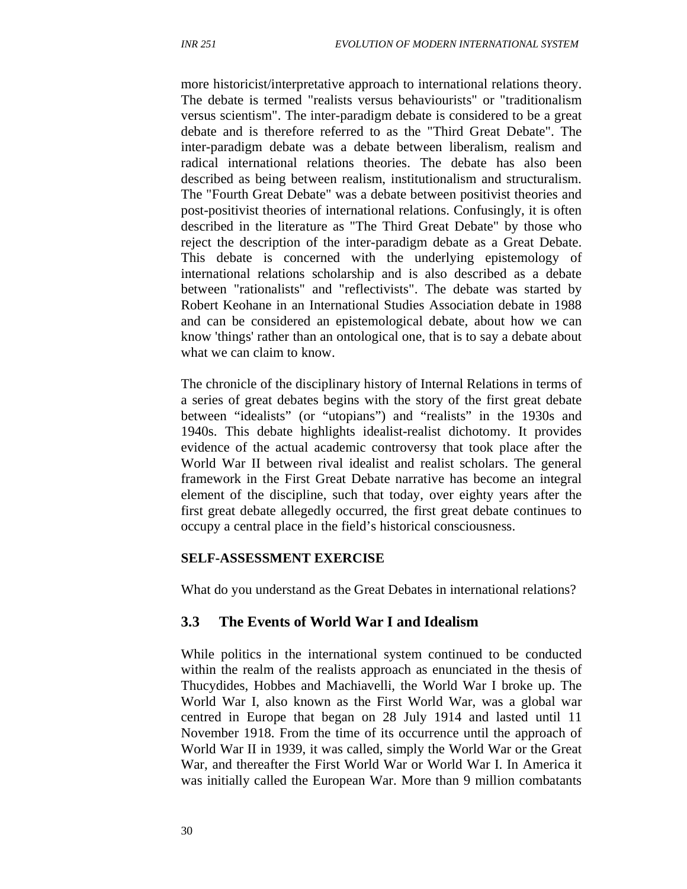more historicist/interpretative approach to international relations theory. The debate is termed "realists versus behaviourists" or "traditionalism versus scientism". The inter-paradigm debate is considered to be a great debate and is therefore referred to as the "Third Great Debate". The inter-paradigm debate was a debate between liberalism, realism and radical international relations theories. The debate has also been described as being between realism, institutionalism and structuralism. The "Fourth Great Debate" was a debate between positivist theories and post-positivist theories of international relations. Confusingly, it is often described in the literature as "The Third Great Debate" by those who reject the description of the inter-paradigm debate as a Great Debate. This debate is concerned with the underlying epistemology of international relations scholarship and is also described as a debate between "rationalists" and "reflectivists". The debate was started by Robert Keohane in an International Studies Association debate in 1988 and can be considered an epistemological debate, about how we can know 'things' rather than an ontological one, that is to say a debate about what we can claim to know.

The chronicle of the disciplinary history of Internal Relations in terms of a series of great debates begins with the story of the first great debate between "idealists" (or "utopians") and "realists" in the 1930s and 1940s. This debate highlights idealist-realist dichotomy. It provides evidence of the actual academic controversy that took place after the World War II between rival idealist and realist scholars. The general framework in the First Great Debate narrative has become an integral element of the discipline, such that today, over eighty years after the first great debate allegedly occurred, the first great debate continues to occupy a central place in the field's historical consciousness.

#### **SELF-ASSESSMENT EXERCISE**

What do you understand as the Great Debates in international relations?

#### **3.3 The Events of World War I and Idealism**

While politics in the international system continued to be conducted within the realm of the realists approach as enunciated in the thesis of Thucydides, Hobbes and Machiavelli, the World War I broke up. The World War I, also known as the First World War, was a global war centred in Europe that began on 28 July 1914 and lasted until 11 November 1918. From the time of its occurrence until the approach of World War II in 1939, it was called, simply the World War or the Great War, and thereafter the First World War or World War I. In America it was initially called the European War. More than 9 million combatants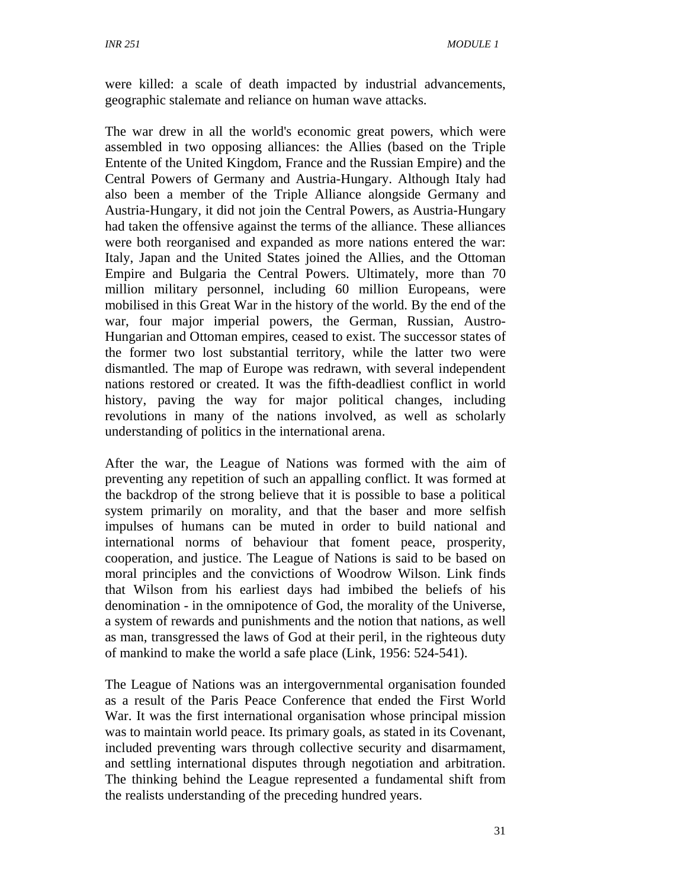were killed: a scale of death impacted by industrial advancements, geographic stalemate and reliance on human wave attacks.

The war drew in all the world's economic great powers, which were assembled in two opposing alliances: the Allies (based on the Triple Entente of the United Kingdom, France and the Russian Empire) and the Central Powers of Germany and Austria-Hungary. Although Italy had also been a member of the Triple Alliance alongside Germany and Austria-Hungary, it did not join the Central Powers, as Austria-Hungary had taken the offensive against the terms of the alliance. These alliances were both reorganised and expanded as more nations entered the war: Italy, Japan and the United States joined the Allies, and the Ottoman Empire and Bulgaria the Central Powers. Ultimately, more than 70 million military personnel, including 60 million Europeans, were mobilised in this Great War in the history of the world. By the end of the war, four major imperial powers, the German, Russian, Austro-Hungarian and Ottoman empires, ceased to exist. The successor states of the former two lost substantial territory, while the latter two were dismantled. The map of Europe was redrawn, with several independent nations restored or created. It was the fifth-deadliest conflict in world history, paving the way for major political changes, including revolutions in many of the nations involved, as well as scholarly understanding of politics in the international arena.

After the war, the League of Nations was formed with the aim of preventing any repetition of such an appalling conflict. It was formed at the backdrop of the strong believe that it is possible to base a political system primarily on morality, and that the baser and more selfish impulses of humans can be muted in order to build national and international norms of behaviour that foment peace, prosperity, cooperation, and justice. The League of Nations is said to be based on moral principles and the convictions of Woodrow Wilson. Link finds that Wilson from his earliest days had imbibed the beliefs of his denomination - in the omnipotence of God, the morality of the Universe, a system of rewards and punishments and the notion that nations, as well as man, transgressed the laws of God at their peril, in the righteous duty of mankind to make the world a safe place (Link, 1956: 524-541).

The League of Nations was an intergovernmental organisation founded as a result of the Paris Peace Conference that ended the First World War. It was the first international organisation whose principal mission was to maintain world peace. Its primary goals, as stated in its Covenant, included preventing wars through collective security and disarmament, and settling international disputes through negotiation and arbitration. The thinking behind the League represented a fundamental shift from the realists understanding of the preceding hundred years.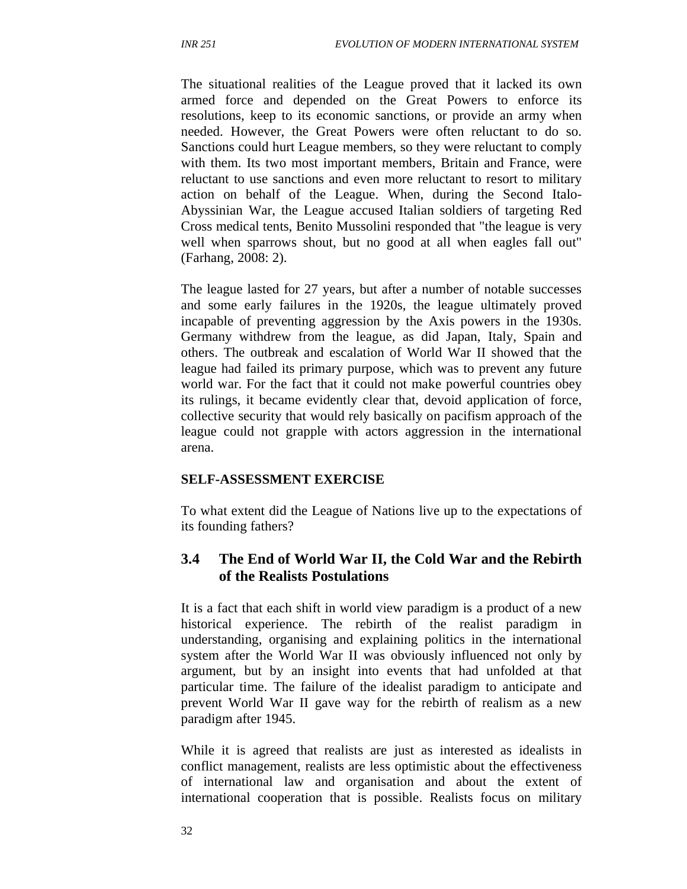The situational realities of the League proved that it lacked its own armed force and depended on the Great Powers to enforce its resolutions, keep to its economic sanctions, or provide an army when needed. However, the Great Powers were often reluctant to do so. Sanctions could hurt League members, so they were reluctant to comply with them. Its two most important members, Britain and France, were reluctant to use sanctions and even more reluctant to resort to military action on behalf of the League. When, during the Second Italo-Abyssinian War, the League accused Italian soldiers of targeting Red Cross medical tents, Benito Mussolini responded that "the league is very well when sparrows shout, but no good at all when eagles fall out" (Farhang, 2008: 2).

The league lasted for 27 years, but after a number of notable successes and some early failures in the 1920s, the league ultimately proved incapable of preventing aggression by the Axis powers in the 1930s. Germany withdrew from the league, as did Japan, Italy, Spain and others. The outbreak and escalation of World War II showed that the league had failed its primary purpose, which was to prevent any future world war. For the fact that it could not make powerful countries obey its rulings, it became evidently clear that, devoid application of force, collective security that would rely basically on pacifism approach of the league could not grapple with actors aggression in the international arena.

#### **SELF-ASSESSMENT EXERCISE**

To what extent did the League of Nations live up to the expectations of its founding fathers?

### **3.4 The End of World War II, the Cold War and the Rebirth of the Realists Postulations**

It is a fact that each shift in world view paradigm is a product of a new historical experience. The rebirth of the realist paradigm in understanding, organising and explaining politics in the international system after the World War II was obviously influenced not only by argument, but by an insight into events that had unfolded at that particular time. The failure of the idealist paradigm to anticipate and prevent World War II gave way for the rebirth of realism as a new paradigm after 1945.

While it is agreed that realists are just as interested as idealists in conflict management, realists are less optimistic about the effectiveness of international law and organisation and about the extent of international cooperation that is possible. Realists focus on military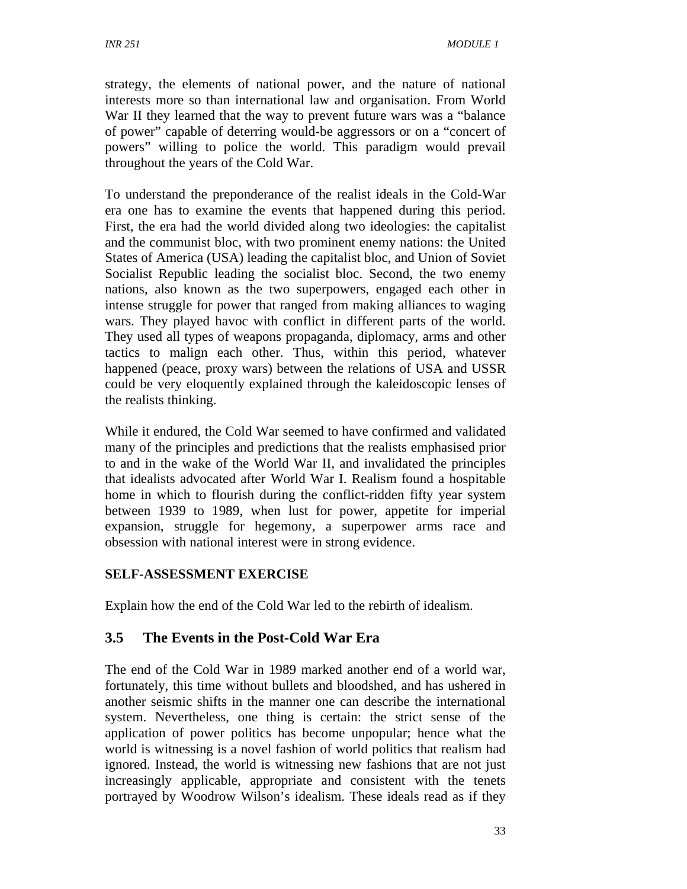strategy, the elements of national power, and the nature of national interests more so than international law and organisation. From World War II they learned that the way to prevent future wars was a "balance of power" capable of deterring would-be aggressors or on a "concert of powers" willing to police the world. This paradigm would prevail throughout the years of the Cold War.

To understand the preponderance of the realist ideals in the Cold-War era one has to examine the events that happened during this period. First, the era had the world divided along two ideologies: the capitalist and the communist bloc, with two prominent enemy nations: the United States of America (USA) leading the capitalist bloc, and Union of Soviet Socialist Republic leading the socialist bloc. Second, the two enemy nations, also known as the two superpowers, engaged each other in intense struggle for power that ranged from making alliances to waging wars. They played havoc with conflict in different parts of the world. They used all types of weapons propaganda, diplomacy, arms and other tactics to malign each other. Thus, within this period, whatever happened (peace, proxy wars) between the relations of USA and USSR could be very eloquently explained through the kaleidoscopic lenses of the realists thinking.

While it endured, the Cold War seemed to have confirmed and validated many of the principles and predictions that the realists emphasised prior to and in the wake of the World War II, and invalidated the principles that idealists advocated after World War I. Realism found a hospitable home in which to flourish during the conflict-ridden fifty year system between 1939 to 1989, when lust for power, appetite for imperial expansion, struggle for hegemony, a superpower arms race and obsession with national interest were in strong evidence.

## **SELF-ASSESSMENT EXERCISE**

Explain how the end of the Cold War led to the rebirth of idealism.

# **3.5 The Events in the Post-Cold War Era**

The end of the Cold War in 1989 marked another end of a world war, fortunately, this time without bullets and bloodshed, and has ushered in another seismic shifts in the manner one can describe the international system. Nevertheless, one thing is certain: the strict sense of the application of power politics has become unpopular; hence what the world is witnessing is a novel fashion of world politics that realism had ignored. Instead, the world is witnessing new fashions that are not just increasingly applicable, appropriate and consistent with the tenets portrayed by Woodrow Wilson's idealism. These ideals read as if they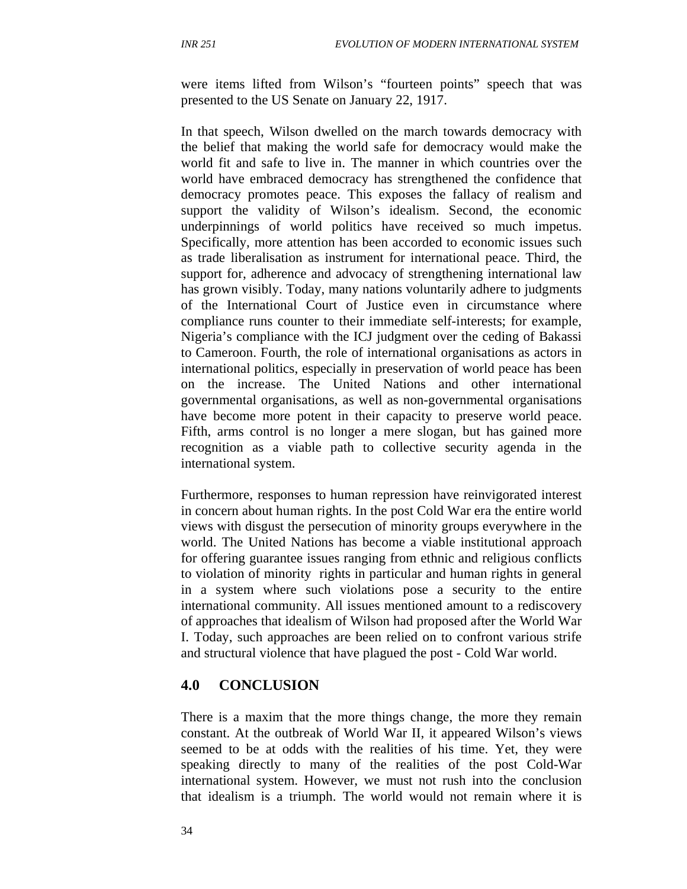were items lifted from Wilson's "fourteen points" speech that was presented to the US Senate on January 22, 1917.

In that speech, Wilson dwelled on the march towards democracy with the belief that making the world safe for democracy would make the world fit and safe to live in. The manner in which countries over the world have embraced democracy has strengthened the confidence that democracy promotes peace. This exposes the fallacy of realism and support the validity of Wilson's idealism. Second, the economic underpinnings of world politics have received so much impetus. Specifically, more attention has been accorded to economic issues such as trade liberalisation as instrument for international peace. Third, the support for, adherence and advocacy of strengthening international law has grown visibly. Today, many nations voluntarily adhere to judgments of the International Court of Justice even in circumstance where compliance runs counter to their immediate self-interests; for example, Nigeria's compliance with the ICJ judgment over the ceding of Bakassi to Cameroon. Fourth, the role of international organisations as actors in international politics, especially in preservation of world peace has been on the increase. The United Nations and other international governmental organisations, as well as non-governmental organisations have become more potent in their capacity to preserve world peace. Fifth, arms control is no longer a mere slogan, but has gained more recognition as a viable path to collective security agenda in the international system.

Furthermore, responses to human repression have reinvigorated interest in concern about human rights. In the post Cold War era the entire world views with disgust the persecution of minority groups everywhere in the world. The United Nations has become a viable institutional approach for offering guarantee issues ranging from ethnic and religious conflicts to violation of minority rights in particular and human rights in general in a system where such violations pose a security to the entire international community. All issues mentioned amount to a rediscovery of approaches that idealism of Wilson had proposed after the World War I. Today, such approaches are been relied on to confront various strife and structural violence that have plagued the post - Cold War world.

### **4.0 CONCLUSION**

There is a maxim that the more things change, the more they remain constant. At the outbreak of World War II, it appeared Wilson's views seemed to be at odds with the realities of his time. Yet, they were speaking directly to many of the realities of the post Cold-War international system. However, we must not rush into the conclusion that idealism is a triumph. The world would not remain where it is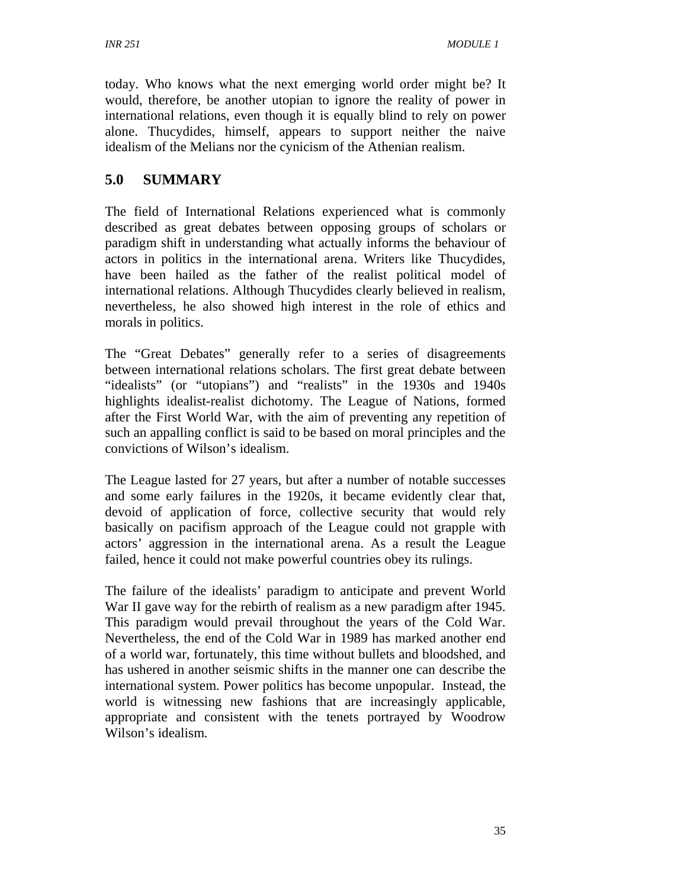today. Who knows what the next emerging world order might be? It would, therefore, be another utopian to ignore the reality of power in international relations, even though it is equally blind to rely on power alone. Thucydides, himself, appears to support neither the naive idealism of the Melians nor the cynicism of the Athenian realism.

## **5.0 SUMMARY**

The field of International Relations experienced what is commonly described as great debates between opposing groups of scholars or paradigm shift in understanding what actually informs the behaviour of actors in politics in the international arena. Writers like Thucydides, have been hailed as the father of the realist political model of international relations. Although Thucydides clearly believed in realism, nevertheless, he also showed high interest in the role of ethics and morals in politics.

The "Great Debates" generally refer to a series of disagreements between international relations scholars. The first great debate between "idealists" (or "utopians") and "realists" in the 1930s and 1940s highlights idealist-realist dichotomy. The League of Nations, formed after the First World War, with the aim of preventing any repetition of such an appalling conflict is said to be based on moral principles and the convictions of Wilson's idealism.

The League lasted for 27 years, but after a number of notable successes and some early failures in the 1920s, it became evidently clear that, devoid of application of force, collective security that would rely basically on pacifism approach of the League could not grapple with actors' aggression in the international arena. As a result the League failed, hence it could not make powerful countries obey its rulings.

The failure of the idealists' paradigm to anticipate and prevent World War II gave way for the rebirth of realism as a new paradigm after 1945. This paradigm would prevail throughout the years of the Cold War. Nevertheless, the end of the Cold War in 1989 has marked another end of a world war, fortunately, this time without bullets and bloodshed, and has ushered in another seismic shifts in the manner one can describe the international system. Power politics has become unpopular. Instead, the world is witnessing new fashions that are increasingly applicable, appropriate and consistent with the tenets portrayed by Woodrow Wilson's idealism.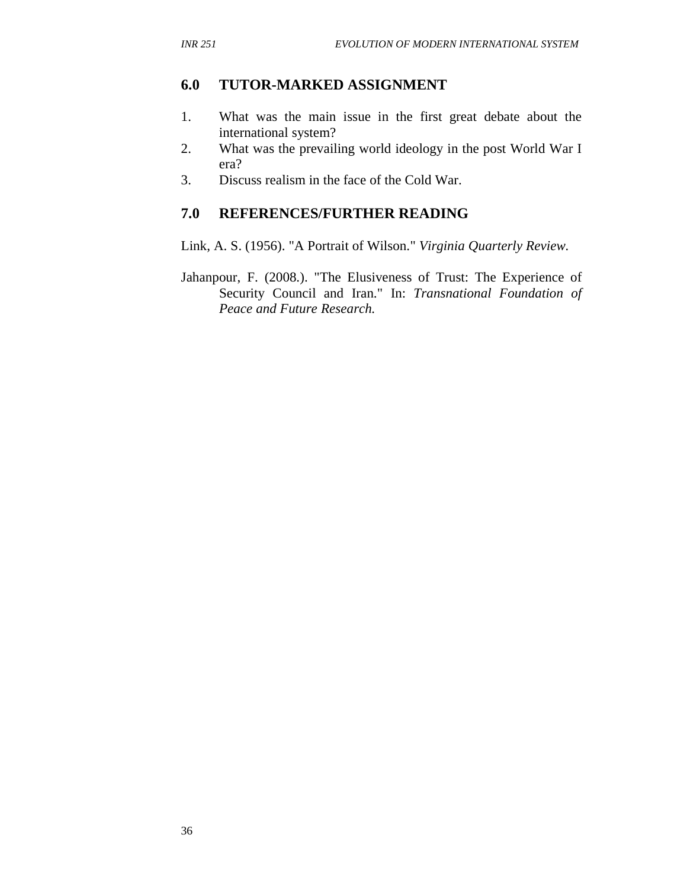### **6.0 TUTOR-MARKED ASSIGNMENT**

- 1. What was the main issue in the first great debate about the international system?
- 2. What was the prevailing world ideology in the post World War I era?
- 3. Discuss realism in the face of the Cold War.

## **7.0 REFERENCES/FURTHER READING**

Link, A. S. (1956). "A Portrait of Wilson." *Virginia Quarterly Review.*

Jahanpour, F. (2008.). "The Elusiveness of Trust: The Experience of Security Council and Iran." In: *Transnational Foundation of Peace and Future Research.*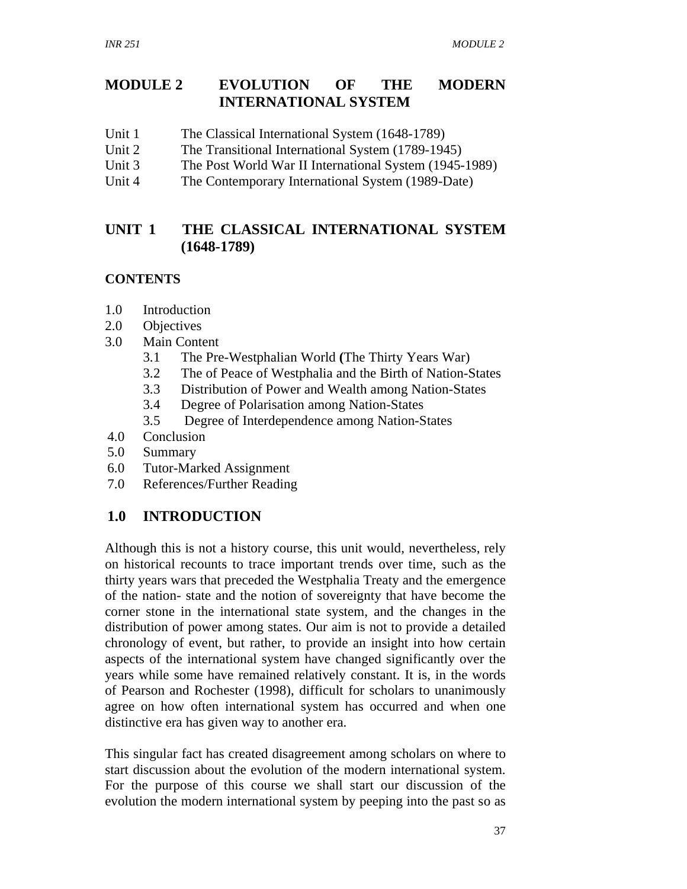## **MODULE 2 EVOLUTION OF THE MODERN INTERNATIONAL SYSTEM**

- Unit 1 The Classical International System (1648-1789)
- Unit 2 The Transitional International System (1789-1945)
- Unit 3 The Post World War II International System (1945-1989)
- Unit 4 The Contemporary International System (1989-Date)

## **UNIT 1 THE CLASSICAL INTERNATIONAL SYSTEM (1648-1789)**

## **CONTENTS**

- 1.0 Introduction
- 2.0 Objectives
- 3.0 Main Content
	- 3.1 The Pre-Westphalian World **(**The Thirty Years War)
	- 3.2 The of Peace of Westphalia and the Birth of Nation-States
	- 3.3 Distribution of Power and Wealth among Nation-States
	- 3.4 Degree of Polarisation among Nation-States
	- 3.5 Degree of Interdependence among Nation-States
- 4.0 Conclusion
- 5.0 Summary
- 6.0 Tutor-Marked Assignment
- 7.0 References/Further Reading

# **1.0 INTRODUCTION**

Although this is not a history course, this unit would, nevertheless, rely on historical recounts to trace important trends over time, such as the thirty years wars that preceded the Westphalia Treaty and the emergence of the nation- state and the notion of sovereignty that have become the corner stone in the international state system, and the changes in the distribution of power among states. Our aim is not to provide a detailed chronology of event, but rather, to provide an insight into how certain aspects of the international system have changed significantly over the years while some have remained relatively constant. It is, in the words of Pearson and Rochester (1998), difficult for scholars to unanimously agree on how often international system has occurred and when one distinctive era has given way to another era.

This singular fact has created disagreement among scholars on where to start discussion about the evolution of the modern international system. For the purpose of this course we shall start our discussion of the evolution the modern international system by peeping into the past so as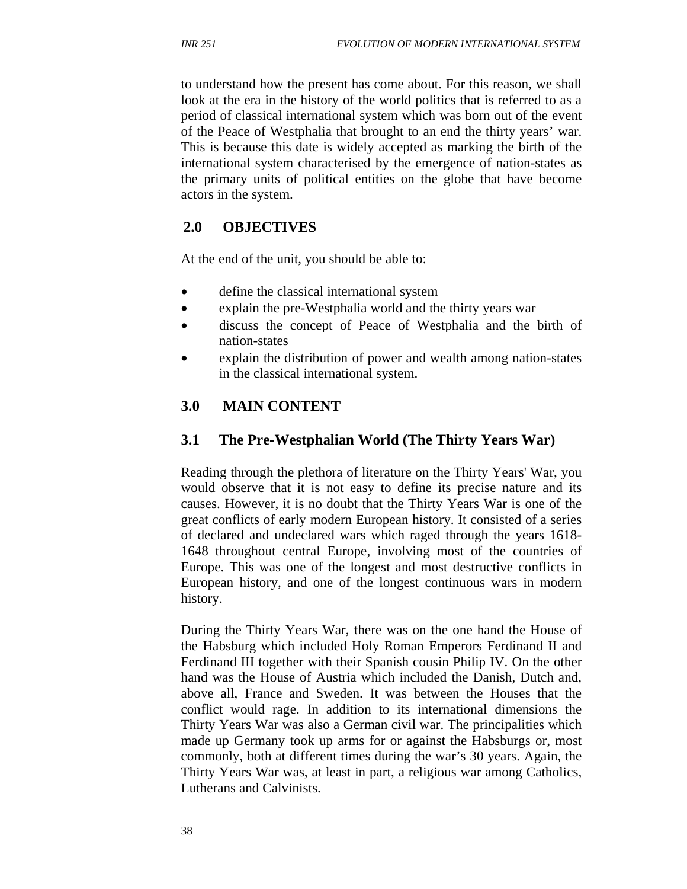to understand how the present has come about. For this reason, we shall look at the era in the history of the world politics that is referred to as a period of classical international system which was born out of the event of the Peace of Westphalia that brought to an end the thirty years' war. This is because this date is widely accepted as marking the birth of the international system characterised by the emergence of nation-states as the primary units of political entities on the globe that have become actors in the system.

## **2.0 OBJECTIVES**

At the end of the unit, you should be able to:

- define the classical international system
- explain the pre-Westphalia world and the thirty years war
- discuss the concept of Peace of Westphalia and the birth of nation-states
- explain the distribution of power and wealth among nation-states in the classical international system.

## **3.0 MAIN CONTENT**

## **3.1 The Pre-Westphalian World (The Thirty Years War)**

Reading through the plethora of literature on the Thirty Years' War, you would observe that it is not easy to define its precise nature and its causes. However, it is no doubt that the Thirty Years War is one of the great conflicts of early modern European history. It consisted of a series of declared and undeclared wars which raged through the years 1618- 1648 throughout central Europe, involving most of the countries of Europe. This was one of the longest and most destructive conflicts in European history, and one of the longest continuous wars in modern history.

During the Thirty Years War, there was on the one hand the House of the Habsburg which included Holy Roman Emperors Ferdinand II and Ferdinand III together with their Spanish cousin Philip IV. On the other hand was the House of Austria which included the Danish, Dutch and, above all, France and Sweden. It was between the Houses that the conflict would rage. In addition to its international dimensions the Thirty Years War was also a German civil war. The principalities which made up Germany took up arms for or against the Habsburgs or, most commonly, both at different times during the war's 30 years. Again, the Thirty Years War was, at least in part, a religious war among Catholics, Lutherans and Calvinists.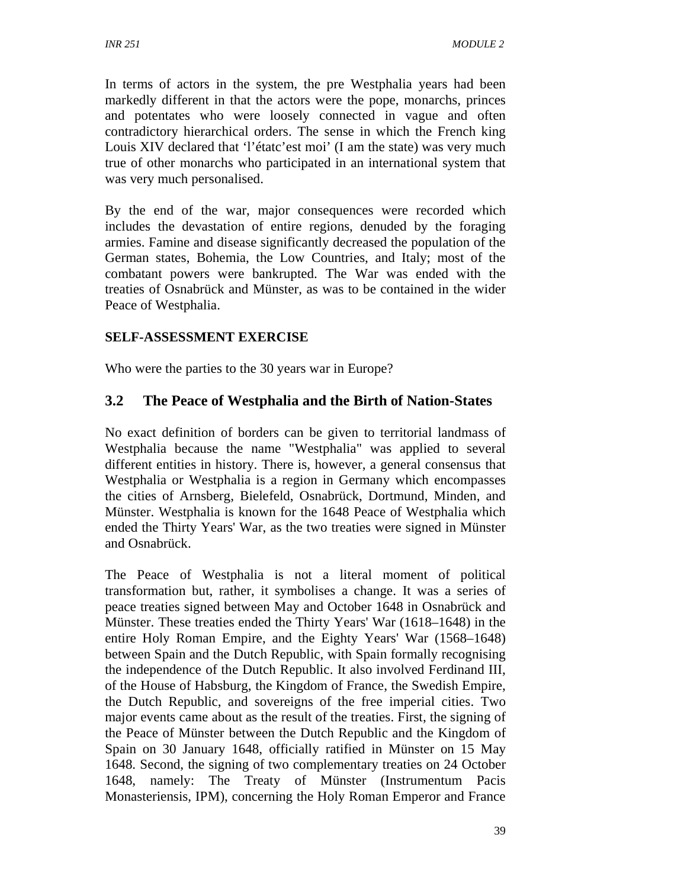In terms of actors in the system, the pre Westphalia years had been markedly different in that the actors were the pope, monarchs, princes and potentates who were loosely connected in vague and often contradictory hierarchical orders. The sense in which the French king Louis XIV declared that 'l'étatc'est moi' (I am the state) was very much true of other monarchs who participated in an international system that was very much personalised.

By the end of the war, major consequences were recorded which includes the devastation of entire regions, denuded by the foraging armies. Famine and disease significantly decreased the population of the German states, Bohemia, the Low Countries, and Italy; most of the combatant powers were bankrupted. The War was ended with the treaties of Osnabrück and Münster, as was to be contained in the wider Peace of Westphalia.

### **SELF-ASSESSMENT EXERCISE**

Who were the parties to the 30 years war in Europe?

## **3.2 The Peace of Westphalia and the Birth of Nation-States**

No exact definition of borders can be given to territorial landmass of Westphalia because the name "Westphalia" was applied to several different entities in history. There is, however, a general consensus that Westphalia or Westphalia is a region in Germany which encompasses the cities of Arnsberg, Bielefeld, Osnabrück, Dortmund, Minden, and Münster. Westphalia is known for the 1648 Peace of Westphalia which ended the Thirty Years' War, as the two treaties were signed in Münster and Osnabrück.

The Peace of Westphalia is not a literal moment of political transformation but, rather, it symbolises a change. It was a series of peace treaties signed between May and October 1648 in Osnabrück and Münster. These treaties ended the Thirty Years' War (1618–1648) in the entire Holy Roman Empire, and the Eighty Years' War (1568–1648) between Spain and the Dutch Republic, with Spain formally recognising the independence of the Dutch Republic. It also involved Ferdinand III, of the House of Habsburg, the Kingdom of France, the Swedish Empire, the Dutch Republic, and sovereigns of the free imperial cities. Two major events came about as the result of the treaties. First, the signing of the Peace of Münster between the Dutch Republic and the Kingdom of Spain on 30 January 1648, officially ratified in Münster on 15 May 1648. Second, the signing of two complementary treaties on 24 October 1648, namely: The Treaty of Münster (Instrumentum Pacis Monasteriensis, IPM), concerning the Holy Roman Emperor and France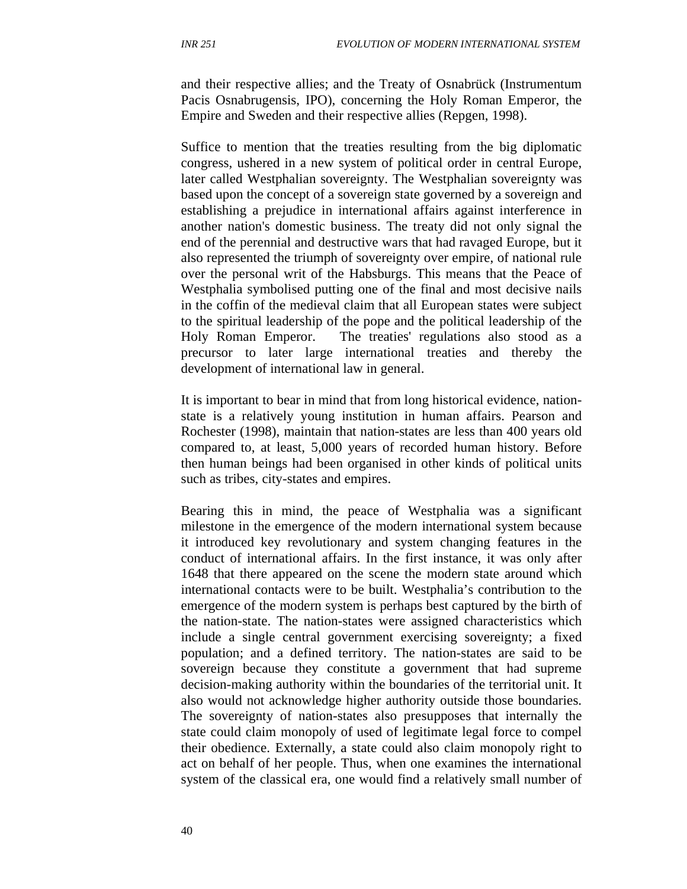and their respective allies; and the Treaty of Osnabrück (Instrumentum Pacis Osnabrugensis, IPO), concerning the Holy Roman Emperor, the Empire and Sweden and their respective allies (Repgen, 1998).

Suffice to mention that the treaties resulting from the big diplomatic congress, ushered in a new system of political order in central Europe, later called Westphalian sovereignty. The Westphalian sovereignty was based upon the concept of a sovereign state governed by a sovereign and establishing a prejudice in international affairs against interference in another nation's domestic business. The treaty did not only signal the end of the perennial and destructive wars that had ravaged Europe, but it also represented the triumph of sovereignty over empire, of national rule over the personal writ of the Habsburgs. This means that the Peace of Westphalia symbolised putting one of the final and most decisive nails in the coffin of the medieval claim that all European states were subject to the spiritual leadership of the pope and the political leadership of the Holy Roman Emperor. The treaties' regulations also stood as a precursor to later large international treaties and thereby the development of international law in general.

It is important to bear in mind that from long historical evidence, nationstate is a relatively young institution in human affairs. Pearson and Rochester (1998), maintain that nation-states are less than 400 years old compared to, at least, 5,000 years of recorded human history. Before then human beings had been organised in other kinds of political units such as tribes, city-states and empires.

Bearing this in mind, the peace of Westphalia was a significant milestone in the emergence of the modern international system because it introduced key revolutionary and system changing features in the conduct of international affairs. In the first instance, it was only after 1648 that there appeared on the scene the modern state around which international contacts were to be built. Westphalia's contribution to the emergence of the modern system is perhaps best captured by the birth of the nation-state. The nation-states were assigned characteristics which include a single central government exercising sovereignty; a fixed population; and a defined territory. The nation-states are said to be sovereign because they constitute a government that had supreme decision-making authority within the boundaries of the territorial unit. It also would not acknowledge higher authority outside those boundaries. The sovereignty of nation-states also presupposes that internally the state could claim monopoly of used of legitimate legal force to compel their obedience. Externally, a state could also claim monopoly right to act on behalf of her people. Thus, when one examines the international system of the classical era, one would find a relatively small number of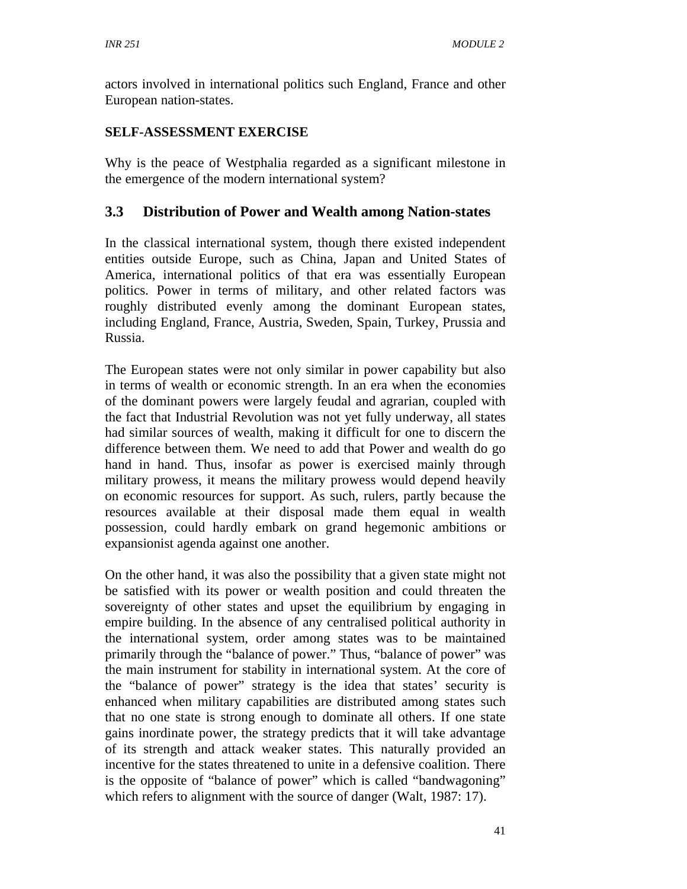actors involved in international politics such England, France and other European nation-states.

### **SELF-ASSESSMENT EXERCISE**

Why is the peace of Westphalia regarded as a significant milestone in the emergence of the modern international system?

## **3.3 Distribution of Power and Wealth among Nation-states**

In the classical international system, though there existed independent entities outside Europe, such as China, Japan and United States of America, international politics of that era was essentially European politics. Power in terms of military, and other related factors was roughly distributed evenly among the dominant European states, including England, France, Austria, Sweden, Spain, Turkey, Prussia and Russia.

The European states were not only similar in power capability but also in terms of wealth or economic strength. In an era when the economies of the dominant powers were largely feudal and agrarian, coupled with the fact that Industrial Revolution was not yet fully underway, all states had similar sources of wealth, making it difficult for one to discern the difference between them. We need to add that Power and wealth do go hand in hand. Thus, insofar as power is exercised mainly through military prowess, it means the military prowess would depend heavily on economic resources for support. As such, rulers, partly because the resources available at their disposal made them equal in wealth possession, could hardly embark on grand hegemonic ambitions or expansionist agenda against one another.

On the other hand, it was also the possibility that a given state might not be satisfied with its power or wealth position and could threaten the sovereignty of other states and upset the equilibrium by engaging in empire building. In the absence of any centralised political authority in the international system, order among states was to be maintained primarily through the "balance of power." Thus, "balance of power" was the main instrument for stability in international system. At the core of the "balance of power" strategy is the idea that states' security is enhanced when military capabilities are distributed among states such that no one state is strong enough to dominate all others. If one state gains inordinate power, the strategy predicts that it will take advantage of its strength and attack weaker states. This naturally provided an incentive for the states threatened to unite in a defensive coalition. There is the opposite of "balance of power" which is called "bandwagoning" which refers to alignment with the source of danger (Walt, 1987: 17).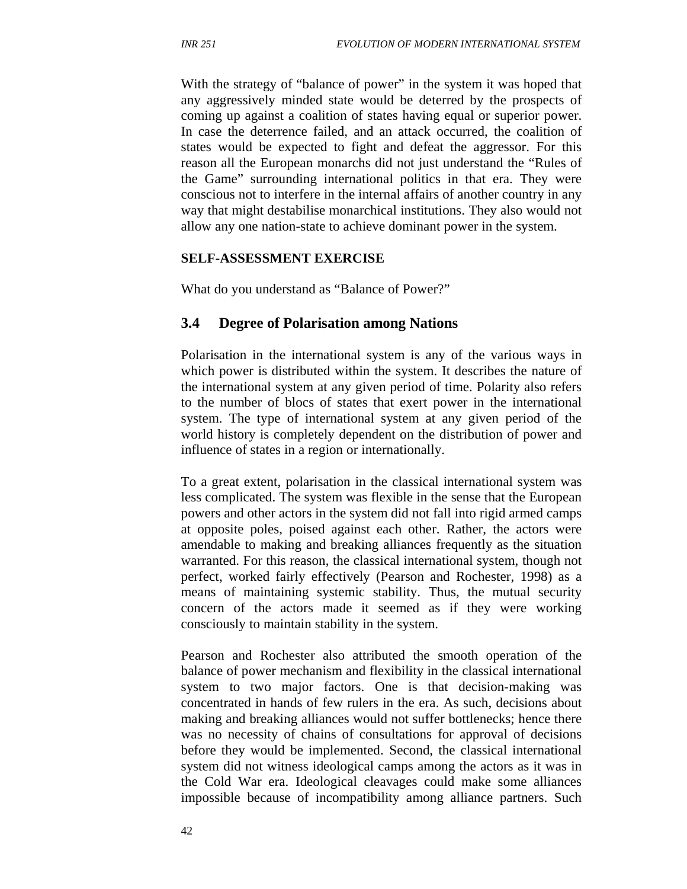With the strategy of "balance of power" in the system it was hoped that any aggressively minded state would be deterred by the prospects of coming up against a coalition of states having equal or superior power. In case the deterrence failed, and an attack occurred, the coalition of states would be expected to fight and defeat the aggressor. For this reason all the European monarchs did not just understand the "Rules of the Game" surrounding international politics in that era. They were conscious not to interfere in the internal affairs of another country in any way that might destabilise monarchical institutions. They also would not allow any one nation-state to achieve dominant power in the system.

#### **SELF-ASSESSMENT EXERCISE**

What do you understand as "Balance of Power?"

### **3.4 Degree of Polarisation among Nations**

Polarisation in the international system is any of the various ways in which power is distributed within the system. It describes the nature of the international system at any given period of time. Polarity also refers to the number of blocs of states that exert power in the international system. The type of international system at any given period of the world history is completely dependent on the distribution of power and influence of states in a region or internationally.

To a great extent, polarisation in the classical international system was less complicated. The system was flexible in the sense that the European powers and other actors in the system did not fall into rigid armed camps at opposite poles, poised against each other. Rather, the actors were amendable to making and breaking alliances frequently as the situation warranted. For this reason, the classical international system, though not perfect, worked fairly effectively (Pearson and Rochester, 1998) as a means of maintaining systemic stability. Thus, the mutual security concern of the actors made it seemed as if they were working consciously to maintain stability in the system.

Pearson and Rochester also attributed the smooth operation of the balance of power mechanism and flexibility in the classical international system to two major factors. One is that decision-making was concentrated in hands of few rulers in the era. As such, decisions about making and breaking alliances would not suffer bottlenecks; hence there was no necessity of chains of consultations for approval of decisions before they would be implemented. Second, the classical international system did not witness ideological camps among the actors as it was in the Cold War era. Ideological cleavages could make some alliances impossible because of incompatibility among alliance partners. Such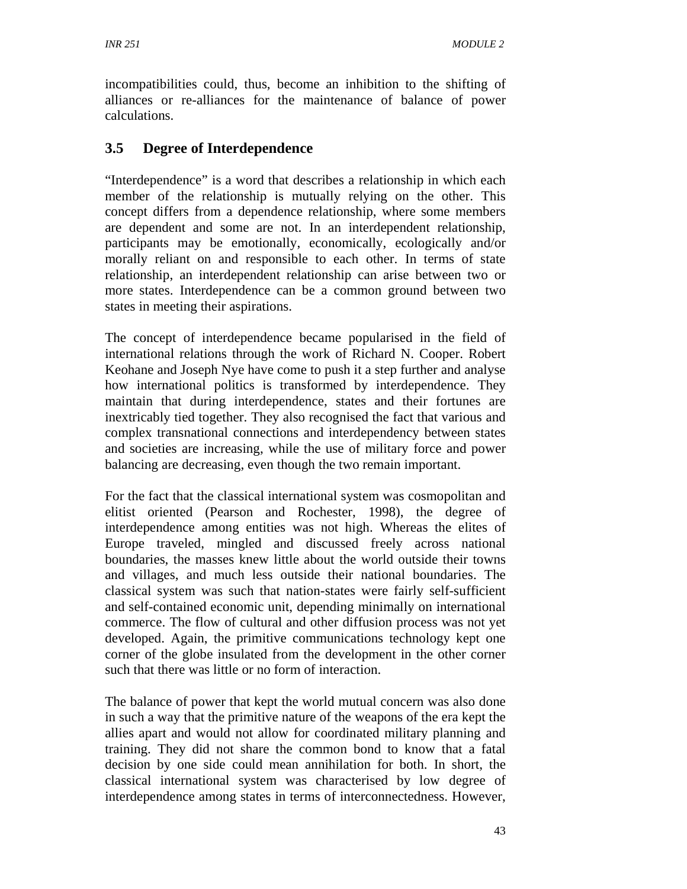incompatibilities could, thus, become an inhibition to the shifting of alliances or re-alliances for the maintenance of balance of power calculations.

# **3.5 Degree of Interdependence**

"Interdependence" is a word that describes a relationship in which each member of the relationship is mutually relying on the other. This concept differs from a dependence relationship, where some members are dependent and some are not. In an interdependent relationship, participants may be emotionally, economically, ecologically and/or morally reliant on and responsible to each other. In terms of state relationship, an interdependent relationship can arise between two or more states. Interdependence can be a common ground between two states in meeting their aspirations.

The concept of interdependence became popularised in the field of international relations through the work of Richard N. Cooper. Robert Keohane and Joseph Nye have come to push it a step further and analyse how international politics is transformed by interdependence. They maintain that during interdependence, states and their fortunes are inextricably tied together. They also recognised the fact that various and complex transnational connections and interdependency between states and societies are increasing, while the use of military force and power balancing are decreasing, even though the two remain important.

For the fact that the classical international system was cosmopolitan and elitist oriented (Pearson and Rochester, 1998), the degree of interdependence among entities was not high. Whereas the elites of Europe traveled, mingled and discussed freely across national boundaries, the masses knew little about the world outside their towns and villages, and much less outside their national boundaries. The classical system was such that nation-states were fairly self-sufficient and self-contained economic unit, depending minimally on international commerce. The flow of cultural and other diffusion process was not yet developed. Again, the primitive communications technology kept one corner of the globe insulated from the development in the other corner such that there was little or no form of interaction.

The balance of power that kept the world mutual concern was also done in such a way that the primitive nature of the weapons of the era kept the allies apart and would not allow for coordinated military planning and training. They did not share the common bond to know that a fatal decision by one side could mean annihilation for both. In short, the classical international system was characterised by low degree of interdependence among states in terms of interconnectedness. However,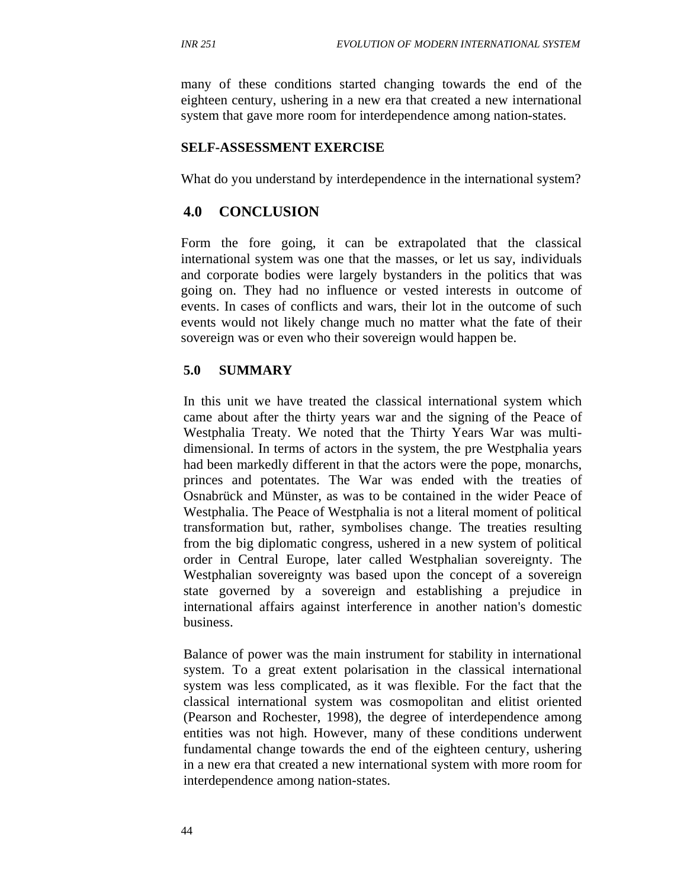many of these conditions started changing towards the end of the eighteen century, ushering in a new era that created a new international system that gave more room for interdependence among nation-states.

#### **SELF-ASSESSMENT EXERCISE**

What do you understand by interdependence in the international system?

### **4.0 CONCLUSION**

Form the fore going, it can be extrapolated that the classical international system was one that the masses, or let us say, individuals and corporate bodies were largely bystanders in the politics that was going on. They had no influence or vested interests in outcome of events. In cases of conflicts and wars, their lot in the outcome of such events would not likely change much no matter what the fate of their sovereign was or even who their sovereign would happen be.

#### **5.0 SUMMARY**

In this unit we have treated the classical international system which came about after the thirty years war and the signing of the Peace of Westphalia Treaty. We noted that the Thirty Years War was multidimensional. In terms of actors in the system, the pre Westphalia years had been markedly different in that the actors were the pope, monarchs, princes and potentates. The War was ended with the treaties of Osnabrück and Münster, as was to be contained in the wider Peace of Westphalia. The Peace of Westphalia is not a literal moment of political transformation but, rather, symbolises change. The treaties resulting from the big diplomatic congress, ushered in a new system of political order in Central Europe, later called Westphalian sovereignty. The Westphalian sovereignty was based upon the concept of a sovereign state governed by a sovereign and establishing a prejudice in international affairs against interference in another nation's domestic business.

Balance of power was the main instrument for stability in international system. To a great extent polarisation in the classical international system was less complicated, as it was flexible. For the fact that the classical international system was cosmopolitan and elitist oriented (Pearson and Rochester, 1998), the degree of interdependence among entities was not high. However, many of these conditions underwent fundamental change towards the end of the eighteen century, ushering in a new era that created a new international system with more room for interdependence among nation-states.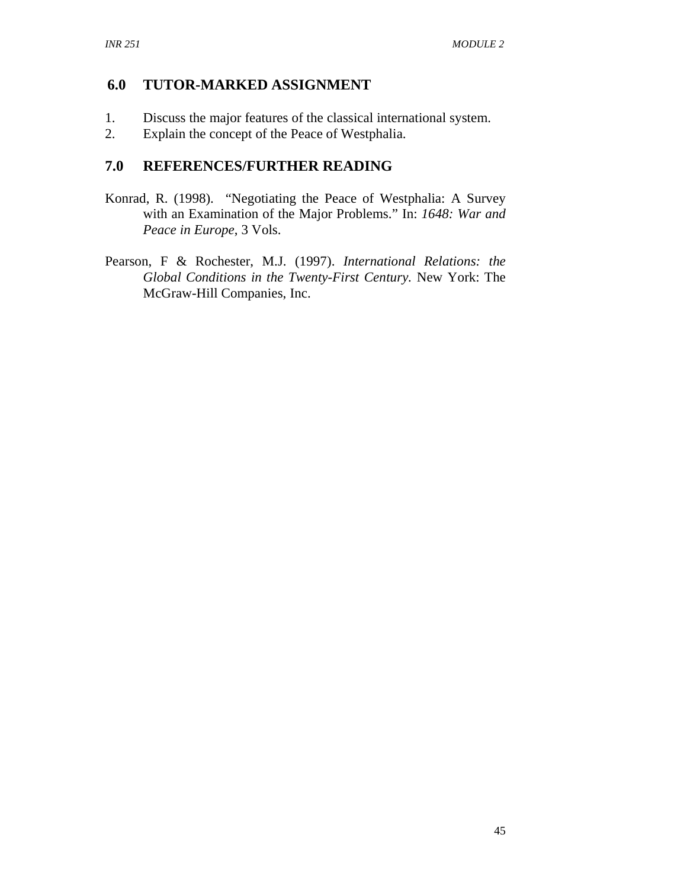## **6.0 TUTOR-MARKED ASSIGNMENT**

- 1. Discuss the major features of the classical international system.
- 2. Explain the concept of the Peace of Westphalia.

## **7.0 REFERENCES/FURTHER READING**

- Konrad, R. (1998). "Negotiating the Peace of Westphalia: A Survey with an Examination of the Major Problems." In: *1648: War and Peace in Europe*, 3 Vols.
- Pearson, F & Rochester, M.J. (1997). *International Relations: the Global Conditions in the Twenty-First Century.* New York: The McGraw-Hill Companies, Inc.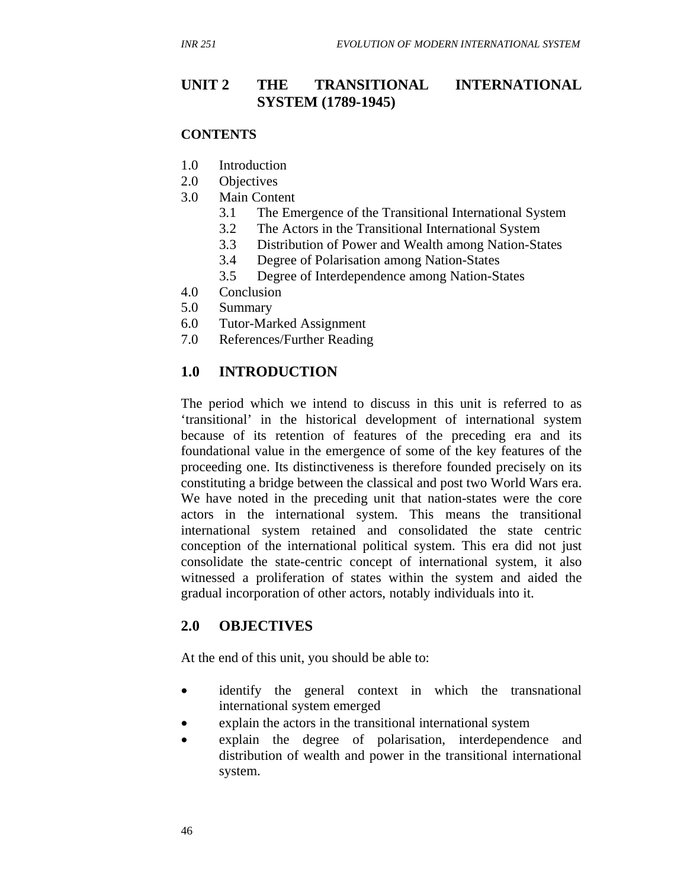## **UNIT 2 THE TRANSITIONAL INTERNATIONAL SYSTEM (1789-1945)**

#### **CONTENTS**

- 1.0 Introduction
- 2.0 Objectives
- 3.0 Main Content
	- 3.1 The Emergence of the Transitional International System
	- 3.2 The Actors in the Transitional International System
	- 3.3 Distribution of Power and Wealth among Nation-States
	- 3.4 Degree of Polarisation among Nation-States
	- 3.5 Degree of Interdependence among Nation-States
- 4.0 Conclusion
- 5.0 Summary
- 6.0 Tutor-Marked Assignment
- 7.0 References/Further Reading

### **1.0 INTRODUCTION**

The period which we intend to discuss in this unit is referred to as 'transitional' in the historical development of international system because of its retention of features of the preceding era and its foundational value in the emergence of some of the key features of the proceeding one. Its distinctiveness is therefore founded precisely on its constituting a bridge between the classical and post two World Wars era. We have noted in the preceding unit that nation-states were the core actors in the international system. This means the transitional international system retained and consolidated the state centric conception of the international political system. This era did not just consolidate the state-centric concept of international system, it also witnessed a proliferation of states within the system and aided the gradual incorporation of other actors, notably individuals into it.

### **2.0 OBJECTIVES**

At the end of this unit, you should be able to:

- identify the general context in which the transnational international system emerged
- explain the actors in the transitional international system
- explain the degree of polarisation, interdependence and distribution of wealth and power in the transitional international system.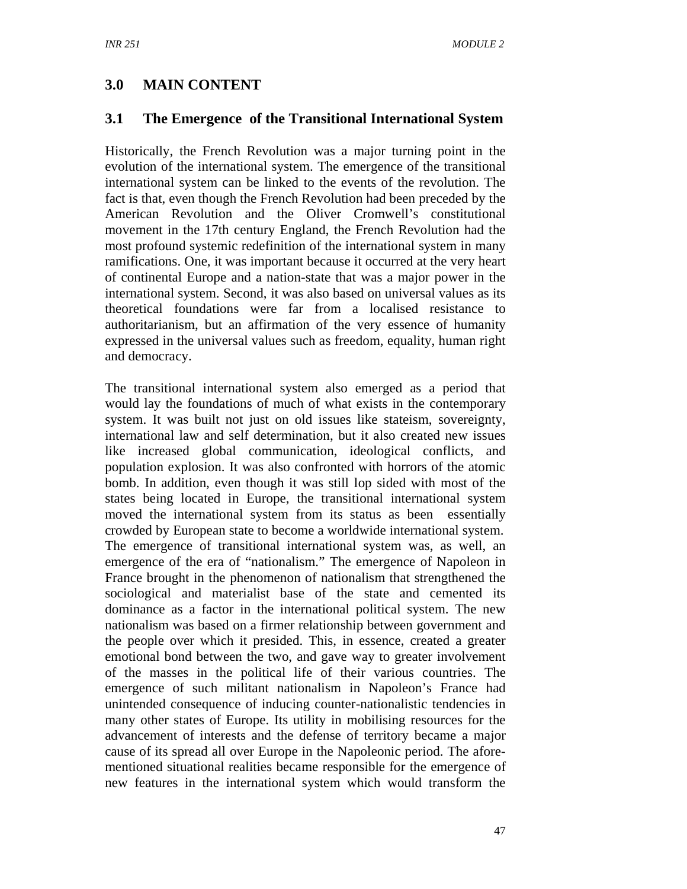## **3.0 MAIN CONTENT**

### **3.1 The Emergence of the Transitional International System**

Historically, the French Revolution was a major turning point in the evolution of the international system. The emergence of the transitional international system can be linked to the events of the revolution. The fact is that, even though the French Revolution had been preceded by the American Revolution and the Oliver Cromwell's constitutional movement in the 17th century England, the French Revolution had the most profound systemic redefinition of the international system in many ramifications. One, it was important because it occurred at the very heart of continental Europe and a nation-state that was a major power in the international system. Second, it was also based on universal values as its theoretical foundations were far from a localised resistance to authoritarianism, but an affirmation of the very essence of humanity expressed in the universal values such as freedom, equality, human right and democracy.

The transitional international system also emerged as a period that would lay the foundations of much of what exists in the contemporary system. It was built not just on old issues like stateism, sovereignty, international law and self determination, but it also created new issues like increased global communication, ideological conflicts, and population explosion. It was also confronted with horrors of the atomic bomb. In addition, even though it was still lop sided with most of the states being located in Europe, the transitional international system moved the international system from its status as been essentially crowded by European state to become a worldwide international system. The emergence of transitional international system was, as well, an emergence of the era of "nationalism." The emergence of Napoleon in France brought in the phenomenon of nationalism that strengthened the sociological and materialist base of the state and cemented its dominance as a factor in the international political system. The new nationalism was based on a firmer relationship between government and the people over which it presided. This, in essence, created a greater emotional bond between the two, and gave way to greater involvement of the masses in the political life of their various countries. The emergence of such militant nationalism in Napoleon's France had unintended consequence of inducing counter-nationalistic tendencies in many other states of Europe. Its utility in mobilising resources for the advancement of interests and the defense of territory became a major cause of its spread all over Europe in the Napoleonic period. The aforementioned situational realities became responsible for the emergence of new features in the international system which would transform the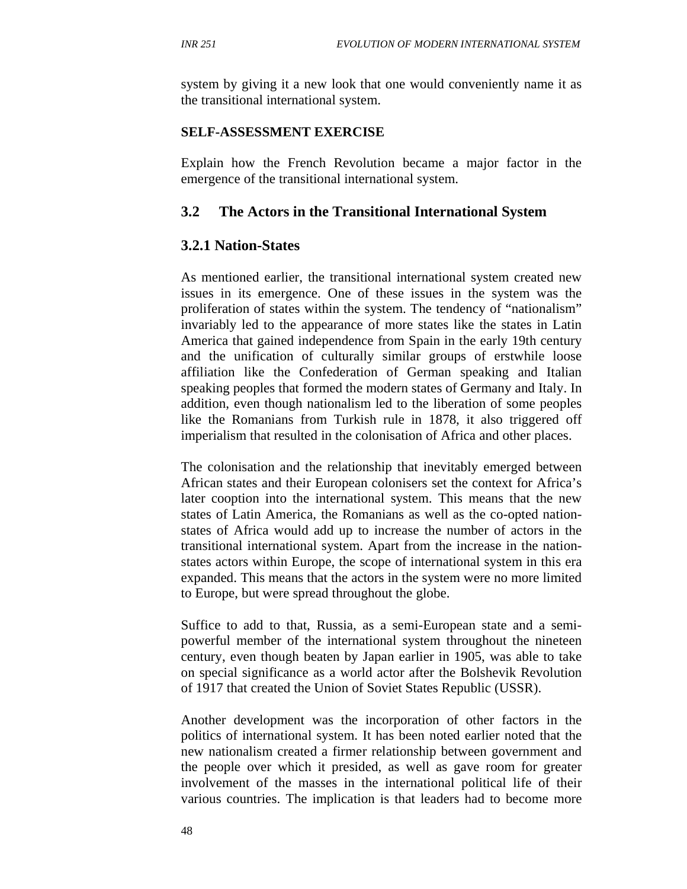system by giving it a new look that one would conveniently name it as the transitional international system.

#### **SELF-ASSESSMENT EXERCISE**

Explain how the French Revolution became a major factor in the emergence of the transitional international system.

### **3.2 The Actors in the Transitional International System**

#### **3.2.1 Nation-States**

As mentioned earlier, the transitional international system created new issues in its emergence. One of these issues in the system was the proliferation of states within the system. The tendency of "nationalism" invariably led to the appearance of more states like the states in Latin America that gained independence from Spain in the early 19th century and the unification of culturally similar groups of erstwhile loose affiliation like the Confederation of German speaking and Italian speaking peoples that formed the modern states of Germany and Italy. In addition, even though nationalism led to the liberation of some peoples like the Romanians from Turkish rule in 1878, it also triggered off imperialism that resulted in the colonisation of Africa and other places.

The colonisation and the relationship that inevitably emerged between African states and their European colonisers set the context for Africa's later cooption into the international system. This means that the new states of Latin America, the Romanians as well as the co-opted nationstates of Africa would add up to increase the number of actors in the transitional international system. Apart from the increase in the nationstates actors within Europe, the scope of international system in this era expanded. This means that the actors in the system were no more limited to Europe, but were spread throughout the globe.

Suffice to add to that, Russia, as a semi-European state and a semipowerful member of the international system throughout the nineteen century, even though beaten by Japan earlier in 1905, was able to take on special significance as a world actor after the Bolshevik Revolution of 1917 that created the Union of Soviet States Republic (USSR).

Another development was the incorporation of other factors in the politics of international system. It has been noted earlier noted that the new nationalism created a firmer relationship between government and the people over which it presided, as well as gave room for greater involvement of the masses in the international political life of their various countries. The implication is that leaders had to become more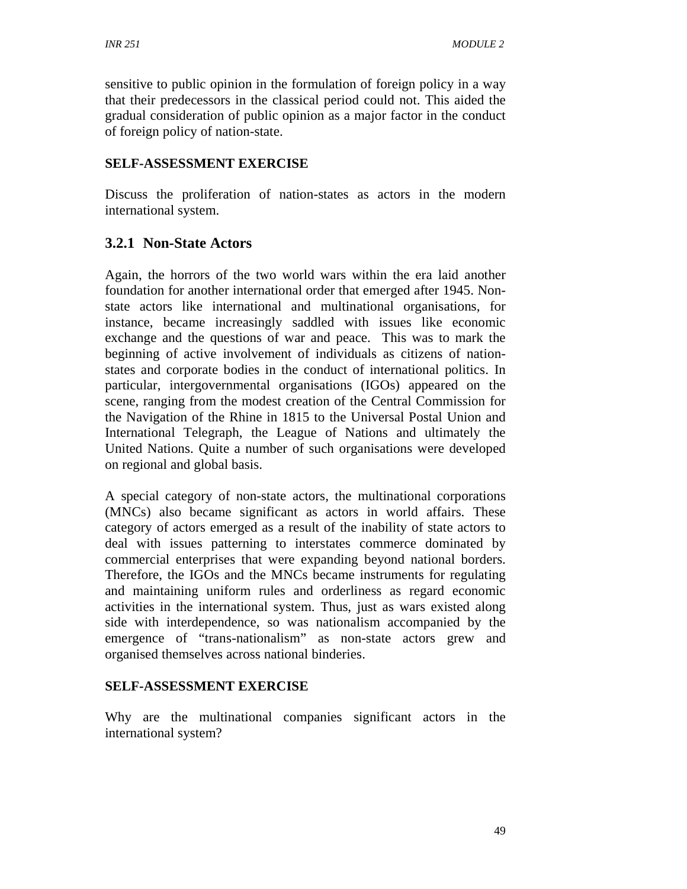sensitive to public opinion in the formulation of foreign policy in a way that their predecessors in the classical period could not. This aided the gradual consideration of public opinion as a major factor in the conduct of foreign policy of nation-state.

### **SELF-ASSESSMENT EXERCISE**

Discuss the proliferation of nation-states as actors in the modern international system.

## **3.2.1 Non-State Actors**

Again, the horrors of the two world wars within the era laid another foundation for another international order that emerged after 1945. Nonstate actors like international and multinational organisations, for instance, became increasingly saddled with issues like economic exchange and the questions of war and peace. This was to mark the beginning of active involvement of individuals as citizens of nationstates and corporate bodies in the conduct of international politics. In particular, intergovernmental organisations (IGOs) appeared on the scene, ranging from the modest creation of the Central Commission for the Navigation of the Rhine in 1815 to the Universal Postal Union and International Telegraph, the League of Nations and ultimately the United Nations. Quite a number of such organisations were developed on regional and global basis.

A special category of non-state actors, the multinational corporations (MNCs) also became significant as actors in world affairs. These category of actors emerged as a result of the inability of state actors to deal with issues patterning to interstates commerce dominated by commercial enterprises that were expanding beyond national borders. Therefore, the IGOs and the MNCs became instruments for regulating and maintaining uniform rules and orderliness as regard economic activities in the international system. Thus, just as wars existed along side with interdependence, so was nationalism accompanied by the emergence of "trans-nationalism" as non-state actors grew and organised themselves across national binderies.

### **SELF-ASSESSMENT EXERCISE**

Why are the multinational companies significant actors in the international system?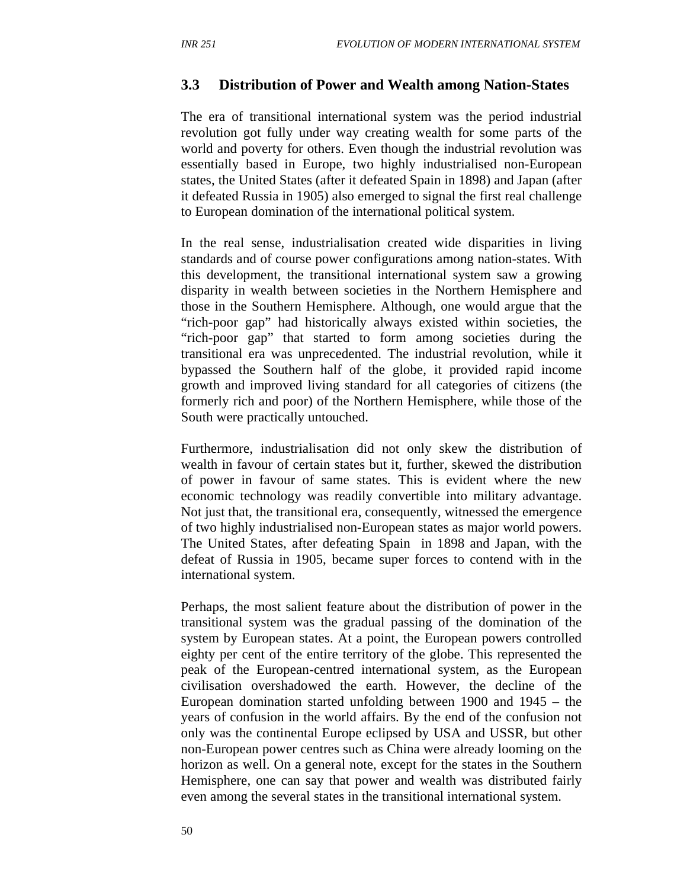#### **3.3 Distribution of Power and Wealth among Nation-States**

The era of transitional international system was the period industrial revolution got fully under way creating wealth for some parts of the world and poverty for others. Even though the industrial revolution was essentially based in Europe, two highly industrialised non-European states, the United States (after it defeated Spain in 1898) and Japan (after it defeated Russia in 1905) also emerged to signal the first real challenge to European domination of the international political system.

In the real sense, industrialisation created wide disparities in living standards and of course power configurations among nation-states. With this development, the transitional international system saw a growing disparity in wealth between societies in the Northern Hemisphere and those in the Southern Hemisphere. Although, one would argue that the "rich-poor gap" had historically always existed within societies, the "rich-poor gap" that started to form among societies during the transitional era was unprecedented. The industrial revolution, while it bypassed the Southern half of the globe, it provided rapid income growth and improved living standard for all categories of citizens (the formerly rich and poor) of the Northern Hemisphere, while those of the South were practically untouched.

Furthermore, industrialisation did not only skew the distribution of wealth in favour of certain states but it, further, skewed the distribution of power in favour of same states. This is evident where the new economic technology was readily convertible into military advantage. Not just that, the transitional era, consequently, witnessed the emergence of two highly industrialised non-European states as major world powers. The United States, after defeating Spain in 1898 and Japan, with the defeat of Russia in 1905, became super forces to contend with in the international system.

Perhaps, the most salient feature about the distribution of power in the transitional system was the gradual passing of the domination of the system by European states. At a point, the European powers controlled eighty per cent of the entire territory of the globe. This represented the peak of the European-centred international system, as the European civilisation overshadowed the earth. However, the decline of the European domination started unfolding between 1900 and 1945 – the years of confusion in the world affairs. By the end of the confusion not only was the continental Europe eclipsed by USA and USSR, but other non-European power centres such as China were already looming on the horizon as well. On a general note, except for the states in the Southern Hemisphere, one can say that power and wealth was distributed fairly even among the several states in the transitional international system.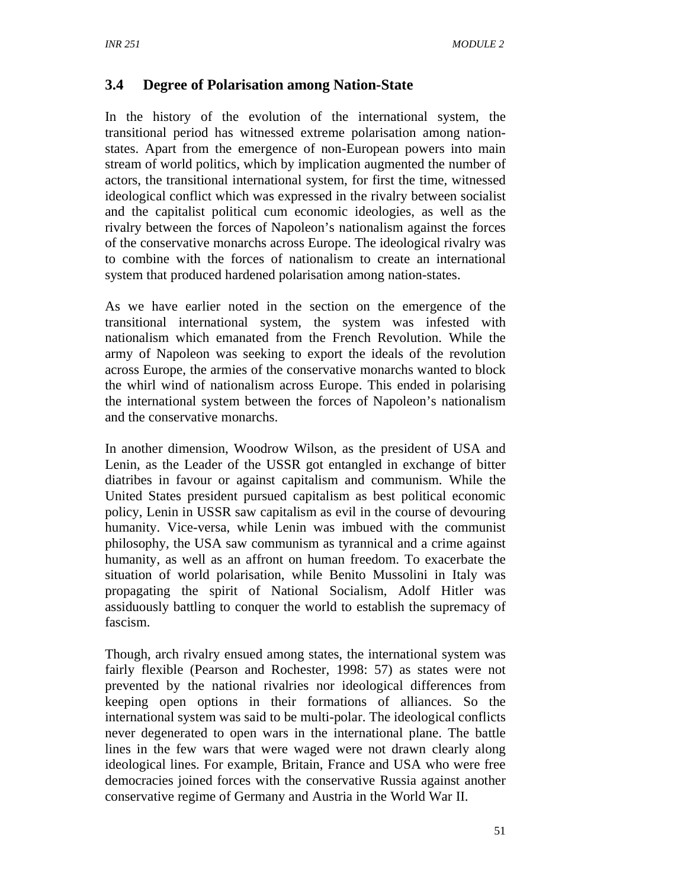## **3.4 Degree of Polarisation among Nation-State**

In the history of the evolution of the international system, the transitional period has witnessed extreme polarisation among nationstates. Apart from the emergence of non-European powers into main stream of world politics, which by implication augmented the number of actors, the transitional international system, for first the time, witnessed ideological conflict which was expressed in the rivalry between socialist and the capitalist political cum economic ideologies, as well as the rivalry between the forces of Napoleon's nationalism against the forces of the conservative monarchs across Europe. The ideological rivalry was to combine with the forces of nationalism to create an international system that produced hardened polarisation among nation-states.

As we have earlier noted in the section on the emergence of the transitional international system, the system was infested with nationalism which emanated from the French Revolution. While the army of Napoleon was seeking to export the ideals of the revolution across Europe, the armies of the conservative monarchs wanted to block the whirl wind of nationalism across Europe. This ended in polarising the international system between the forces of Napoleon's nationalism and the conservative monarchs.

In another dimension, Woodrow Wilson, as the president of USA and Lenin, as the Leader of the USSR got entangled in exchange of bitter diatribes in favour or against capitalism and communism. While the United States president pursued capitalism as best political economic policy, Lenin in USSR saw capitalism as evil in the course of devouring humanity. Vice-versa, while Lenin was imbued with the communist philosophy, the USA saw communism as tyrannical and a crime against humanity, as well as an affront on human freedom. To exacerbate the situation of world polarisation, while Benito Mussolini in Italy was propagating the spirit of National Socialism, Adolf Hitler was assiduously battling to conquer the world to establish the supremacy of fascism.

Though, arch rivalry ensued among states, the international system was fairly flexible (Pearson and Rochester, 1998: 57) as states were not prevented by the national rivalries nor ideological differences from keeping open options in their formations of alliances. So the international system was said to be multi-polar. The ideological conflicts never degenerated to open wars in the international plane. The battle lines in the few wars that were waged were not drawn clearly along ideological lines. For example, Britain, France and USA who were free democracies joined forces with the conservative Russia against another conservative regime of Germany and Austria in the World War II.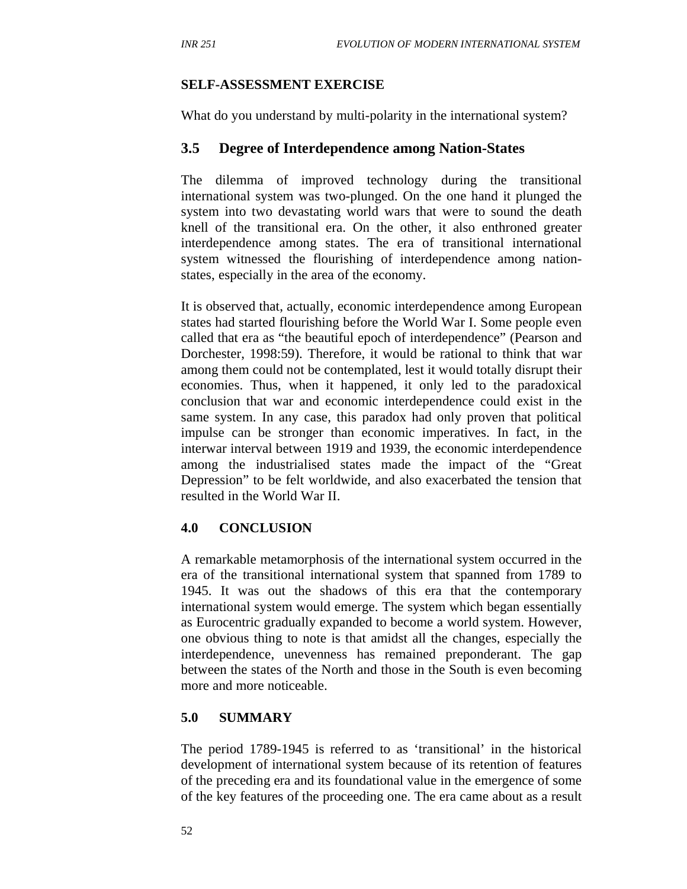#### **SELF-ASSESSMENT EXERCISE**

What do you understand by multi-polarity in the international system?

#### **3.5 Degree of Interdependence among Nation-States**

The dilemma of improved technology during the transitional international system was two-plunged. On the one hand it plunged the system into two devastating world wars that were to sound the death knell of the transitional era. On the other, it also enthroned greater interdependence among states. The era of transitional international system witnessed the flourishing of interdependence among nationstates, especially in the area of the economy.

It is observed that, actually, economic interdependence among European states had started flourishing before the World War I. Some people even called that era as "the beautiful epoch of interdependence" (Pearson and Dorchester, 1998:59). Therefore, it would be rational to think that war among them could not be contemplated, lest it would totally disrupt their economies. Thus, when it happened, it only led to the paradoxical conclusion that war and economic interdependence could exist in the same system. In any case, this paradox had only proven that political impulse can be stronger than economic imperatives. In fact, in the interwar interval between 1919 and 1939, the economic interdependence among the industrialised states made the impact of the "Great Depression" to be felt worldwide, and also exacerbated the tension that resulted in the World War II.

#### **4.0 CONCLUSION**

A remarkable metamorphosis of the international system occurred in the era of the transitional international system that spanned from 1789 to 1945. It was out the shadows of this era that the contemporary international system would emerge. The system which began essentially as Eurocentric gradually expanded to become a world system. However, one obvious thing to note is that amidst all the changes, especially the interdependence, unevenness has remained preponderant. The gap between the states of the North and those in the South is even becoming more and more noticeable.

#### **5.0 SUMMARY**

The period 1789-1945 is referred to as 'transitional' in the historical development of international system because of its retention of features of the preceding era and its foundational value in the emergence of some of the key features of the proceeding one. The era came about as a result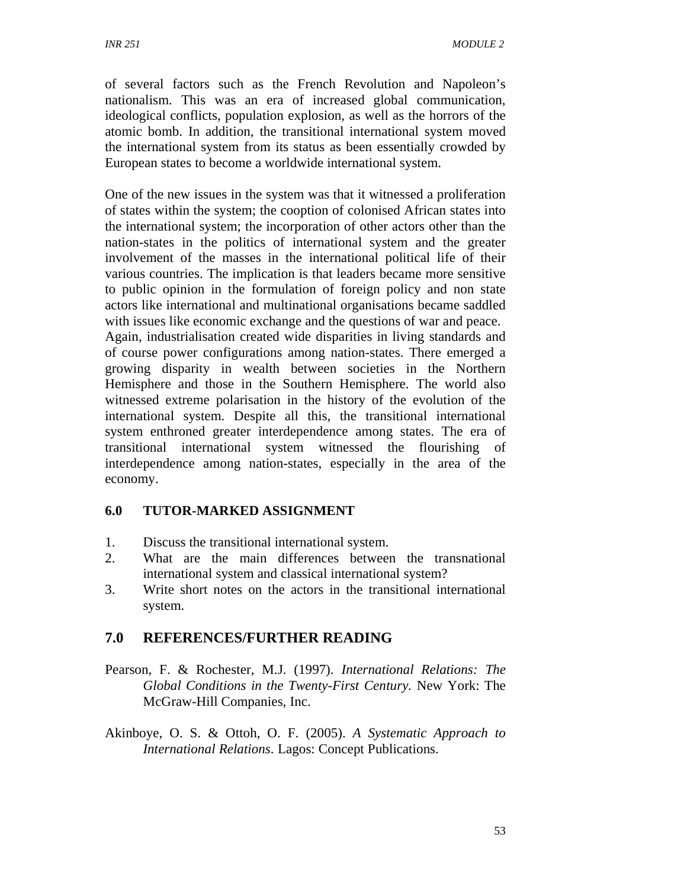of several factors such as the French Revolution and Napoleon's nationalism. This was an era of increased global communication, ideological conflicts, population explosion, as well as the horrors of the atomic bomb. In addition, the transitional international system moved the international system from its status as been essentially crowded by European states to become a worldwide international system.

One of the new issues in the system was that it witnessed a proliferation of states within the system; the cooption of colonised African states into the international system; the incorporation of other actors other than the nation-states in the politics of international system and the greater involvement of the masses in the international political life of their various countries. The implication is that leaders became more sensitive to public opinion in the formulation of foreign policy and non state actors like international and multinational organisations became saddled with issues like economic exchange and the questions of war and peace. Again, industrialisation created wide disparities in living standards and of course power configurations among nation-states. There emerged a growing disparity in wealth between societies in the Northern Hemisphere and those in the Southern Hemisphere. The world also witnessed extreme polarisation in the history of the evolution of the international system. Despite all this, the transitional international system enthroned greater interdependence among states. The era of transitional international system witnessed the flourishing of interdependence among nation-states, especially in the area of the economy.

### **6.0 TUTOR-MARKED ASSIGNMENT**

- 1. Discuss the transitional international system.
- 2. What are the main differences between the transnational international system and classical international system?
- 3. Write short notes on the actors in the transitional international system.

## **7.0 REFERENCES/FURTHER READING**

- Pearson, F. & Rochester, M.J. (1997). *International Relations: The Global Conditions in the Twenty-First Century.* New York: The McGraw-Hill Companies, Inc.
- Akinboye, O. S. & Ottoh, O. F. (2005). *A Systematic Approach to International Relations.* Lagos: Concept Publications.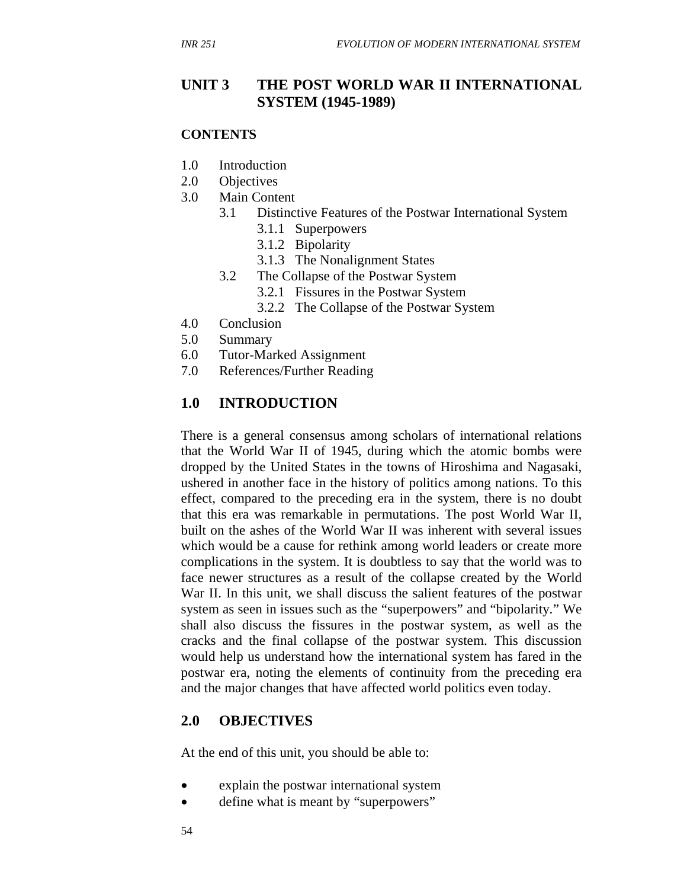### **UNIT 3 THE POST WORLD WAR II INTERNATIONAL SYSTEM (1945-1989)**

#### **CONTENTS**

- 1.0 Introduction
- 2.0 Objectives
- 3.0 Main Content
	- 3.1 Distinctive Features of the Postwar International System
		- 3.1.1 Superpowers
		- 3.1.2 Bipolarity
		- 3.1.3 The Nonalignment States
	- 3.2 The Collapse of the Postwar System
		- 3.2.1 Fissures in the Postwar System
		- 3.2.2 The Collapse of the Postwar System
- 4.0 Conclusion
- 5.0 Summary
- 6.0 Tutor-Marked Assignment
- 7.0 References/Further Reading

### **1.0 INTRODUCTION**

There is a general consensus among scholars of international relations that the World War II of 1945, during which the atomic bombs were dropped by the United States in the towns of Hiroshima and Nagasaki, ushered in another face in the history of politics among nations. To this effect, compared to the preceding era in the system, there is no doubt that this era was remarkable in permutations. The post World War II, built on the ashes of the World War II was inherent with several issues which would be a cause for rethink among world leaders or create more complications in the system. It is doubtless to say that the world was to face newer structures as a result of the collapse created by the World War II. In this unit, we shall discuss the salient features of the postwar system as seen in issues such as the "superpowers" and "bipolarity." We shall also discuss the fissures in the postwar system, as well as the cracks and the final collapse of the postwar system. This discussion would help us understand how the international system has fared in the postwar era, noting the elements of continuity from the preceding era and the major changes that have affected world politics even today.

#### **2.0 OBJECTIVES**

At the end of this unit, you should be able to:

- explain the postwar international system
- define what is meant by "superpowers"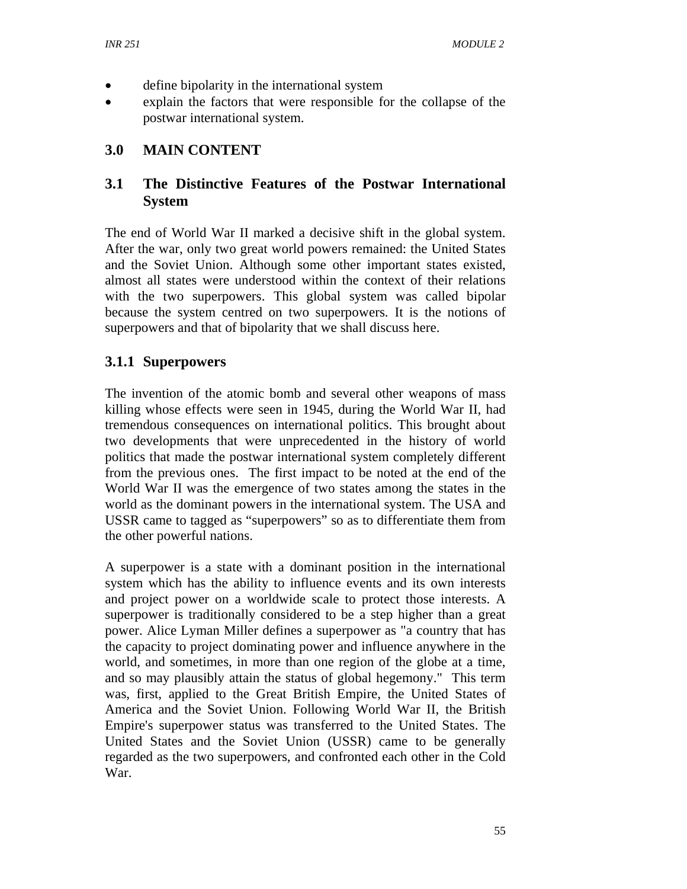- define bipolarity in the international system
- explain the factors that were responsible for the collapse of the postwar international system.

## **3.0 MAIN CONTENT**

# **3.1 The Distinctive Features of the Postwar International System**

The end of World War II marked a decisive shift in the global system. After the war, only two great world powers remained: the United States and the Soviet Union. Although some other important states existed, almost all states were understood within the context of their relations with the two superpowers. This global system was called bipolar because the system centred on two superpowers. It is the notions of superpowers and that of bipolarity that we shall discuss here.

## **3.1.1 Superpowers**

The invention of the atomic bomb and several other weapons of mass killing whose effects were seen in 1945, during the World War II, had tremendous consequences on international politics. This brought about two developments that were unprecedented in the history of world politics that made the postwar international system completely different from the previous ones. The first impact to be noted at the end of the World War II was the emergence of two states among the states in the world as the dominant powers in the international system. The USA and USSR came to tagged as "superpowers" so as to differentiate them from the other powerful nations.

A superpower is a state with a dominant position in the international system which has the ability to influence events and its own interests and project power on a worldwide scale to protect those interests. A superpower is traditionally considered to be a step higher than a great power. Alice Lyman Miller defines a superpower as "a country that has the capacity to project dominating power and influence anywhere in the world, and sometimes, in more than one region of the globe at a time, and so may plausibly attain the status of global hegemony." This term was, first, applied to the Great British Empire, the United States of America and the Soviet Union. Following World War II, the British Empire's superpower status was transferred to the United States. The United States and the Soviet Union (USSR) came to be generally regarded as the two superpowers, and confronted each other in the Cold War.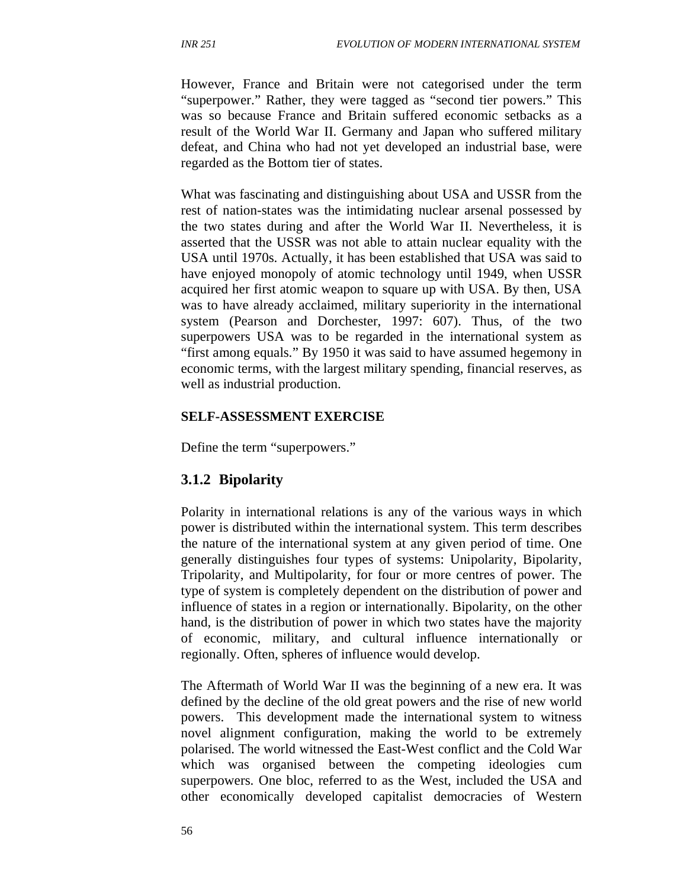However, France and Britain were not categorised under the term "superpower." Rather, they were tagged as "second tier powers." This was so because France and Britain suffered economic setbacks as a result of the World War II. Germany and Japan who suffered military defeat, and China who had not yet developed an industrial base, were regarded as the Bottom tier of states.

What was fascinating and distinguishing about USA and USSR from the rest of nation-states was the intimidating nuclear arsenal possessed by the two states during and after the World War II. Nevertheless, it is asserted that the USSR was not able to attain nuclear equality with the USA until 1970s. Actually, it has been established that USA was said to have enjoyed monopoly of atomic technology until 1949, when USSR acquired her first atomic weapon to square up with USA. By then, USA was to have already acclaimed, military superiority in the international system (Pearson and Dorchester, 1997: 607). Thus, of the two superpowers USA was to be regarded in the international system as "first among equals." By 1950 it was said to have assumed hegemony in economic terms, with the largest military spending, financial reserves, as well as industrial production.

#### **SELF-ASSESSMENT EXERCISE**

Define the term "superpowers."

#### **3.1.2 Bipolarity**

Polarity in international relations is any of the various ways in which power is distributed within the international system. This term describes the nature of the international system at any given period of time. One generally distinguishes four types of systems: Unipolarity, Bipolarity, Tripolarity, and Multipolarity, for four or more centres of power. The type of system is completely dependent on the distribution of power and influence of states in a region or internationally. Bipolarity, on the other hand, is the distribution of power in which two states have the majority of economic, military, and cultural influence internationally or regionally. Often, spheres of influence would develop.

The Aftermath of World War II was the beginning of a new era. It was defined by the decline of the old great powers and the rise of new world powers. This development made the international system to witness novel alignment configuration, making the world to be extremely polarised. The world witnessed the East-West conflict and the Cold War which was organised between the competing ideologies cum superpowers. One bloc, referred to as the West, included the USA and other economically developed capitalist democracies of Western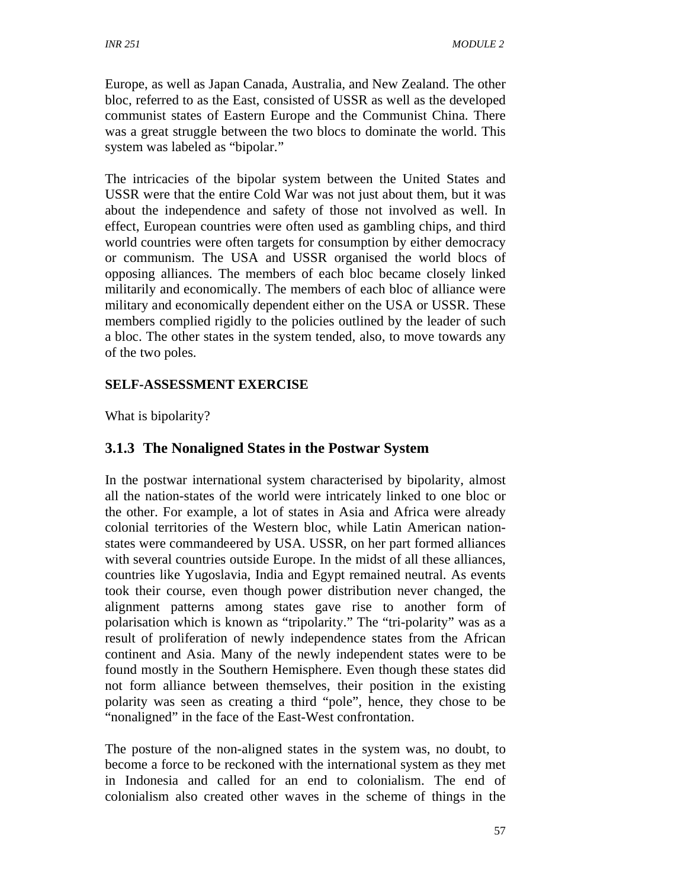Europe, as well as Japan Canada, Australia, and New Zealand. The other bloc, referred to as the East, consisted of USSR as well as the developed communist states of Eastern Europe and the Communist China. There was a great struggle between the two blocs to dominate the world. This system was labeled as "bipolar."

The intricacies of the bipolar system between the United States and USSR were that the entire Cold War was not just about them, but it was about the independence and safety of those not involved as well. In effect, European countries were often used as gambling chips, and third world countries were often targets for consumption by either democracy or communism. The USA and USSR organised the world blocs of opposing alliances. The members of each bloc became closely linked militarily and economically. The members of each bloc of alliance were military and economically dependent either on the USA or USSR. These members complied rigidly to the policies outlined by the leader of such a bloc. The other states in the system tended, also, to move towards any of the two poles.

## **SELF-ASSESSMENT EXERCISE**

What is bipolarity?

## **3.1.3 The Nonaligned States in the Postwar System**

In the postwar international system characterised by bipolarity, almost all the nation-states of the world were intricately linked to one bloc or the other. For example, a lot of states in Asia and Africa were already colonial territories of the Western bloc, while Latin American nationstates were commandeered by USA. USSR, on her part formed alliances with several countries outside Europe. In the midst of all these alliances, countries like Yugoslavia, India and Egypt remained neutral. As events took their course, even though power distribution never changed, the alignment patterns among states gave rise to another form of polarisation which is known as "tripolarity." The "tri-polarity" was as a result of proliferation of newly independence states from the African continent and Asia. Many of the newly independent states were to be found mostly in the Southern Hemisphere. Even though these states did not form alliance between themselves, their position in the existing polarity was seen as creating a third "pole", hence, they chose to be "nonaligned" in the face of the East-West confrontation.

The posture of the non-aligned states in the system was, no doubt, to become a force to be reckoned with the international system as they met in Indonesia and called for an end to colonialism. The end of colonialism also created other waves in the scheme of things in the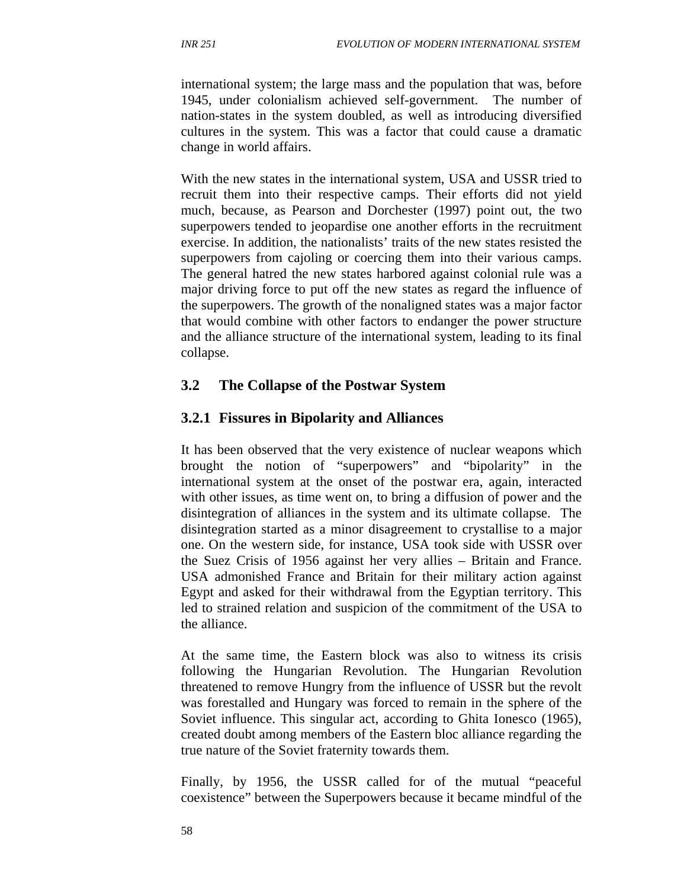international system; the large mass and the population that was, before 1945, under colonialism achieved self-government. The number of nation-states in the system doubled, as well as introducing diversified cultures in the system. This was a factor that could cause a dramatic change in world affairs.

With the new states in the international system, USA and USSR tried to recruit them into their respective camps. Their efforts did not yield much, because, as Pearson and Dorchester (1997) point out, the two superpowers tended to jeopardise one another efforts in the recruitment exercise. In addition, the nationalists' traits of the new states resisted the superpowers from cajoling or coercing them into their various camps. The general hatred the new states harbored against colonial rule was a major driving force to put off the new states as regard the influence of the superpowers. The growth of the nonaligned states was a major factor that would combine with other factors to endanger the power structure and the alliance structure of the international system, leading to its final collapse.

## **3.2 The Collapse of the Postwar System**

### **3.2.1 Fissures in Bipolarity and Alliances**

It has been observed that the very existence of nuclear weapons which brought the notion of "superpowers" and "bipolarity" in the international system at the onset of the postwar era, again, interacted with other issues, as time went on, to bring a diffusion of power and the disintegration of alliances in the system and its ultimate collapse. The disintegration started as a minor disagreement to crystallise to a major one. On the western side, for instance, USA took side with USSR over the Suez Crisis of 1956 against her very allies – Britain and France. USA admonished France and Britain for their military action against Egypt and asked for their withdrawal from the Egyptian territory. This led to strained relation and suspicion of the commitment of the USA to the alliance.

At the same time, the Eastern block was also to witness its crisis following the Hungarian Revolution. The Hungarian Revolution threatened to remove Hungry from the influence of USSR but the revolt was forestalled and Hungary was forced to remain in the sphere of the Soviet influence. This singular act, according to Ghita Ionesco (1965), created doubt among members of the Eastern bloc alliance regarding the true nature of the Soviet fraternity towards them.

Finally, by 1956, the USSR called for of the mutual "peaceful coexistence" between the Superpowers because it became mindful of the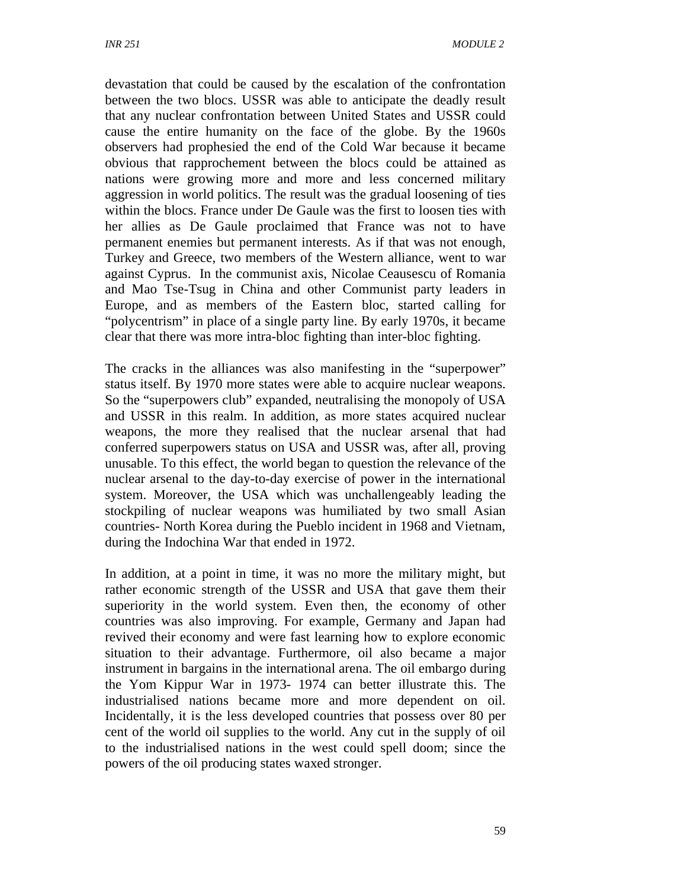devastation that could be caused by the escalation of the confrontation between the two blocs. USSR was able to anticipate the deadly result that any nuclear confrontation between United States and USSR could cause the entire humanity on the face of the globe. By the 1960s observers had prophesied the end of the Cold War because it became obvious that rapprochement between the blocs could be attained as nations were growing more and more and less concerned military aggression in world politics. The result was the gradual loosening of ties within the blocs. France under De Gaule was the first to loosen ties with her allies as De Gaule proclaimed that France was not to have permanent enemies but permanent interests. As if that was not enough, Turkey and Greece, two members of the Western alliance, went to war against Cyprus. In the communist axis, Nicolae Ceausescu of Romania and Mao Tse-Tsug in China and other Communist party leaders in Europe, and as members of the Eastern bloc, started calling for "polycentrism" in place of a single party line. By early 1970s, it became clear that there was more intra-bloc fighting than inter-bloc fighting.

The cracks in the alliances was also manifesting in the "superpower" status itself. By 1970 more states were able to acquire nuclear weapons. So the "superpowers club" expanded, neutralising the monopoly of USA and USSR in this realm. In addition, as more states acquired nuclear weapons, the more they realised that the nuclear arsenal that had conferred superpowers status on USA and USSR was, after all, proving unusable. To this effect, the world began to question the relevance of the nuclear arsenal to the day-to-day exercise of power in the international system. Moreover, the USA which was unchallengeably leading the stockpiling of nuclear weapons was humiliated by two small Asian countries- North Korea during the Pueblo incident in 1968 and Vietnam, during the Indochina War that ended in 1972.

In addition, at a point in time, it was no more the military might, but rather economic strength of the USSR and USA that gave them their superiority in the world system. Even then, the economy of other countries was also improving. For example, Germany and Japan had revived their economy and were fast learning how to explore economic situation to their advantage. Furthermore, oil also became a major instrument in bargains in the international arena. The oil embargo during the Yom Kippur War in 1973- 1974 can better illustrate this. The industrialised nations became more and more dependent on oil. Incidentally, it is the less developed countries that possess over 80 per cent of the world oil supplies to the world. Any cut in the supply of oil to the industrialised nations in the west could spell doom; since the powers of the oil producing states waxed stronger.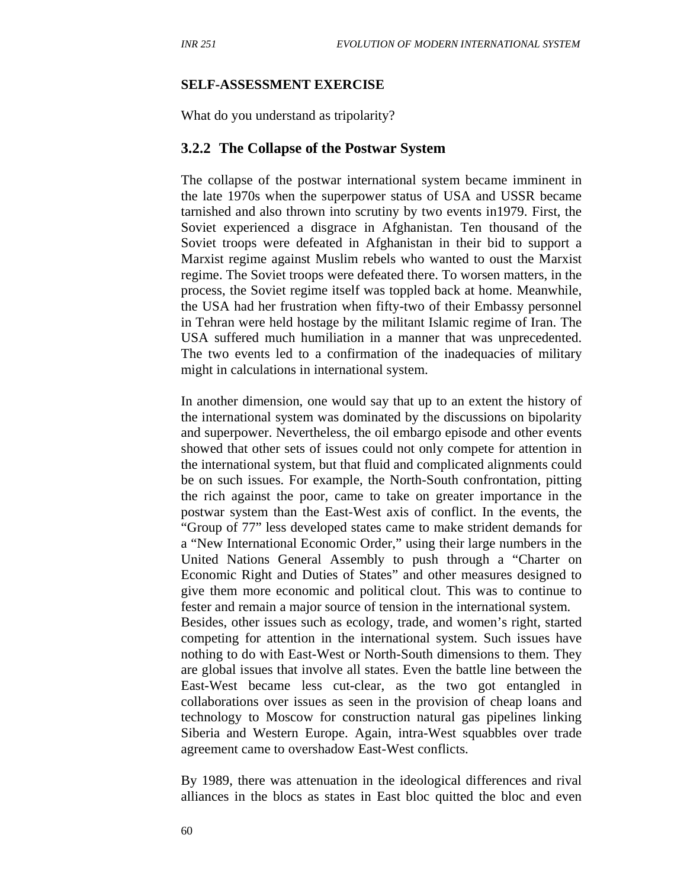#### **SELF-ASSESSMENT EXERCISE**

What do you understand as tripolarity?

#### **3.2.2 The Collapse of the Postwar System**

The collapse of the postwar international system became imminent in the late 1970s when the superpower status of USA and USSR became tarnished and also thrown into scrutiny by two events in1979. First, the Soviet experienced a disgrace in Afghanistan. Ten thousand of the Soviet troops were defeated in Afghanistan in their bid to support a Marxist regime against Muslim rebels who wanted to oust the Marxist regime. The Soviet troops were defeated there. To worsen matters, in the process, the Soviet regime itself was toppled back at home. Meanwhile, the USA had her frustration when fifty-two of their Embassy personnel in Tehran were held hostage by the militant Islamic regime of Iran. The USA suffered much humiliation in a manner that was unprecedented. The two events led to a confirmation of the inadequacies of military might in calculations in international system.

In another dimension, one would say that up to an extent the history of the international system was dominated by the discussions on bipolarity and superpower. Nevertheless, the oil embargo episode and other events showed that other sets of issues could not only compete for attention in the international system, but that fluid and complicated alignments could be on such issues. For example, the North-South confrontation, pitting the rich against the poor, came to take on greater importance in the postwar system than the East-West axis of conflict. In the events, the "Group of 77" less developed states came to make strident demands for a "New International Economic Order," using their large numbers in the United Nations General Assembly to push through a "Charter on Economic Right and Duties of States" and other measures designed to give them more economic and political clout. This was to continue to fester and remain a major source of tension in the international system. Besides, other issues such as ecology, trade, and women's right, started competing for attention in the international system. Such issues have nothing to do with East-West or North-South dimensions to them. They are global issues that involve all states. Even the battle line between the East-West became less cut-clear, as the two got entangled in collaborations over issues as seen in the provision of cheap loans and technology to Moscow for construction natural gas pipelines linking Siberia and Western Europe. Again, intra-West squabbles over trade agreement came to overshadow East-West conflicts.

By 1989, there was attenuation in the ideological differences and rival alliances in the blocs as states in East bloc quitted the bloc and even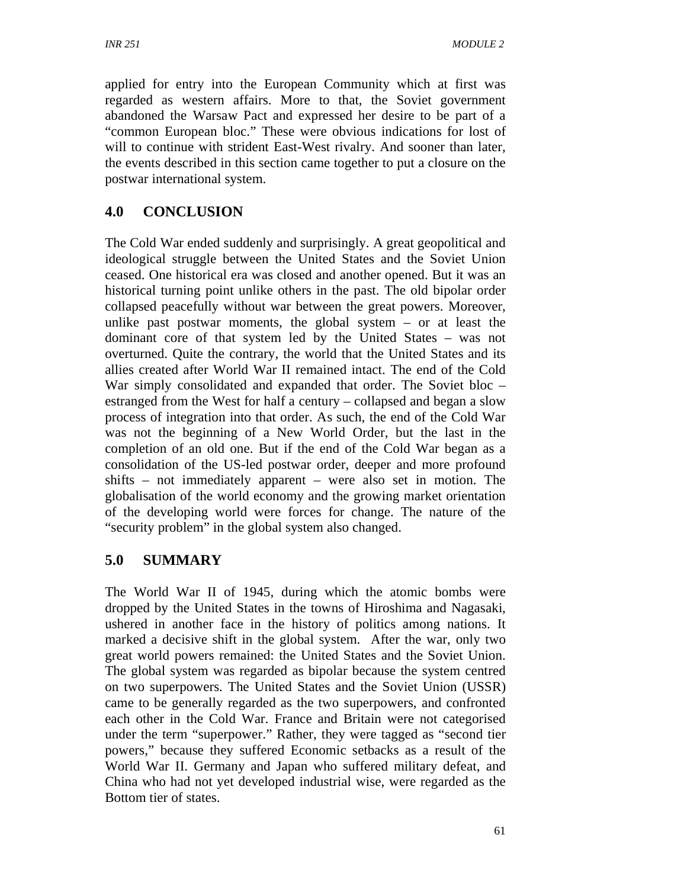applied for entry into the European Community which at first was regarded as western affairs. More to that, the Soviet government abandoned the Warsaw Pact and expressed her desire to be part of a "common European bloc." These were obvious indications for lost of will to continue with strident East-West rivalry. And sooner than later, the events described in this section came together to put a closure on the postwar international system.

## **4.0 CONCLUSION**

The Cold War ended suddenly and surprisingly. A great geopolitical and ideological struggle between the United States and the Soviet Union ceased. One historical era was closed and another opened. But it was an historical turning point unlike others in the past. The old bipolar order collapsed peacefully without war between the great powers. Moreover, unlike past postwar moments, the global system – or at least the dominant core of that system led by the United States – was not overturned. Quite the contrary, the world that the United States and its allies created after World War II remained intact. The end of the Cold War simply consolidated and expanded that order. The Soviet bloc – estranged from the West for half a century – collapsed and began a slow process of integration into that order. As such, the end of the Cold War was not the beginning of a New World Order, but the last in the completion of an old one. But if the end of the Cold War began as a consolidation of the US-led postwar order, deeper and more profound shifts – not immediately apparent – were also set in motion. The globalisation of the world economy and the growing market orientation of the developing world were forces for change. The nature of the "security problem" in the global system also changed.

## **5.0 SUMMARY**

The World War II of 1945, during which the atomic bombs were dropped by the United States in the towns of Hiroshima and Nagasaki, ushered in another face in the history of politics among nations. It marked a decisive shift in the global system. After the war, only two great world powers remained: the United States and the Soviet Union. The global system was regarded as bipolar because the system centred on two superpowers. The United States and the Soviet Union (USSR) came to be generally regarded as the two superpowers, and confronted each other in the Cold War. France and Britain were not categorised under the term "superpower." Rather, they were tagged as "second tier powers," because they suffered Economic setbacks as a result of the World War II. Germany and Japan who suffered military defeat, and China who had not yet developed industrial wise, were regarded as the Bottom tier of states.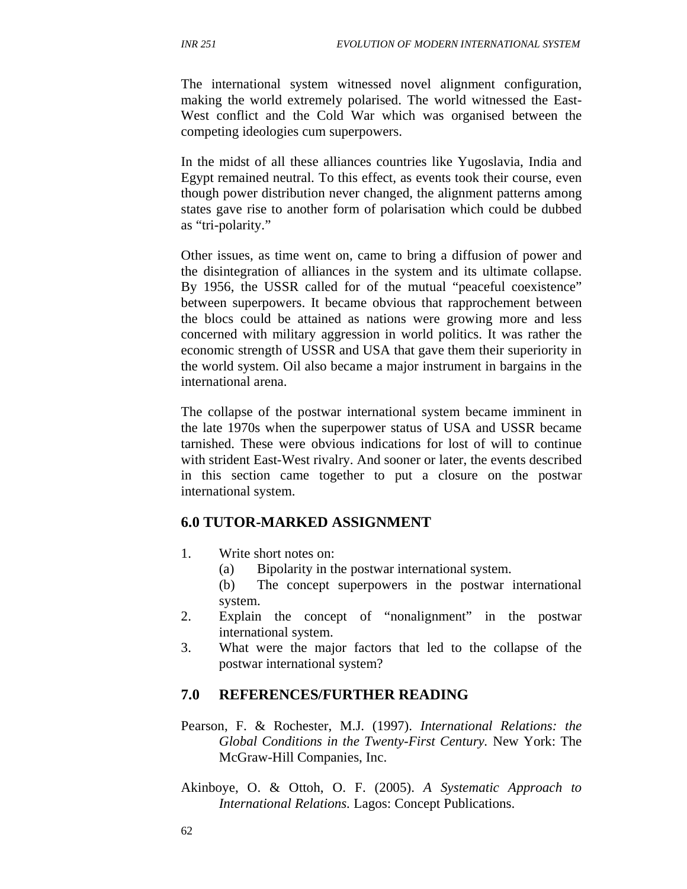The international system witnessed novel alignment configuration, making the world extremely polarised. The world witnessed the East-West conflict and the Cold War which was organised between the competing ideologies cum superpowers.

In the midst of all these alliances countries like Yugoslavia, India and Egypt remained neutral. To this effect, as events took their course, even though power distribution never changed, the alignment patterns among states gave rise to another form of polarisation which could be dubbed as "tri-polarity."

Other issues, as time went on, came to bring a diffusion of power and the disintegration of alliances in the system and its ultimate collapse. By 1956, the USSR called for of the mutual "peaceful coexistence" between superpowers. It became obvious that rapprochement between the blocs could be attained as nations were growing more and less concerned with military aggression in world politics. It was rather the economic strength of USSR and USA that gave them their superiority in the world system. Oil also became a major instrument in bargains in the international arena.

The collapse of the postwar international system became imminent in the late 1970s when the superpower status of USA and USSR became tarnished. These were obvious indications for lost of will to continue with strident East-West rivalry. And sooner or later, the events described in this section came together to put a closure on the postwar international system.

#### **6.0 TUTOR-MARKED ASSIGNMENT**

- 1. Write short notes on:
	- (a) Bipolarity in the postwar international system.
	- (b) The concept superpowers in the postwar international system.
- 2. Explain the concept of "nonalignment" in the postwar international system.
- 3. What were the major factors that led to the collapse of the postwar international system?

#### **7.0 REFERENCES/FURTHER READING**

- Pearson, F. & Rochester, M.J. (1997). *International Relations: the Global Conditions in the Twenty-First Century.* New York: The McGraw-Hill Companies, Inc.
- Akinboye, O. & Ottoh, O. F. (2005). *A Systematic Approach to International Relations.* Lagos: Concept Publications.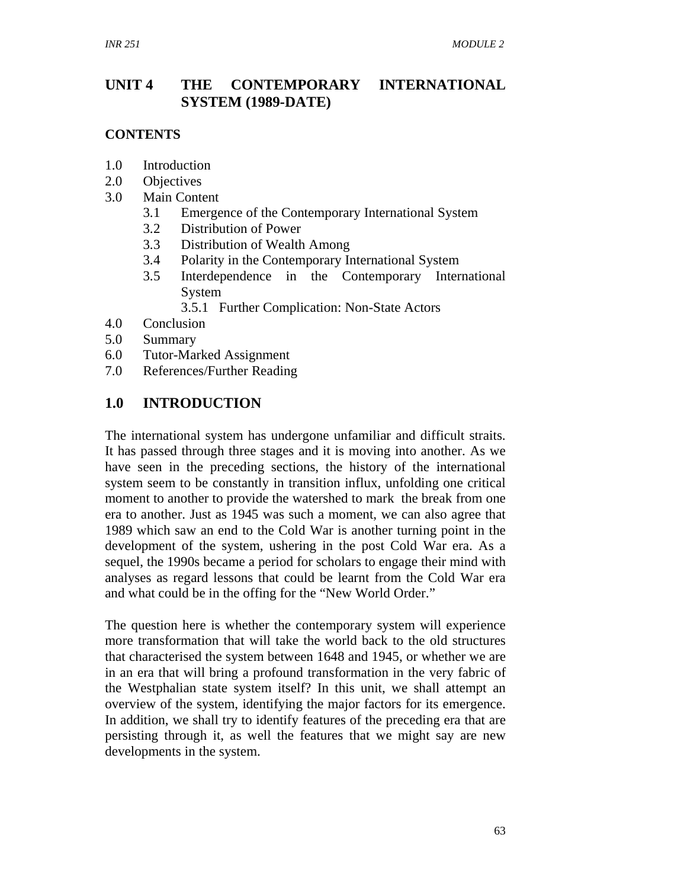### **UNIT 4 THE CONTEMPORARY INTERNATIONAL SYSTEM (1989-DATE)**

#### **CONTENTS**

- 1.0 Introduction
- 2.0 Objectives
- 3.0 Main Content
	- 3.1 Emergence of the Contemporary International System
	- 3.2 Distribution of Power
	- 3.3 Distribution of Wealth Among
	- 3.4 Polarity in the Contemporary International System
	- 3.5 Interdependence in the Contemporary International System
		- 3.5.1 Further Complication: Non-State Actors
- 4.0 Conclusion
- 5.0 Summary
- 6.0 Tutor-Marked Assignment
- 7.0 References/Further Reading

### **1.0 INTRODUCTION**

The international system has undergone unfamiliar and difficult straits. It has passed through three stages and it is moving into another. As we have seen in the preceding sections, the history of the international system seem to be constantly in transition influx, unfolding one critical moment to another to provide the watershed to mark the break from one era to another. Just as 1945 was such a moment, we can also agree that 1989 which saw an end to the Cold War is another turning point in the development of the system, ushering in the post Cold War era. As a sequel, the 1990s became a period for scholars to engage their mind with analyses as regard lessons that could be learnt from the Cold War era and what could be in the offing for the "New World Order."

The question here is whether the contemporary system will experience more transformation that will take the world back to the old structures that characterised the system between 1648 and 1945, or whether we are in an era that will bring a profound transformation in the very fabric of the Westphalian state system itself? In this unit, we shall attempt an overview of the system, identifying the major factors for its emergence. In addition, we shall try to identify features of the preceding era that are persisting through it, as well the features that we might say are new developments in the system.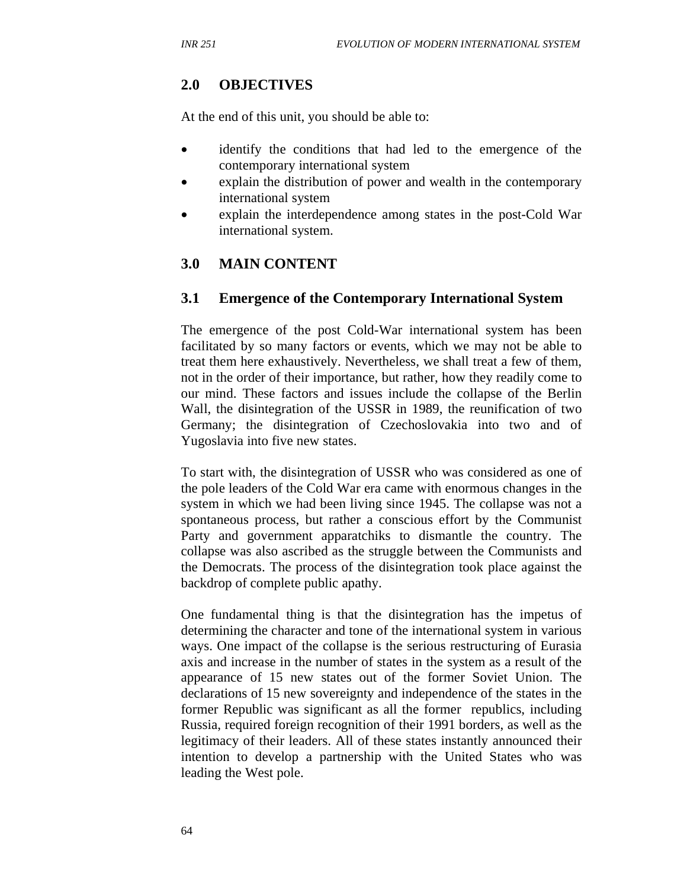### **2.0 OBJECTIVES**

At the end of this unit, you should be able to:

- identify the conditions that had led to the emergence of the contemporary international system
- explain the distribution of power and wealth in the contemporary international system
- explain the interdependence among states in the post-Cold War international system.

### **3.0 MAIN CONTENT**

#### **3.1 Emergence of the Contemporary International System**

The emergence of the post Cold-War international system has been facilitated by so many factors or events, which we may not be able to treat them here exhaustively. Nevertheless, we shall treat a few of them, not in the order of their importance, but rather, how they readily come to our mind. These factors and issues include the collapse of the Berlin Wall, the disintegration of the USSR in 1989, the reunification of two Germany; the disintegration of Czechoslovakia into two and of Yugoslavia into five new states.

To start with, the disintegration of USSR who was considered as one of the pole leaders of the Cold War era came with enormous changes in the system in which we had been living since 1945. The collapse was not a spontaneous process, but rather a conscious effort by the Communist Party and government apparatchiks to dismantle the country. The collapse was also ascribed as the struggle between the Communists and the Democrats. The process of the disintegration took place against the backdrop of complete public apathy.

One fundamental thing is that the disintegration has the impetus of determining the character and tone of the international system in various ways. One impact of the collapse is the serious restructuring of Eurasia axis and increase in the number of states in the system as a result of the appearance of 15 new states out of the former Soviet Union. The declarations of 15 new sovereignty and independence of the states in the former Republic was significant as all the former republics, including Russia, required foreign recognition of their 1991 borders, as well as the legitimacy of their leaders. All of these states instantly announced their intention to develop a partnership with the United States who was leading the West pole.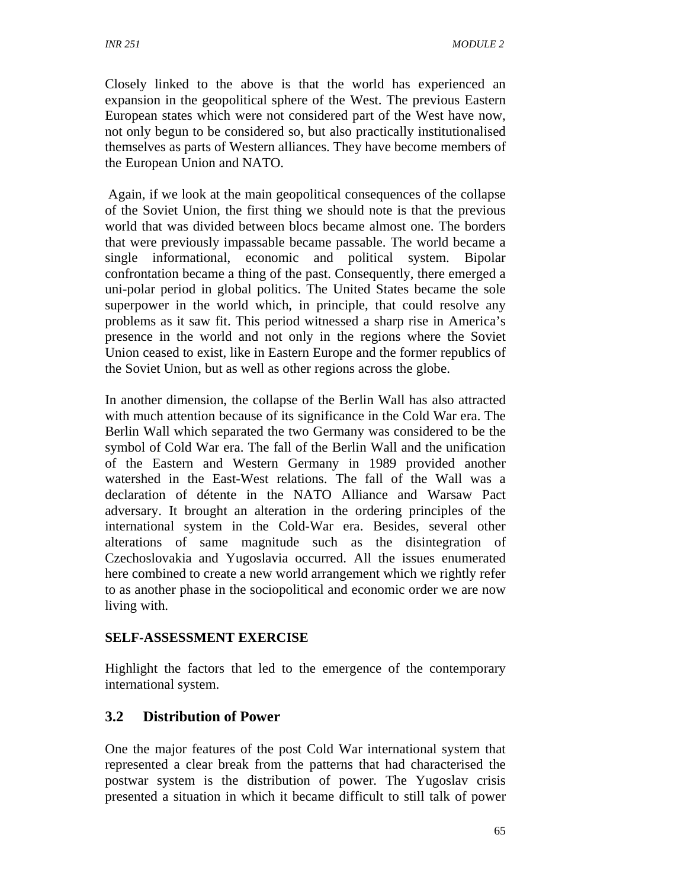Closely linked to the above is that the world has experienced an expansion in the geopolitical sphere of the West. The previous Eastern European states which were not considered part of the West have now, not only begun to be considered so, but also practically institutionalised themselves as parts of Western alliances. They have become members of the European Union and NATO.

 Again, if we look at the main geopolitical consequences of the collapse of the Soviet Union, the first thing we should note is that the previous world that was divided between blocs became almost one. The borders that were previously impassable became passable. The world became a single informational, economic and political system. Bipolar confrontation became a thing of the past. Consequently, there emerged a uni-polar period in global politics. The United States became the sole superpower in the world which, in principle, that could resolve any problems as it saw fit. This period witnessed a sharp rise in America's presence in the world and not only in the regions where the Soviet Union ceased to exist, like in Eastern Europe and the former republics of the Soviet Union, but as well as other regions across the globe.

In another dimension, the collapse of the Berlin Wall has also attracted with much attention because of its significance in the Cold War era. The Berlin Wall which separated the two Germany was considered to be the symbol of Cold War era. The fall of the Berlin Wall and the unification of the Eastern and Western Germany in 1989 provided another watershed in the East-West relations. The fall of the Wall was a declaration of détente in the NATO Alliance and Warsaw Pact adversary. It brought an alteration in the ordering principles of the international system in the Cold-War era. Besides, several other alterations of same magnitude such as the disintegration of Czechoslovakia and Yugoslavia occurred. All the issues enumerated here combined to create a new world arrangement which we rightly refer to as another phase in the sociopolitical and economic order we are now living with.

### **SELF-ASSESSMENT EXERCISE**

Highlight the factors that led to the emergence of the contemporary international system.

## **3.2 Distribution of Power**

One the major features of the post Cold War international system that represented a clear break from the patterns that had characterised the postwar system is the distribution of power. The Yugoslav crisis presented a situation in which it became difficult to still talk of power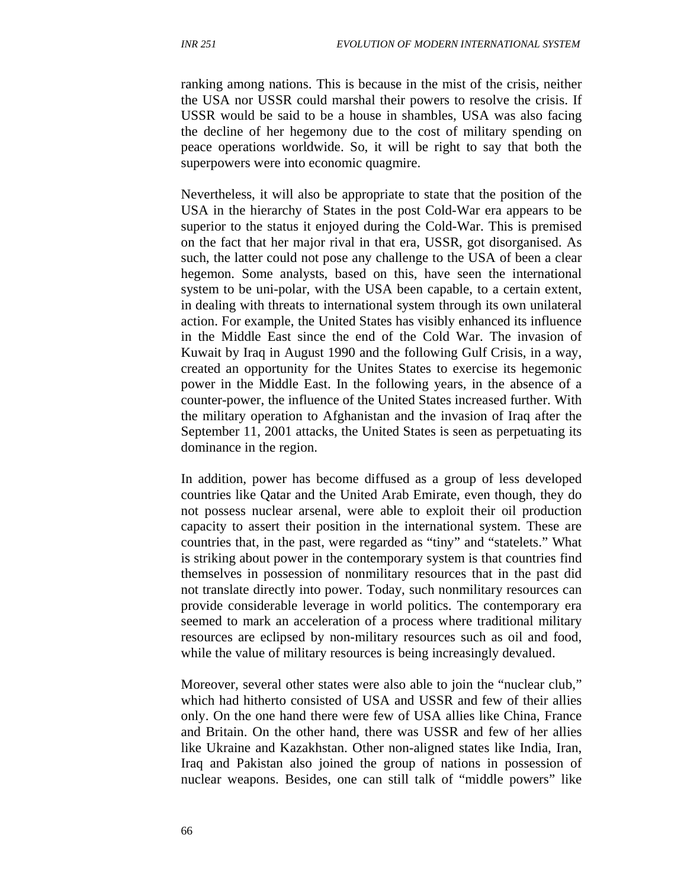ranking among nations. This is because in the mist of the crisis, neither the USA nor USSR could marshal their powers to resolve the crisis. If USSR would be said to be a house in shambles, USA was also facing the decline of her hegemony due to the cost of military spending on peace operations worldwide. So, it will be right to say that both the superpowers were into economic quagmire.

Nevertheless, it will also be appropriate to state that the position of the USA in the hierarchy of States in the post Cold-War era appears to be superior to the status it enjoyed during the Cold-War. This is premised on the fact that her major rival in that era, USSR, got disorganised. As such, the latter could not pose any challenge to the USA of been a clear hegemon. Some analysts, based on this, have seen the international system to be uni-polar, with the USA been capable, to a certain extent, in dealing with threats to international system through its own unilateral action. For example, the United States has visibly enhanced its influence in the Middle East since the end of the Cold War. The invasion of Kuwait by Iraq in August 1990 and the following Gulf Crisis, in a way, created an opportunity for the Unites States to exercise its hegemonic power in the Middle East. In the following years, in the absence of a counter-power, the influence of the United States increased further. With the military operation to Afghanistan and the invasion of Iraq after the September 11, 2001 attacks, the United States is seen as perpetuating its dominance in the region.

In addition, power has become diffused as a group of less developed countries like Qatar and the United Arab Emirate, even though, they do not possess nuclear arsenal, were able to exploit their oil production capacity to assert their position in the international system. These are countries that, in the past, were regarded as "tiny" and "statelets." What is striking about power in the contemporary system is that countries find themselves in possession of nonmilitary resources that in the past did not translate directly into power. Today, such nonmilitary resources can provide considerable leverage in world politics. The contemporary era seemed to mark an acceleration of a process where traditional military resources are eclipsed by non-military resources such as oil and food, while the value of military resources is being increasingly devalued.

Moreover, several other states were also able to join the "nuclear club," which had hitherto consisted of USA and USSR and few of their allies only. On the one hand there were few of USA allies like China, France and Britain. On the other hand, there was USSR and few of her allies like Ukraine and Kazakhstan. Other non-aligned states like India, Iran, Iraq and Pakistan also joined the group of nations in possession of nuclear weapons. Besides, one can still talk of "middle powers" like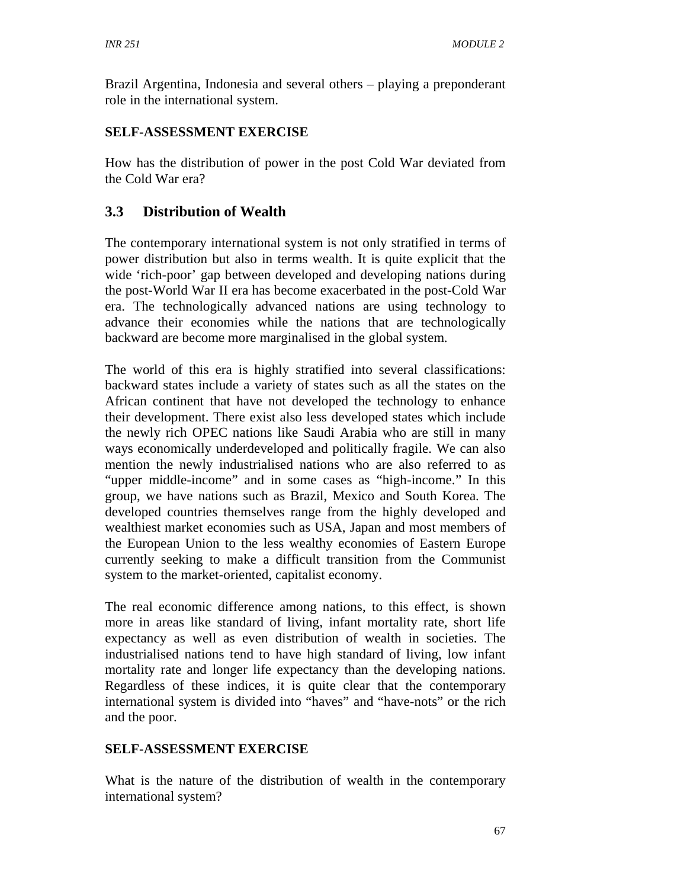Brazil Argentina, Indonesia and several others – playing a preponderant role in the international system.

### **SELF-ASSESSMENT EXERCISE**

How has the distribution of power in the post Cold War deviated from the Cold War era?

## **3.3 Distribution of Wealth**

The contemporary international system is not only stratified in terms of power distribution but also in terms wealth. It is quite explicit that the wide 'rich-poor' gap between developed and developing nations during the post-World War II era has become exacerbated in the post-Cold War era. The technologically advanced nations are using technology to advance their economies while the nations that are technologically backward are become more marginalised in the global system.

The world of this era is highly stratified into several classifications: backward states include a variety of states such as all the states on the African continent that have not developed the technology to enhance their development. There exist also less developed states which include the newly rich OPEC nations like Saudi Arabia who are still in many ways economically underdeveloped and politically fragile. We can also mention the newly industrialised nations who are also referred to as "upper middle-income" and in some cases as "high-income." In this group, we have nations such as Brazil, Mexico and South Korea. The developed countries themselves range from the highly developed and wealthiest market economies such as USA, Japan and most members of the European Union to the less wealthy economies of Eastern Europe currently seeking to make a difficult transition from the Communist system to the market-oriented, capitalist economy.

The real economic difference among nations, to this effect, is shown more in areas like standard of living, infant mortality rate, short life expectancy as well as even distribution of wealth in societies. The industrialised nations tend to have high standard of living, low infant mortality rate and longer life expectancy than the developing nations. Regardless of these indices, it is quite clear that the contemporary international system is divided into "haves" and "have-nots" or the rich and the poor.

### **SELF-ASSESSMENT EXERCISE**

What is the nature of the distribution of wealth in the contemporary international system?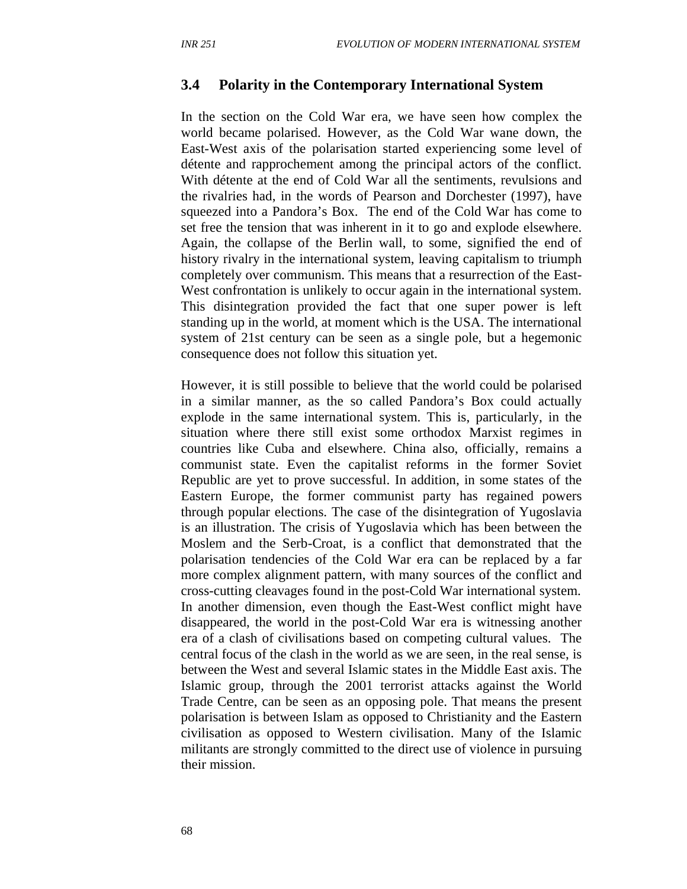#### **3.4 Polarity in the Contemporary International System**

In the section on the Cold War era, we have seen how complex the world became polarised. However, as the Cold War wane down, the East-West axis of the polarisation started experiencing some level of détente and rapprochement among the principal actors of the conflict. With détente at the end of Cold War all the sentiments, revulsions and the rivalries had, in the words of Pearson and Dorchester (1997), have squeezed into a Pandora's Box. The end of the Cold War has come to set free the tension that was inherent in it to go and explode elsewhere. Again, the collapse of the Berlin wall, to some, signified the end of history rivalry in the international system, leaving capitalism to triumph completely over communism. This means that a resurrection of the East-West confrontation is unlikely to occur again in the international system. This disintegration provided the fact that one super power is left standing up in the world, at moment which is the USA. The international system of 21st century can be seen as a single pole, but a hegemonic consequence does not follow this situation yet.

However, it is still possible to believe that the world could be polarised in a similar manner, as the so called Pandora's Box could actually explode in the same international system. This is, particularly, in the situation where there still exist some orthodox Marxist regimes in countries like Cuba and elsewhere. China also, officially, remains a communist state. Even the capitalist reforms in the former Soviet Republic are yet to prove successful. In addition, in some states of the Eastern Europe, the former communist party has regained powers through popular elections. The case of the disintegration of Yugoslavia is an illustration. The crisis of Yugoslavia which has been between the Moslem and the Serb-Croat, is a conflict that demonstrated that the polarisation tendencies of the Cold War era can be replaced by a far more complex alignment pattern, with many sources of the conflict and cross-cutting cleavages found in the post-Cold War international system. In another dimension, even though the East-West conflict might have disappeared, the world in the post-Cold War era is witnessing another era of a clash of civilisations based on competing cultural values. The central focus of the clash in the world as we are seen, in the real sense, is between the West and several Islamic states in the Middle East axis. The Islamic group, through the 2001 terrorist attacks against the World Trade Centre, can be seen as an opposing pole. That means the present polarisation is between Islam as opposed to Christianity and the Eastern civilisation as opposed to Western civilisation. Many of the Islamic militants are strongly committed to the direct use of violence in pursuing their mission.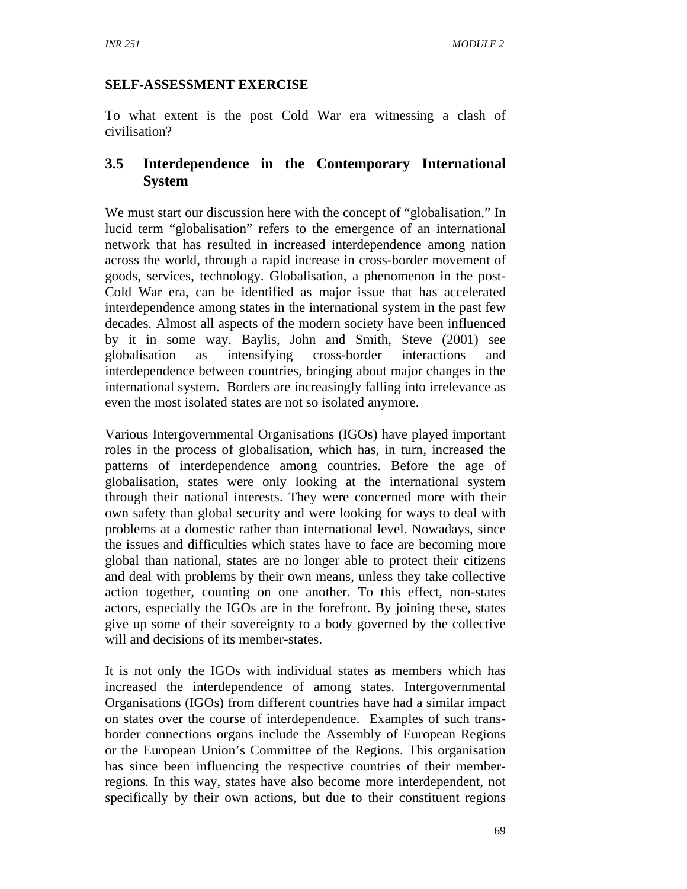### **SELF-ASSESSMENT EXERCISE**

To what extent is the post Cold War era witnessing a clash of civilisation?

## **3.5 Interdependence in the Contemporary International System**

We must start our discussion here with the concept of "globalisation." In lucid term "globalisation" refers to the emergence of an international network that has resulted in increased interdependence among nation across the world, through a rapid increase in cross-border movement of goods, services, technology. Globalisation, a phenomenon in the post-Cold War era, can be identified as major issue that has accelerated interdependence among states in the international system in the past few decades. Almost all aspects of the modern society have been influenced by it in some way. Baylis, John and Smith, Steve (2001) see globalisation as intensifying cross-border interactions and interdependence between countries, bringing about major changes in the international system. Borders are increasingly falling into irrelevance as even the most isolated states are not so isolated anymore.

Various Intergovernmental Organisations (IGOs) have played important roles in the process of globalisation, which has, in turn, increased the patterns of interdependence among countries. Before the age of globalisation, states were only looking at the international system through their national interests. They were concerned more with their own safety than global security and were looking for ways to deal with problems at a domestic rather than international level. Nowadays, since the issues and difficulties which states have to face are becoming more global than national, states are no longer able to protect their citizens and deal with problems by their own means, unless they take collective action together, counting on one another. To this effect, non-states actors, especially the IGOs are in the forefront. By joining these, states give up some of their sovereignty to a body governed by the collective will and decisions of its member-states.

It is not only the IGOs with individual states as members which has increased the interdependence of among states. Intergovernmental Organisations (IGOs) from different countries have had a similar impact on states over the course of interdependence. Examples of such transborder connections organs include the Assembly of European Regions or the European Union's Committee of the Regions. This organisation has since been influencing the respective countries of their memberregions. In this way, states have also become more interdependent, not specifically by their own actions, but due to their constituent regions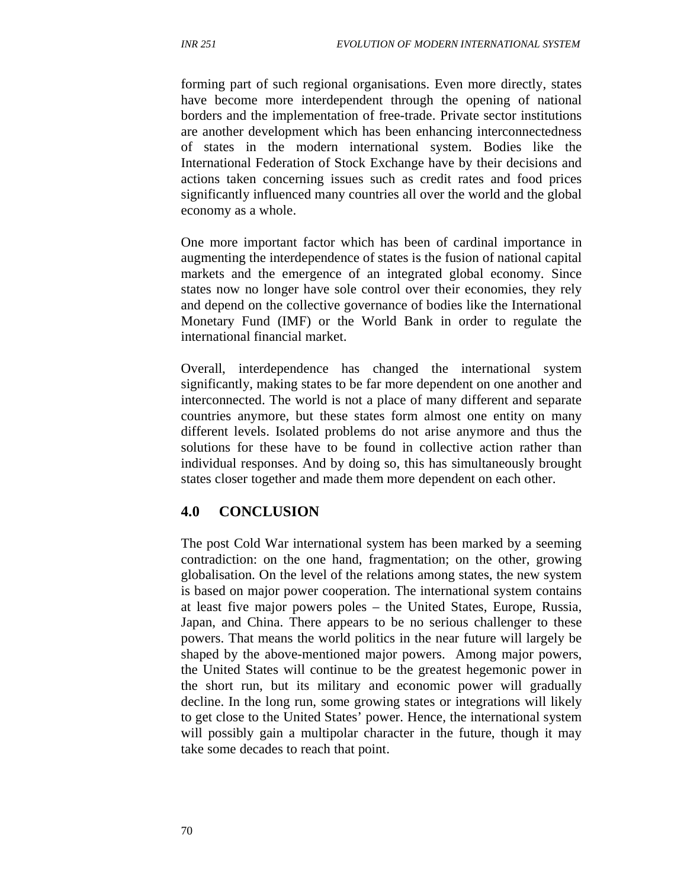forming part of such regional organisations. Even more directly, states have become more interdependent through the opening of national borders and the implementation of free-trade. Private sector institutions are another development which has been enhancing interconnectedness of states in the modern international system. Bodies like the International Federation of Stock Exchange have by their decisions and actions taken concerning issues such as credit rates and food prices significantly influenced many countries all over the world and the global economy as a whole.

One more important factor which has been of cardinal importance in augmenting the interdependence of states is the fusion of national capital markets and the emergence of an integrated global economy. Since states now no longer have sole control over their economies, they rely and depend on the collective governance of bodies like the International Monetary Fund (IMF) or the World Bank in order to regulate the international financial market.

Overall, interdependence has changed the international system significantly, making states to be far more dependent on one another and interconnected. The world is not a place of many different and separate countries anymore, but these states form almost one entity on many different levels. Isolated problems do not arise anymore and thus the solutions for these have to be found in collective action rather than individual responses. And by doing so, this has simultaneously brought states closer together and made them more dependent on each other.

#### **4.0 CONCLUSION**

The post Cold War international system has been marked by a seeming contradiction: on the one hand, fragmentation; on the other, growing globalisation. On the level of the relations among states, the new system is based on major power cooperation. The international system contains at least five major powers poles – the United States, Europe, Russia, Japan, and China. There appears to be no serious challenger to these powers. That means the world politics in the near future will largely be shaped by the above-mentioned major powers. Among major powers, the United States will continue to be the greatest hegemonic power in the short run, but its military and economic power will gradually decline. In the long run, some growing states or integrations will likely to get close to the United States' power. Hence, the international system will possibly gain a multipolar character in the future, though it may take some decades to reach that point.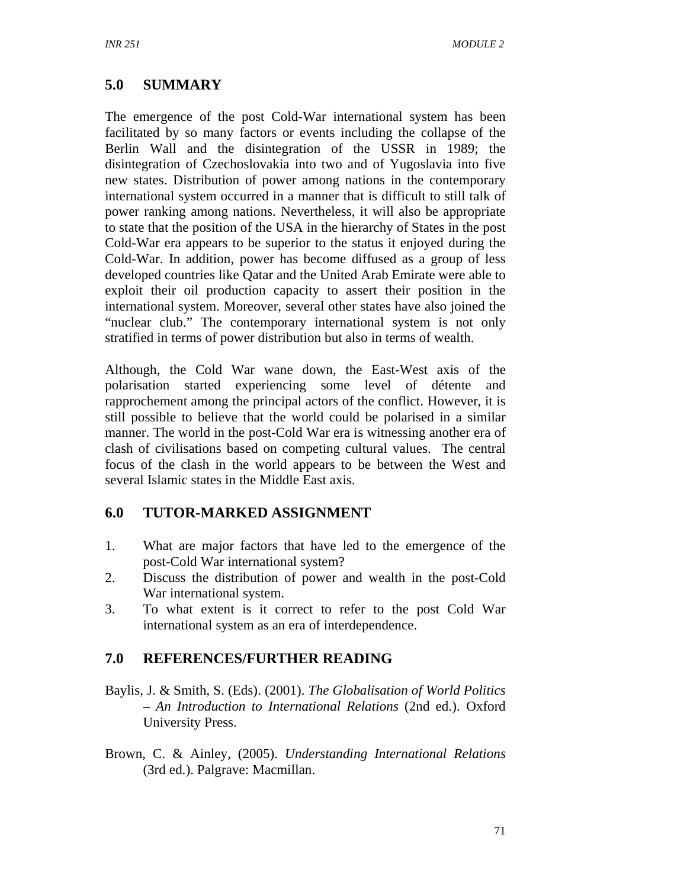# **5.0 SUMMARY**

The emergence of the post Cold-War international system has been facilitated by so many factors or events including the collapse of the Berlin Wall and the disintegration of the USSR in 1989; the disintegration of Czechoslovakia into two and of Yugoslavia into five new states. Distribution of power among nations in the contemporary international system occurred in a manner that is difficult to still talk of power ranking among nations. Nevertheless, it will also be appropriate to state that the position of the USA in the hierarchy of States in the post Cold-War era appears to be superior to the status it enjoyed during the Cold-War. In addition, power has become diffused as a group of less developed countries like Qatar and the United Arab Emirate were able to exploit their oil production capacity to assert their position in the international system. Moreover, several other states have also joined the "nuclear club." The contemporary international system is not only stratified in terms of power distribution but also in terms of wealth.

Although, the Cold War wane down, the East-West axis of the polarisation started experiencing some level of détente and rapprochement among the principal actors of the conflict. However, it is still possible to believe that the world could be polarised in a similar manner. The world in the post-Cold War era is witnessing another era of clash of civilisations based on competing cultural values. The central focus of the clash in the world appears to be between the West and several Islamic states in the Middle East axis.

## **6.0 TUTOR-MARKED ASSIGNMENT**

- 1. What are major factors that have led to the emergence of the post-Cold War international system?
- 2. Discuss the distribution of power and wealth in the post-Cold War international system.
- 3. To what extent is it correct to refer to the post Cold War international system as an era of interdependence.

## **7.0 REFERENCES/FURTHER READING**

- Baylis, J. & Smith, S. (Eds). (2001). *The Globalisation of World Politics – An Introduction to International Relations* (2nd ed.). Oxford University Press.
- Brown, C. & Ainley, (2005). *Understanding International Relations*  (3rd ed.). Palgrave: Macmillan.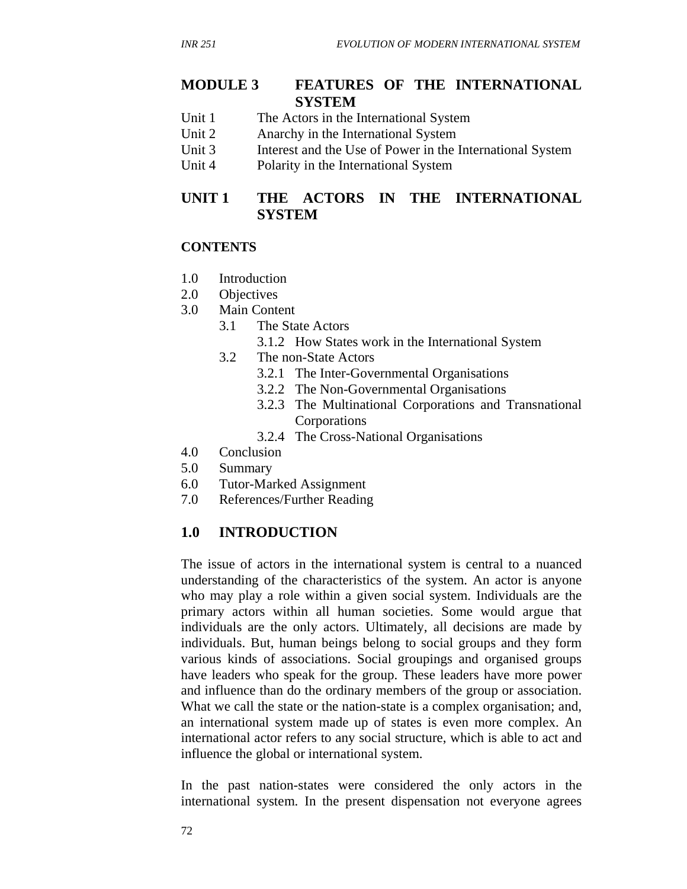#### **MODULE 3 FEATURES OF THE INTERNATIONAL SYSTEM**

- Unit 1 The Actors in the International System
- Unit 2 Anarchy in the International System
- Unit 3 Interest and the Use of Power in the International System
- Unit 4 Polarity in the International System

## **UNIT 1 THE ACTORS IN THE INTERNATIONAL SYSTEM**

#### **CONTENTS**

- 1.0 Introduction
- 2.0 Objectives
- 3.0 Main Content
	- 3.1 The State Actors
		- 3.1.2 How States work in the International System
	- 3.2 The non-State Actors
		- 3.2.1 The Inter-Governmental Organisations
		- 3.2.2 The Non-Governmental Organisations
		- 3.2.3 The Multinational Corporations and Transnational Corporations
		- 3.2.4 The Cross-National Organisations
- 4.0 Conclusion
- 5.0 Summary
- 6.0 Tutor-Marked Assignment
- 7.0 References/Further Reading

### **1.0 INTRODUCTION**

The issue of actors in the international system is central to a nuanced understanding of the characteristics of the system. An actor is anyone who may play a role within a given social system. Individuals are the primary actors within all human societies. Some would argue that individuals are the only actors. Ultimately, all decisions are made by individuals. But, human beings belong to social groups and they form various kinds of associations. Social groupings and organised groups have leaders who speak for the group. These leaders have more power and influence than do the ordinary members of the group or association. What we call the state or the nation-state is a complex organisation; and, an international system made up of states is even more complex. An international actor refers to any social structure, which is able to act and influence the global or international system.

In the past nation-states were considered the only actors in the international system. In the present dispensation not everyone agrees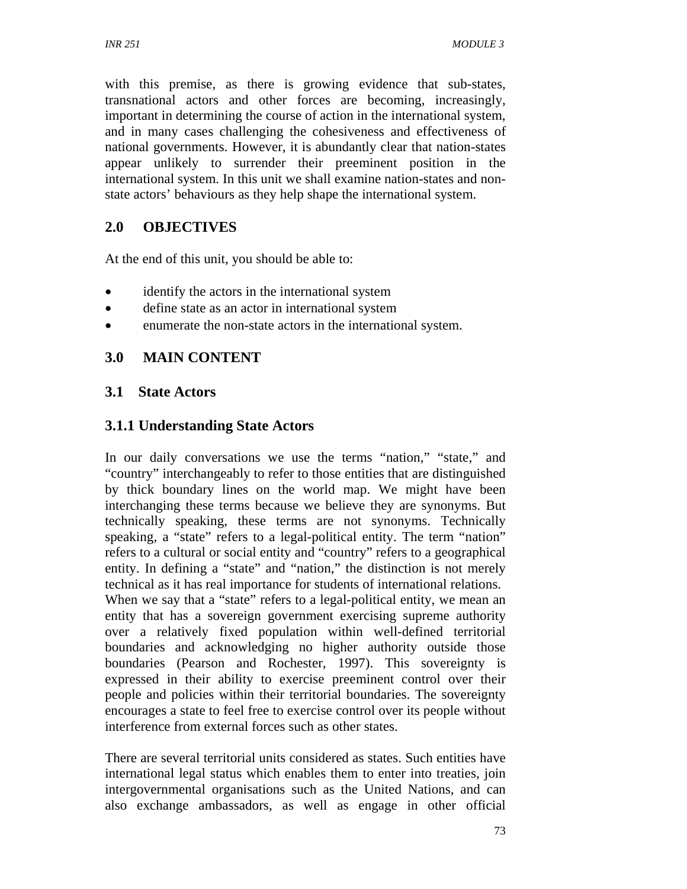with this premise, as there is growing evidence that sub-states, transnational actors and other forces are becoming, increasingly, important in determining the course of action in the international system, and in many cases challenging the cohesiveness and effectiveness of national governments. However, it is abundantly clear that nation-states appear unlikely to surrender their preeminent position in the international system. In this unit we shall examine nation-states and nonstate actors' behaviours as they help shape the international system.

## **2.0 OBJECTIVES**

At the end of this unit, you should be able to:

- identify the actors in the international system
- define state as an actor in international system
- enumerate the non-state actors in the international system.

## **3.0 MAIN CONTENT**

### **3.1 State Actors**

### **3.1.1 Understanding State Actors**

In our daily conversations we use the terms "nation," "state," and "country" interchangeably to refer to those entities that are distinguished by thick boundary lines on the world map. We might have been interchanging these terms because we believe they are synonyms. But technically speaking, these terms are not synonyms. Technically speaking, a "state" refers to a legal-political entity. The term "nation" refers to a cultural or social entity and "country" refers to a geographical entity. In defining a "state" and "nation," the distinction is not merely technical as it has real importance for students of international relations. When we say that a "state" refers to a legal-political entity, we mean an entity that has a sovereign government exercising supreme authority over a relatively fixed population within well-defined territorial boundaries and acknowledging no higher authority outside those boundaries (Pearson and Rochester, 1997). This sovereignty is expressed in their ability to exercise preeminent control over their people and policies within their territorial boundaries. The sovereignty encourages a state to feel free to exercise control over its people without interference from external forces such as other states.

There are several territorial units considered as states. Such entities have international legal status which enables them to enter into treaties, join intergovernmental organisations such as the United Nations, and can also exchange ambassadors, as well as engage in other official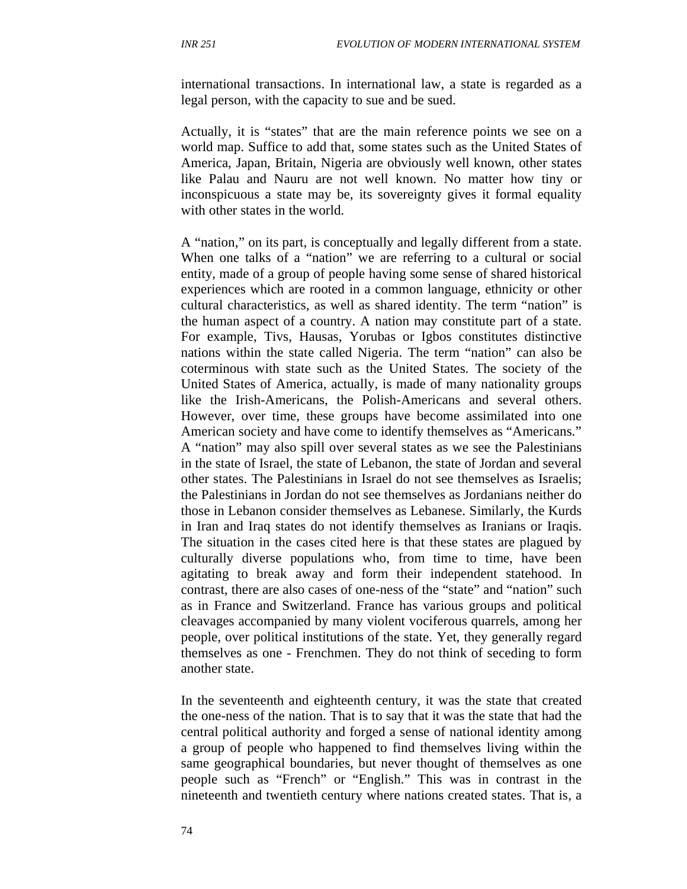international transactions. In international law, a state is regarded as a legal person, with the capacity to sue and be sued.

Actually, it is "states" that are the main reference points we see on a world map. Suffice to add that, some states such as the United States of America, Japan, Britain, Nigeria are obviously well known, other states like Palau and Nauru are not well known. No matter how tiny or inconspicuous a state may be, its sovereignty gives it formal equality with other states in the world.

A "nation," on its part, is conceptually and legally different from a state. When one talks of a "nation" we are referring to a cultural or social entity, made of a group of people having some sense of shared historical experiences which are rooted in a common language, ethnicity or other cultural characteristics, as well as shared identity. The term "nation" is the human aspect of a country. A nation may constitute part of a state. For example, Tivs, Hausas, Yorubas or Igbos constitutes distinctive nations within the state called Nigeria. The term "nation" can also be coterminous with state such as the United States. The society of the United States of America, actually, is made of many nationality groups like the Irish-Americans, the Polish-Americans and several others. However, over time, these groups have become assimilated into one American society and have come to identify themselves as "Americans." A "nation" may also spill over several states as we see the Palestinians in the state of Israel, the state of Lebanon, the state of Jordan and several other states. The Palestinians in Israel do not see themselves as Israelis; the Palestinians in Jordan do not see themselves as Jordanians neither do those in Lebanon consider themselves as Lebanese. Similarly, the Kurds in Iran and Iraq states do not identify themselves as Iranians or Iraqis. The situation in the cases cited here is that these states are plagued by culturally diverse populations who, from time to time, have been agitating to break away and form their independent statehood. In contrast, there are also cases of one-ness of the "state" and "nation" such as in France and Switzerland. France has various groups and political cleavages accompanied by many violent vociferous quarrels, among her people, over political institutions of the state. Yet, they generally regard themselves as one - Frenchmen. They do not think of seceding to form another state.

In the seventeenth and eighteenth century, it was the state that created the one-ness of the nation. That is to say that it was the state that had the central political authority and forged a sense of national identity among a group of people who happened to find themselves living within the same geographical boundaries, but never thought of themselves as one people such as "French" or "English." This was in contrast in the nineteenth and twentieth century where nations created states. That is, a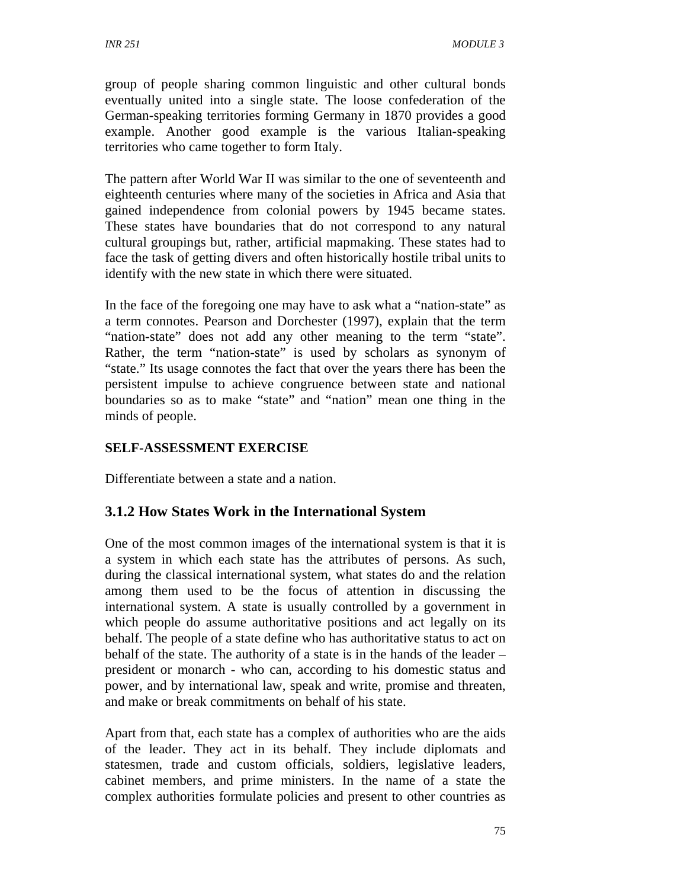group of people sharing common linguistic and other cultural bonds eventually united into a single state. The loose confederation of the German-speaking territories forming Germany in 1870 provides a good example. Another good example is the various Italian-speaking territories who came together to form Italy.

The pattern after World War II was similar to the one of seventeenth and eighteenth centuries where many of the societies in Africa and Asia that gained independence from colonial powers by 1945 became states. These states have boundaries that do not correspond to any natural cultural groupings but, rather, artificial mapmaking. These states had to face the task of getting divers and often historically hostile tribal units to identify with the new state in which there were situated.

In the face of the foregoing one may have to ask what a "nation-state" as a term connotes. Pearson and Dorchester (1997), explain that the term "nation-state" does not add any other meaning to the term "state". Rather, the term "nation-state" is used by scholars as synonym of "state." Its usage connotes the fact that over the years there has been the persistent impulse to achieve congruence between state and national boundaries so as to make "state" and "nation" mean one thing in the minds of people.

## **SELF-ASSESSMENT EXERCISE**

Differentiate between a state and a nation.

## **3.1.2 How States Work in the International System**

One of the most common images of the international system is that it is a system in which each state has the attributes of persons. As such, during the classical international system, what states do and the relation among them used to be the focus of attention in discussing the international system. A state is usually controlled by a government in which people do assume authoritative positions and act legally on its behalf. The people of a state define who has authoritative status to act on behalf of the state. The authority of a state is in the hands of the leader – president or monarch - who can, according to his domestic status and power, and by international law, speak and write, promise and threaten, and make or break commitments on behalf of his state.

Apart from that, each state has a complex of authorities who are the aids of the leader. They act in its behalf. They include diplomats and statesmen, trade and custom officials, soldiers, legislative leaders, cabinet members, and prime ministers. In the name of a state the complex authorities formulate policies and present to other countries as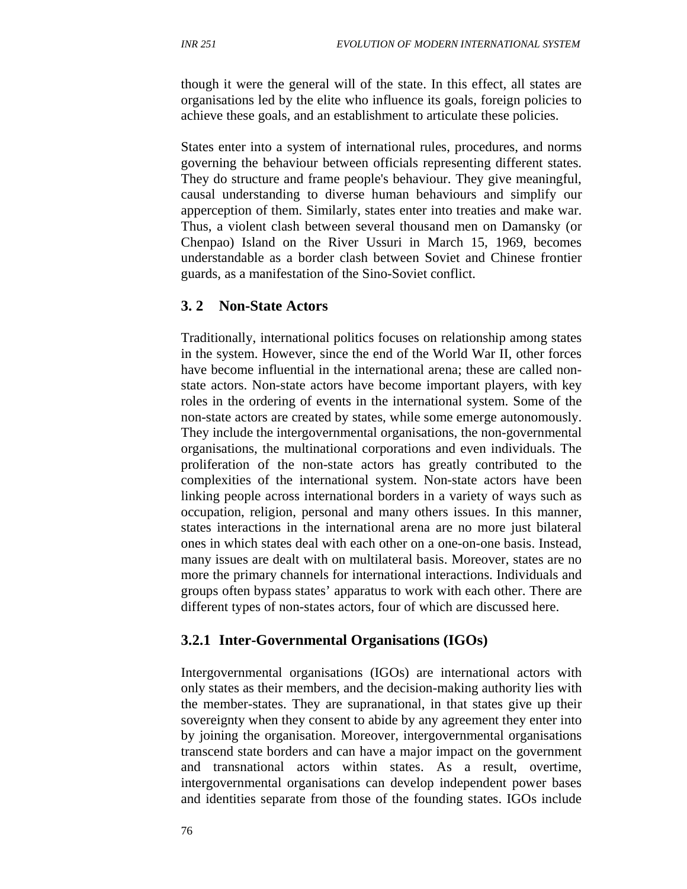though it were the general will of the state. In this effect, all states are organisations led by the elite who influence its goals, foreign policies to achieve these goals, and an establishment to articulate these policies.

States enter into a system of international rules, procedures, and norms governing the behaviour between officials representing different states. They do structure and frame people's behaviour. They give meaningful, causal understanding to diverse human behaviours and simplify our apperception of them. Similarly, states enter into treaties and make war. Thus, a violent clash between several thousand men on Damansky (or Chenpao) Island on the River Ussuri in March 15, 1969, becomes understandable as a border clash between Soviet and Chinese frontier guards, as a manifestation of the Sino-Soviet conflict.

#### **3. 2 Non-State Actors**

Traditionally, international politics focuses on relationship among states in the system. However, since the end of the World War II, other forces have become influential in the international arena; these are called nonstate actors. Non-state actors have become important players, with key roles in the ordering of events in the international system. Some of the non-state actors are created by states, while some emerge autonomously. They include the intergovernmental organisations, the non-governmental organisations, the multinational corporations and even individuals. The proliferation of the non-state actors has greatly contributed to the complexities of the international system. Non-state actors have been linking people across international borders in a variety of ways such as occupation, religion, personal and many others issues. In this manner, states interactions in the international arena are no more just bilateral ones in which states deal with each other on a one-on-one basis. Instead, many issues are dealt with on multilateral basis. Moreover, states are no more the primary channels for international interactions. Individuals and groups often bypass states' apparatus to work with each other. There are different types of non-states actors, four of which are discussed here.

#### **3.2.1 Inter-Governmental Organisations (IGOs)**

Intergovernmental organisations (IGOs) are international actors with only states as their members, and the decision-making authority lies with the member-states. They are supranational, in that states give up their sovereignty when they consent to abide by any agreement they enter into by joining the organisation. Moreover, intergovernmental organisations transcend state borders and can have a major impact on the government and transnational actors within states. As a result, overtime, intergovernmental organisations can develop independent power bases and identities separate from those of the founding states. IGOs include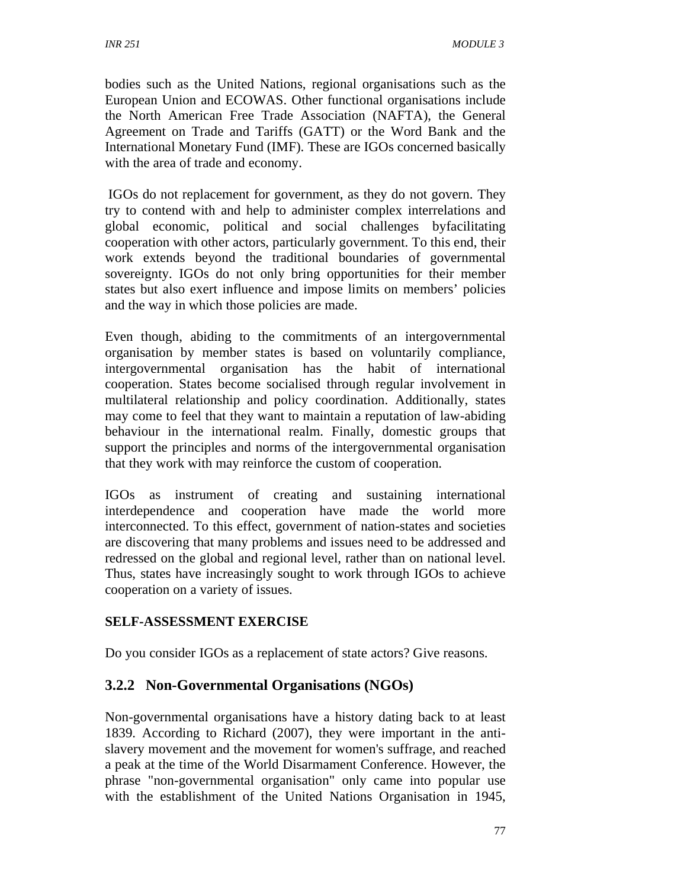bodies such as the United Nations, regional organisations such as the European Union and ECOWAS. Other functional organisations include the North American Free Trade Association (NAFTA), the General Agreement on Trade and Tariffs (GATT) or the Word Bank and the International Monetary Fund (IMF). These are IGOs concerned basically with the area of trade and economy.

 IGOs do not replacement for government, as they do not govern. They try to contend with and help to administer complex interrelations and global economic, political and social challenges byfacilitating cooperation with other actors, particularly government. To this end, their work extends beyond the traditional boundaries of governmental sovereignty. IGOs do not only bring opportunities for their member states but also exert influence and impose limits on members' policies and the way in which those policies are made.

Even though, abiding to the commitments of an intergovernmental organisation by member states is based on voluntarily compliance, intergovernmental organisation has the habit of international cooperation. States become socialised through regular involvement in multilateral relationship and policy coordination. Additionally, states may come to feel that they want to maintain a reputation of law-abiding behaviour in the international realm. Finally, domestic groups that support the principles and norms of the intergovernmental organisation that they work with may reinforce the custom of cooperation.

IGOs as instrument of creating and sustaining international interdependence and cooperation have made the world more interconnected. To this effect, government of nation-states and societies are discovering that many problems and issues need to be addressed and redressed on the global and regional level, rather than on national level. Thus, states have increasingly sought to work through IGOs to achieve cooperation on a variety of issues.

## **SELF-ASSESSMENT EXERCISE**

Do you consider IGOs as a replacement of state actors? Give reasons.

## **3.2.2 Non-Governmental Organisations (NGOs)**

Non-governmental organisations have a history dating back to at least 1839. According to Richard (2007), they were important in the antislavery movement and the movement for women's suffrage, and reached a peak at the time of the World Disarmament Conference. However, the phrase "non-governmental organisation" only came into popular use with the establishment of the United Nations Organisation in 1945,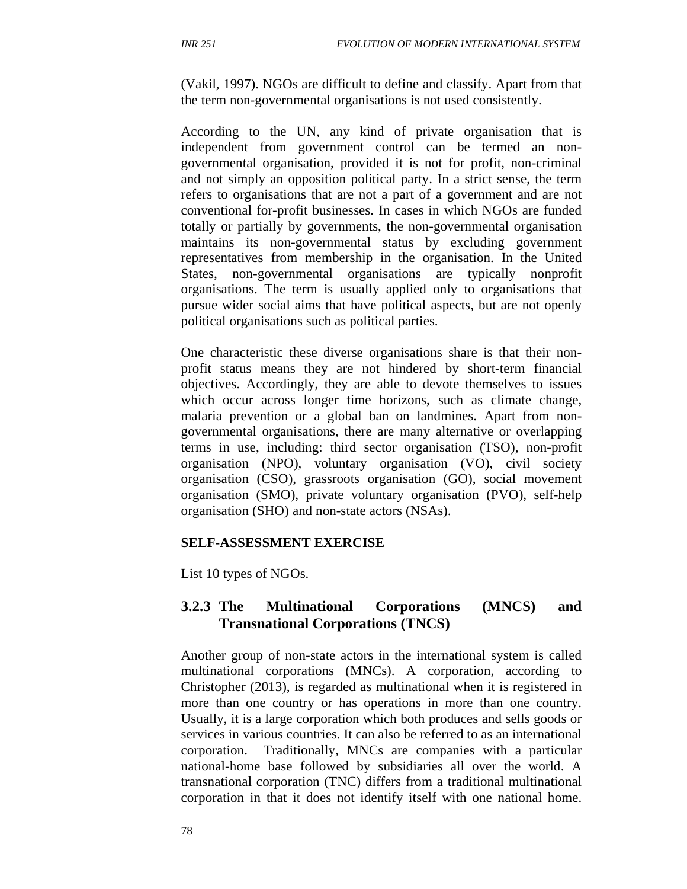(Vakil, 1997). NGOs are difficult to define and classify. Apart from that the term non-governmental organisations is not used consistently.

According to the UN, any kind of private organisation that is independent from government control can be termed an nongovernmental organisation, provided it is not for profit, non-criminal and not simply an opposition political party. In a strict sense, the term refers to organisations that are not a part of a government and are not conventional for-profit businesses. In cases in which NGOs are funded totally or partially by governments, the non-governmental organisation maintains its non-governmental status by excluding government representatives from membership in the organisation. In the United States, non-governmental organisations are typically nonprofit organisations. The term is usually applied only to organisations that pursue wider social aims that have political aspects, but are not openly political organisations such as political parties.

One characteristic these diverse organisations share is that their nonprofit status means they are not hindered by short-term financial objectives. Accordingly, they are able to devote themselves to issues which occur across longer time horizons, such as climate change, malaria prevention or a global ban on landmines. Apart from nongovernmental organisations, there are many alternative or overlapping terms in use, including: third sector organisation (TSO), non-profit organisation (NPO), voluntary organisation (VO), civil society organisation (CSO), grassroots organisation (GO), social movement organisation (SMO), private voluntary organisation (PVO), self-help organisation (SHO) and non-state actors (NSAs).

#### **SELF-ASSESSMENT EXERCISE**

List 10 types of NGOs.

### **3.2.3 The Multinational Corporations (MNCS) and Transnational Corporations (TNCS)**

Another group of non-state actors in the international system is called multinational corporations (MNCs). A corporation, according to Christopher (2013), is regarded as multinational when it is registered in more than one country or has operations in more than one country. Usually, it is a large corporation which both produces and sells goods or services in various countries. It can also be referred to as an international corporation. Traditionally, MNCs are companies with a particular national-home base followed by subsidiaries all over the world. A transnational corporation (TNC) differs from a traditional multinational corporation in that it does not identify itself with one national home.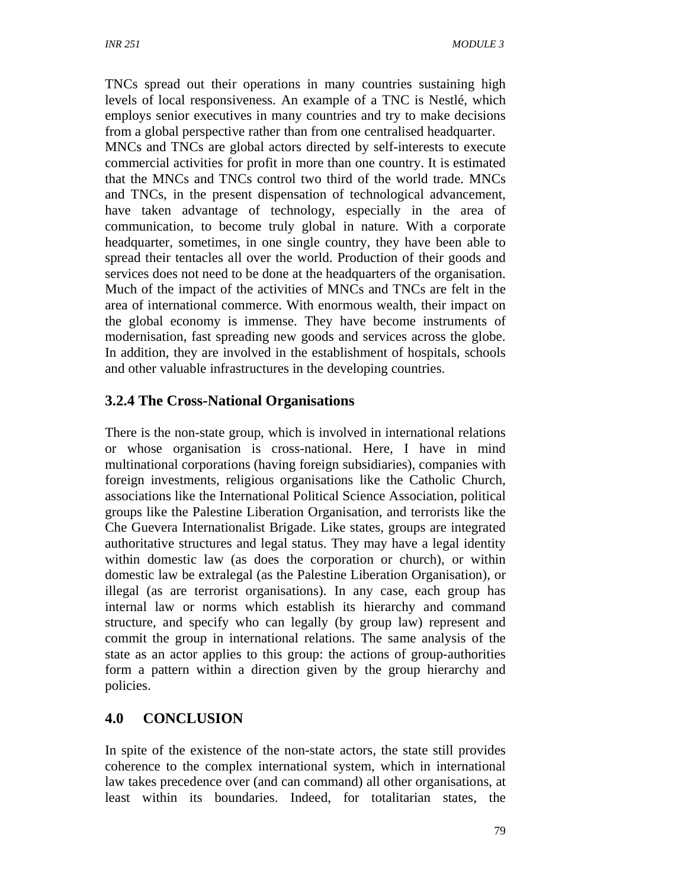TNCs spread out their operations in many countries sustaining high levels of local responsiveness. An example of a TNC is Nestlé, which employs senior executives in many countries and try to make decisions from a global perspective rather than from one centralised headquarter.

MNCs and TNCs are global actors directed by self-interests to execute commercial activities for profit in more than one country. It is estimated that the MNCs and TNCs control two third of the world trade. MNCs and TNCs, in the present dispensation of technological advancement, have taken advantage of technology, especially in the area of communication, to become truly global in nature. With a corporate headquarter, sometimes, in one single country, they have been able to spread their tentacles all over the world. Production of their goods and services does not need to be done at the headquarters of the organisation. Much of the impact of the activities of MNCs and TNCs are felt in the area of international commerce. With enormous wealth, their impact on the global economy is immense. They have become instruments of modernisation, fast spreading new goods and services across the globe. In addition, they are involved in the establishment of hospitals, schools and other valuable infrastructures in the developing countries.

## **3.2.4 The Cross-National Organisations**

There is the non-state group, which is involved in international relations or whose organisation is cross-national. Here, I have in mind multinational corporations (having foreign subsidiaries), companies with foreign investments, religious organisations like the Catholic Church, associations like the International Political Science Association, political groups like the Palestine Liberation Organisation, and terrorists like the Che Guevera Internationalist Brigade. Like states, groups are integrated authoritative structures and legal status. They may have a legal identity within domestic law (as does the corporation or church), or within domestic law be extralegal (as the Palestine Liberation Organisation), or illegal (as are terrorist organisations). In any case, each group has internal law or norms which establish its hierarchy and command structure, and specify who can legally (by group law) represent and commit the group in international relations. The same analysis of the state as an actor applies to this group: the actions of group-authorities form a pattern within a direction given by the group hierarchy and policies.

## **4.0 CONCLUSION**

In spite of the existence of the non-state actors, the state still provides coherence to the complex international system, which in international law takes precedence over (and can command) all other organisations, at least within its boundaries. Indeed, for totalitarian states, the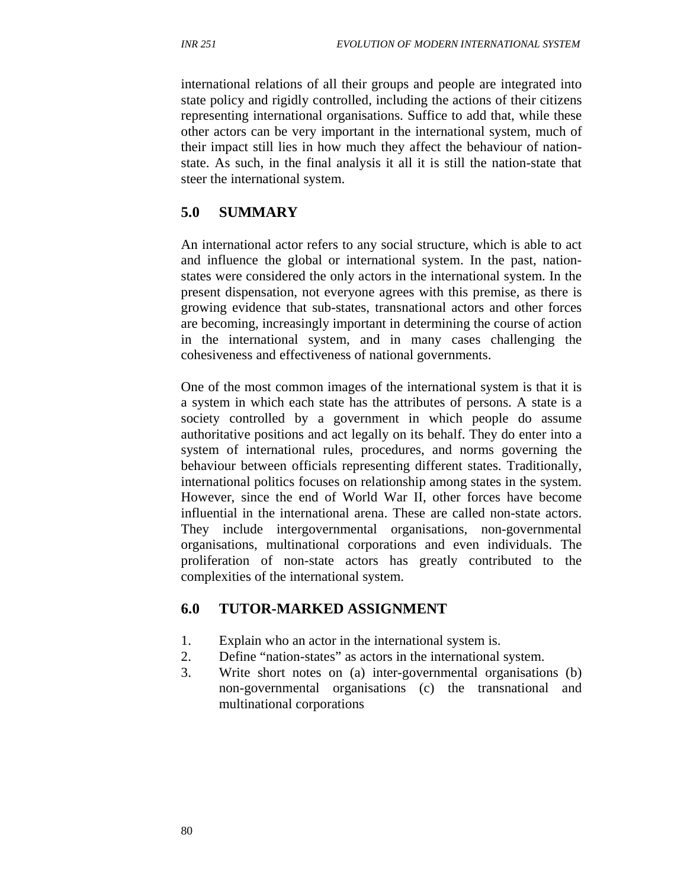international relations of all their groups and people are integrated into state policy and rigidly controlled, including the actions of their citizens representing international organisations. Suffice to add that, while these other actors can be very important in the international system, much of their impact still lies in how much they affect the behaviour of nationstate. As such, in the final analysis it all it is still the nation-state that steer the international system.

## **5.0 SUMMARY**

An international actor refers to any social structure, which is able to act and influence the global or international system. In the past, nationstates were considered the only actors in the international system. In the present dispensation, not everyone agrees with this premise, as there is growing evidence that sub-states, transnational actors and other forces are becoming, increasingly important in determining the course of action in the international system, and in many cases challenging the cohesiveness and effectiveness of national governments.

One of the most common images of the international system is that it is a system in which each state has the attributes of persons. A state is a society controlled by a government in which people do assume authoritative positions and act legally on its behalf. They do enter into a system of international rules, procedures, and norms governing the behaviour between officials representing different states. Traditionally, international politics focuses on relationship among states in the system. However, since the end of World War II, other forces have become influential in the international arena. These are called non-state actors. They include intergovernmental organisations, non-governmental organisations, multinational corporations and even individuals. The proliferation of non-state actors has greatly contributed to the complexities of the international system.

## **6.0 TUTOR-MARKED ASSIGNMENT**

- 1. Explain who an actor in the international system is.
- 2. Define "nation-states" as actors in the international system.
- 3. Write short notes on (a) inter-governmental organisations (b) non-governmental organisations (c) the transnational and multinational corporations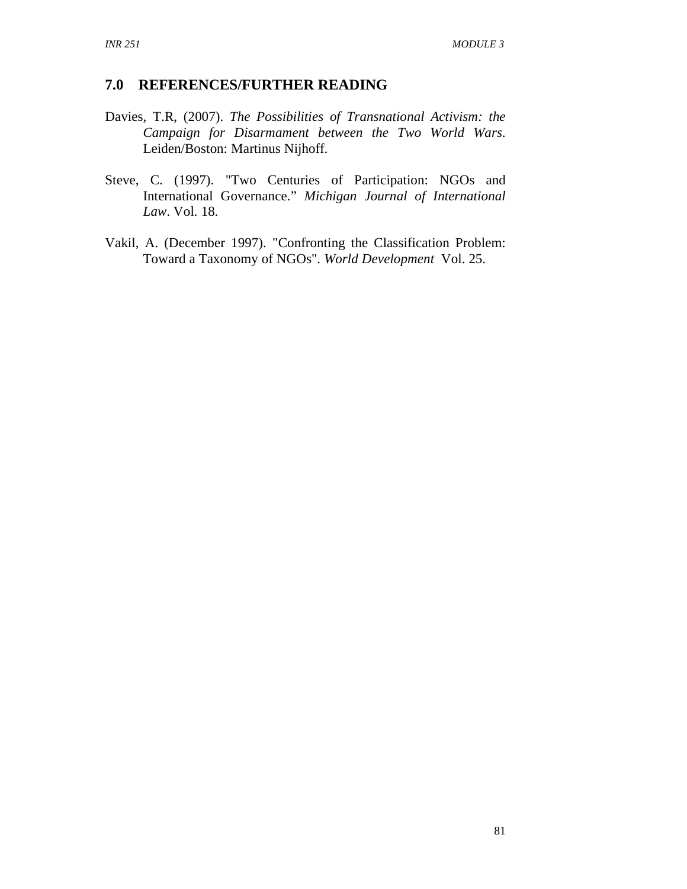#### **7.0 REFERENCES/FURTHER READING**

- Davies, T.R, (2007). *The Possibilities of Transnational Activism: the Campaign for Disarmament between the Two World Wars*. Leiden/Boston: Martinus Nijhoff.
- Steve, C. (1997). "Two Centuries of Participation: NGOs and International Governance." *Michigan Journal of International Law*. Vol. 18.
- Vakil, A. (December 1997). "Confronting the Classification Problem: Toward a Taxonomy of NGOs". *World Development* Vol. 25.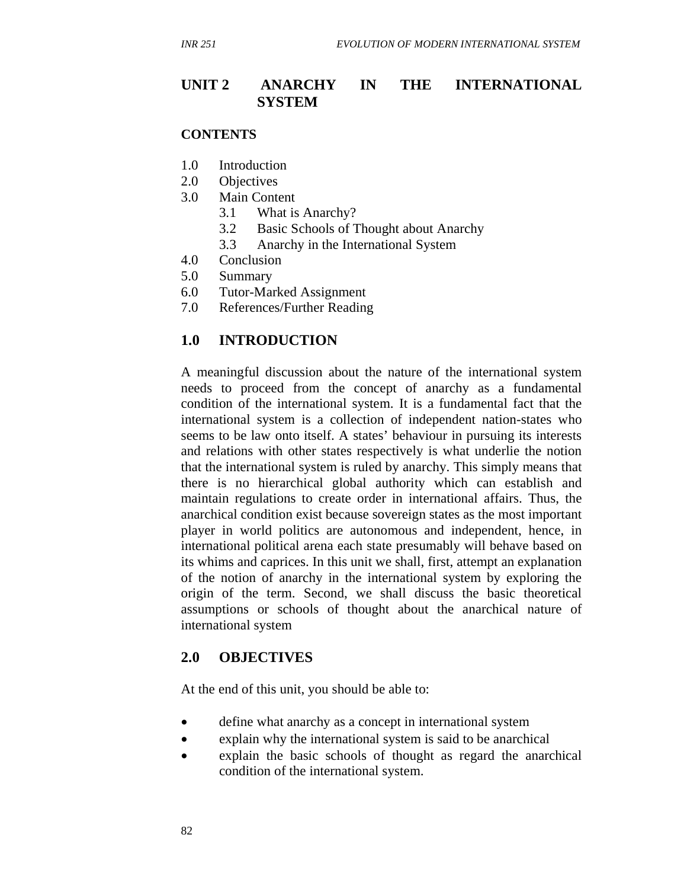### **UNIT 2 ANARCHY IN THE INTERNATIONAL SYSTEM**

#### **CONTENTS**

- 1.0 Introduction
- 2.0 Objectives
- 3.0 Main Content
	- 3.1 What is Anarchy?
	- 3.2 Basic Schools of Thought about Anarchy
	- 3.3 Anarchy in the International System
- 4.0 Conclusion
- 5.0 Summary
- 6.0 Tutor-Marked Assignment
- 7.0 References/Further Reading

### **1.0 INTRODUCTION**

A meaningful discussion about the nature of the international system needs to proceed from the concept of anarchy as a fundamental condition of the international system. It is a fundamental fact that the international system is a collection of independent nation-states who seems to be law onto itself. A states' behaviour in pursuing its interests and relations with other states respectively is what underlie the notion that the international system is ruled by anarchy. This simply means that there is no hierarchical global authority which can establish and maintain regulations to create order in international affairs. Thus, the anarchical condition exist because sovereign states as the most important player in world politics are autonomous and independent, hence, in international political arena each state presumably will behave based on its whims and caprices. In this unit we shall, first, attempt an explanation of the notion of anarchy in the international system by exploring the origin of the term. Second, we shall discuss the basic theoretical assumptions or schools of thought about the anarchical nature of international system

### **2.0 OBJECTIVES**

At the end of this unit, you should be able to:

- define what anarchy as a concept in international system
- explain why the international system is said to be anarchical
- explain the basic schools of thought as regard the anarchical condition of the international system.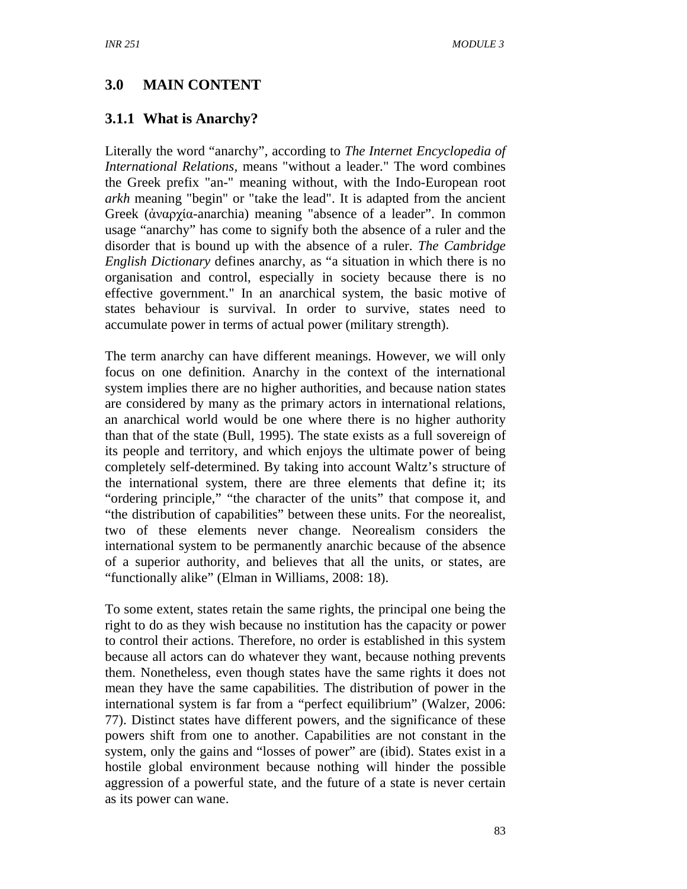## **3.0 MAIN CONTENT**

## **3.1.1 What is Anarchy?**

Literally the word "anarchy", according to *The Internet Encyclopedia of International Relations,* means "without a leader." The word combines the Greek prefix "an-" meaning without, with the Indo-European root *arkh* meaning "begin" or "take the lead". It is adapted from the ancient Greek (ἀναρχία-anarchia) meaning "absence of a leader". In common usage "anarchy" has come to signify both the absence of a ruler and the disorder that is bound up with the absence of a ruler. *The Cambridge English Dictionary* defines anarchy, as "a situation in which there is no organisation and control, especially in society because there is no effective government." In an anarchical system, the basic motive of states behaviour is survival. In order to survive, states need to accumulate power in terms of actual power (military strength).

The term anarchy can have different meanings. However, we will only focus on one definition. Anarchy in the context of the international system implies there are no higher authorities, and because nation states are considered by many as the primary actors in international relations, an anarchical world would be one where there is no higher authority than that of the state (Bull, 1995). The state exists as a full sovereign of its people and territory, and which enjoys the ultimate power of being completely self-determined. By taking into account Waltz's structure of the international system, there are three elements that define it; its "ordering principle," "the character of the units" that compose it, and "the distribution of capabilities" between these units. For the neorealist, two of these elements never change. Neorealism considers the international system to be permanently anarchic because of the absence of a superior authority, and believes that all the units, or states, are "functionally alike" (Elman in Williams, 2008: 18).

To some extent, states retain the same rights, the principal one being the right to do as they wish because no institution has the capacity or power to control their actions. Therefore, no order is established in this system because all actors can do whatever they want, because nothing prevents them. Nonetheless, even though states have the same rights it does not mean they have the same capabilities. The distribution of power in the international system is far from a "perfect equilibrium" (Walzer, 2006: 77). Distinct states have different powers, and the significance of these powers shift from one to another. Capabilities are not constant in the system, only the gains and "losses of power" are (ibid). States exist in a hostile global environment because nothing will hinder the possible aggression of a powerful state, and the future of a state is never certain as its power can wane.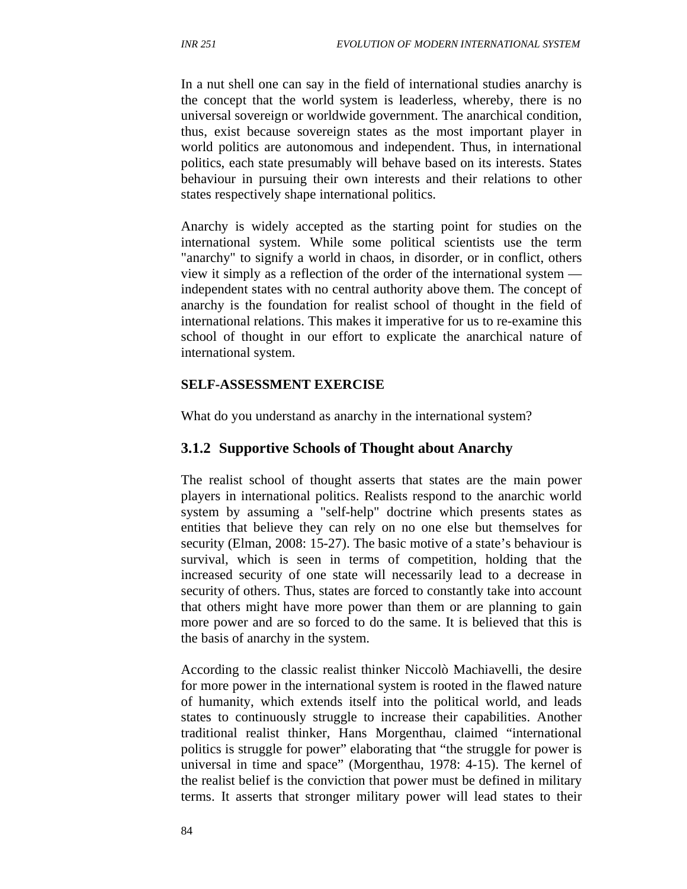In a nut shell one can say in the field of international studies anarchy is the concept that the world system is leaderless, whereby, there is no universal sovereign or worldwide government. The anarchical condition, thus, exist because sovereign states as the most important player in world politics are autonomous and independent. Thus, in international politics, each state presumably will behave based on its interests. States behaviour in pursuing their own interests and their relations to other states respectively shape international politics.

Anarchy is widely accepted as the starting point for studies on the international system. While some political scientists use the term "anarchy" to signify a world in chaos, in disorder, or in conflict, others view it simply as a reflection of the order of the international system independent states with no central authority above them. The concept of anarchy is the foundation for realist school of thought in the field of international relations. This makes it imperative for us to re-examine this school of thought in our effort to explicate the anarchical nature of international system.

#### **SELF-ASSESSMENT EXERCISE**

What do you understand as anarchy in the international system?

#### **3.1.2 Supportive Schools of Thought about Anarchy**

The realist school of thought asserts that states are the main power players in international politics. Realists respond to the anarchic world system by assuming a "self-help" doctrine which presents states as entities that believe they can rely on no one else but themselves for security (Elman, 2008: 15-27). The basic motive of a state's behaviour is survival, which is seen in terms of competition, holding that the increased security of one state will necessarily lead to a decrease in security of others. Thus, states are forced to constantly take into account that others might have more power than them or are planning to gain more power and are so forced to do the same. It is believed that this is the basis of anarchy in the system.

According to the classic realist thinker Niccolò Machiavelli, the desire for more power in the international system is rooted in the flawed nature of humanity, which extends itself into the political world, and leads states to continuously struggle to increase their capabilities. Another traditional realist thinker, Hans Morgenthau, claimed "international politics is struggle for power" elaborating that "the struggle for power is universal in time and space" (Morgenthau, 1978: 4-15). The kernel of the realist belief is the conviction that power must be defined in military terms. It asserts that stronger military power will lead states to their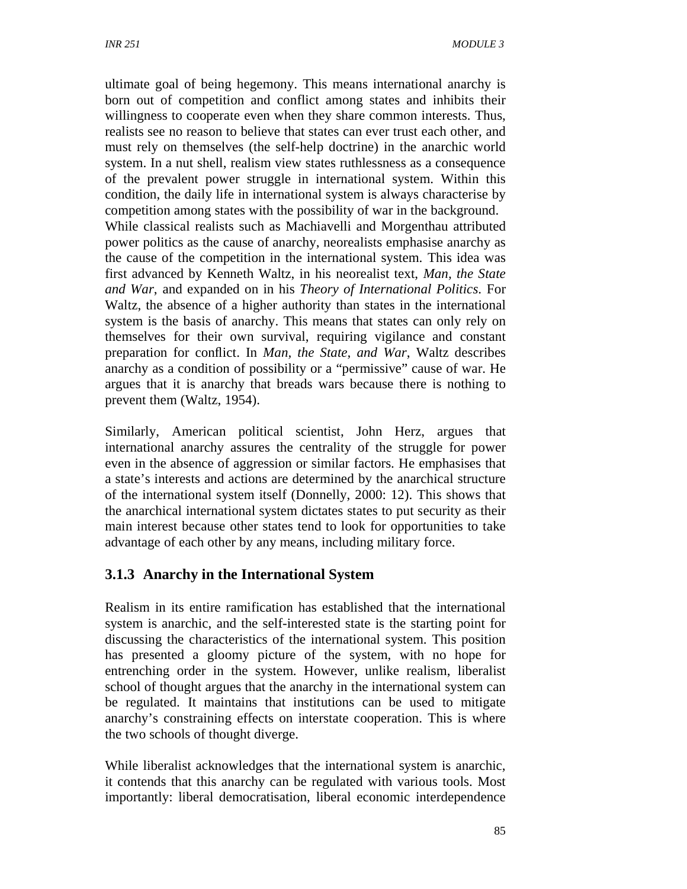ultimate goal of being hegemony. This means international anarchy is born out of competition and conflict among states and inhibits their willingness to cooperate even when they share common interests. Thus, realists see no reason to believe that states can ever trust each other, and must rely on themselves (the self-help doctrine) in the anarchic world system. In a nut shell, realism view states ruthlessness as a consequence of the prevalent power struggle in international system. Within this condition, the daily life in international system is always characterise by competition among states with the possibility of war in the background. While classical realists such as Machiavelli and Morgenthau attributed power politics as the cause of anarchy, neorealists emphasise anarchy as the cause of the competition in the international system. This idea was first advanced by Kenneth Waltz, in his neorealist text, *Man, the State and War*, and expanded on in his *Theory of International Politics*. For Waltz, the absence of a higher authority than states in the international system is the basis of anarchy. This means that states can only rely on themselves for their own survival, requiring vigilance and constant preparation for conflict. In *Man, the State, and War*, Waltz describes anarchy as a condition of possibility or a "permissive" cause of war. He argues that it is anarchy that breads wars because there is nothing to prevent them (Waltz, 1954).

Similarly, American political scientist, John Herz, argues that international anarchy assures the centrality of the struggle for power even in the absence of aggression or similar factors. He emphasises that a state's interests and actions are determined by the anarchical structure of the international system itself (Donnelly, 2000: 12). This shows that the anarchical international system dictates states to put security as their main interest because other states tend to look for opportunities to take advantage of each other by any means, including military force.

## **3.1.3 Anarchy in the International System**

Realism in its entire ramification has established that the international system is anarchic, and the self-interested state is the starting point for discussing the characteristics of the international system. This position has presented a gloomy picture of the system, with no hope for entrenching order in the system. However, unlike realism, liberalist school of thought argues that the anarchy in the international system can be regulated. It maintains that institutions can be used to mitigate anarchy's constraining effects on interstate cooperation. This is where the two schools of thought diverge.

While liberalist acknowledges that the international system is anarchic, it contends that this anarchy can be regulated with various tools. Most importantly: liberal democratisation, liberal economic interdependence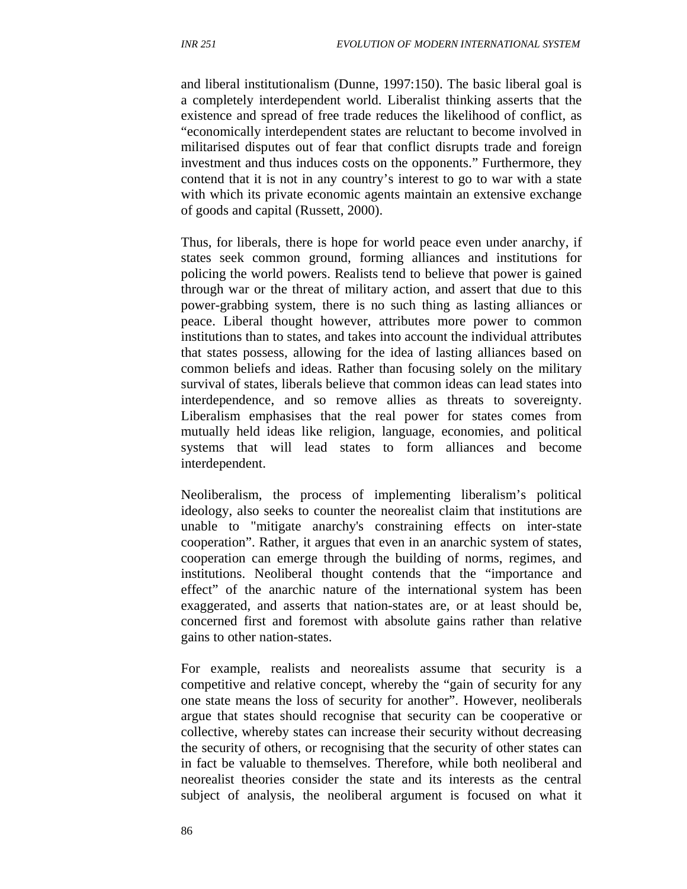and liberal institutionalism (Dunne, 1997:150). The basic liberal goal is a completely interdependent world. Liberalist thinking asserts that the existence and spread of free trade reduces the likelihood of conflict, as "economically interdependent states are reluctant to become involved in militarised disputes out of fear that conflict disrupts trade and foreign investment and thus induces costs on the opponents." Furthermore, they contend that it is not in any country's interest to go to war with a state with which its private economic agents maintain an extensive exchange of goods and capital (Russett, 2000).

Thus, for liberals, there is hope for world peace even under anarchy, if states seek common ground, forming alliances and institutions for policing the world powers. Realists tend to believe that power is gained through war or the threat of military action, and assert that due to this power-grabbing system, there is no such thing as lasting alliances or peace. Liberal thought however, attributes more power to common institutions than to states, and takes into account the individual attributes that states possess, allowing for the idea of lasting alliances based on common beliefs and ideas. Rather than focusing solely on the military survival of states, liberals believe that common ideas can lead states into interdependence, and so remove allies as threats to sovereignty. Liberalism emphasises that the real power for states comes from mutually held ideas like religion, language, economies, and political systems that will lead states to form alliances and become interdependent.

Neoliberalism, the process of implementing liberalism's political ideology, also seeks to counter the neorealist claim that institutions are unable to "mitigate anarchy's constraining effects on inter-state cooperation". Rather, it argues that even in an anarchic system of states, cooperation can emerge through the building of norms, regimes, and institutions. Neoliberal thought contends that the "importance and effect" of the anarchic nature of the international system has been exaggerated, and asserts that nation-states are, or at least should be, concerned first and foremost with absolute gains rather than relative gains to other nation-states.

For example, realists and neorealists assume that security is a competitive and relative concept, whereby the "gain of security for any one state means the loss of security for another". However, neoliberals argue that states should recognise that security can be cooperative or collective, whereby states can increase their security without decreasing the security of others, or recognising that the security of other states can in fact be valuable to themselves. Therefore, while both neoliberal and neorealist theories consider the state and its interests as the central subject of analysis, the neoliberal argument is focused on what it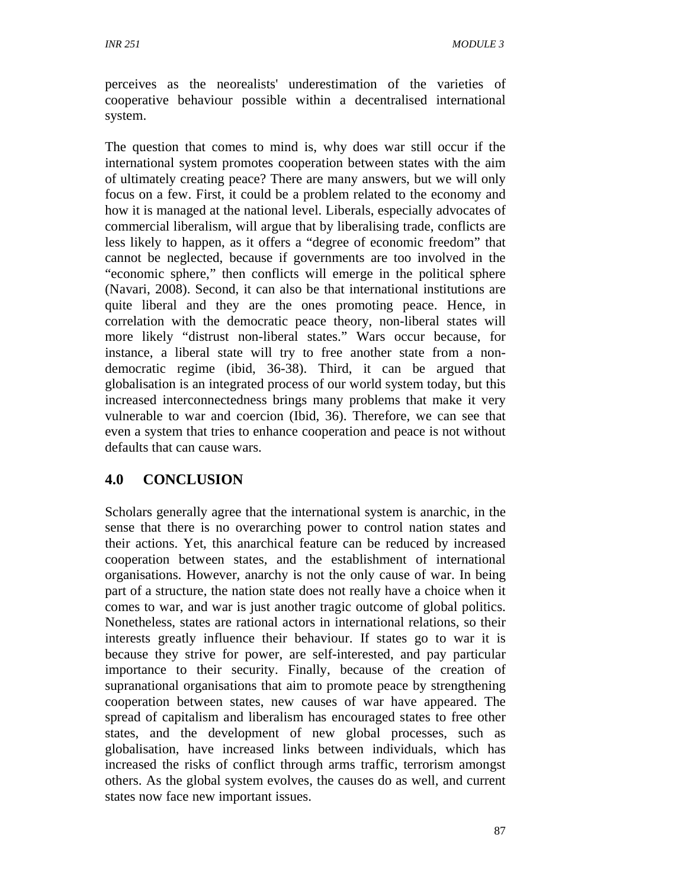perceives as the neorealists' underestimation of the varieties of cooperative behaviour possible within a decentralised international system.

The question that comes to mind is, why does war still occur if the international system promotes cooperation between states with the aim of ultimately creating peace? There are many answers, but we will only focus on a few. First, it could be a problem related to the economy and how it is managed at the national level. Liberals, especially advocates of commercial liberalism, will argue that by liberalising trade, conflicts are less likely to happen, as it offers a "degree of economic freedom" that cannot be neglected, because if governments are too involved in the "economic sphere," then conflicts will emerge in the political sphere (Navari, 2008). Second, it can also be that international institutions are quite liberal and they are the ones promoting peace. Hence, in correlation with the democratic peace theory, non-liberal states will more likely "distrust non-liberal states." Wars occur because, for instance, a liberal state will try to free another state from a nondemocratic regime (ibid, 36-38). Third, it can be argued that globalisation is an integrated process of our world system today, but this increased interconnectedness brings many problems that make it very vulnerable to war and coercion (Ibid, 36). Therefore, we can see that even a system that tries to enhance cooperation and peace is not without defaults that can cause wars.

## **4.0 CONCLUSION**

Scholars generally agree that the international system is anarchic, in the sense that there is no overarching power to control nation states and their actions. Yet, this anarchical feature can be reduced by increased cooperation between states, and the establishment of international organisations. However, anarchy is not the only cause of war. In being part of a structure, the nation state does not really have a choice when it comes to war, and war is just another tragic outcome of global politics. Nonetheless, states are rational actors in international relations, so their interests greatly influence their behaviour. If states go to war it is because they strive for power, are self-interested, and pay particular importance to their security. Finally, because of the creation of supranational organisations that aim to promote peace by strengthening cooperation between states, new causes of war have appeared. The spread of capitalism and liberalism has encouraged states to free other states, and the development of new global processes, such as globalisation, have increased links between individuals, which has increased the risks of conflict through arms traffic, terrorism amongst others. As the global system evolves, the causes do as well, and current states now face new important issues.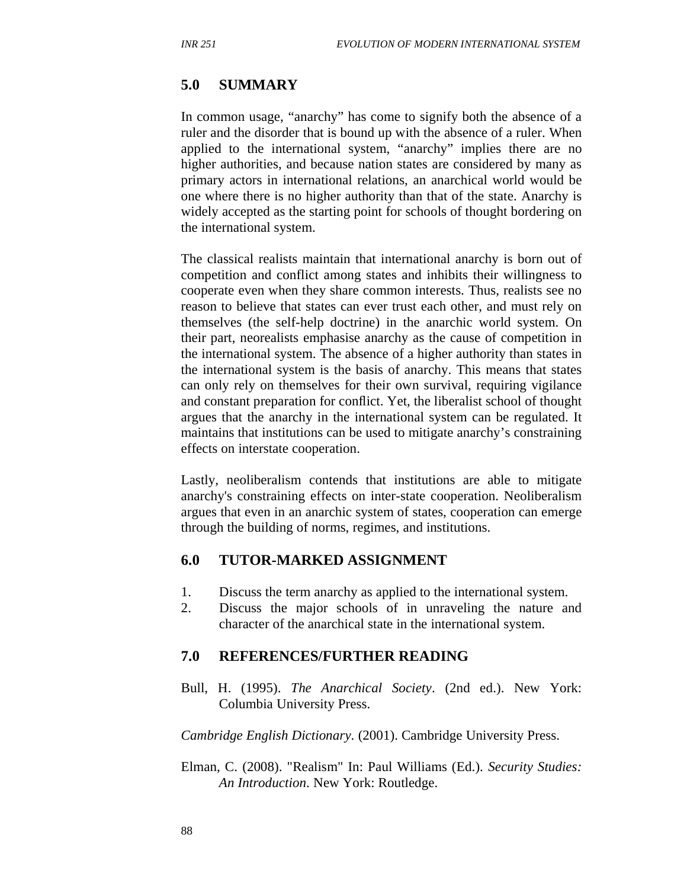### **5.0 SUMMARY**

In common usage, "anarchy" has come to signify both the absence of a ruler and the disorder that is bound up with the absence of a ruler. When applied to the international system, "anarchy" implies there are no higher authorities, and because nation states are considered by many as primary actors in international relations, an anarchical world would be one where there is no higher authority than that of the state. Anarchy is widely accepted as the starting point for schools of thought bordering on the international system.

The classical realists maintain that international anarchy is born out of competition and conflict among states and inhibits their willingness to cooperate even when they share common interests. Thus, realists see no reason to believe that states can ever trust each other, and must rely on themselves (the self-help doctrine) in the anarchic world system. On their part, neorealists emphasise anarchy as the cause of competition in the international system. The absence of a higher authority than states in the international system is the basis of anarchy. This means that states can only rely on themselves for their own survival, requiring vigilance and constant preparation for conflict. Yet, the liberalist school of thought argues that the anarchy in the international system can be regulated. It maintains that institutions can be used to mitigate anarchy's constraining effects on interstate cooperation.

Lastly, neoliberalism contends that institutions are able to mitigate anarchy's constraining effects on inter-state cooperation. Neoliberalism argues that even in an anarchic system of states, cooperation can emerge through the building of norms, regimes, and institutions.

### **6.0 TUTOR-MARKED ASSIGNMENT**

- 1. Discuss the term anarchy as applied to the international system.
- 2. Discuss the major schools of in unraveling the nature and character of the anarchical state in the international system.

### **7.0 REFERENCES/FURTHER READING**

Bull, H. (1995). *The Anarchical Society*. (2nd ed.). New York: Columbia University Press.

*Cambridge English Dictionary*. (2001). Cambridge University Press.

Elman, C. (2008). "Realism" In: Paul Williams (Ed.). *Security Studies: An Introduction*. New York: Routledge.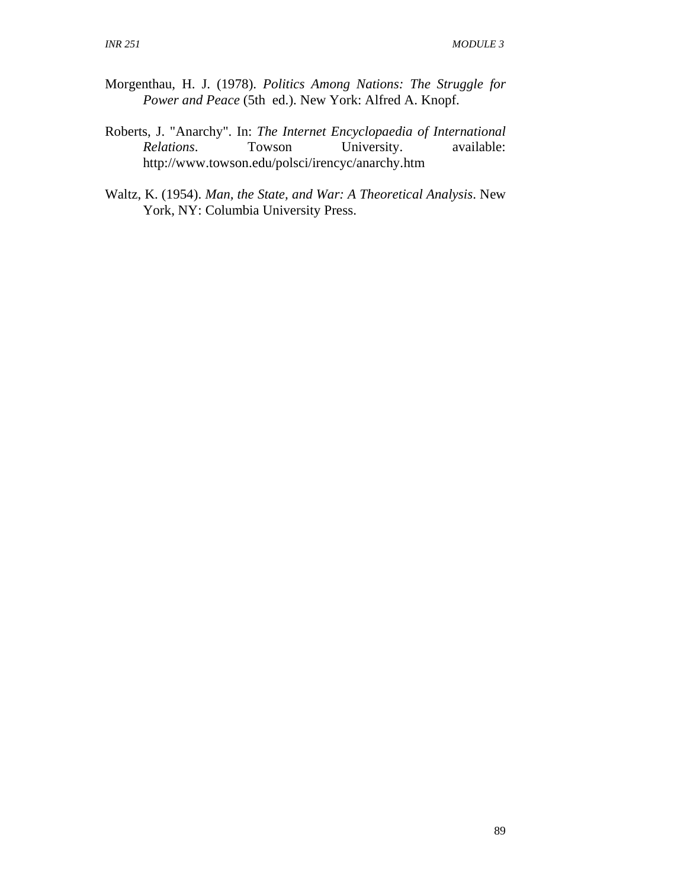- Morgenthau, H. J. (1978). *Politics Among Nations: The Struggle for Power and Peace* (5th ed.). New York: Alfred A. Knopf.
- Roberts, J. "Anarchy". In: *The Internet Encyclopaedia of International Relations*. Towson University. available: http://www.towson.edu/polsci/irencyc/anarchy.htm
- Waltz, K. (1954). *Man, the State, and War: A Theoretical Analysis*. New York, NY: Columbia University Press.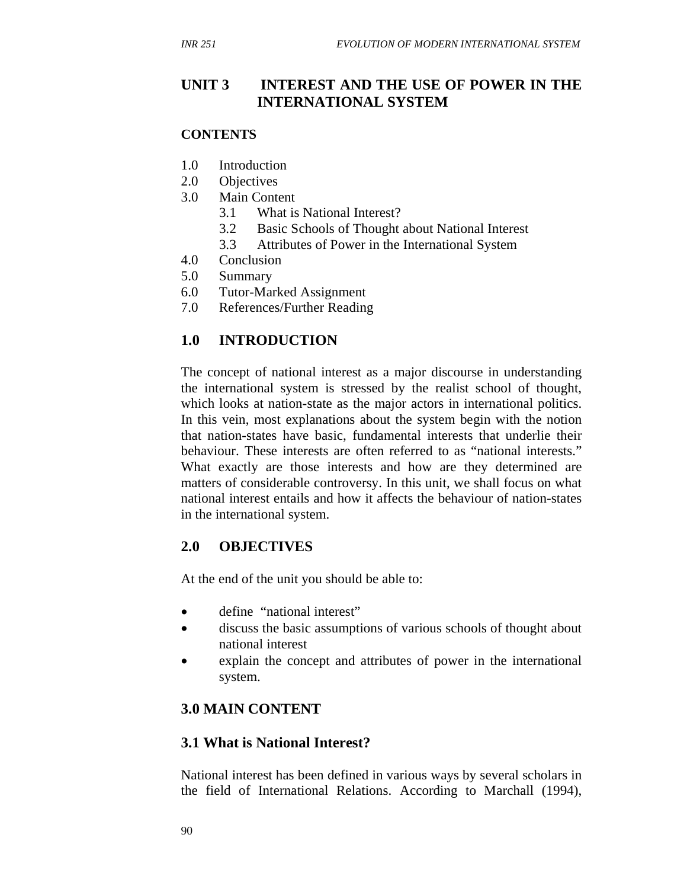### **UNIT 3 INTEREST AND THE USE OF POWER IN THE INTERNATIONAL SYSTEM**

#### **CONTENTS**

- 1.0 Introduction
- 2.0 Objectives
- 3.0 Main Content
	- 3.1 What is National Interest?
	- 3.2 Basic Schools of Thought about National Interest
	- 3.3 Attributes of Power in the International System
- 4.0 Conclusion
- 5.0 Summary
- 6.0 Tutor-Marked Assignment
- 7.0 References/Further Reading

## **1.0 INTRODUCTION**

The concept of national interest as a major discourse in understanding the international system is stressed by the realist school of thought, which looks at nation-state as the major actors in international politics. In this vein, most explanations about the system begin with the notion that nation-states have basic, fundamental interests that underlie their behaviour. These interests are often referred to as "national interests." What exactly are those interests and how are they determined are matters of considerable controversy. In this unit, we shall focus on what national interest entails and how it affects the behaviour of nation-states in the international system.

### **2.0 OBJECTIVES**

At the end of the unit you should be able to:

- define "national interest"
- discuss the basic assumptions of various schools of thought about national interest
- explain the concept and attributes of power in the international system.

## **3.0 MAIN CONTENT**

## **3.1 What is National Interest?**

National interest has been defined in various ways by several scholars in the field of International Relations. According to Marchall (1994),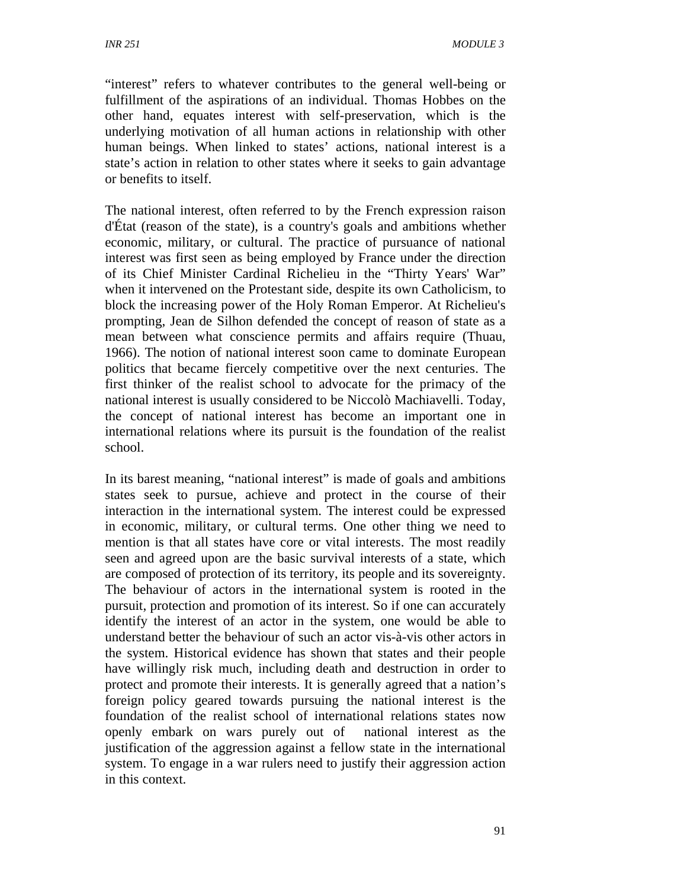"interest" refers to whatever contributes to the general well-being or fulfillment of the aspirations of an individual. Thomas Hobbes on the other hand, equates interest with self-preservation, which is the underlying motivation of all human actions in relationship with other human beings. When linked to states' actions, national interest is a state's action in relation to other states where it seeks to gain advantage or benefits to itself.

The national interest, often referred to by the French expression raison d'État (reason of the state), is a country's goals and ambitions whether economic, military, or cultural. The practice of pursuance of national interest was first seen as being employed by France under the direction of its Chief Minister Cardinal Richelieu in the "Thirty Years' War" when it intervened on the Protestant side, despite its own Catholicism, to block the increasing power of the Holy Roman Emperor. At Richelieu's prompting, Jean de Silhon defended the concept of reason of state as a mean between what conscience permits and affairs require (Thuau, 1966). The notion of national interest soon came to dominate European politics that became fiercely competitive over the next centuries. The first thinker of the realist school to advocate for the primacy of the national interest is usually considered to be Niccolò Machiavelli. Today, the concept of national interest has become an important one in international relations where its pursuit is the foundation of the realist school.

In its barest meaning, "national interest" is made of goals and ambitions states seek to pursue, achieve and protect in the course of their interaction in the international system. The interest could be expressed in economic, military, or cultural terms. One other thing we need to mention is that all states have core or vital interests. The most readily seen and agreed upon are the basic survival interests of a state, which are composed of protection of its territory, its people and its sovereignty. The behaviour of actors in the international system is rooted in the pursuit, protection and promotion of its interest. So if one can accurately identify the interest of an actor in the system, one would be able to understand better the behaviour of such an actor vis-à-vis other actors in the system. Historical evidence has shown that states and their people have willingly risk much, including death and destruction in order to protect and promote their interests. It is generally agreed that a nation's foreign policy geared towards pursuing the national interest is the foundation of the realist school of international relations states now openly embark on wars purely out of national interest as the justification of the aggression against a fellow state in the international system. To engage in a war rulers need to justify their aggression action in this context.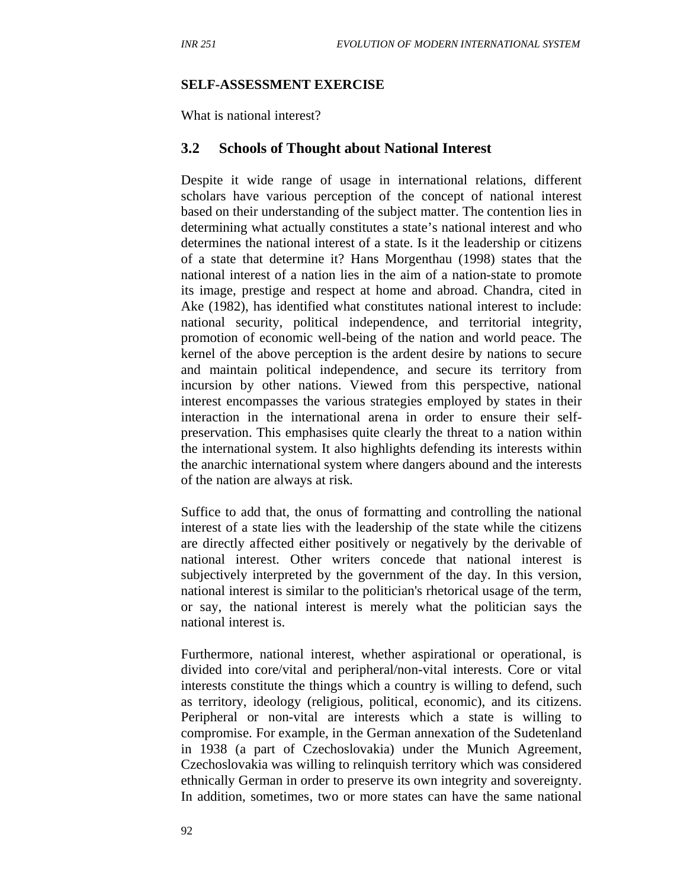#### **SELF-ASSESSMENT EXERCISE**

What is national interest?

#### **3.2 Schools of Thought about National Interest**

Despite it wide range of usage in international relations, different scholars have various perception of the concept of national interest based on their understanding of the subject matter. The contention lies in determining what actually constitutes a state's national interest and who determines the national interest of a state. Is it the leadership or citizens of a state that determine it? Hans Morgenthau (1998) states that the national interest of a nation lies in the aim of a nation-state to promote its image, prestige and respect at home and abroad. Chandra, cited in Ake (1982), has identified what constitutes national interest to include: national security, political independence, and territorial integrity, promotion of economic well-being of the nation and world peace. The kernel of the above perception is the ardent desire by nations to secure and maintain political independence, and secure its territory from incursion by other nations. Viewed from this perspective, national interest encompasses the various strategies employed by states in their interaction in the international arena in order to ensure their selfpreservation. This emphasises quite clearly the threat to a nation within the international system. It also highlights defending its interests within the anarchic international system where dangers abound and the interests of the nation are always at risk.

Suffice to add that, the onus of formatting and controlling the national interest of a state lies with the leadership of the state while the citizens are directly affected either positively or negatively by the derivable of national interest. Other writers concede that national interest is subjectively interpreted by the government of the day. In this version, national interest is similar to the politician's rhetorical usage of the term, or say, the national interest is merely what the politician says the national interest is.

Furthermore, national interest, whether aspirational or operational, is divided into core/vital and peripheral/non-vital interests. Core or vital interests constitute the things which a country is willing to defend, such as territory, ideology (religious, political, economic), and its citizens. Peripheral or non-vital are interests which a state is willing to compromise. For example, in the German annexation of the Sudetenland in 1938 (a part of Czechoslovakia) under the Munich Agreement, Czechoslovakia was willing to relinquish territory which was considered ethnically German in order to preserve its own integrity and sovereignty. In addition, sometimes, two or more states can have the same national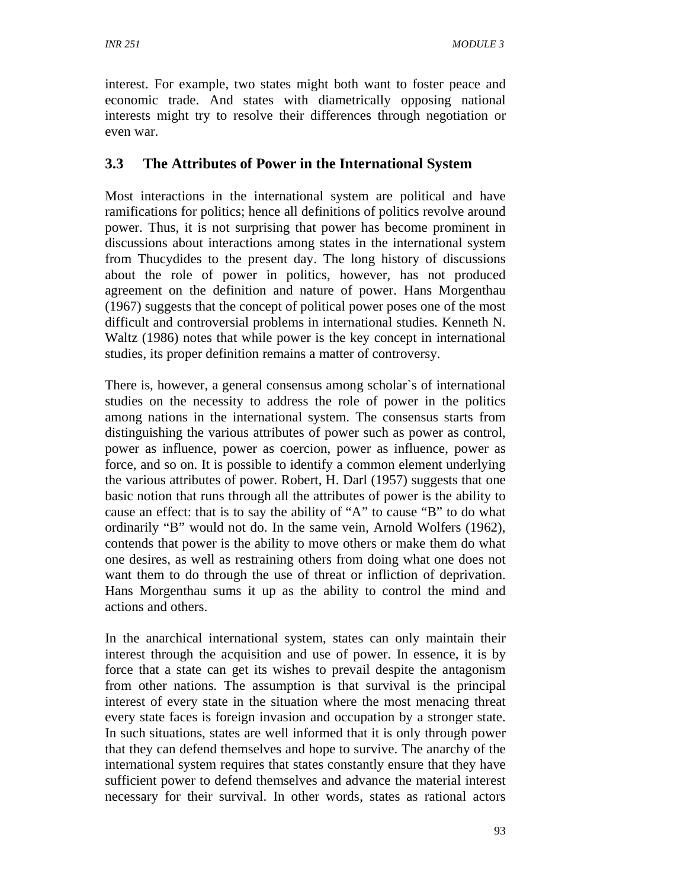interest. For example, two states might both want to foster peace and economic trade. And states with diametrically opposing national interests might try to resolve their differences through negotiation or even war.

## **3.3 The Attributes of Power in the International System**

Most interactions in the international system are political and have ramifications for politics; hence all definitions of politics revolve around power. Thus, it is not surprising that power has become prominent in discussions about interactions among states in the international system from Thucydides to the present day. The long history of discussions about the role of power in politics, however, has not produced agreement on the definition and nature of power. Hans Morgenthau (1967) suggests that the concept of political power poses one of the most difficult and controversial problems in international studies. Kenneth N. Waltz (1986) notes that while power is the key concept in international studies, its proper definition remains a matter of controversy.

There is, however, a general consensus among scholar`s of international studies on the necessity to address the role of power in the politics among nations in the international system. The consensus starts from distinguishing the various attributes of power such as power as control, power as influence, power as coercion, power as influence, power as force, and so on. It is possible to identify a common element underlying the various attributes of power. Robert, H. Darl (1957) suggests that one basic notion that runs through all the attributes of power is the ability to cause an effect: that is to say the ability of "A" to cause "B" to do what ordinarily "B" would not do. In the same vein, Arnold Wolfers (1962), contends that power is the ability to move others or make them do what one desires, as well as restraining others from doing what one does not want them to do through the use of threat or infliction of deprivation. Hans Morgenthau sums it up as the ability to control the mind and actions and others.

In the anarchical international system, states can only maintain their interest through the acquisition and use of power. In essence, it is by force that a state can get its wishes to prevail despite the antagonism from other nations. The assumption is that survival is the principal interest of every state in the situation where the most menacing threat every state faces is foreign invasion and occupation by a stronger state. In such situations, states are well informed that it is only through power that they can defend themselves and hope to survive. The anarchy of the international system requires that states constantly ensure that they have sufficient power to defend themselves and advance the material interest necessary for their survival. In other words, states as rational actors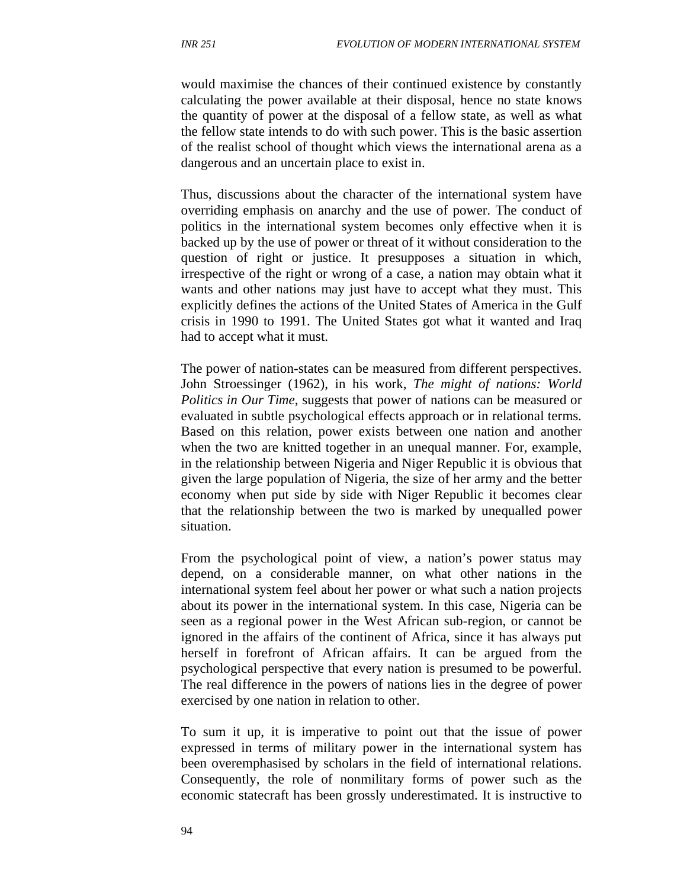would maximise the chances of their continued existence by constantly calculating the power available at their disposal, hence no state knows the quantity of power at the disposal of a fellow state, as well as what the fellow state intends to do with such power. This is the basic assertion of the realist school of thought which views the international arena as a dangerous and an uncertain place to exist in.

Thus, discussions about the character of the international system have overriding emphasis on anarchy and the use of power. The conduct of politics in the international system becomes only effective when it is backed up by the use of power or threat of it without consideration to the question of right or justice. It presupposes a situation in which, irrespective of the right or wrong of a case, a nation may obtain what it wants and other nations may just have to accept what they must. This explicitly defines the actions of the United States of America in the Gulf crisis in 1990 to 1991. The United States got what it wanted and Iraq had to accept what it must.

The power of nation-states can be measured from different perspectives. John Stroessinger (1962), in his work, *The might of nations: World Politics in Our Time*, suggests that power of nations can be measured or evaluated in subtle psychological effects approach or in relational terms. Based on this relation, power exists between one nation and another when the two are knitted together in an unequal manner. For, example, in the relationship between Nigeria and Niger Republic it is obvious that given the large population of Nigeria, the size of her army and the better economy when put side by side with Niger Republic it becomes clear that the relationship between the two is marked by unequalled power situation.

From the psychological point of view, a nation's power status may depend, on a considerable manner, on what other nations in the international system feel about her power or what such a nation projects about its power in the international system. In this case, Nigeria can be seen as a regional power in the West African sub-region, or cannot be ignored in the affairs of the continent of Africa, since it has always put herself in forefront of African affairs. It can be argued from the psychological perspective that every nation is presumed to be powerful. The real difference in the powers of nations lies in the degree of power exercised by one nation in relation to other.

To sum it up, it is imperative to point out that the issue of power expressed in terms of military power in the international system has been overemphasised by scholars in the field of international relations. Consequently, the role of nonmilitary forms of power such as the economic statecraft has been grossly underestimated. It is instructive to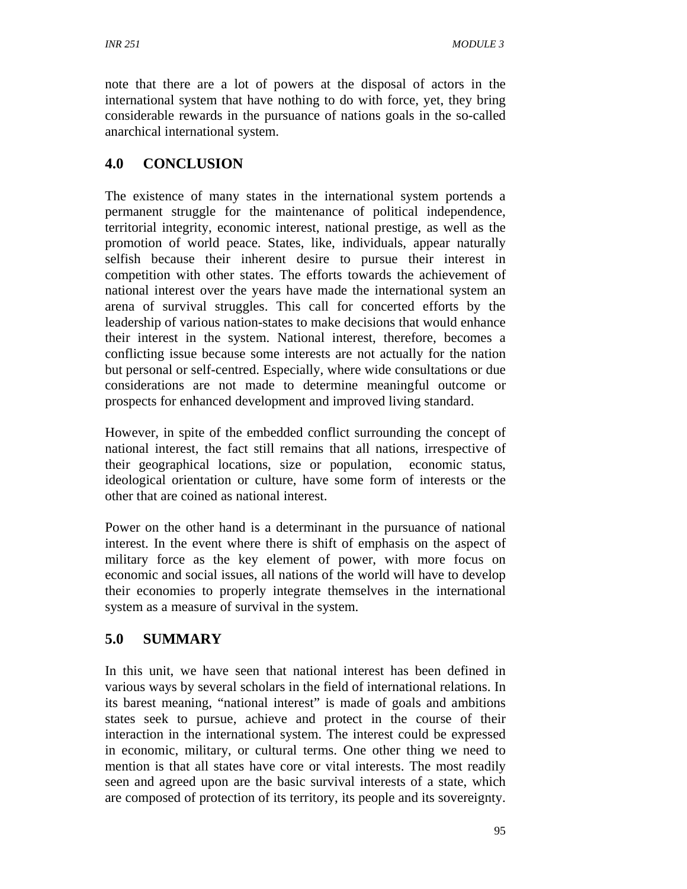note that there are a lot of powers at the disposal of actors in the international system that have nothing to do with force, yet, they bring considerable rewards in the pursuance of nations goals in the so-called anarchical international system.

## **4.0 CONCLUSION**

The existence of many states in the international system portends a permanent struggle for the maintenance of political independence, territorial integrity, economic interest, national prestige, as well as the promotion of world peace. States, like, individuals, appear naturally selfish because their inherent desire to pursue their interest in competition with other states. The efforts towards the achievement of national interest over the years have made the international system an arena of survival struggles. This call for concerted efforts by the leadership of various nation-states to make decisions that would enhance their interest in the system. National interest, therefore, becomes a conflicting issue because some interests are not actually for the nation but personal or self-centred. Especially, where wide consultations or due considerations are not made to determine meaningful outcome or prospects for enhanced development and improved living standard.

However, in spite of the embedded conflict surrounding the concept of national interest, the fact still remains that all nations, irrespective of their geographical locations, size or population, economic status, ideological orientation or culture, have some form of interests or the other that are coined as national interest.

Power on the other hand is a determinant in the pursuance of national interest. In the event where there is shift of emphasis on the aspect of military force as the key element of power, with more focus on economic and social issues, all nations of the world will have to develop their economies to properly integrate themselves in the international system as a measure of survival in the system.

## **5.0 SUMMARY**

In this unit, we have seen that national interest has been defined in various ways by several scholars in the field of international relations. In its barest meaning, "national interest" is made of goals and ambitions states seek to pursue, achieve and protect in the course of their interaction in the international system. The interest could be expressed in economic, military, or cultural terms. One other thing we need to mention is that all states have core or vital interests. The most readily seen and agreed upon are the basic survival interests of a state, which are composed of protection of its territory, its people and its sovereignty.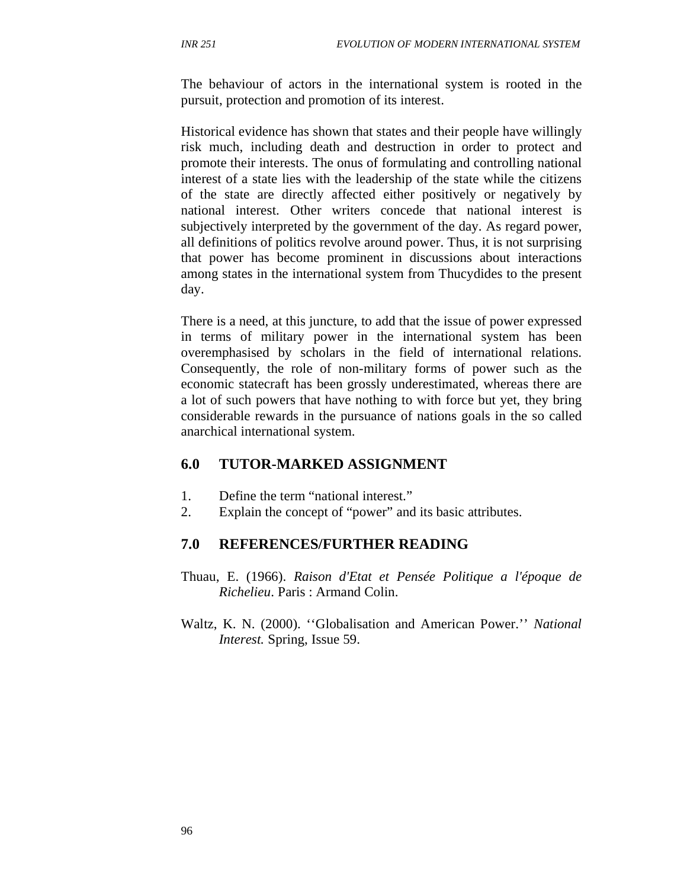The behaviour of actors in the international system is rooted in the pursuit, protection and promotion of its interest.

Historical evidence has shown that states and their people have willingly risk much, including death and destruction in order to protect and promote their interests. The onus of formulating and controlling national interest of a state lies with the leadership of the state while the citizens of the state are directly affected either positively or negatively by national interest. Other writers concede that national interest is subjectively interpreted by the government of the day. As regard power, all definitions of politics revolve around power. Thus, it is not surprising that power has become prominent in discussions about interactions among states in the international system from Thucydides to the present day.

There is a need, at this juncture, to add that the issue of power expressed in terms of military power in the international system has been overemphasised by scholars in the field of international relations. Consequently, the role of non-military forms of power such as the economic statecraft has been grossly underestimated, whereas there are a lot of such powers that have nothing to with force but yet, they bring considerable rewards in the pursuance of nations goals in the so called anarchical international system.

#### **6.0 TUTOR-MARKED ASSIGNMENT**

- 1. Define the term "national interest."
- 2. Explain the concept of "power" and its basic attributes.

#### **7.0 REFERENCES/FURTHER READING**

- Thuau, E. (1966). *Raison d'Etat et Pensée Politique a l'époque de Richelieu*. Paris : Armand Colin.
- Waltz, K. N. (2000). ''Globalisation and American Power.'' *National Interest.* Spring, Issue 59.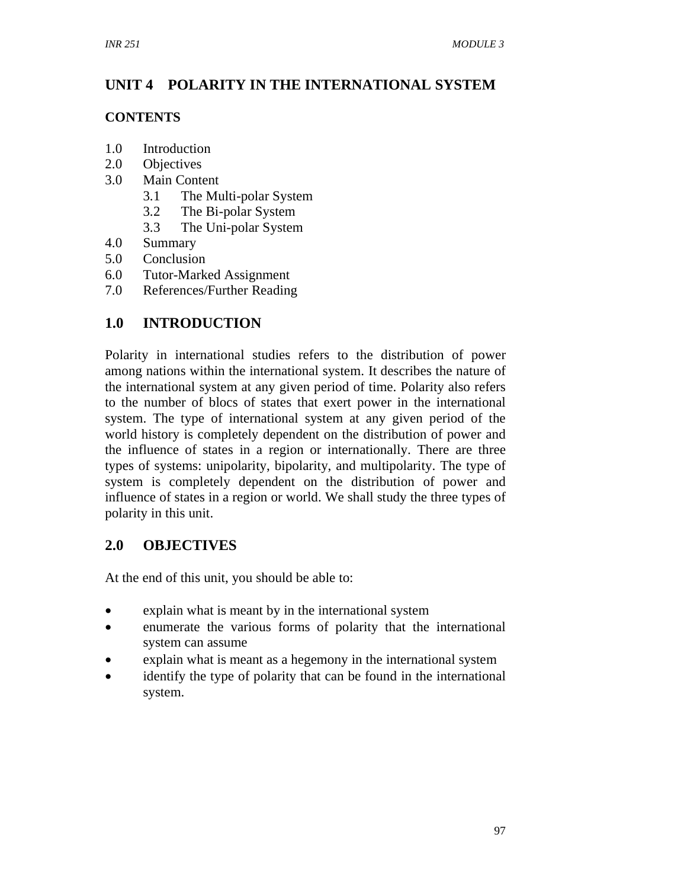# **UNIT 4 POLARITY IN THE INTERNATIONAL SYSTEM**

## **CONTENTS**

- 1.0 Introduction
- 2.0 Objectives
- 3.0 Main Content
	- 3.1 The Multi-polar System
	- 3.2 The Bi-polar System
	- 3.3 The Uni-polar System
- 4.0 Summary
- 5.0 Conclusion
- 6.0 Tutor-Marked Assignment
- 7.0 References/Further Reading

# **1.0 INTRODUCTION**

Polarity in international studies refers to the distribution of power among nations within the international system. It describes the nature of the international system at any given period of time. Polarity also refers to the number of blocs of states that exert power in the international system. The type of international system at any given period of the world history is completely dependent on the distribution of power and the influence of states in a region or internationally. There are three types of systems: unipolarity, bipolarity, and multipolarity. The type of system is completely dependent on the distribution of power and influence of states in a region or world. We shall study the three types of polarity in this unit.

## **2.0 OBJECTIVES**

At the end of this unit, you should be able to:

- explain what is meant by in the international system
- enumerate the various forms of polarity that the international system can assume
- explain what is meant as a hegemony in the international system
- identify the type of polarity that can be found in the international system.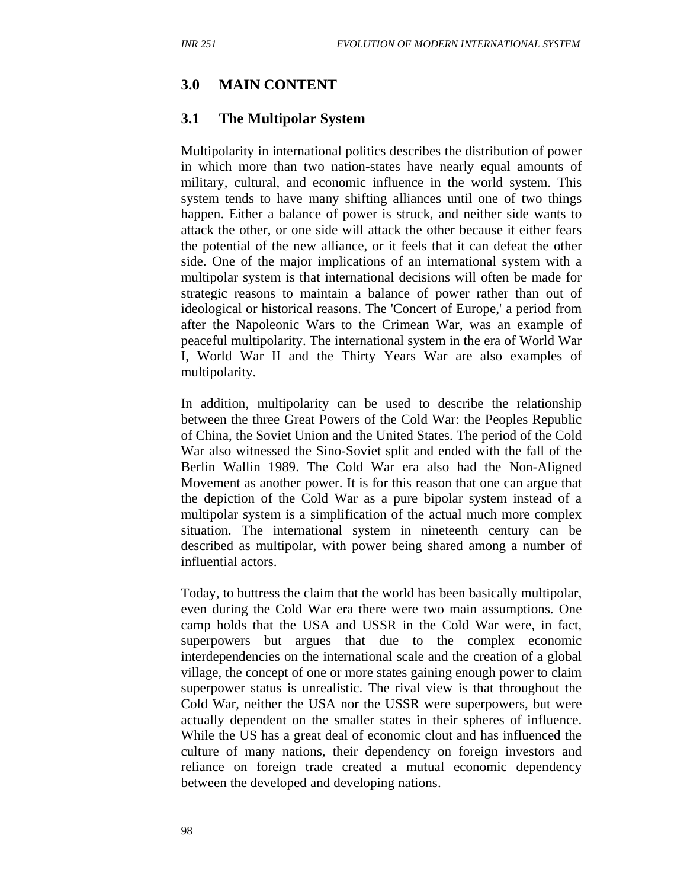### **3.0 MAIN CONTENT**

### **3.1 The Multipolar System**

Multipolarity in international politics describes the distribution of power in which more than two nation-states have nearly equal amounts of military, cultural, and economic influence in the world system. This system tends to have many shifting alliances until one of two things happen. Either a balance of power is struck, and neither side wants to attack the other, or one side will attack the other because it either fears the potential of the new alliance, or it feels that it can defeat the other side. One of the major implications of an international system with a multipolar system is that international decisions will often be made for strategic reasons to maintain a balance of power rather than out of ideological or historical reasons. The 'Concert of Europe,' a period from after the Napoleonic Wars to the Crimean War, was an example of peaceful multipolarity. The international system in the era of World War I, World War II and the Thirty Years War are also examples of multipolarity.

In addition, multipolarity can be used to describe the relationship between the three Great Powers of the Cold War: the Peoples Republic of China, the Soviet Union and the United States. The period of the Cold War also witnessed the Sino-Soviet split and ended with the fall of the Berlin Wallin 1989. The Cold War era also had the Non-Aligned Movement as another power. It is for this reason that one can argue that the depiction of the Cold War as a pure bipolar system instead of a multipolar system is a simplification of the actual much more complex situation. The international system in nineteenth century can be described as multipolar, with power being shared among a number of influential actors.

Today, to buttress the claim that the world has been basically multipolar, even during the Cold War era there were two main assumptions. One camp holds that the USA and USSR in the Cold War were, in fact, superpowers but argues that due to the complex economic interdependencies on the international scale and the creation of a global village, the concept of one or more states gaining enough power to claim superpower status is unrealistic. The rival view is that throughout the Cold War, neither the USA nor the USSR were superpowers, but were actually dependent on the smaller states in their spheres of influence. While the US has a great deal of economic clout and has influenced the culture of many nations, their dependency on foreign investors and reliance on foreign trade created a mutual economic dependency between the developed and developing nations.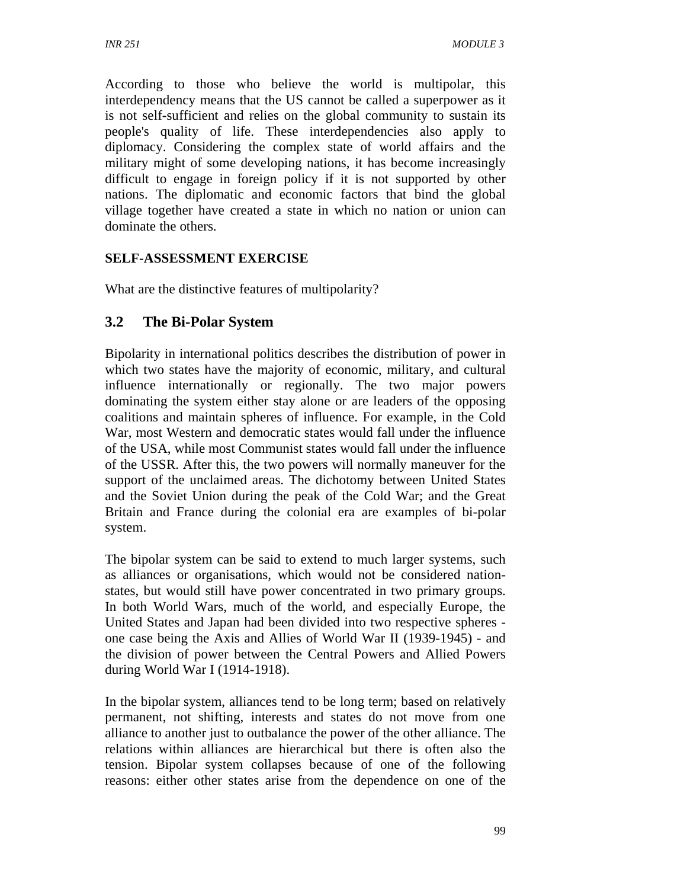According to those who believe the world is multipolar, this interdependency means that the US cannot be called a superpower as it is not self-sufficient and relies on the global community to sustain its people's quality of life. These interdependencies also apply to diplomacy. Considering the complex state of world affairs and the military might of some developing nations, it has become increasingly difficult to engage in foreign policy if it is not supported by other nations. The diplomatic and economic factors that bind the global village together have created a state in which no nation or union can dominate the others.

### **SELF-ASSESSMENT EXERCISE**

What are the distinctive features of multipolarity?

## **3.2 The Bi-Polar System**

Bipolarity in international politics describes the distribution of power in which two states have the majority of economic, military, and cultural influence internationally or regionally. The two major powers dominating the system either stay alone or are leaders of the opposing coalitions and maintain spheres of influence. For example, in the Cold War, most Western and democratic states would fall under the influence of the USA, while most Communist states would fall under the influence of the USSR. After this, the two powers will normally maneuver for the support of the unclaimed areas. The dichotomy between United States and the Soviet Union during the peak of the Cold War; and the Great Britain and France during the colonial era are examples of bi-polar system.

The bipolar system can be said to extend to much larger systems, such as alliances or organisations, which would not be considered nationstates, but would still have power concentrated in two primary groups. In both World Wars, much of the world, and especially Europe, the United States and Japan had been divided into two respective spheres one case being the Axis and Allies of World War II (1939-1945) - and the division of power between the Central Powers and Allied Powers during World War I (1914-1918).

In the bipolar system, alliances tend to be long term; based on relatively permanent, not shifting, interests and states do not move from one alliance to another just to outbalance the power of the other alliance. The relations within alliances are hierarchical but there is often also the tension. Bipolar system collapses because of one of the following reasons: either other states arise from the dependence on one of the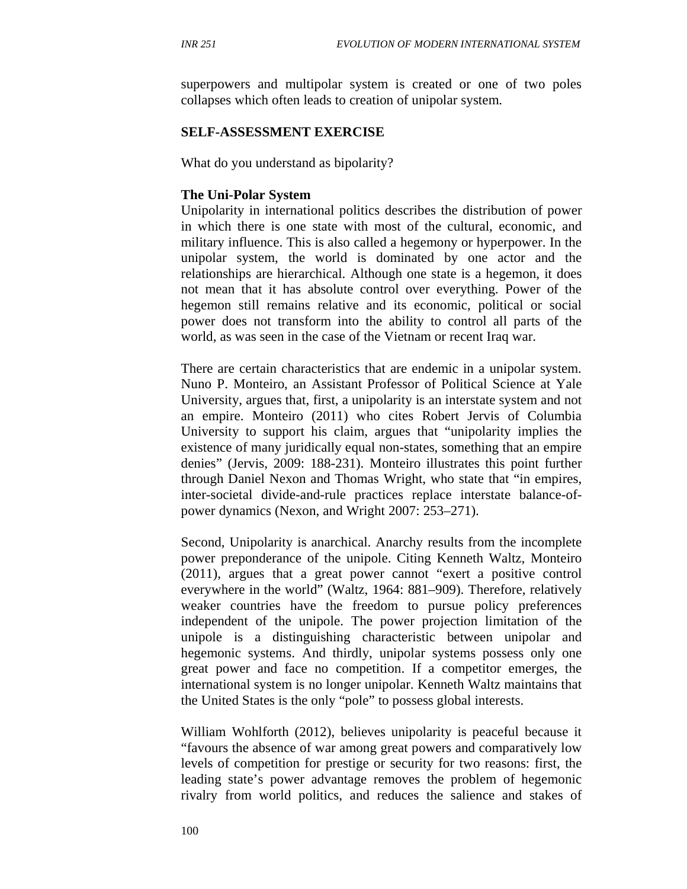superpowers and multipolar system is created or one of two poles collapses which often leads to creation of unipolar system.

#### **SELF-ASSESSMENT EXERCISE**

What do you understand as bipolarity?

#### **The Uni-Polar System**

Unipolarity in international politics describes the distribution of power in which there is one state with most of the cultural, economic, and military influence. This is also called a hegemony or hyperpower. In the unipolar system, the world is dominated by one actor and the relationships are hierarchical. Although one state is a hegemon, it does not mean that it has absolute control over everything. Power of the hegemon still remains relative and its economic, political or social power does not transform into the ability to control all parts of the world, as was seen in the case of the Vietnam or recent Iraq war.

There are certain characteristics that are endemic in a unipolar system. Nuno P. Monteiro, an Assistant Professor of Political Science at Yale University, argues that, first, a unipolarity is an interstate system and not an empire. Monteiro (2011) who cites Robert Jervis of Columbia University to support his claim, argues that "unipolarity implies the existence of many juridically equal non-states, something that an empire denies" (Jervis, 2009: 188-231). Monteiro illustrates this point further through Daniel Nexon and Thomas Wright, who state that "in empires, inter-societal divide-and-rule practices replace interstate balance-ofpower dynamics (Nexon, and Wright 2007: 253–271).

Second, Unipolarity is anarchical. Anarchy results from the incomplete power preponderance of the unipole. Citing Kenneth Waltz, Monteiro (2011), argues that a great power cannot "exert a positive control everywhere in the world" (Waltz, 1964: 881–909). Therefore, relatively weaker countries have the freedom to pursue policy preferences independent of the unipole. The power projection limitation of the unipole is a distinguishing characteristic between unipolar and hegemonic systems. And thirdly, unipolar systems possess only one great power and face no competition. If a competitor emerges, the international system is no longer unipolar. Kenneth Waltz maintains that the United States is the only "pole" to possess global interests.

William Wohlforth (2012), believes unipolarity is peaceful because it "favours the absence of war among great powers and comparatively low levels of competition for prestige or security for two reasons: first, the leading state's power advantage removes the problem of hegemonic rivalry from world politics, and reduces the salience and stakes of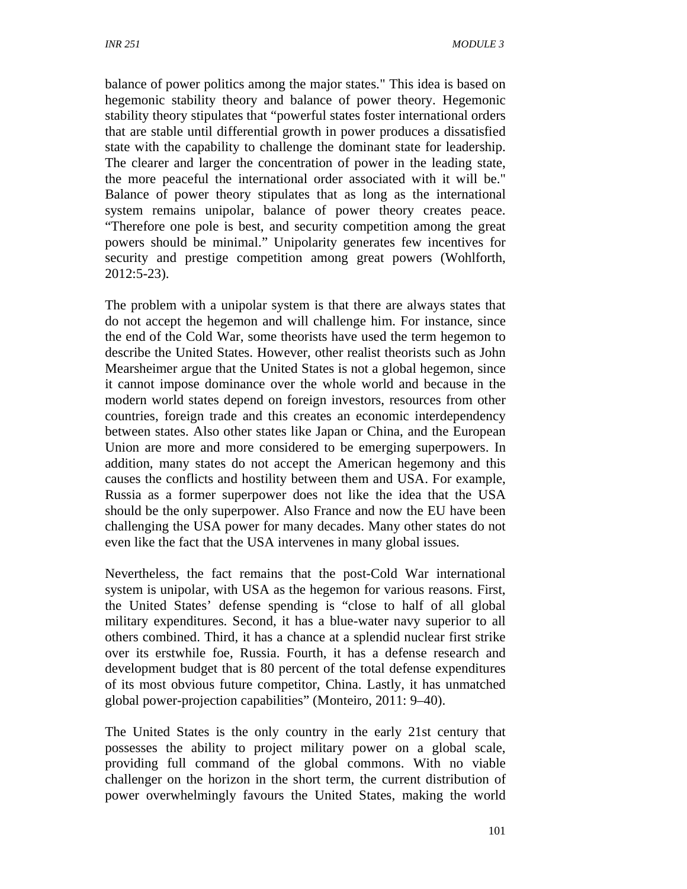balance of power politics among the major states." This idea is based on hegemonic stability theory and balance of power theory. Hegemonic stability theory stipulates that "powerful states foster international orders that are stable until differential growth in power produces a dissatisfied state with the capability to challenge the dominant state for leadership. The clearer and larger the concentration of power in the leading state, the more peaceful the international order associated with it will be." Balance of power theory stipulates that as long as the international system remains unipolar, balance of power theory creates peace. "Therefore one pole is best, and security competition among the great powers should be minimal." Unipolarity generates few incentives for security and prestige competition among great powers (Wohlforth, 2012:5-23).

The problem with a unipolar system is that there are always states that do not accept the hegemon and will challenge him. For instance, since the end of the Cold War, some theorists have used the term hegemon to describe the United States. However, other realist theorists such as John Mearsheimer argue that the United States is not a global hegemon, since it cannot impose dominance over the whole world and because in the modern world states depend on foreign investors, resources from other countries, foreign trade and this creates an economic interdependency between states. Also other states like Japan or China, and the European Union are more and more considered to be emerging superpowers. In addition, many states do not accept the American hegemony and this causes the conflicts and hostility between them and USA. For example, Russia as a former superpower does not like the idea that the USA should be the only superpower. Also France and now the EU have been challenging the USA power for many decades. Many other states do not even like the fact that the USA intervenes in many global issues.

Nevertheless, the fact remains that the post-Cold War international system is unipolar, with USA as the hegemon for various reasons. First, the United States' defense spending is "close to half of all global military expenditures. Second, it has a blue-water navy superior to all others combined. Third, it has a chance at a splendid nuclear first strike over its erstwhile foe, Russia. Fourth, it has a defense research and development budget that is 80 percent of the total defense expenditures of its most obvious future competitor, China. Lastly, it has unmatched global power-projection capabilities" (Monteiro, 2011: 9–40).

The United States is the only country in the early 21st century that possesses the ability to project military power on a global scale, providing full command of the global commons. With no viable challenger on the horizon in the short term, the current distribution of power overwhelmingly favours the United States, making the world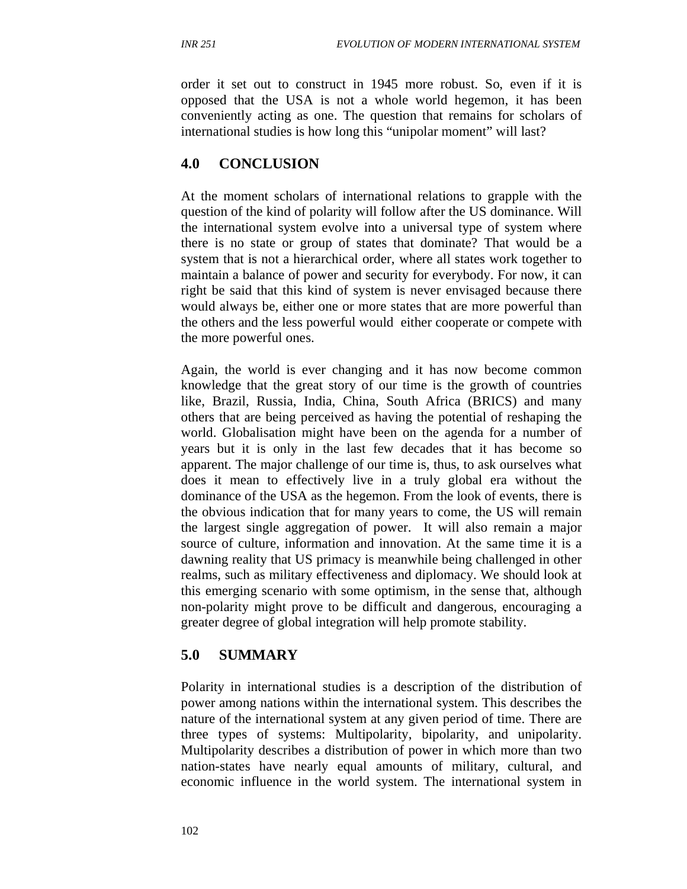order it set out to construct in 1945 more robust. So, even if it is opposed that the USA is not a whole world hegemon, it has been conveniently acting as one. The question that remains for scholars of international studies is how long this "unipolar moment" will last?

### **4.0 CONCLUSION**

At the moment scholars of international relations to grapple with the question of the kind of polarity will follow after the US dominance. Will the international system evolve into a universal type of system where there is no state or group of states that dominate? That would be a system that is not a hierarchical order, where all states work together to maintain a balance of power and security for everybody. For now, it can right be said that this kind of system is never envisaged because there would always be, either one or more states that are more powerful than the others and the less powerful would either cooperate or compete with the more powerful ones.

Again, the world is ever changing and it has now become common knowledge that the great story of our time is the growth of countries like, Brazil, Russia, India, China, South Africa (BRICS) and many others that are being perceived as having the potential of reshaping the world. Globalisation might have been on the agenda for a number of years but it is only in the last few decades that it has become so apparent. The major challenge of our time is, thus, to ask ourselves what does it mean to effectively live in a truly global era without the dominance of the USA as the hegemon. From the look of events, there is the obvious indication that for many years to come, the US will remain the largest single aggregation of power. It will also remain a major source of culture, information and innovation. At the same time it is a dawning reality that US primacy is meanwhile being challenged in other realms, such as military effectiveness and diplomacy. We should look at this emerging scenario with some optimism, in the sense that, although non-polarity might prove to be difficult and dangerous, encouraging a greater degree of global integration will help promote stability.

### **5.0 SUMMARY**

Polarity in international studies is a description of the distribution of power among nations within the international system. This describes the nature of the international system at any given period of time. There are three types of systems: Multipolarity, bipolarity, and unipolarity. Multipolarity describes a distribution of power in which more than two nation-states have nearly equal amounts of military, cultural, and economic influence in the world system. The international system in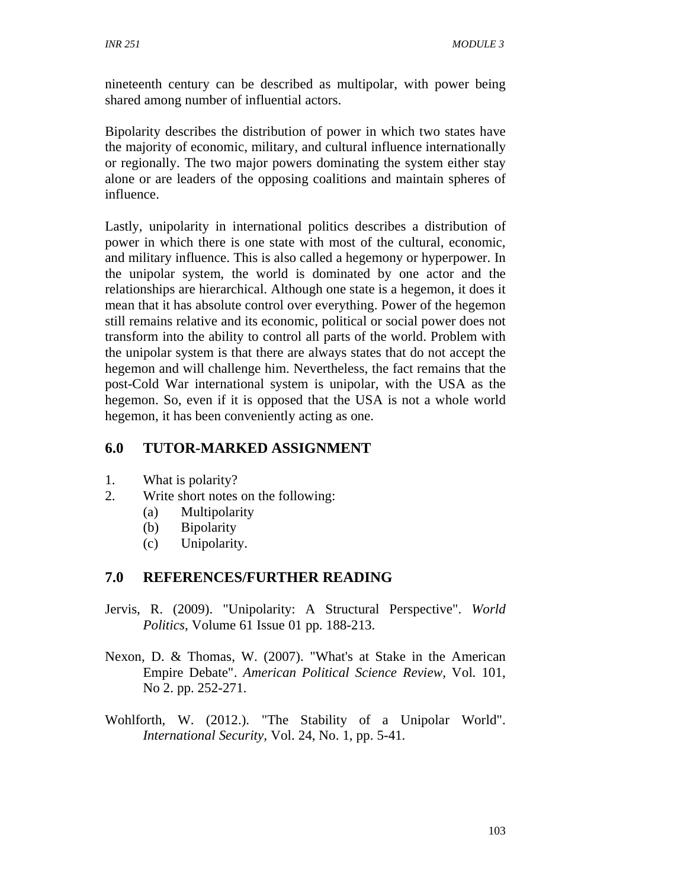nineteenth century can be described as multipolar, with power being shared among number of influential actors.

Bipolarity describes the distribution of power in which two states have the majority of economic, military, and cultural influence internationally or regionally. The two major powers dominating the system either stay alone or are leaders of the opposing coalitions and maintain spheres of influence.

Lastly, unipolarity in international politics describes a distribution of power in which there is one state with most of the cultural, economic, and military influence. This is also called a hegemony or hyperpower. In the unipolar system, the world is dominated by one actor and the relationships are hierarchical. Although one state is a hegemon, it does it mean that it has absolute control over everything. Power of the hegemon still remains relative and its economic, political or social power does not transform into the ability to control all parts of the world. Problem with the unipolar system is that there are always states that do not accept the hegemon and will challenge him. Nevertheless, the fact remains that the post-Cold War international system is unipolar, with the USA as the hegemon. So, even if it is opposed that the USA is not a whole world hegemon, it has been conveniently acting as one.

### **6.0 TUTOR-MARKED ASSIGNMENT**

- 1. What is polarity?
- 2. Write short notes on the following:
	- (a) Multipolarity
	- (b) Bipolarity
	- (c) Unipolarity.

### **7.0 REFERENCES/FURTHER READING**

- Jervis, R. (2009). "Unipolarity: A Structural Perspective". *World Politics*, Volume 61 Issue 01 pp. 188-213.
- Nexon, D. & Thomas, W. (2007). "What's at Stake in the American Empire Debate". *American Political Science Review,* Vol. 101, No 2. pp. 252-271.
- Wohlforth, W. (2012.). "The Stability of a Unipolar World". *International Security,* Vol. 24, No. 1, pp. 5-41.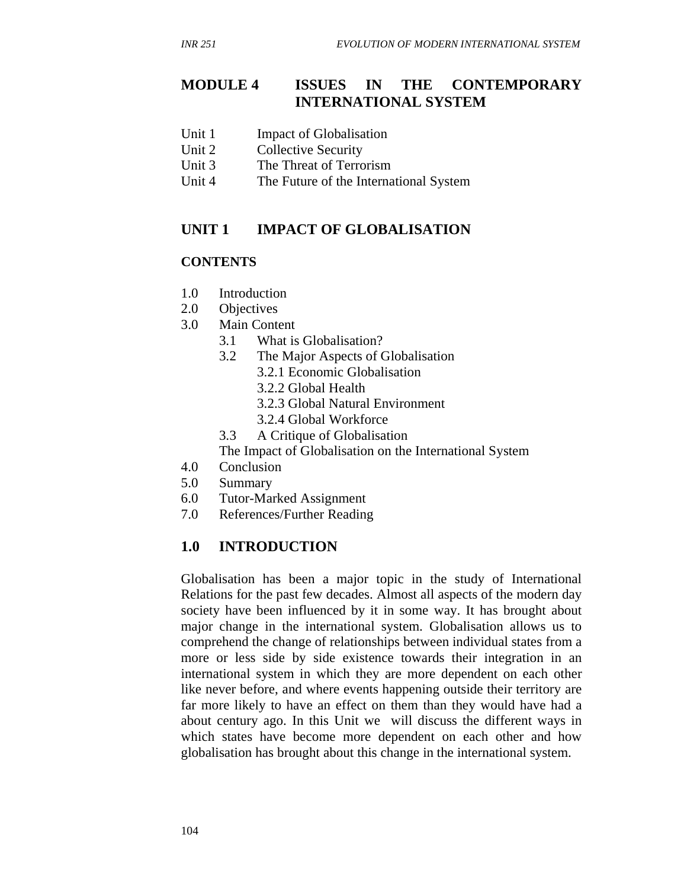### **MODULE 4 ISSUES IN THE CONTEMPORARY INTERNATIONAL SYSTEM**

- Unit 1 Impact of Globalisation
- Unit 2 Collective Security
- Unit 3 The Threat of Terrorism
- Unit 4 The Future of the International System

### **UNIT 1 IMPACT OF GLOBALISATION**

#### **CONTENTS**

- 1.0 Introduction
- 2.0 Objectives
- 3.0 Main Content
	- 3.1 What is Globalisation?
	- 3.2 The Major Aspects of Globalisation
		- 3.2.1 Economic Globalisation
		- 3.2.2 Global Health
		- 3.2.3 Global Natural Environment
		- 3.2.4 Global Workforce
	- 3.3 A Critique of Globalisation

The Impact of Globalisation on the International System

- 4.0 Conclusion
- 5.0 Summary
- 6.0 Tutor-Marked Assignment
- 7.0 References/Further Reading

### **1.0 INTRODUCTION**

Globalisation has been a major topic in the study of International Relations for the past few decades. Almost all aspects of the modern day society have been influenced by it in some way. It has brought about major change in the international system. Globalisation allows us to comprehend the change of relationships between individual states from a more or less side by side existence towards their integration in an international system in which they are more dependent on each other like never before, and where events happening outside their territory are far more likely to have an effect on them than they would have had a about century ago. In this Unit we will discuss the different ways in which states have become more dependent on each other and how globalisation has brought about this change in the international system.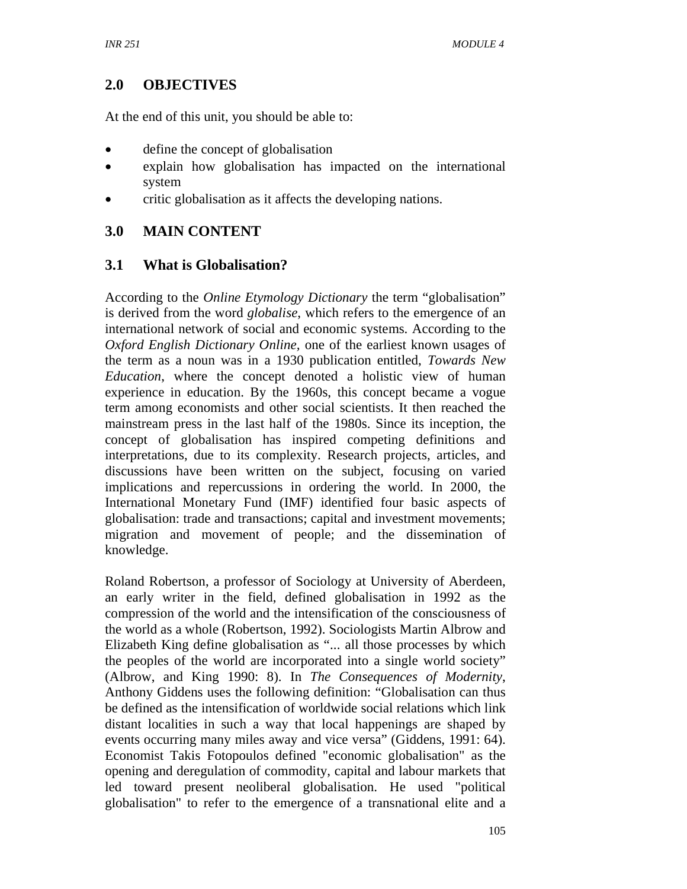# **2.0 OBJECTIVES**

At the end of this unit, you should be able to:

- define the concept of globalisation
- explain how globalisation has impacted on the international system
- critic globalisation as it affects the developing nations.

# **3.0 MAIN CONTENT**

## **3.1 What is Globalisation?**

According to the *Online Etymology Dictionary* the term "globalisation" is derived from the word *globalise*, which refers to the emergence of an international network of social and economic systems. According to the *Oxford English Dictionary Online,* one of the earliest known usages of the term as a noun was in a 1930 publication entitled, *Towards New Education*, where the concept denoted a holistic view of human experience in education. By the 1960s, this concept became a vogue term among economists and other social scientists. It then reached the mainstream press in the last half of the 1980s. Since its inception, the concept of globalisation has inspired competing definitions and interpretations, due to its complexity. Research projects, articles, and discussions have been written on the subject, focusing on varied implications and repercussions in ordering the world. In 2000, the International Monetary Fund (IMF) identified four basic aspects of globalisation: trade and transactions; capital and investment movements; migration and movement of people; and the dissemination of knowledge.

Roland Robertson, a professor of Sociology at University of Aberdeen, an early writer in the field, defined globalisation in 1992 as the compression of the world and the intensification of the consciousness of the world as a whole (Robertson, 1992). Sociologists Martin Albrow and Elizabeth King define globalisation as "... all those processes by which the peoples of the world are incorporated into a single world society" (Albrow, and King 1990: 8). In *The Consequences of Modernity*, Anthony Giddens uses the following definition: "Globalisation can thus be defined as the intensification of worldwide social relations which link distant localities in such a way that local happenings are shaped by events occurring many miles away and vice versa" (Giddens, 1991: 64). Economist Takis Fotopoulos defined "economic globalisation" as the opening and deregulation of commodity, capital and labour markets that led toward present neoliberal globalisation. He used "political globalisation" to refer to the emergence of a transnational elite and a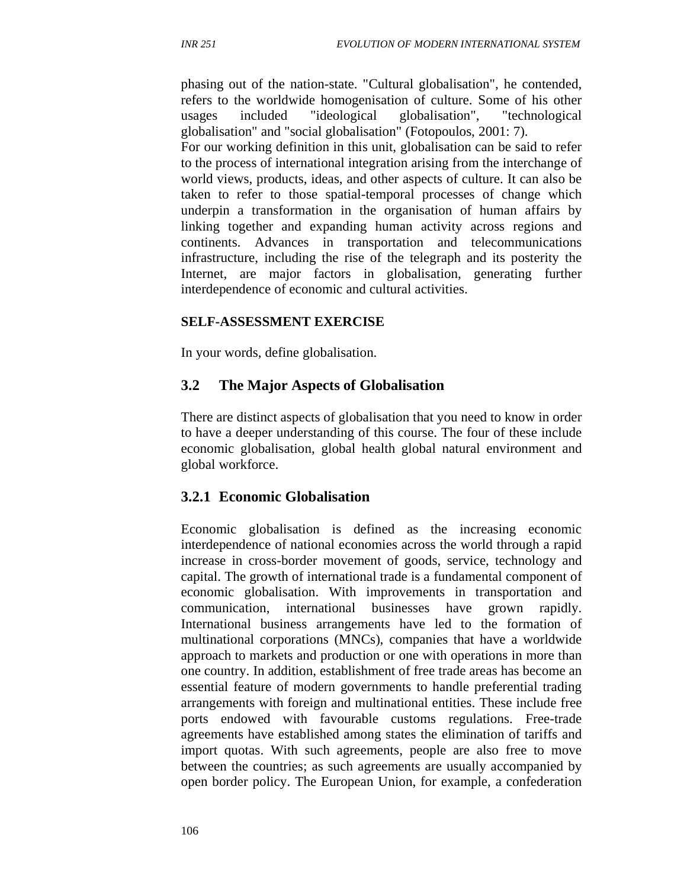phasing out of the nation-state. "Cultural globalisation", he contended, refers to the worldwide homogenisation of culture. Some of his other usages included "ideological globalisation", "technological globalisation" and "social globalisation" (Fotopoulos, 2001: 7). For our working definition in this unit, globalisation can be said to refer to the process of international integration arising from the interchange of world views, products, ideas, and other aspects of culture. It can also be taken to refer to those spatial-temporal processes of change which underpin a transformation in the organisation of human affairs by linking together and expanding human activity across regions and continents. Advances in transportation and telecommunications infrastructure, including the rise of the telegraph and its posterity the Internet, are major factors in globalisation, generating further interdependence of economic and cultural activities.

### **SELF-ASSESSMENT EXERCISE**

In your words, define globalisation.

### **3.2 The Major Aspects of Globalisation**

There are distinct aspects of globalisation that you need to know in order to have a deeper understanding of this course. The four of these include economic globalisation, global health global natural environment and global workforce.

### **3.2.1 Economic Globalisation**

Economic globalisation is defined as the increasing economic interdependence of national economies across the world through a rapid increase in cross-border movement of goods, service, technology and capital. The growth of international trade is a fundamental component of economic globalisation. With improvements in transportation and communication, international businesses have grown rapidly. International business arrangements have led to the formation of multinational corporations (MNCs), companies that have a worldwide approach to markets and production or one with operations in more than one country. In addition, establishment of free trade areas has become an essential feature of modern governments to handle preferential trading arrangements with foreign and multinational entities. These include free ports endowed with favourable customs regulations. Free-trade agreements have established among states the elimination of tariffs and import quotas. With such agreements, people are also free to move between the countries; as such agreements are usually accompanied by open border policy. The European Union, for example, a confederation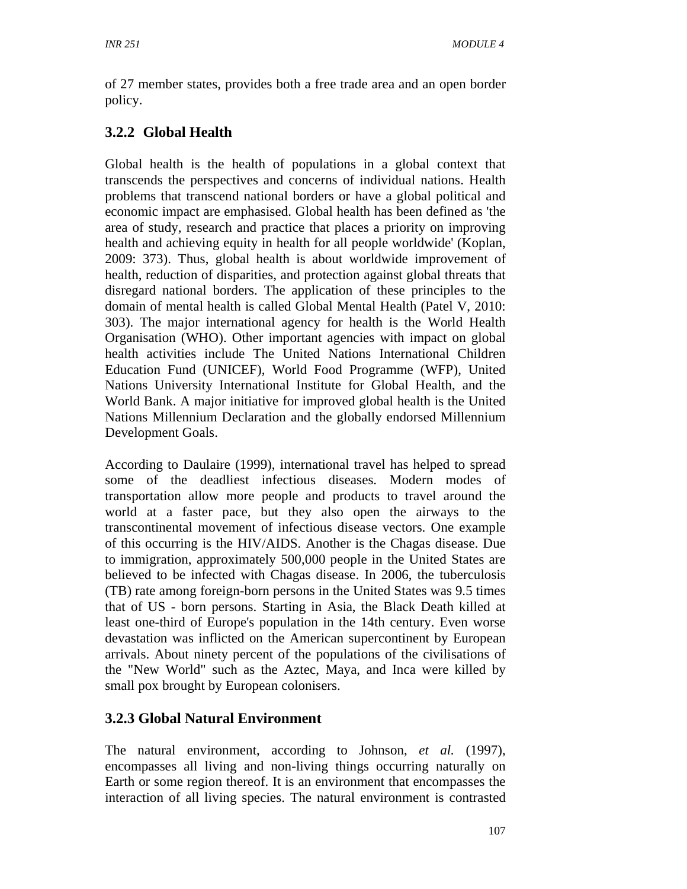of 27 member states, provides both a free trade area and an open border policy.

# **3.2.2 Global Health**

Global health is the health of populations in a global context that transcends the perspectives and concerns of individual nations. Health problems that transcend national borders or have a global political and economic impact are emphasised. Global health has been defined as 'the area of study, research and practice that places a priority on improving health and achieving equity in health for all people worldwide' (Koplan, 2009: 373). Thus, global health is about worldwide improvement of health, reduction of disparities, and protection against global threats that disregard national borders. The application of these principles to the domain of mental health is called Global Mental Health (Patel V, 2010: 303). The major international agency for health is the World Health Organisation (WHO). Other important agencies with impact on global health activities include The United Nations International Children Education Fund (UNICEF), World Food Programme (WFP), United Nations University International Institute for Global Health, and the World Bank. A major initiative for improved global health is the United Nations Millennium Declaration and the globally endorsed Millennium Development Goals.

According to Daulaire (1999), international travel has helped to spread some of the deadliest infectious diseases. Modern modes of transportation allow more people and products to travel around the world at a faster pace, but they also open the airways to the transcontinental movement of infectious disease vectors. One example of this occurring is the HIV/AIDS. Another is the Chagas disease. Due to immigration, approximately 500,000 people in the United States are believed to be infected with Chagas disease. In 2006, the tuberculosis (TB) rate among foreign-born persons in the United States was 9.5 times that of US - born persons. Starting in Asia, the Black Death killed at least one-third of Europe's population in the 14th century. Even worse devastation was inflicted on the American supercontinent by European arrivals. About ninety percent of the populations of the civilisations of the "New World" such as the Aztec, Maya, and Inca were killed by small pox brought by European colonisers.

# **3.2.3 Global Natural Environment**

The natural environment, according to Johnson, *et al.* (1997), encompasses all living and non-living things occurring naturally on Earth or some region thereof. It is an environment that encompasses the interaction of all living species. The natural environment is contrasted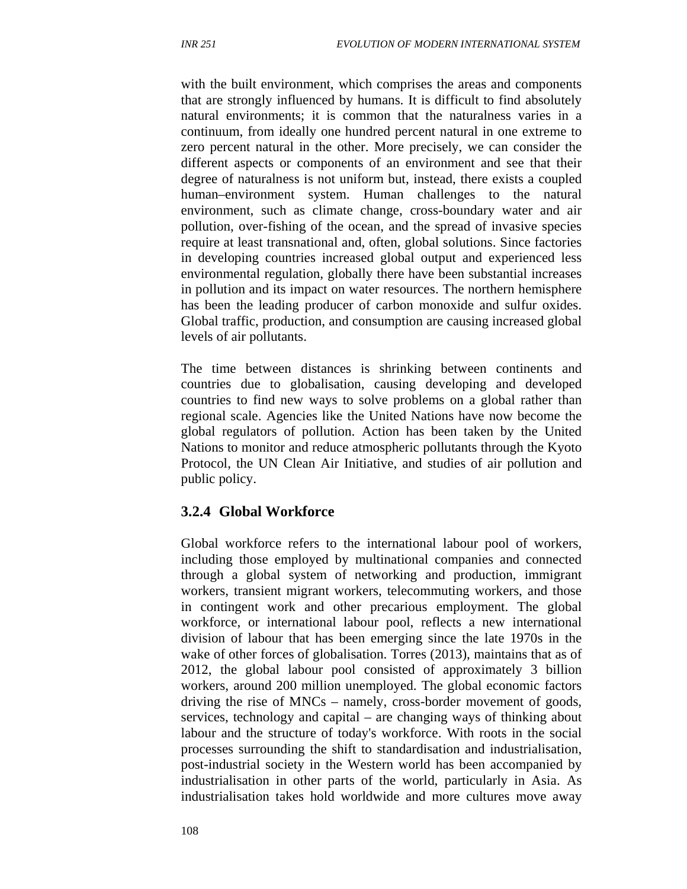with the built environment, which comprises the areas and components that are strongly influenced by humans. It is difficult to find absolutely natural environments; it is common that the naturalness varies in a continuum, from ideally one hundred percent natural in one extreme to zero percent natural in the other. More precisely, we can consider the different aspects or components of an environment and see that their degree of naturalness is not uniform but, instead, there exists a coupled human–environment system. Human challenges to the natural environment, such as climate change, cross-boundary water and air pollution, over-fishing of the ocean, and the spread of invasive species require at least transnational and, often, global solutions. Since factories in developing countries increased global output and experienced less environmental regulation, globally there have been substantial increases in pollution and its impact on water resources. The northern hemisphere has been the leading producer of carbon monoxide and sulfur oxides. Global traffic, production, and consumption are causing increased global levels of air pollutants.

The time between distances is shrinking between continents and countries due to globalisation, causing developing and developed countries to find new ways to solve problems on a global rather than regional scale. Agencies like the United Nations have now become the global regulators of pollution. Action has been taken by the United Nations to monitor and reduce atmospheric pollutants through the Kyoto Protocol, the UN Clean Air Initiative, and studies of air pollution and public policy.

### **3.2.4 Global Workforce**

Global workforce refers to the international labour pool of workers, including those employed by multinational companies and connected through a global system of networking and production, immigrant workers, transient migrant workers, telecommuting workers, and those in contingent work and other precarious employment. The global workforce, or international labour pool, reflects a new international division of labour that has been emerging since the late 1970s in the wake of other forces of globalisation. Torres (2013), maintains that as of 2012, the global labour pool consisted of approximately 3 billion workers, around 200 million unemployed. The global economic factors driving the rise of MNCs – namely, cross-border movement of goods, services, technology and capital – are changing ways of thinking about labour and the structure of today's workforce. With roots in the social processes surrounding the shift to standardisation and industrialisation, post-industrial society in the Western world has been accompanied by industrialisation in other parts of the world, particularly in Asia. As industrialisation takes hold worldwide and more cultures move away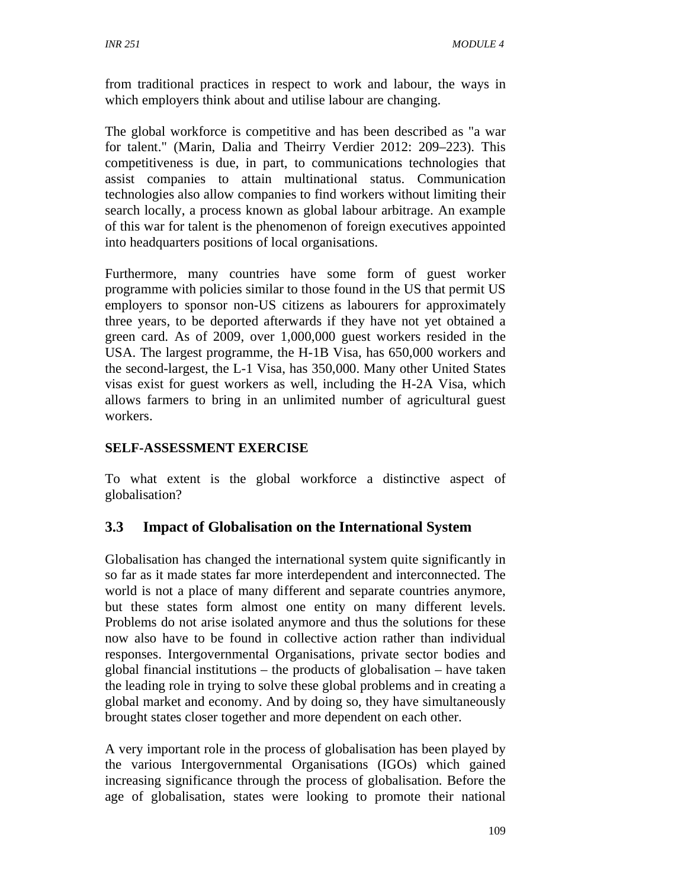from traditional practices in respect to work and labour, the ways in which employers think about and utilise labour are changing.

The global workforce is competitive and has been described as "a war for talent." (Marin, Dalia and Theirry Verdier 2012: 209–223). This competitiveness is due, in part, to communications technologies that assist companies to attain multinational status. Communication technologies also allow companies to find workers without limiting their search locally, a process known as global labour arbitrage. An example of this war for talent is the phenomenon of foreign executives appointed into headquarters positions of local organisations.

Furthermore, many countries have some form of guest worker programme with policies similar to those found in the US that permit US employers to sponsor non-US citizens as labourers for approximately three years, to be deported afterwards if they have not yet obtained a green card. As of 2009, over 1,000,000 guest workers resided in the USA. The largest programme, the H-1B Visa, has 650,000 workers and the second-largest, the L-1 Visa, has 350,000. Many other United States visas exist for guest workers as well, including the H-2A Visa, which allows farmers to bring in an unlimited number of agricultural guest workers.

### **SELF-ASSESSMENT EXERCISE**

To what extent is the global workforce a distinctive aspect of globalisation?

### **3.3 Impact of Globalisation on the International System**

Globalisation has changed the international system quite significantly in so far as it made states far more interdependent and interconnected. The world is not a place of many different and separate countries anymore, but these states form almost one entity on many different levels. Problems do not arise isolated anymore and thus the solutions for these now also have to be found in collective action rather than individual responses. Intergovernmental Organisations, private sector bodies and global financial institutions – the products of globalisation – have taken the leading role in trying to solve these global problems and in creating a global market and economy. And by doing so, they have simultaneously brought states closer together and more dependent on each other.

A very important role in the process of globalisation has been played by the various Intergovernmental Organisations (IGOs) which gained increasing significance through the process of globalisation. Before the age of globalisation, states were looking to promote their national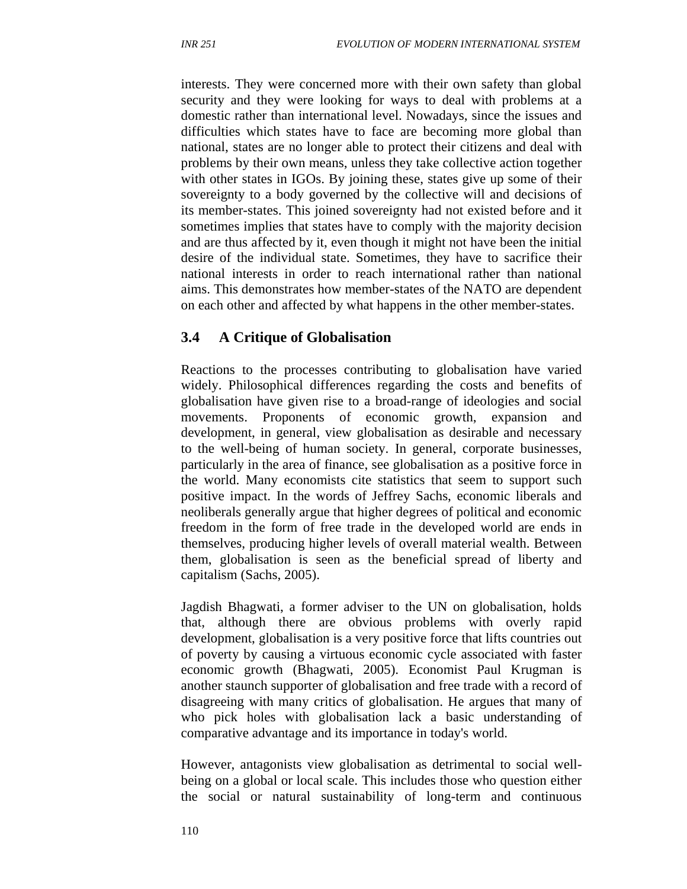interests. They were concerned more with their own safety than global security and they were looking for ways to deal with problems at a domestic rather than international level. Nowadays, since the issues and difficulties which states have to face are becoming more global than national, states are no longer able to protect their citizens and deal with problems by their own means, unless they take collective action together with other states in IGOs. By joining these, states give up some of their sovereignty to a body governed by the collective will and decisions of its member-states. This joined sovereignty had not existed before and it sometimes implies that states have to comply with the majority decision and are thus affected by it, even though it might not have been the initial desire of the individual state. Sometimes, they have to sacrifice their national interests in order to reach international rather than national aims. This demonstrates how member-states of the NATO are dependent on each other and affected by what happens in the other member-states.

#### **3.4 A Critique of Globalisation**

Reactions to the processes contributing to globalisation have varied widely. Philosophical differences regarding the costs and benefits of globalisation have given rise to a broad-range of ideologies and social movements. Proponents of economic growth, expansion development, in general, view globalisation as desirable and necessary to the well-being of human society. In general, corporate businesses, particularly in the area of finance, see globalisation as a positive force in the world. Many economists cite statistics that seem to support such positive impact. In the words of Jeffrey Sachs, economic liberals and neoliberals generally argue that higher degrees of political and economic freedom in the form of free trade in the developed world are ends in themselves, producing higher levels of overall material wealth. Between them, globalisation is seen as the beneficial spread of liberty and capitalism (Sachs, 2005).

Jagdish Bhagwati, a former adviser to the UN on globalisation, holds that, although there are obvious problems with overly rapid development, globalisation is a very positive force that lifts countries out of poverty by causing a virtuous economic cycle associated with faster economic growth (Bhagwati, 2005). Economist Paul Krugman is another staunch supporter of globalisation and free trade with a record of disagreeing with many critics of globalisation. He argues that many of who pick holes with globalisation lack a basic understanding of comparative advantage and its importance in today's world.

However, antagonists view globalisation as detrimental to social wellbeing on a global or local scale. This includes those who question either the social or natural sustainability of long-term and continuous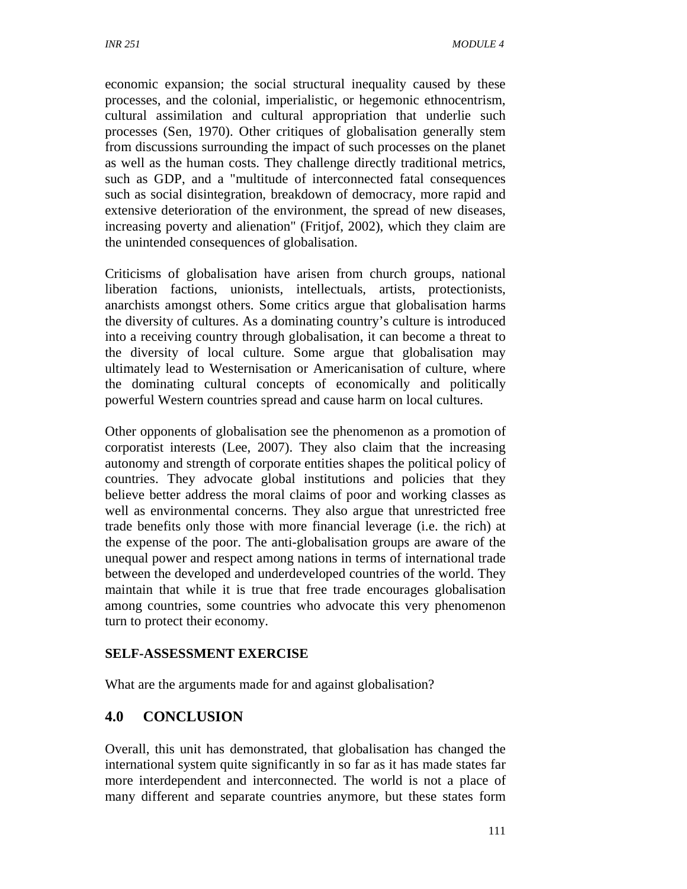economic expansion; the social structural inequality caused by these processes, and the colonial, imperialistic, or hegemonic ethnocentrism, cultural assimilation and cultural appropriation that underlie such processes (Sen, 1970). Other critiques of globalisation generally stem from discussions surrounding the impact of such processes on the planet as well as the human costs. They challenge directly traditional metrics, such as GDP, and a "multitude of interconnected fatal consequences such as social disintegration, breakdown of democracy, more rapid and extensive deterioration of the environment, the spread of new diseases, increasing poverty and alienation" (Fritjof, 2002), which they claim are the unintended consequences of globalisation.

Criticisms of globalisation have arisen from church groups, national liberation factions, unionists, intellectuals, artists, protectionists, anarchists amongst others. Some critics argue that globalisation harms the diversity of cultures. As a dominating country's culture is introduced into a receiving country through globalisation, it can become a threat to the diversity of local culture. Some argue that globalisation may ultimately lead to Westernisation or Americanisation of culture, where the dominating cultural concepts of economically and politically powerful Western countries spread and cause harm on local cultures.

Other opponents of globalisation see the phenomenon as a promotion of corporatist interests (Lee, 2007). They also claim that the increasing autonomy and strength of corporate entities shapes the political policy of countries. They advocate global institutions and policies that they believe better address the moral claims of poor and working classes as well as environmental concerns. They also argue that unrestricted free trade benefits only those with more financial leverage (i.e. the rich) at the expense of the poor. The anti-globalisation groups are aware of the unequal power and respect among nations in terms of international trade between the developed and underdeveloped countries of the world. They maintain that while it is true that free trade encourages globalisation among countries, some countries who advocate this very phenomenon turn to protect their economy.

### **SELF-ASSESSMENT EXERCISE**

What are the arguments made for and against globalisation?

### **4.0 CONCLUSION**

Overall, this unit has demonstrated, that globalisation has changed the international system quite significantly in so far as it has made states far more interdependent and interconnected. The world is not a place of many different and separate countries anymore, but these states form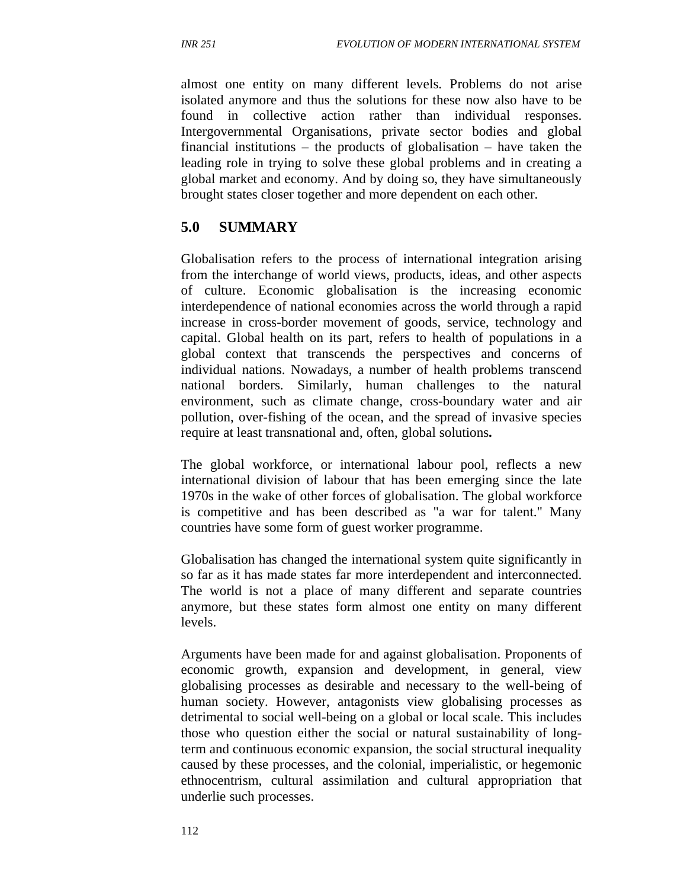almost one entity on many different levels. Problems do not arise isolated anymore and thus the solutions for these now also have to be found in collective action rather than individual responses. Intergovernmental Organisations, private sector bodies and global financial institutions – the products of globalisation – have taken the leading role in trying to solve these global problems and in creating a global market and economy. And by doing so, they have simultaneously brought states closer together and more dependent on each other.

## **5.0 SUMMARY**

Globalisation refers to the process of international integration arising from the interchange of world views, products, ideas, and other aspects of culture. Economic globalisation is the increasing economic interdependence of national economies across the world through a rapid increase in cross-border movement of goods, service, technology and capital. Global health on its part, refers to health of populations in a global context that transcends the perspectives and concerns of individual nations. Nowadays, a number of health problems transcend national borders. Similarly, human challenges to the natural environment, such as climate change, cross-boundary water and air pollution, over-fishing of the ocean, and the spread of invasive species require at least transnational and, often, global solutions**.** 

The global workforce, or international labour pool, reflects a new international division of labour that has been emerging since the late 1970s in the wake of other forces of globalisation. The global workforce is competitive and has been described as "a war for talent." Many countries have some form of guest worker programme.

Globalisation has changed the international system quite significantly in so far as it has made states far more interdependent and interconnected. The world is not a place of many different and separate countries anymore, but these states form almost one entity on many different levels.

Arguments have been made for and against globalisation. Proponents of economic growth, expansion and development, in general, view globalising processes as desirable and necessary to the well-being of human society. However, antagonists view globalising processes as detrimental to social well-being on a global or local scale. This includes those who question either the social or natural sustainability of longterm and continuous economic expansion, the social structural inequality caused by these processes, and the colonial, imperialistic, or hegemonic ethnocentrism, cultural assimilation and cultural appropriation that underlie such processes.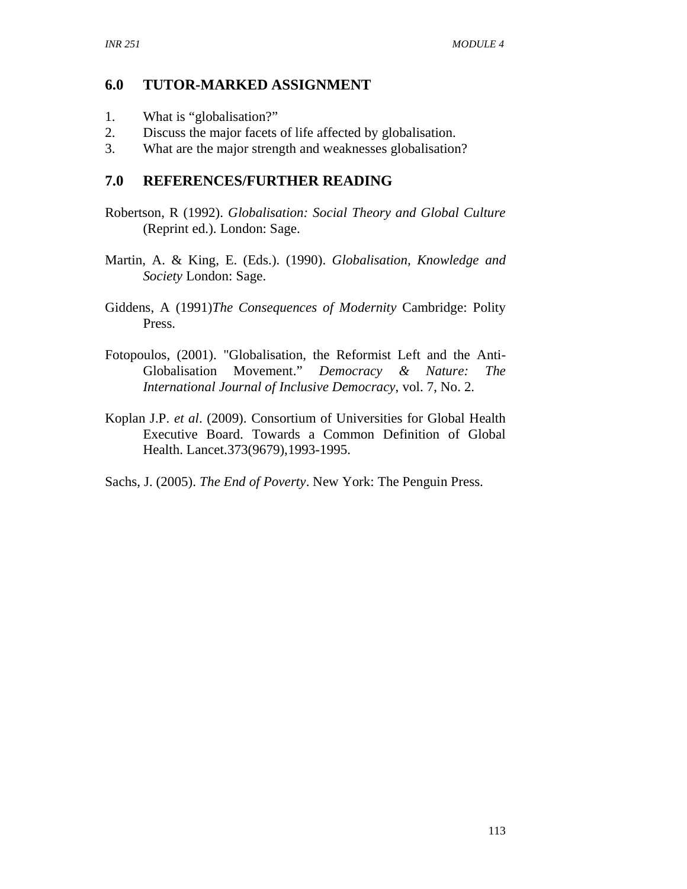### **6.0 TUTOR-MARKED ASSIGNMENT**

- 1. What is "globalisation?"
- 2. Discuss the major facets of life affected by globalisation.
- 3. What are the major strength and weaknesses globalisation?

## **7.0 REFERENCES/FURTHER READING**

- Robertson, R (1992). *Globalisation: Social Theory and Global Culture*  (Reprint ed.). London: Sage.
- Martin, A. & King, E. (Eds.). (1990). *Globalisation, Knowledge and Society* London: Sage.
- Giddens, A (1991)*The Consequences of Modernity* Cambridge: Polity Press.
- Fotopoulos, (2001). "Globalisation, the Reformist Left and the Anti-Globalisation Movement." *Democracy & Nature: The International Journal of Inclusive Democracy*, vol. 7, No. 2.
- Koplan J.P. *et al*. (2009). Consortium of Universities for Global Health Executive Board. Towards a Common Definition of Global Health. Lancet.373(9679),1993-1995.

Sachs, J. (2005). *The End of Poverty*. New York: The Penguin Press.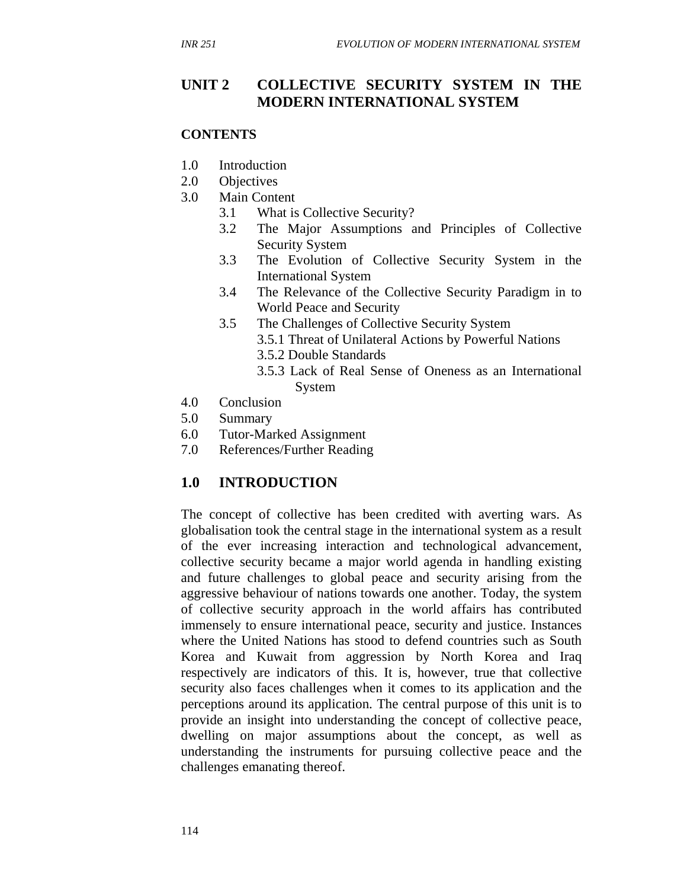### **UNIT 2 COLLECTIVE SECURITY SYSTEM IN THE MODERN INTERNATIONAL SYSTEM**

#### **CONTENTS**

- 1.0 Introduction
- 2.0 Objectives
- 3.0 Main Content
	- 3.1 What is Collective Security?
	- 3.2 The Major Assumptions and Principles of Collective Security System
	- 3.3 The Evolution of Collective Security System in the International System
	- 3.4 The Relevance of the Collective Security Paradigm in to World Peace and Security
	- 3.5 The Challenges of Collective Security System
		- 3.5.1 Threat of Unilateral Actions by Powerful Nations
			- 3.5.2 Double Standards
			- 3.5.3 Lack of Real Sense of Oneness as an International System
- 4.0 Conclusion
- 5.0 Summary
- 6.0 Tutor-Marked Assignment
- 7.0 References/Further Reading

### **1.0 INTRODUCTION**

The concept of collective has been credited with averting wars. As globalisation took the central stage in the international system as a result of the ever increasing interaction and technological advancement, collective security became a major world agenda in handling existing and future challenges to global peace and security arising from the aggressive behaviour of nations towards one another. Today, the system of collective security approach in the world affairs has contributed immensely to ensure international peace, security and justice. Instances where the United Nations has stood to defend countries such as South Korea and Kuwait from aggression by North Korea and Iraq respectively are indicators of this. It is, however, true that collective security also faces challenges when it comes to its application and the perceptions around its application. The central purpose of this unit is to provide an insight into understanding the concept of collective peace, dwelling on major assumptions about the concept, as well as understanding the instruments for pursuing collective peace and the challenges emanating thereof.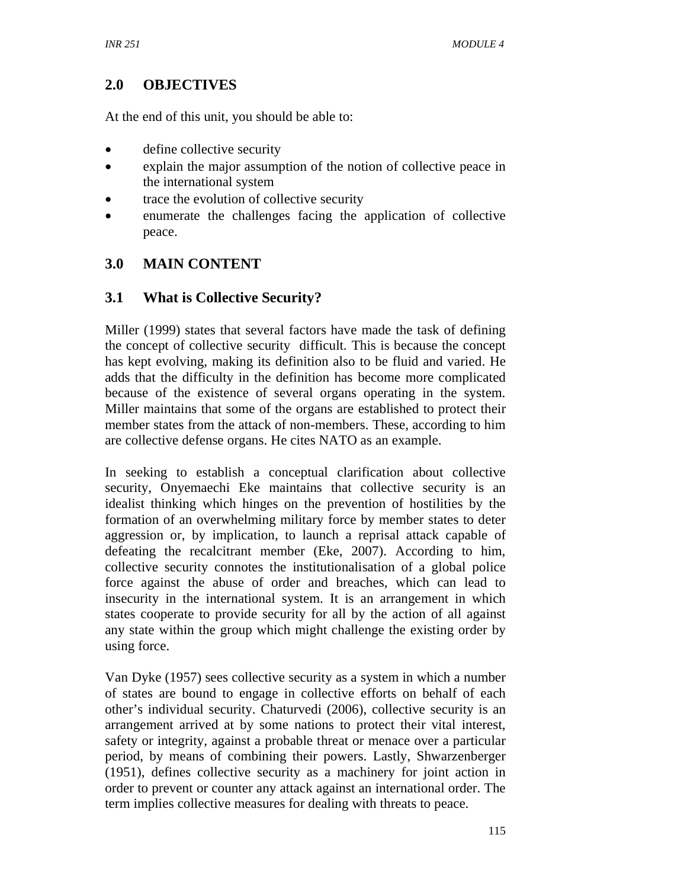# **2.0 OBJECTIVES**

At the end of this unit, you should be able to:

- define collective security
- explain the major assumption of the notion of collective peace in the international system
- trace the evolution of collective security
- enumerate the challenges facing the application of collective peace.

## **3.0 MAIN CONTENT**

### **3.1 What is Collective Security?**

Miller (1999) states that several factors have made the task of defining the concept of collective security difficult. This is because the concept has kept evolving, making its definition also to be fluid and varied. He adds that the difficulty in the definition has become more complicated because of the existence of several organs operating in the system. Miller maintains that some of the organs are established to protect their member states from the attack of non-members. These, according to him are collective defense organs. He cites NATO as an example.

In seeking to establish a conceptual clarification about collective security, Onyemaechi Eke maintains that collective security is an idealist thinking which hinges on the prevention of hostilities by the formation of an overwhelming military force by member states to deter aggression or, by implication, to launch a reprisal attack capable of defeating the recalcitrant member (Eke, 2007). According to him, collective security connotes the institutionalisation of a global police force against the abuse of order and breaches, which can lead to insecurity in the international system. It is an arrangement in which states cooperate to provide security for all by the action of all against any state within the group which might challenge the existing order by using force.

Van Dyke (1957) sees collective security as a system in which a number of states are bound to engage in collective efforts on behalf of each other's individual security. Chaturvedi (2006), collective security is an arrangement arrived at by some nations to protect their vital interest, safety or integrity, against a probable threat or menace over a particular period, by means of combining their powers. Lastly, Shwarzenberger (1951), defines collective security as a machinery for joint action in order to prevent or counter any attack against an international order. The term implies collective measures for dealing with threats to peace.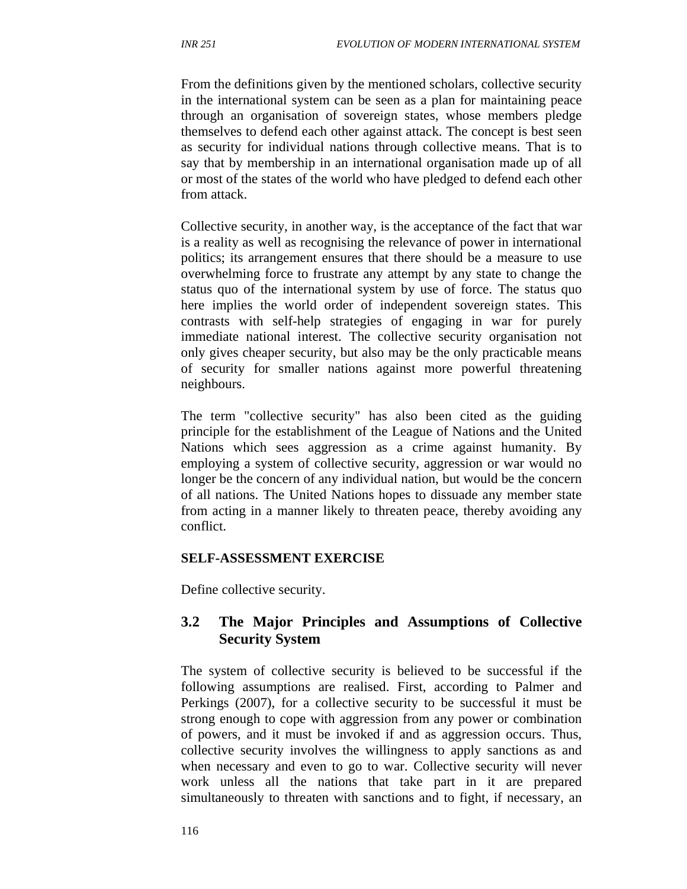From the definitions given by the mentioned scholars, collective security in the international system can be seen as a plan for maintaining peace through an organisation of sovereign states, whose members pledge themselves to defend each other against attack. The concept is best seen as security for individual nations through collective means. That is to say that by membership in an international organisation made up of all or most of the states of the world who have pledged to defend each other from attack.

Collective security, in another way, is the acceptance of the fact that war is a reality as well as recognising the relevance of power in international politics; its arrangement ensures that there should be a measure to use overwhelming force to frustrate any attempt by any state to change the status quo of the international system by use of force. The status quo here implies the world order of independent sovereign states. This contrasts with self-help strategies of engaging in war for purely immediate national interest. The collective security organisation not only gives cheaper security, but also may be the only practicable means of security for smaller nations against more powerful threatening neighbours.

The term "collective security" has also been cited as the guiding principle for the establishment of the League of Nations and the United Nations which sees aggression as a crime against humanity. By employing a system of collective security, aggression or war would no longer be the concern of any individual nation, but would be the concern of all nations. The United Nations hopes to dissuade any member state from acting in a manner likely to threaten peace, thereby avoiding any conflict.

### **SELF-ASSESSMENT EXERCISE**

Define collective security.

### **3.2 The Major Principles and Assumptions of Collective Security System**

The system of collective security is believed to be successful if the following assumptions are realised. First, according to Palmer and Perkings (2007), for a collective security to be successful it must be strong enough to cope with aggression from any power or combination of powers, and it must be invoked if and as aggression occurs. Thus, collective security involves the willingness to apply sanctions as and when necessary and even to go to war. Collective security will never work unless all the nations that take part in it are prepared simultaneously to threaten with sanctions and to fight, if necessary, an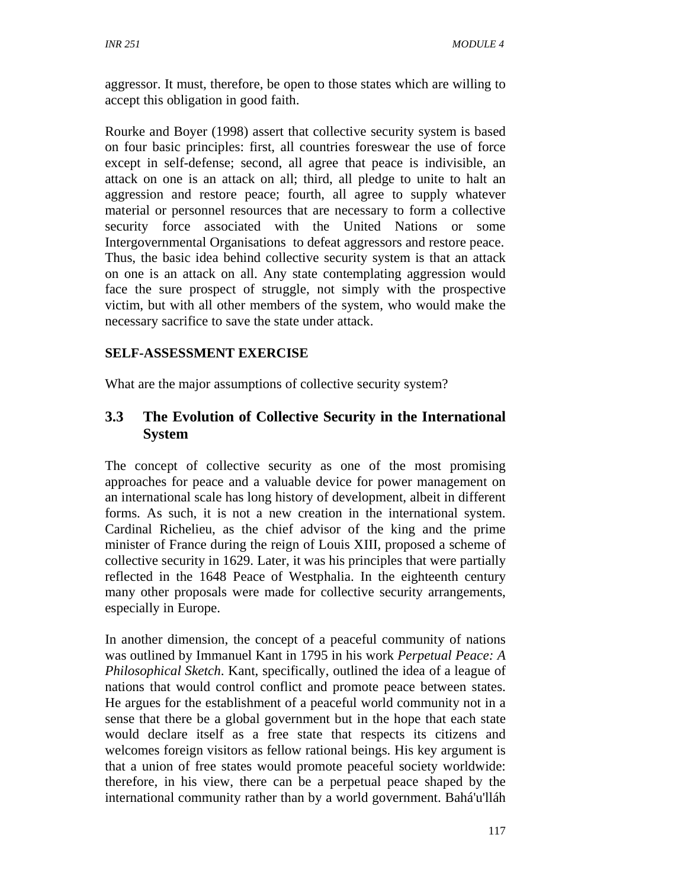aggressor. It must, therefore, be open to those states which are willing to accept this obligation in good faith.

Rourke and Boyer (1998) assert that collective security system is based on four basic principles: first, all countries foreswear the use of force except in self-defense; second, all agree that peace is indivisible, an attack on one is an attack on all; third, all pledge to unite to halt an aggression and restore peace; fourth, all agree to supply whatever material or personnel resources that are necessary to form a collective security force associated with the United Nations or some Intergovernmental Organisations to defeat aggressors and restore peace. Thus, the basic idea behind collective security system is that an attack on one is an attack on all. Any state contemplating aggression would face the sure prospect of struggle, not simply with the prospective victim, but with all other members of the system, who would make the necessary sacrifice to save the state under attack.

### **SELF-ASSESSMENT EXERCISE**

What are the major assumptions of collective security system?

## **3.3 The Evolution of Collective Security in the International System**

The concept of collective security as one of the most promising approaches for peace and a valuable device for power management on an international scale has long history of development, albeit in different forms. As such, it is not a new creation in the international system. Cardinal Richelieu, as the chief advisor of the king and the prime minister of France during the reign of Louis XIII, proposed a scheme of collective security in 1629. Later, it was his principles that were partially reflected in the 1648 Peace of Westphalia. In the eighteenth century many other proposals were made for collective security arrangements, especially in Europe.

In another dimension, the concept of a peaceful community of nations was outlined by Immanuel Kant in 1795 in his work *Perpetual Peace: A Philosophical Sketch*. Kant, specifically, outlined the idea of a league of nations that would control conflict and promote peace between states. He argues for the establishment of a peaceful world community not in a sense that there be a global government but in the hope that each state would declare itself as a free state that respects its citizens and welcomes foreign visitors as fellow rational beings. His key argument is that a union of free states would promote peaceful society worldwide: therefore, in his view, there can be a perpetual peace shaped by the international community rather than by a world government. Bahá'u'lláh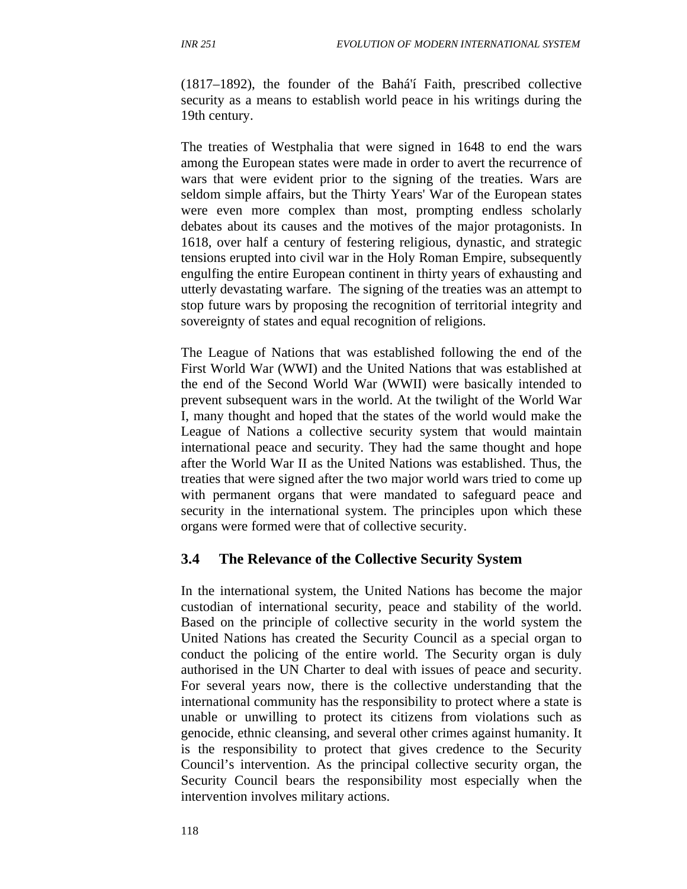(1817–1892), the founder of the Bahá'í Faith, prescribed collective security as a means to establish world peace in his writings during the 19th century.

The treaties of Westphalia that were signed in 1648 to end the wars among the European states were made in order to avert the recurrence of wars that were evident prior to the signing of the treaties. Wars are seldom simple affairs, but the Thirty Years' War of the European states were even more complex than most, prompting endless scholarly debates about its causes and the motives of the major protagonists. In 1618, over half a century of festering religious, dynastic, and strategic tensions erupted into civil war in the Holy Roman Empire, subsequently engulfing the entire European continent in thirty years of exhausting and utterly devastating warfare. The signing of the treaties was an attempt to stop future wars by proposing the recognition of territorial integrity and sovereignty of states and equal recognition of religions.

The League of Nations that was established following the end of the First World War (WWI) and the United Nations that was established at the end of the Second World War (WWII) were basically intended to prevent subsequent wars in the world. At the twilight of the World War I, many thought and hoped that the states of the world would make the League of Nations a collective security system that would maintain international peace and security. They had the same thought and hope after the World War II as the United Nations was established. Thus, the treaties that were signed after the two major world wars tried to come up with permanent organs that were mandated to safeguard peace and security in the international system. The principles upon which these organs were formed were that of collective security.

#### **3.4 The Relevance of the Collective Security System**

In the international system, the United Nations has become the major custodian of international security, peace and stability of the world. Based on the principle of collective security in the world system the United Nations has created the Security Council as a special organ to conduct the policing of the entire world. The Security organ is duly authorised in the UN Charter to deal with issues of peace and security. For several years now, there is the collective understanding that the international community has the responsibility to protect where a state is unable or unwilling to protect its citizens from violations such as genocide, ethnic cleansing, and several other crimes against humanity. It is the responsibility to protect that gives credence to the Security Council's intervention. As the principal collective security organ, the Security Council bears the responsibility most especially when the intervention involves military actions.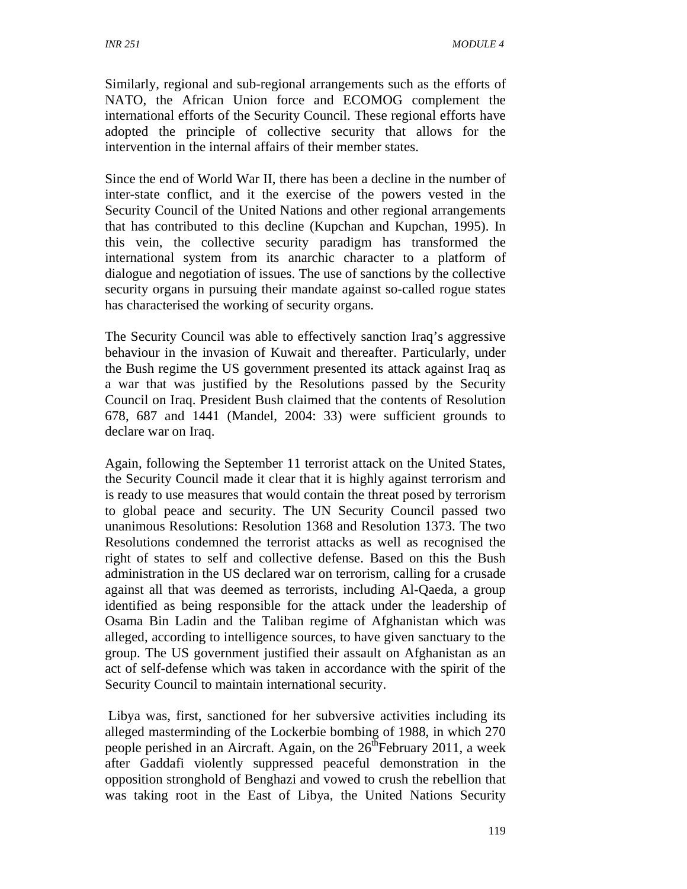Similarly, regional and sub-regional arrangements such as the efforts of NATO, the African Union force and ECOMOG complement the international efforts of the Security Council. These regional efforts have adopted the principle of collective security that allows for the intervention in the internal affairs of their member states.

Since the end of World War II, there has been a decline in the number of inter-state conflict, and it the exercise of the powers vested in the Security Council of the United Nations and other regional arrangements that has contributed to this decline (Kupchan and Kupchan, 1995). In this vein, the collective security paradigm has transformed the international system from its anarchic character to a platform of dialogue and negotiation of issues. The use of sanctions by the collective security organs in pursuing their mandate against so-called rogue states has characterised the working of security organs.

The Security Council was able to effectively sanction Iraq's aggressive behaviour in the invasion of Kuwait and thereafter. Particularly, under the Bush regime the US government presented its attack against Iraq as a war that was justified by the Resolutions passed by the Security Council on Iraq. President Bush claimed that the contents of Resolution 678, 687 and 1441 (Mandel, 2004: 33) were sufficient grounds to declare war on Iraq.

Again, following the September 11 terrorist attack on the United States, the Security Council made it clear that it is highly against terrorism and is ready to use measures that would contain the threat posed by terrorism to global peace and security. The UN Security Council passed two unanimous Resolutions: Resolution 1368 and Resolution 1373. The two Resolutions condemned the terrorist attacks as well as recognised the right of states to self and collective defense. Based on this the Bush administration in the US declared war on terrorism, calling for a crusade against all that was deemed as terrorists, including Al-Qaeda, a group identified as being responsible for the attack under the leadership of Osama Bin Ladin and the Taliban regime of Afghanistan which was alleged, according to intelligence sources, to have given sanctuary to the group. The US government justified their assault on Afghanistan as an act of self-defense which was taken in accordance with the spirit of the Security Council to maintain international security.

 Libya was, first, sanctioned for her subversive activities including its alleged masterminding of the Lockerbie bombing of 1988, in which 270 people perished in an Aircraft. Again, on the  $26<sup>th</sup>$ February 2011, a week after Gaddafi violently suppressed peaceful demonstration in the opposition stronghold of Benghazi and vowed to crush the rebellion that was taking root in the East of Libya, the United Nations Security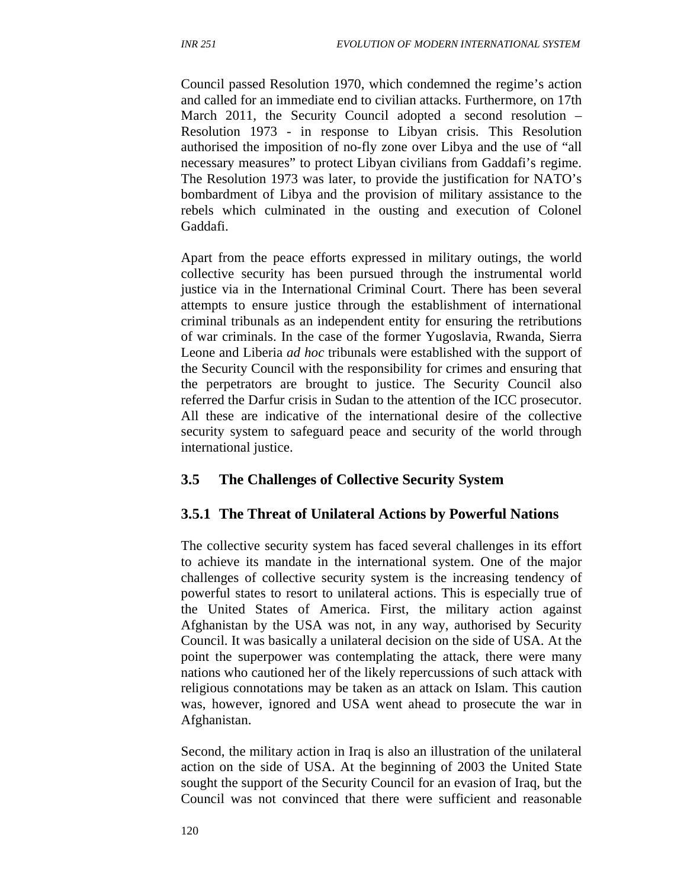Council passed Resolution 1970, which condemned the regime's action and called for an immediate end to civilian attacks. Furthermore, on 17th March 2011, the Security Council adopted a second resolution – Resolution 1973 - in response to Libyan crisis. This Resolution authorised the imposition of no-fly zone over Libya and the use of "all necessary measures" to protect Libyan civilians from Gaddafi's regime. The Resolution 1973 was later, to provide the justification for NATO's bombardment of Libya and the provision of military assistance to the rebels which culminated in the ousting and execution of Colonel Gaddafi.

Apart from the peace efforts expressed in military outings, the world collective security has been pursued through the instrumental world justice via in the International Criminal Court. There has been several attempts to ensure justice through the establishment of international criminal tribunals as an independent entity for ensuring the retributions of war criminals. In the case of the former Yugoslavia, Rwanda, Sierra Leone and Liberia *ad hoc* tribunals were established with the support of the Security Council with the responsibility for crimes and ensuring that the perpetrators are brought to justice. The Security Council also referred the Darfur crisis in Sudan to the attention of the ICC prosecutor. All these are indicative of the international desire of the collective security system to safeguard peace and security of the world through international justice.

### **3.5 The Challenges of Collective Security System**

### **3.5.1 The Threat of Unilateral Actions by Powerful Nations**

The collective security system has faced several challenges in its effort to achieve its mandate in the international system. One of the major challenges of collective security system is the increasing tendency of powerful states to resort to unilateral actions. This is especially true of the United States of America. First, the military action against Afghanistan by the USA was not, in any way, authorised by Security Council. It was basically a unilateral decision on the side of USA. At the point the superpower was contemplating the attack, there were many nations who cautioned her of the likely repercussions of such attack with religious connotations may be taken as an attack on Islam. This caution was, however, ignored and USA went ahead to prosecute the war in Afghanistan.

Second, the military action in Iraq is also an illustration of the unilateral action on the side of USA. At the beginning of 2003 the United State sought the support of the Security Council for an evasion of Iraq, but the Council was not convinced that there were sufficient and reasonable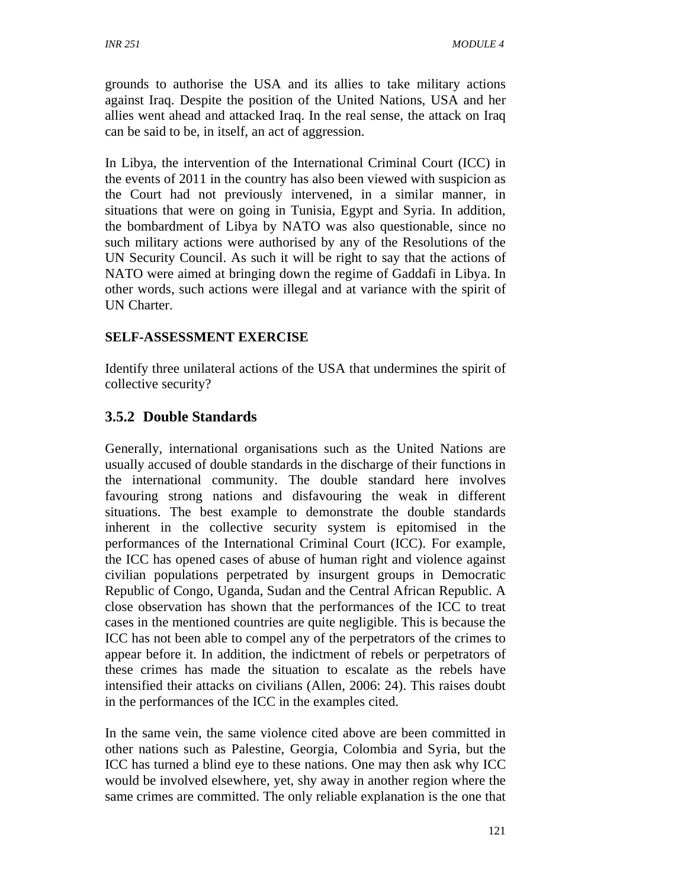grounds to authorise the USA and its allies to take military actions against Iraq. Despite the position of the United Nations, USA and her allies went ahead and attacked Iraq. In the real sense, the attack on Iraq can be said to be, in itself, an act of aggression.

In Libya, the intervention of the International Criminal Court (ICC) in the events of 2011 in the country has also been viewed with suspicion as the Court had not previously intervened, in a similar manner, in situations that were on going in Tunisia, Egypt and Syria. In addition, the bombardment of Libya by NATO was also questionable, since no such military actions were authorised by any of the Resolutions of the UN Security Council. As such it will be right to say that the actions of NATO were aimed at bringing down the regime of Gaddafi in Libya. In other words, such actions were illegal and at variance with the spirit of UN Charter.

## **SELF-ASSESSMENT EXERCISE**

Identify three unilateral actions of the USA that undermines the spirit of collective security?

# **3.5.2 Double Standards**

Generally, international organisations such as the United Nations are usually accused of double standards in the discharge of their functions in the international community. The double standard here involves favouring strong nations and disfavouring the weak in different situations. The best example to demonstrate the double standards inherent in the collective security system is epitomised in the performances of the International Criminal Court (ICC). For example, the ICC has opened cases of abuse of human right and violence against civilian populations perpetrated by insurgent groups in Democratic Republic of Congo, Uganda, Sudan and the Central African Republic. A close observation has shown that the performances of the ICC to treat cases in the mentioned countries are quite negligible. This is because the ICC has not been able to compel any of the perpetrators of the crimes to appear before it. In addition, the indictment of rebels or perpetrators of these crimes has made the situation to escalate as the rebels have intensified their attacks on civilians (Allen, 2006: 24). This raises doubt in the performances of the ICC in the examples cited.

In the same vein, the same violence cited above are been committed in other nations such as Palestine, Georgia, Colombia and Syria, but the ICC has turned a blind eye to these nations. One may then ask why ICC would be involved elsewhere, yet, shy away in another region where the same crimes are committed. The only reliable explanation is the one that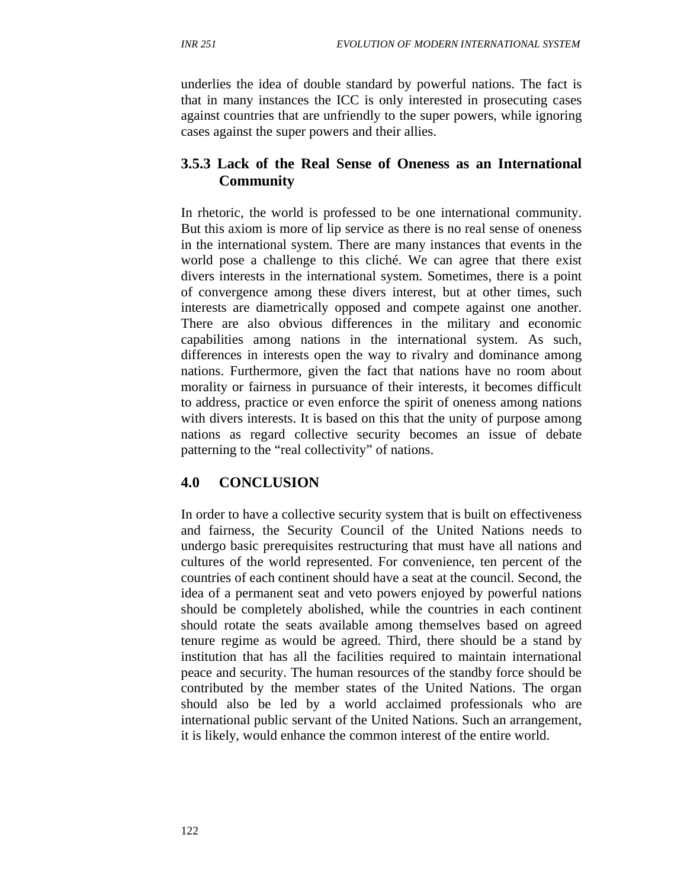underlies the idea of double standard by powerful nations. The fact is that in many instances the ICC is only interested in prosecuting cases against countries that are unfriendly to the super powers, while ignoring cases against the super powers and their allies.

# **3.5.3 Lack of the Real Sense of Oneness as an International Community**

In rhetoric, the world is professed to be one international community. But this axiom is more of lip service as there is no real sense of oneness in the international system. There are many instances that events in the world pose a challenge to this cliché. We can agree that there exist divers interests in the international system. Sometimes, there is a point of convergence among these divers interest, but at other times, such interests are diametrically opposed and compete against one another. There are also obvious differences in the military and economic capabilities among nations in the international system. As such, differences in interests open the way to rivalry and dominance among nations. Furthermore, given the fact that nations have no room about morality or fairness in pursuance of their interests, it becomes difficult to address, practice or even enforce the spirit of oneness among nations with divers interests. It is based on this that the unity of purpose among nations as regard collective security becomes an issue of debate patterning to the "real collectivity" of nations.

# **4.0 CONCLUSION**

In order to have a collective security system that is built on effectiveness and fairness, the Security Council of the United Nations needs to undergo basic prerequisites restructuring that must have all nations and cultures of the world represented. For convenience, ten percent of the countries of each continent should have a seat at the council. Second, the idea of a permanent seat and veto powers enjoyed by powerful nations should be completely abolished, while the countries in each continent should rotate the seats available among themselves based on agreed tenure regime as would be agreed. Third, there should be a stand by institution that has all the facilities required to maintain international peace and security. The human resources of the standby force should be contributed by the member states of the United Nations. The organ should also be led by a world acclaimed professionals who are international public servant of the United Nations. Such an arrangement, it is likely, would enhance the common interest of the entire world.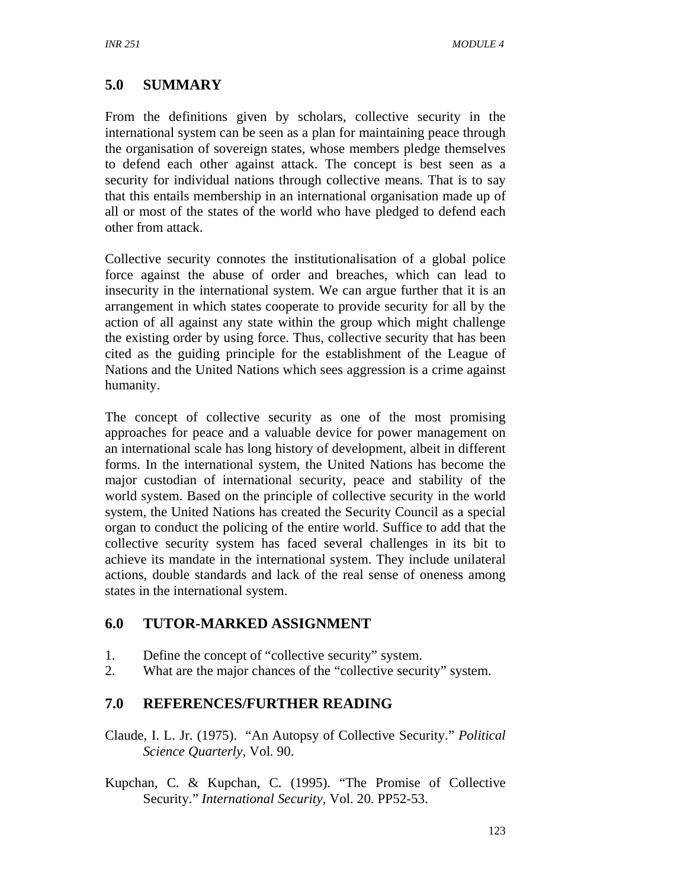# **5.0 SUMMARY**

From the definitions given by scholars, collective security in the international system can be seen as a plan for maintaining peace through the organisation of sovereign states, whose members pledge themselves to defend each other against attack. The concept is best seen as a security for individual nations through collective means. That is to say that this entails membership in an international organisation made up of all or most of the states of the world who have pledged to defend each other from attack.

Collective security connotes the institutionalisation of a global police force against the abuse of order and breaches, which can lead to insecurity in the international system. We can argue further that it is an arrangement in which states cooperate to provide security for all by the action of all against any state within the group which might challenge the existing order by using force. Thus, collective security that has been cited as the guiding principle for the establishment of the League of Nations and the United Nations which sees aggression is a crime against humanity.

The concept of collective security as one of the most promising approaches for peace and a valuable device for power management on an international scale has long history of development, albeit in different forms. In the international system, the United Nations has become the major custodian of international security, peace and stability of the world system. Based on the principle of collective security in the world system, the United Nations has created the Security Council as a special organ to conduct the policing of the entire world. Suffice to add that the collective security system has faced several challenges in its bit to achieve its mandate in the international system. They include unilateral actions, double standards and lack of the real sense of oneness among states in the international system.

### **6.0 TUTOR-MARKED ASSIGNMENT**

- 1. Define the concept of "collective security" system.
- 2. What are the major chances of the "collective security" system.

### **7.0 REFERENCES/FURTHER READING**

- Claude, I. L. Jr. (1975). "An Autopsy of Collective Security." *Political Science Quarterly*, Vol. 90.
- Kupchan, C. & Kupchan, C. (1995). "The Promise of Collective Security." *International Security,* Vol. 20. PP52-53.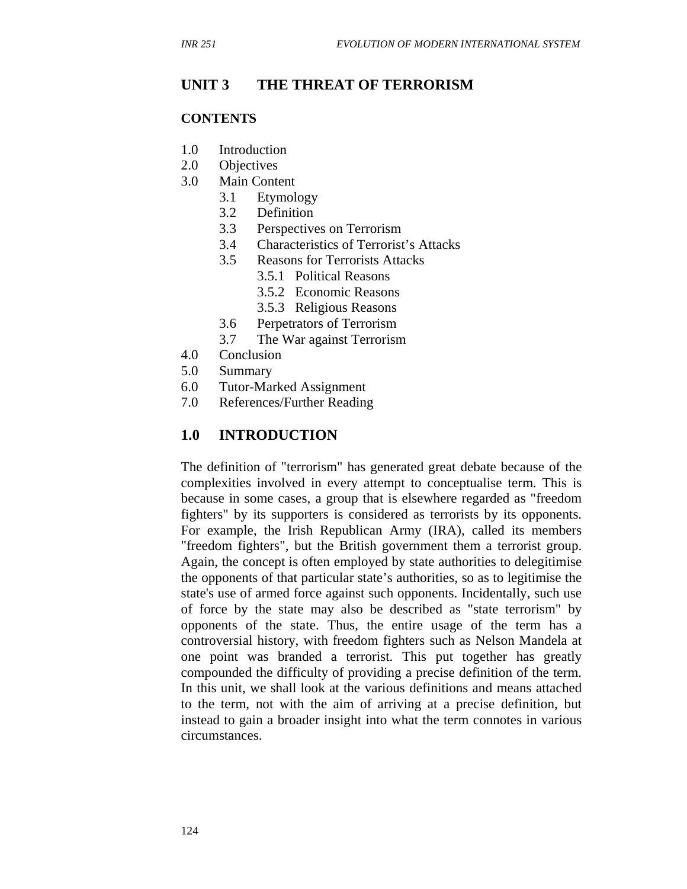#### **UNIT 3 THE THREAT OF TERRORISM**

#### **CONTENTS**

- 1.0 Introduction
- 2.0 Objectives
- 3.0 Main Content
	- 3.1 Etymology
	- 3.2 Definition
	- 3.3 Perspectives on Terrorism
	- 3.4 Characteristics of Terrorist's Attacks
	- 3.5 Reasons for Terrorists Attacks
		- 3.5.1 Political Reasons
		- 3.5.2 Economic Reasons
		- 3.5.3 Religious Reasons
	- 3.6 Perpetrators of Terrorism
	- 3.7 The War against Terrorism
- 4.0 Conclusion
- 5.0 Summary
- 6.0 Tutor-Marked Assignment
- 7.0 References/Further Reading

### **1.0 INTRODUCTION**

The definition of "terrorism" has generated great debate because of the complexities involved in every attempt to conceptualise term. This is because in some cases, a group that is elsewhere regarded as "freedom fighters" by its supporters is considered as terrorists by its opponents. For example, the Irish Republican Army (IRA), called its members "freedom fighters", but the British government them a terrorist group. Again, the concept is often employed by state authorities to delegitimise the opponents of that particular state's authorities, so as to legitimise the state's use of armed force against such opponents. Incidentally, such use of force by the state may also be described as "state terrorism" by opponents of the state. Thus, the entire usage of the term has a controversial history, with freedom fighters such as Nelson Mandela at one point was branded a terrorist. This put together has greatly compounded the difficulty of providing a precise definition of the term. In this unit, we shall look at the various definitions and means attached to the term, not with the aim of arriving at a precise definition, but instead to gain a broader insight into what the term connotes in various circumstances.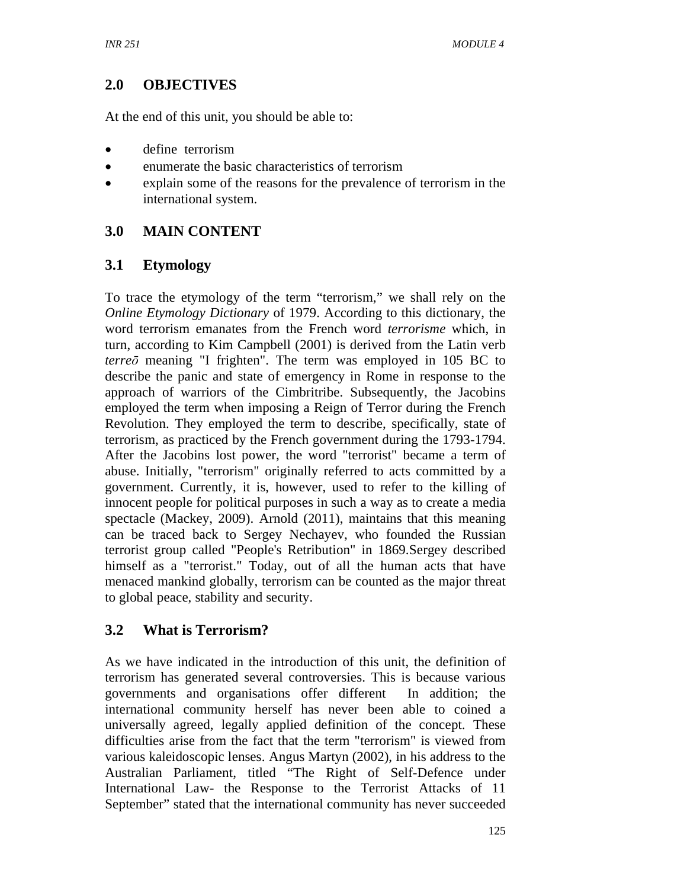# **2.0 OBJECTIVES**

At the end of this unit, you should be able to:

- define terrorism
- enumerate the basic characteristics of terrorism
- explain some of the reasons for the prevalence of terrorism in the international system.

# **3.0 MAIN CONTENT**

## **3.1 Etymology**

To trace the etymology of the term "terrorism," we shall rely on the *Online Etymology Dictionary* of 1979. According to this dictionary, the word terrorism emanates from the French word *terrorisme* which, in turn, according to Kim Campbell (2001) is derived from the Latin verb *terre*ō meaning "I frighten". The term was employed in 105 BC to describe the panic and state of emergency in Rome in response to the approach of warriors of the Cimbritribe. Subsequently, the Jacobins employed the term when imposing a Reign of Terror during the French Revolution. They employed the term to describe, specifically, state of terrorism, as practiced by the French government during the 1793-1794. After the Jacobins lost power, the word "terrorist" became a term of abuse. Initially, "terrorism" originally referred to acts committed by a government. Currently, it is, however, used to refer to the killing of innocent people for political purposes in such a way as to create a media spectacle (Mackey, 2009). Arnold (2011), maintains that this meaning can be traced back to Sergey Nechayev, who founded the Russian terrorist group called "People's Retribution" in 1869.Sergey described himself as a "terrorist." Today, out of all the human acts that have menaced mankind globally, terrorism can be counted as the major threat to global peace, stability and security.

# **3.2 What is Terrorism?**

As we have indicated in the introduction of this unit, the definition of terrorism has generated several controversies. This is because various governments and organisations offer different In addition; the international community herself has never been able to coined a universally agreed, legally applied definition of the concept. These difficulties arise from the fact that the term "terrorism" is viewed from various kaleidoscopic lenses. Angus Martyn (2002), in his address to the Australian Parliament, titled "The Right of Self-Defence under International Law- the Response to the Terrorist Attacks of 11 September" stated that the international community has never succeeded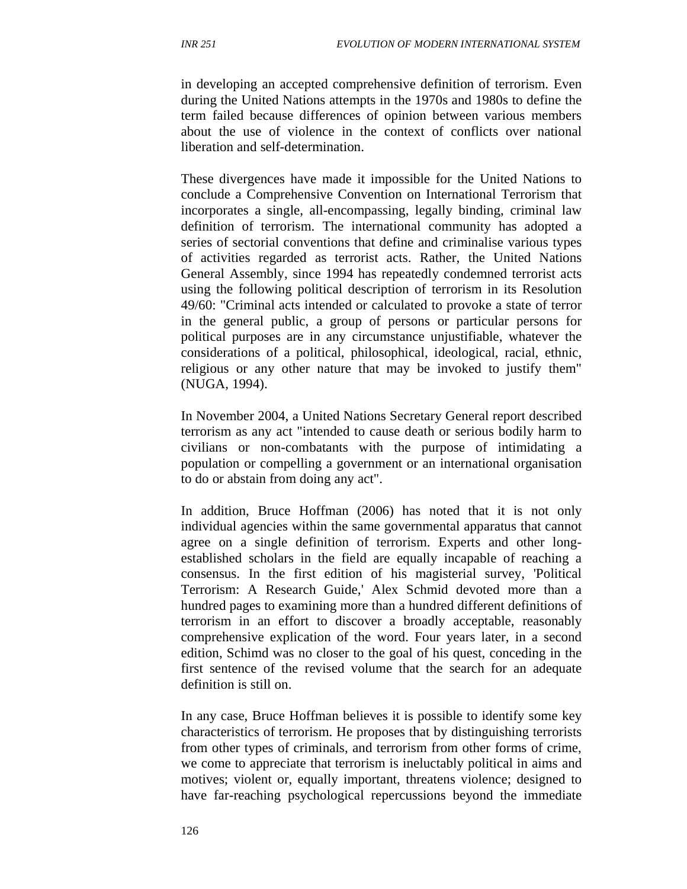in developing an accepted comprehensive definition of terrorism. Even during the United Nations attempts in the 1970s and 1980s to define the term failed because differences of opinion between various members about the use of violence in the context of conflicts over national liberation and self-determination.

These divergences have made it impossible for the United Nations to conclude a Comprehensive Convention on International Terrorism that incorporates a single, all-encompassing, legally binding, criminal law definition of terrorism. The international community has adopted a series of sectorial conventions that define and criminalise various types of activities regarded as terrorist acts. Rather, the United Nations General Assembly, since 1994 has repeatedly condemned terrorist acts using the following political description of terrorism in its Resolution 49/60: "Criminal acts intended or calculated to provoke a state of terror in the general public, a group of persons or particular persons for political purposes are in any circumstance unjustifiable, whatever the considerations of a political, philosophical, ideological, racial, ethnic, religious or any other nature that may be invoked to justify them" (NUGA, 1994).

In November 2004, a United Nations Secretary General report described terrorism as any act "intended to cause death or serious bodily harm to civilians or non-combatants with the purpose of intimidating a population or compelling a government or an international organisation to do or abstain from doing any act".

In addition, Bruce Hoffman (2006) has noted that it is not only individual agencies within the same governmental apparatus that cannot agree on a single definition of terrorism. Experts and other longestablished scholars in the field are equally incapable of reaching a consensus. In the first edition of his magisterial survey, 'Political Terrorism: A Research Guide,' Alex Schmid devoted more than a hundred pages to examining more than a hundred different definitions of terrorism in an effort to discover a broadly acceptable, reasonably comprehensive explication of the word. Four years later, in a second edition, Schimd was no closer to the goal of his quest, conceding in the first sentence of the revised volume that the search for an adequate definition is still on.

In any case, Bruce Hoffman believes it is possible to identify some key characteristics of terrorism. He proposes that by distinguishing terrorists from other types of criminals, and terrorism from other forms of crime, we come to appreciate that terrorism is ineluctably political in aims and motives; violent or, equally important, threatens violence; designed to have far-reaching psychological repercussions beyond the immediate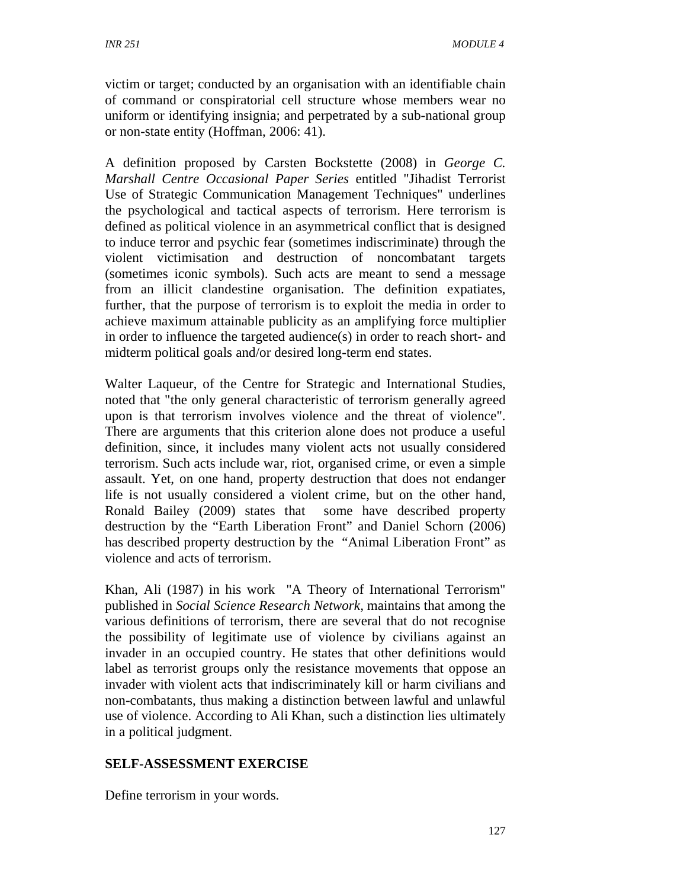victim or target; conducted by an organisation with an identifiable chain of command or conspiratorial cell structure whose members wear no uniform or identifying insignia; and perpetrated by a sub-national group or non-state entity (Hoffman, 2006: 41).

A definition proposed by Carsten Bockstette (2008) in *George C. Marshall Centre Occasional Paper Series* entitled "Jihadist Terrorist Use of Strategic Communication Management Techniques" underlines the psychological and tactical aspects of terrorism. Here terrorism is defined as political violence in an asymmetrical conflict that is designed to induce terror and psychic fear (sometimes indiscriminate) through the violent victimisation and destruction of noncombatant targets (sometimes iconic symbols). Such acts are meant to send a message from an illicit clandestine organisation. The definition expatiates, further, that the purpose of terrorism is to exploit the media in order to achieve maximum attainable publicity as an amplifying force multiplier in order to influence the targeted audience(s) in order to reach short- and midterm political goals and/or desired long-term end states.

Walter Laqueur, of the Centre for Strategic and International Studies, noted that "the only general characteristic of terrorism generally agreed upon is that terrorism involves violence and the threat of violence". There are arguments that this criterion alone does not produce a useful definition, since, it includes many violent acts not usually considered terrorism. Such acts include war, riot, organised crime, or even a simple assault. Yet, on one hand, property destruction that does not endanger life is not usually considered a violent crime, but on the other hand, Ronald Bailey (2009) states that some have described property destruction by the "Earth Liberation Front" and Daniel Schorn (2006) has described property destruction by the "Animal Liberation Front" as violence and acts of terrorism.

Khan, Ali (1987) in his work "A Theory of International Terrorism" published in *Social Science Research Network,* maintains that among the various definitions of terrorism, there are several that do not recognise the possibility of legitimate use of violence by civilians against an invader in an occupied country. He states that other definitions would label as terrorist groups only the resistance movements that oppose an invader with violent acts that indiscriminately kill or harm civilians and non-combatants, thus making a distinction between lawful and unlawful use of violence. According to Ali Khan, such a distinction lies ultimately in a political judgment.

### **SELF-ASSESSMENT EXERCISE**

Define terrorism in your words.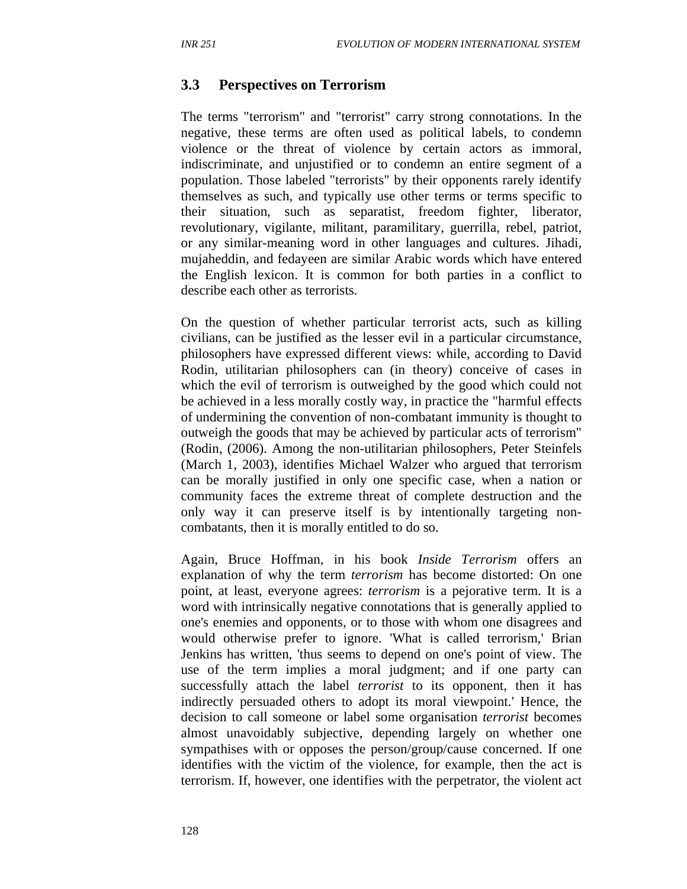### **3.3 Perspectives on Terrorism**

The terms "terrorism" and "terrorist" carry strong connotations. In the negative, these terms are often used as political labels, to condemn violence or the threat of violence by certain actors as immoral, indiscriminate, and unjustified or to condemn an entire segment of a population. Those labeled "terrorists" by their opponents rarely identify themselves as such, and typically use other terms or terms specific to their situation, such as separatist, freedom fighter, liberator, revolutionary, vigilante, militant, paramilitary, guerrilla, rebel, patriot, or any similar-meaning word in other languages and cultures. Jihadi, mujaheddin, and fedayeen are similar Arabic words which have entered the English lexicon. It is common for both parties in a conflict to describe each other as terrorists.

On the question of whether particular terrorist acts, such as killing civilians, can be justified as the lesser evil in a particular circumstance, philosophers have expressed different views: while, according to David Rodin, utilitarian philosophers can (in theory) conceive of cases in which the evil of terrorism is outweighed by the good which could not be achieved in a less morally costly way, in practice the "harmful effects of undermining the convention of non-combatant immunity is thought to outweigh the goods that may be achieved by particular acts of terrorism" (Rodin, (2006). Among the non-utilitarian philosophers, Peter Steinfels (March 1, 2003), identifies Michael Walzer who argued that terrorism can be morally justified in only one specific case, when a nation or community faces the extreme threat of complete destruction and the only way it can preserve itself is by intentionally targeting noncombatants, then it is morally entitled to do so.

Again, Bruce Hoffman, in his book *Inside Terrorism* offers an explanation of why the term *terrorism* has become distorted: On one point, at least, everyone agrees: *terrorism* is a pejorative term. It is a word with intrinsically negative connotations that is generally applied to one's enemies and opponents, or to those with whom one disagrees and would otherwise prefer to ignore. 'What is called terrorism,' Brian Jenkins has written, 'thus seems to depend on one's point of view. The use of the term implies a moral judgment; and if one party can successfully attach the label *terrorist* to its opponent, then it has indirectly persuaded others to adopt its moral viewpoint.' Hence, the decision to call someone or label some organisation *terrorist* becomes almost unavoidably subjective, depending largely on whether one sympathises with or opposes the person/group/cause concerned. If one identifies with the victim of the violence, for example, then the act is terrorism. If, however, one identifies with the perpetrator, the violent act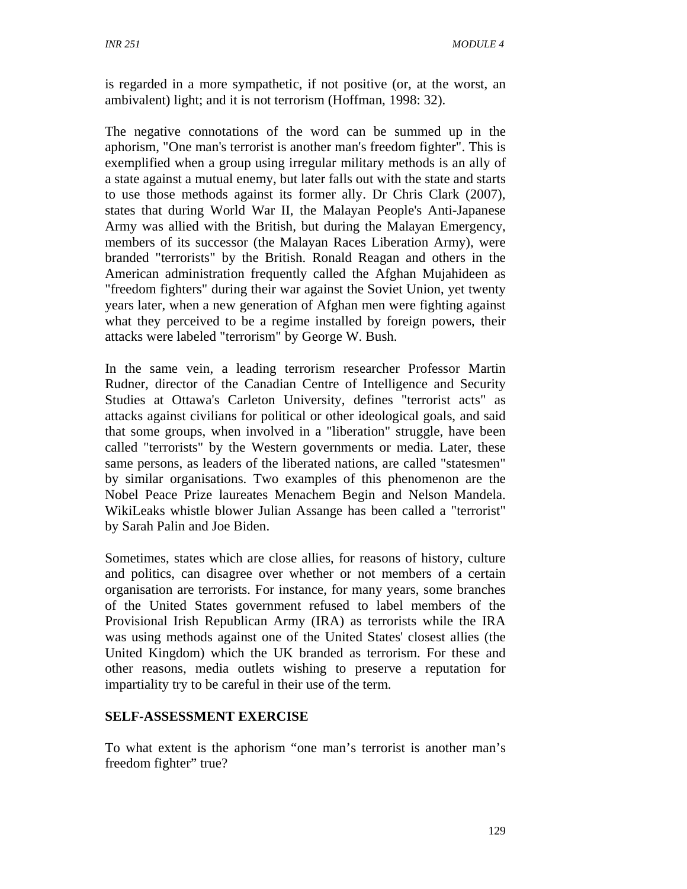is regarded in a more sympathetic, if not positive (or, at the worst, an ambivalent) light; and it is not terrorism (Hoffman, 1998: 32).

The negative connotations of the word can be summed up in the aphorism, "One man's terrorist is another man's freedom fighter". This is exemplified when a group using irregular military methods is an ally of a state against a mutual enemy, but later falls out with the state and starts to use those methods against its former ally. Dr Chris Clark (2007), states that during World War II, the Malayan People's Anti-Japanese Army was allied with the British, but during the Malayan Emergency, members of its successor (the Malayan Races Liberation Army), were branded "terrorists" by the British. Ronald Reagan and others in the American administration frequently called the Afghan Mujahideen as "freedom fighters" during their war against the Soviet Union, yet twenty years later, when a new generation of Afghan men were fighting against what they perceived to be a regime installed by foreign powers, their attacks were labeled "terrorism" by George W. Bush.

In the same vein, a leading terrorism researcher Professor Martin Rudner, director of the Canadian Centre of Intelligence and Security Studies at Ottawa's Carleton University, defines "terrorist acts" as attacks against civilians for political or other ideological goals, and said that some groups, when involved in a "liberation" struggle, have been called "terrorists" by the Western governments or media. Later, these same persons, as leaders of the liberated nations, are called "statesmen" by similar organisations. Two examples of this phenomenon are the Nobel Peace Prize laureates Menachem Begin and Nelson Mandela. WikiLeaks whistle blower Julian Assange has been called a "terrorist" by Sarah Palin and Joe Biden.

Sometimes, states which are close allies, for reasons of history, culture and politics, can disagree over whether or not members of a certain organisation are terrorists. For instance, for many years, some branches of the United States government refused to label members of the Provisional Irish Republican Army (IRA) as terrorists while the IRA was using methods against one of the United States' closest allies (the United Kingdom) which the UK branded as terrorism. For these and other reasons, media outlets wishing to preserve a reputation for impartiality try to be careful in their use of the term.

### **SELF-ASSESSMENT EXERCISE**

To what extent is the aphorism "one man's terrorist is another man's freedom fighter" true?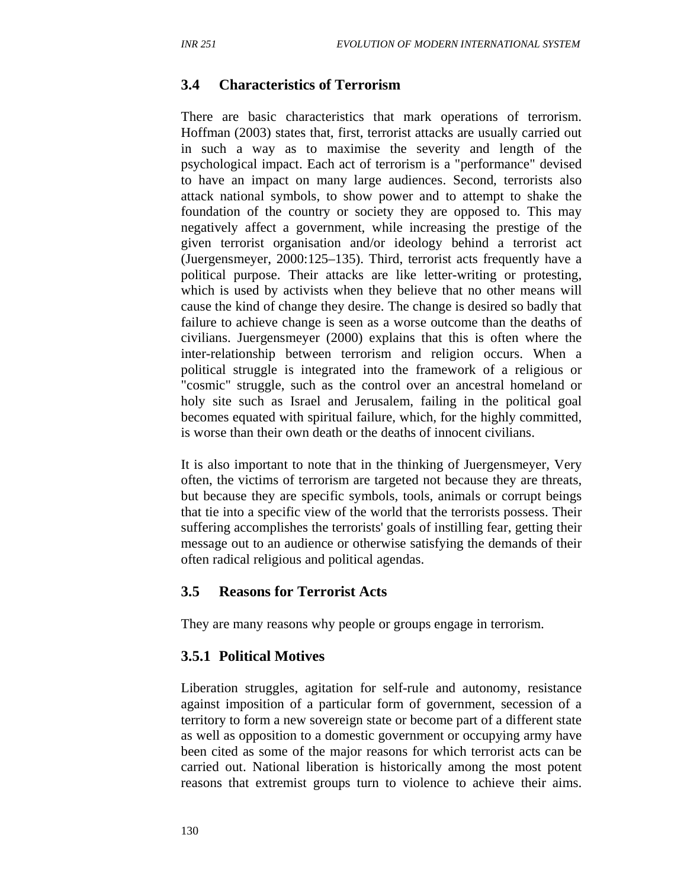#### **3.4 Characteristics of Terrorism**

There are basic characteristics that mark operations of terrorism. Hoffman (2003) states that, first, terrorist attacks are usually carried out in such a way as to maximise the severity and length of the psychological impact. Each act of terrorism is a "performance" devised to have an impact on many large audiences. Second, terrorists also attack national symbols, to show power and to attempt to shake the foundation of the country or society they are opposed to. This may negatively affect a government, while increasing the prestige of the given terrorist organisation and/or ideology behind a terrorist act (Juergensmeyer, 2000:125–135). Third, terrorist acts frequently have a political purpose. Their attacks are like letter-writing or protesting, which is used by activists when they believe that no other means will cause the kind of change they desire. The change is desired so badly that failure to achieve change is seen as a worse outcome than the deaths of civilians. Juergensmeyer (2000) explains that this is often where the inter-relationship between terrorism and religion occurs. When a political struggle is integrated into the framework of a religious or "cosmic" struggle, such as the control over an ancestral homeland or holy site such as Israel and Jerusalem, failing in the political goal becomes equated with spiritual failure, which, for the highly committed, is worse than their own death or the deaths of innocent civilians.

It is also important to note that in the thinking of Juergensmeyer, Very often, the victims of terrorism are targeted not because they are threats, but because they are specific symbols, tools, animals or corrupt beings that tie into a specific view of the world that the terrorists possess. Their suffering accomplishes the terrorists' goals of instilling fear, getting their message out to an audience or otherwise satisfying the demands of their often radical religious and political agendas.

#### **3.5 Reasons for Terrorist Acts**

They are many reasons why people or groups engage in terrorism.

#### **3.5.1 Political Motives**

Liberation struggles, agitation for self-rule and autonomy, resistance against imposition of a particular form of government, secession of a territory to form a new sovereign state or become part of a different state as well as opposition to a domestic government or occupying army have been cited as some of the major reasons for which terrorist acts can be carried out. National liberation is historically among the most potent reasons that extremist groups turn to violence to achieve their aims.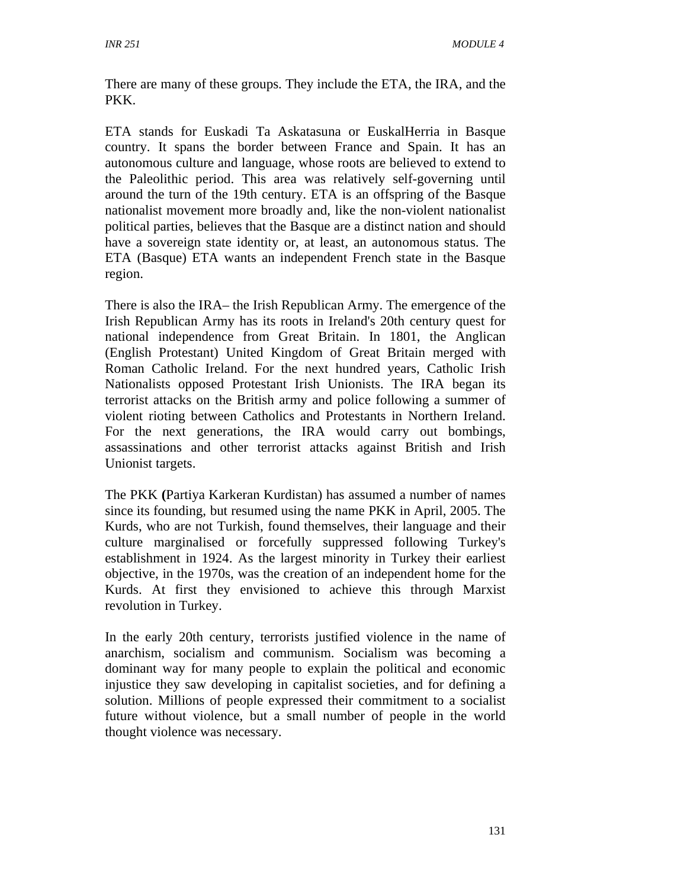There are many of these groups. They include the ETA, the IRA, and the PKK.

ETA stands for Euskadi Ta Askatasuna or EuskalHerria in Basque country. It spans the border between France and Spain. It has an autonomous culture and language, whose roots are believed to extend to the Paleolithic period. This area was relatively self-governing until around the turn of the 19th century. ETA is an offspring of the Basque nationalist movement more broadly and, like the non-violent nationalist political parties, believes that the Basque are a distinct nation and should have a sovereign state identity or, at least, an autonomous status. The ETA (Basque) ETA wants an independent French state in the Basque region.

There is also the IRA– the Irish Republican Army. The emergence of the Irish Republican Army has its roots in Ireland's 20th century quest for national independence from Great Britain. In 1801, the Anglican (English Protestant) United Kingdom of Great Britain merged with Roman Catholic Ireland. For the next hundred years, Catholic Irish Nationalists opposed Protestant Irish Unionists. The IRA began its terrorist attacks on the British army and police following a summer of violent rioting between Catholics and Protestants in Northern Ireland. For the next generations, the IRA would carry out bombings, assassinations and other terrorist attacks against British and Irish Unionist targets.

The PKK **(**Partiya Karkeran Kurdistan) has assumed a number of names since its founding, but resumed using the name PKK in April, 2005. The Kurds, who are not Turkish, found themselves, their language and their culture marginalised or forcefully suppressed following Turkey's establishment in 1924. As the largest minority in Turkey their earliest objective, in the 1970s, was the creation of an independent home for the Kurds. At first they envisioned to achieve this through Marxist revolution in Turkey.

In the early 20th century, terrorists justified violence in the name of anarchism, socialism and communism. Socialism was becoming a dominant way for many people to explain the political and economic injustice they saw developing in capitalist societies, and for defining a solution. Millions of people expressed their commitment to a socialist future without violence, but a small number of people in the world thought violence was necessary.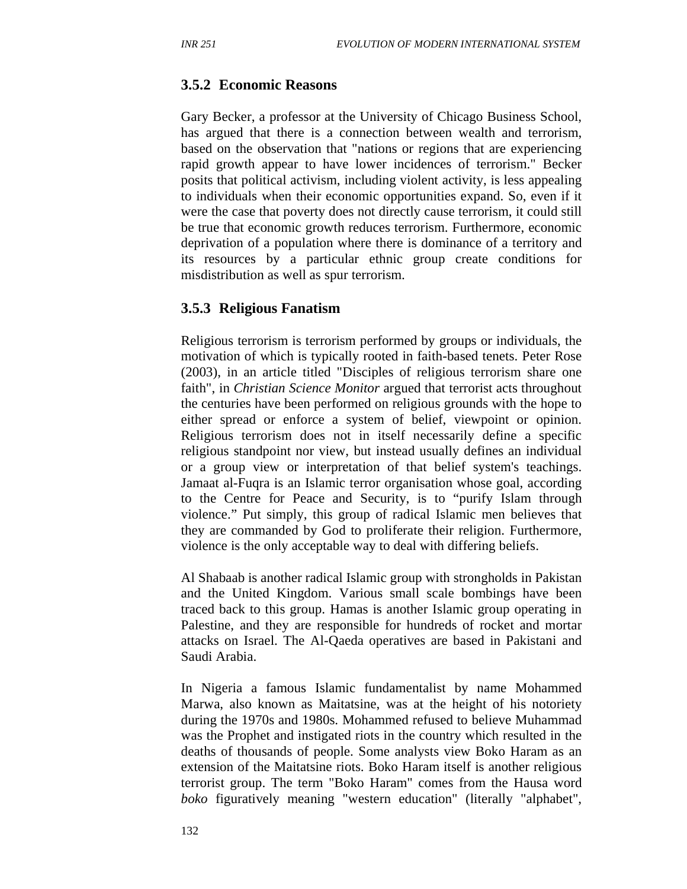#### **3.5.2 Economic Reasons**

Gary Becker, a professor at the University of Chicago Business School, has argued that there is a connection between wealth and terrorism, based on the observation that "nations or regions that are experiencing rapid growth appear to have lower incidences of terrorism." Becker posits that political activism, including violent activity, is less appealing to individuals when their economic opportunities expand. So, even if it were the case that poverty does not directly cause terrorism, it could still be true that economic growth reduces terrorism. Furthermore, economic deprivation of a population where there is dominance of a territory and its resources by a particular ethnic group create conditions for misdistribution as well as spur terrorism.

#### **3.5.3 Religious Fanatism**

Religious terrorism is terrorism performed by groups or individuals, the motivation of which is typically rooted in faith-based tenets. Peter Rose (2003), in an article titled "Disciples of religious terrorism share one faith", in *Christian Science Monitor* argued that terrorist acts throughout the centuries have been performed on religious grounds with the hope to either spread or enforce a system of belief, viewpoint or opinion. Religious terrorism does not in itself necessarily define a specific religious standpoint nor view, but instead usually defines an individual or a group view or interpretation of that belief system's teachings. Jamaat al-Fuqra is an Islamic terror organisation whose goal, according to the Centre for Peace and Security, is to "purify Islam through violence." Put simply, this group of radical Islamic men believes that they are commanded by God to proliferate their religion. Furthermore, violence is the only acceptable way to deal with differing beliefs.

Al Shabaab is another radical Islamic group with strongholds in Pakistan and the United Kingdom. Various small scale bombings have been traced back to this group. Hamas is another Islamic group operating in Palestine, and they are responsible for hundreds of rocket and mortar attacks on Israel. The Al-Qaeda operatives are based in Pakistani and Saudi Arabia.

In Nigeria a famous Islamic fundamentalist by name Mohammed Marwa, also known as Maitatsine, was at the height of his notoriety during the 1970s and 1980s. Mohammed refused to believe Muhammad was the Prophet and instigated riots in the country which resulted in the deaths of thousands of people. Some analysts view Boko Haram as an extension of the Maitatsine riots. Boko Haram itself is another religious terrorist group. The term "Boko Haram" comes from the Hausa word *boko* figuratively meaning "western education" (literally "alphabet",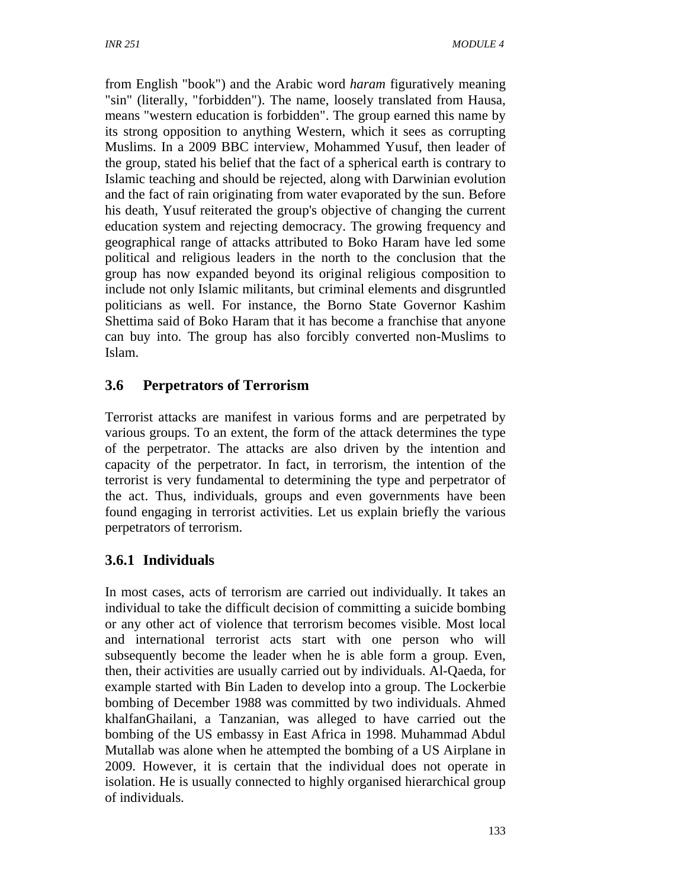from English "book") and the Arabic word *haram* figuratively meaning "sin" (literally, "forbidden"). The name, loosely translated from Hausa, means "western education is forbidden". The group earned this name by its strong opposition to anything Western, which it sees as corrupting Muslims. In a 2009 BBC interview, Mohammed Yusuf, then leader of the group, stated his belief that the fact of a spherical earth is contrary to Islamic teaching and should be rejected, along with Darwinian evolution and the fact of rain originating from water evaporated by the sun. Before his death, Yusuf reiterated the group's objective of changing the current education system and rejecting democracy. The growing frequency and geographical range of attacks attributed to Boko Haram have led some political and religious leaders in the north to the conclusion that the group has now expanded beyond its original religious composition to include not only Islamic militants, but criminal elements and disgruntled politicians as well. For instance, the Borno State Governor Kashim Shettima said of Boko Haram that it has become a franchise that anyone can buy into. The group has also forcibly converted non-Muslims to Islam.

# **3.6 Perpetrators of Terrorism**

Terrorist attacks are manifest in various forms and are perpetrated by various groups. To an extent, the form of the attack determines the type of the perpetrator. The attacks are also driven by the intention and capacity of the perpetrator. In fact, in terrorism, the intention of the terrorist is very fundamental to determining the type and perpetrator of the act. Thus, individuals, groups and even governments have been found engaging in terrorist activities. Let us explain briefly the various perpetrators of terrorism.

# **3.6.1 Individuals**

In most cases, acts of terrorism are carried out individually. It takes an individual to take the difficult decision of committing a suicide bombing or any other act of violence that terrorism becomes visible. Most local and international terrorist acts start with one person who will subsequently become the leader when he is able form a group. Even, then, their activities are usually carried out by individuals. Al-Qaeda, for example started with Bin Laden to develop into a group. The Lockerbie bombing of December 1988 was committed by two individuals. Ahmed khalfanGhailani, a Tanzanian, was alleged to have carried out the bombing of the US embassy in East Africa in 1998. Muhammad Abdul Mutallab was alone when he attempted the bombing of a US Airplane in 2009. However, it is certain that the individual does not operate in isolation. He is usually connected to highly organised hierarchical group of individuals.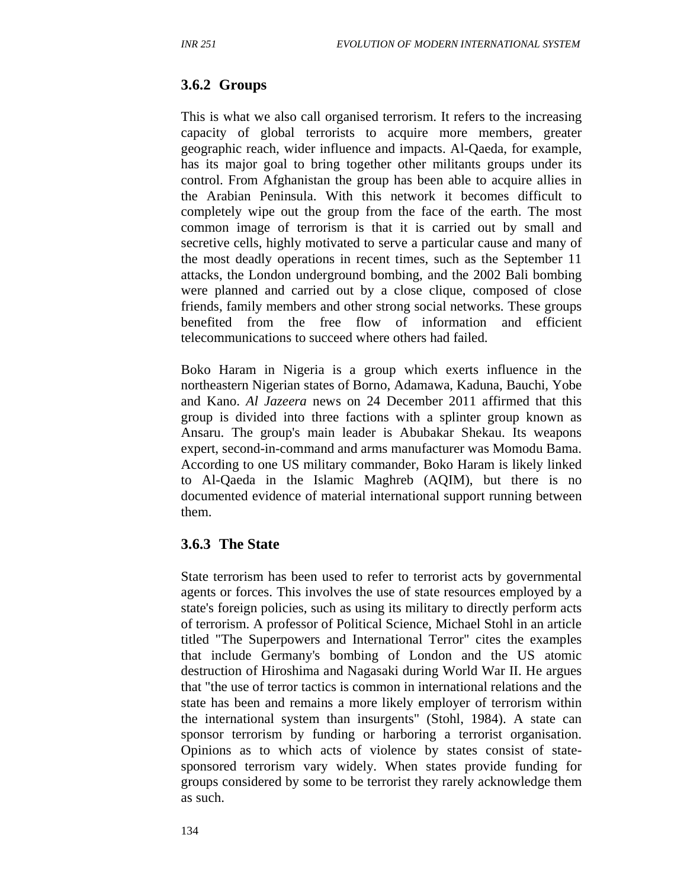#### **3.6.2 Groups**

This is what we also call organised terrorism. It refers to the increasing capacity of global terrorists to acquire more members, greater geographic reach, wider influence and impacts. Al-Qaeda, for example, has its major goal to bring together other militants groups under its control. From Afghanistan the group has been able to acquire allies in the Arabian Peninsula. With this network it becomes difficult to completely wipe out the group from the face of the earth. The most common image of terrorism is that it is carried out by small and secretive cells, highly motivated to serve a particular cause and many of the most deadly operations in recent times, such as the September 11 attacks, the London underground bombing, and the 2002 Bali bombing were planned and carried out by a close clique, composed of close friends, family members and other strong social networks. These groups benefited from the free flow of information and efficient telecommunications to succeed where others had failed.

Boko Haram in Nigeria is a group which exerts influence in the northeastern Nigerian states of Borno, Adamawa, Kaduna, Bauchi, Yobe and Kano. *Al Jazeera* news on 24 December 2011 affirmed that this group is divided into three factions with a splinter group known as Ansaru. The group's main leader is Abubakar Shekau. Its weapons expert, second-in-command and arms manufacturer was Momodu Bama. According to one US military commander, Boko Haram is likely linked to Al-Qaeda in the Islamic Maghreb (AQIM), but there is no documented evidence of material international support running between them.

#### **3.6.3 The State**

State terrorism has been used to refer to terrorist acts by governmental agents or forces. This involves the use of state resources employed by a state's foreign policies, such as using its military to directly perform acts of terrorism. A professor of Political Science, Michael Stohl in an article titled "The Superpowers and International Terror" cites the examples that include Germany's bombing of London and the US atomic destruction of Hiroshima and Nagasaki during World War II. He argues that "the use of terror tactics is common in international relations and the state has been and remains a more likely employer of terrorism within the international system than insurgents" (Stohl, 1984). A state can sponsor terrorism by funding or harboring a terrorist organisation. Opinions as to which acts of violence by states consist of statesponsored terrorism vary widely. When states provide funding for groups considered by some to be terrorist they rarely acknowledge them as such.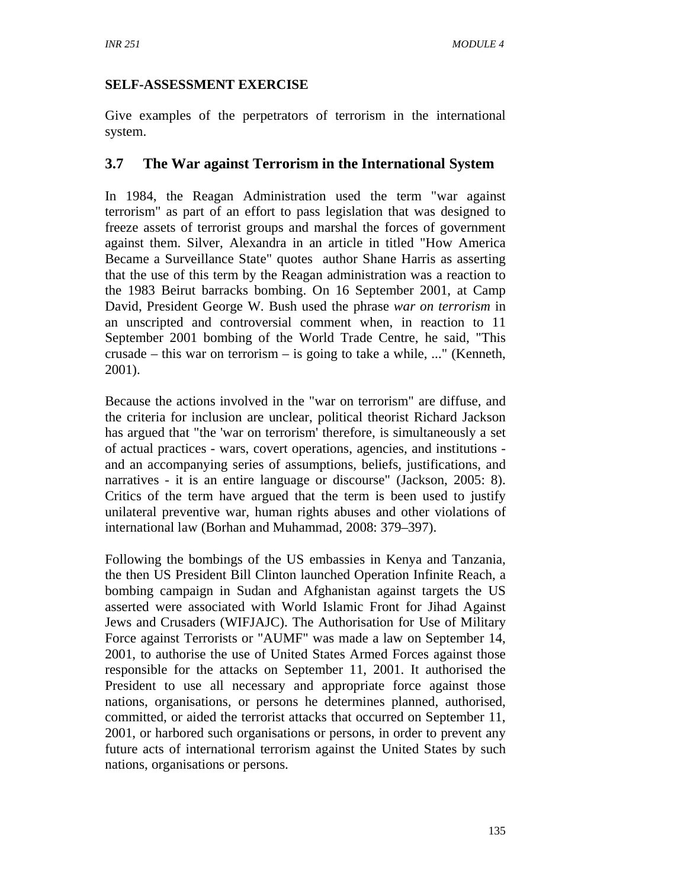### **SELF-ASSESSMENT EXERCISE**

Give examples of the perpetrators of terrorism in the international system.

### **3.7 The War against Terrorism in the International System**

In 1984, the Reagan Administration used the term "war against terrorism" as part of an effort to pass legislation that was designed to freeze assets of terrorist groups and marshal the forces of government against them. Silver, Alexandra in an article in titled "How America Became a Surveillance State" quotes author Shane Harris as asserting that the use of this term by the Reagan administration was a reaction to the 1983 Beirut barracks bombing. On 16 September 2001, at Camp David, President George W. Bush used the phrase *war on terrorism* in an unscripted and controversial comment when, in reaction to 11 September 2001 bombing of the World Trade Centre, he said, "This crusade – this war on terrorism – is going to take a while, ..." (Kenneth, 2001).

Because the actions involved in the "war on terrorism" are diffuse, and the criteria for inclusion are unclear, political theorist Richard Jackson has argued that "the 'war on terrorism' therefore, is simultaneously a set of actual practices - wars, covert operations, agencies, and institutions and an accompanying series of assumptions, beliefs, justifications, and narratives - it is an entire language or discourse" (Jackson, 2005: 8). Critics of the term have argued that the term is been used to justify unilateral preventive war, human rights abuses and other violations of international law (Borhan and Muhammad, 2008: 379–397).

Following the bombings of the US embassies in Kenya and Tanzania, the then US President Bill Clinton launched Operation Infinite Reach, a bombing campaign in Sudan and Afghanistan against targets the US asserted were associated with World Islamic Front for Jihad Against Jews and Crusaders (WIFJAJC). The Authorisation for Use of Military Force against Terrorists or "AUMF" was made a law on September 14, 2001, to authorise the use of United States Armed Forces against those responsible for the attacks on September 11, 2001. It authorised the President to use all necessary and appropriate force against those nations, organisations, or persons he determines planned, authorised, committed, or aided the terrorist attacks that occurred on September 11, 2001, or harbored such organisations or persons, in order to prevent any future acts of international terrorism against the United States by such nations, organisations or persons.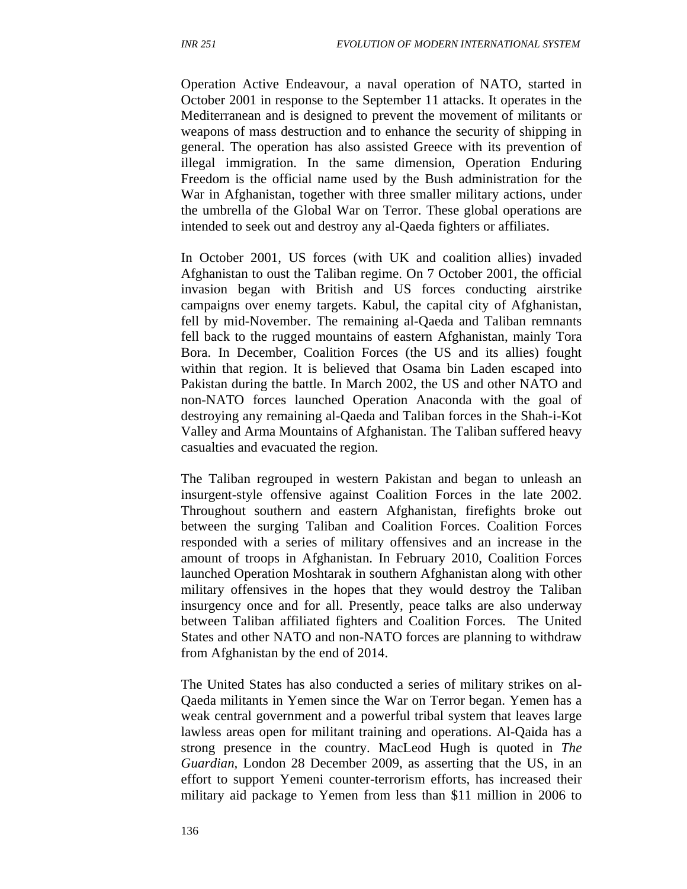Operation Active Endeavour, a naval operation of NATO, started in October 2001 in response to the September 11 attacks. It operates in the Mediterranean and is designed to prevent the movement of militants or weapons of mass destruction and to enhance the security of shipping in general. The operation has also assisted Greece with its prevention of illegal immigration. In the same dimension, Operation Enduring Freedom is the official name used by the Bush administration for the War in Afghanistan, together with three smaller military actions, under the umbrella of the Global War on Terror. These global operations are intended to seek out and destroy any al-Qaeda fighters or affiliates.

In October 2001, US forces (with UK and coalition allies) invaded Afghanistan to oust the Taliban regime. On 7 October 2001, the official invasion began with British and US forces conducting airstrike campaigns over enemy targets. Kabul, the capital city of Afghanistan, fell by mid-November. The remaining al-Qaeda and Taliban remnants fell back to the rugged mountains of eastern Afghanistan, mainly Tora Bora. In December, Coalition Forces (the US and its allies) fought within that region. It is believed that Osama bin Laden escaped into Pakistan during the battle. In March 2002, the US and other NATO and non-NATO forces launched Operation Anaconda with the goal of destroying any remaining al-Qaeda and Taliban forces in the Shah-i-Kot Valley and Arma Mountains of Afghanistan. The Taliban suffered heavy casualties and evacuated the region.

The Taliban regrouped in western Pakistan and began to unleash an insurgent-style offensive against Coalition Forces in the late 2002. Throughout southern and eastern Afghanistan, firefights broke out between the surging Taliban and Coalition Forces. Coalition Forces responded with a series of military offensives and an increase in the amount of troops in Afghanistan. In February 2010, Coalition Forces launched Operation Moshtarak in southern Afghanistan along with other military offensives in the hopes that they would destroy the Taliban insurgency once and for all. Presently, peace talks are also underway between Taliban affiliated fighters and Coalition Forces. The United States and other NATO and non-NATO forces are planning to withdraw from Afghanistan by the end of 2014.

The United States has also conducted a series of military strikes on al-Qaeda militants in Yemen since the War on Terror began. Yemen has a weak central government and a powerful tribal system that leaves large lawless areas open for militant training and operations. Al-Qaida has a strong presence in the country. MacLeod Hugh is quoted in *The Guardian,* London 28 December 2009, as asserting that the US, in an effort to support Yemeni counter-terrorism efforts, has increased their military aid package to Yemen from less than \$11 million in 2006 to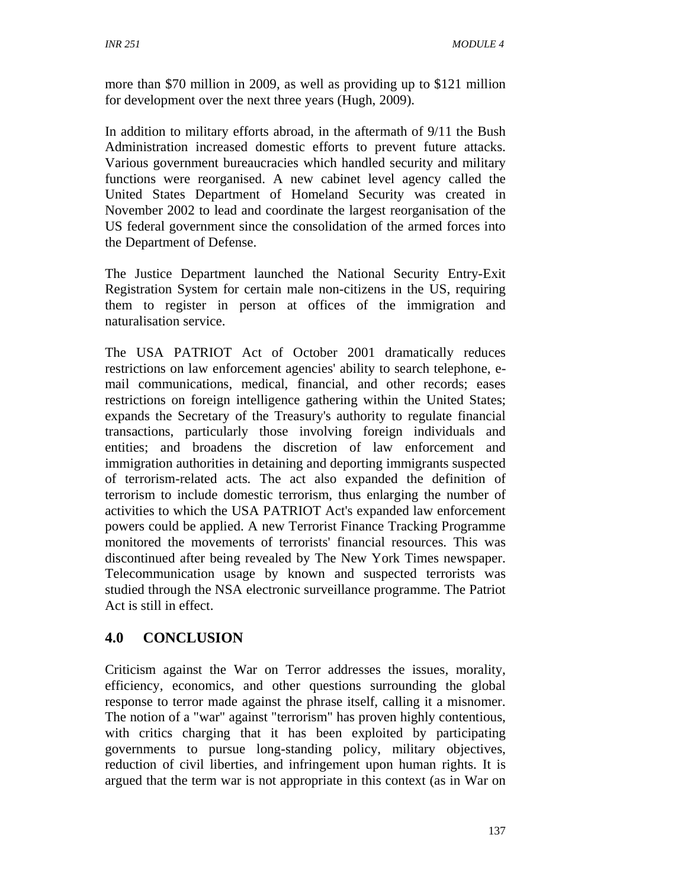more than \$70 million in 2009, as well as providing up to \$121 million for development over the next three years (Hugh, 2009).

In addition to military efforts abroad, in the aftermath of 9/11 the Bush Administration increased domestic efforts to prevent future attacks. Various government bureaucracies which handled security and military functions were reorganised. A new cabinet level agency called the United States Department of Homeland Security was created in November 2002 to lead and coordinate the largest reorganisation of the US federal government since the consolidation of the armed forces into the Department of Defense.

The Justice Department launched the National Security Entry-Exit Registration System for certain male non-citizens in the US, requiring them to register in person at offices of the immigration and naturalisation service.

The USA PATRIOT Act of October 2001 dramatically reduces restrictions on law enforcement agencies' ability to search telephone, email communications, medical, financial, and other records; eases restrictions on foreign intelligence gathering within the United States; expands the Secretary of the Treasury's authority to regulate financial transactions, particularly those involving foreign individuals and entities; and broadens the discretion of law enforcement and immigration authorities in detaining and deporting immigrants suspected of terrorism-related acts. The act also expanded the definition of terrorism to include domestic terrorism, thus enlarging the number of activities to which the USA PATRIOT Act's expanded law enforcement powers could be applied. A new Terrorist Finance Tracking Programme monitored the movements of terrorists' financial resources. This was discontinued after being revealed by The New York Times newspaper. Telecommunication usage by known and suspected terrorists was studied through the NSA electronic surveillance programme. The Patriot Act is still in effect.

# **4.0 CONCLUSION**

Criticism against the War on Terror addresses the issues, morality, efficiency, economics, and other questions surrounding the global response to terror made against the phrase itself, calling it a misnomer. The notion of a "war" against "terrorism" has proven highly contentious, with critics charging that it has been exploited by participating governments to pursue long-standing policy, military objectives, reduction of civil liberties, and infringement upon human rights. It is argued that the term war is not appropriate in this context (as in War on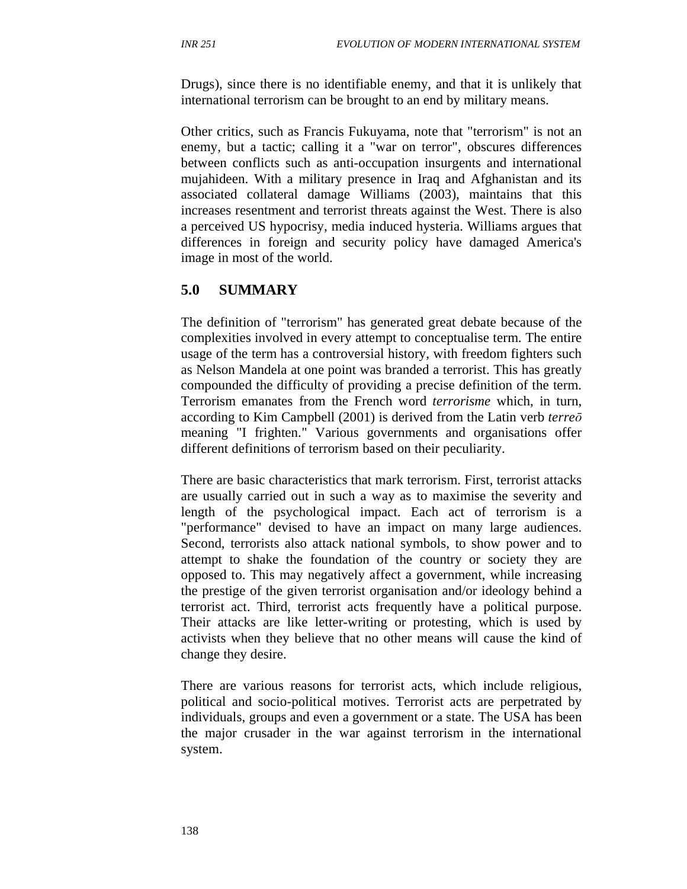Drugs), since there is no identifiable enemy, and that it is unlikely that international terrorism can be brought to an end by military means.

Other critics, such as Francis Fukuyama, note that "terrorism" is not an enemy, but a tactic; calling it a "war on terror", obscures differences between conflicts such as anti-occupation insurgents and international mujahideen. With a military presence in Iraq and Afghanistan and its associated collateral damage Williams (2003), maintains that this increases resentment and terrorist threats against the West. There is also a perceived US hypocrisy, media induced hysteria. Williams argues that differences in foreign and security policy have damaged America's image in most of the world.

# **5.0 SUMMARY**

The definition of "terrorism" has generated great debate because of the complexities involved in every attempt to conceptualise term. The entire usage of the term has a controversial history, with freedom fighters such as Nelson Mandela at one point was branded a terrorist. This has greatly compounded the difficulty of providing a precise definition of the term. Terrorism emanates from the French word *terrorisme* which, in turn, according to Kim Campbell (2001) is derived from the Latin verb *terre*ō meaning "I frighten." Various governments and organisations offer different definitions of terrorism based on their peculiarity.

There are basic characteristics that mark terrorism. First, terrorist attacks are usually carried out in such a way as to maximise the severity and length of the psychological impact. Each act of terrorism is a "performance" devised to have an impact on many large audiences. Second, terrorists also attack national symbols, to show power and to attempt to shake the foundation of the country or society they are opposed to. This may negatively affect a government, while increasing the prestige of the given terrorist organisation and/or ideology behind a terrorist act. Third, terrorist acts frequently have a political purpose. Their attacks are like letter-writing or protesting, which is used by activists when they believe that no other means will cause the kind of change they desire.

There are various reasons for terrorist acts, which include religious, political and socio-political motives. Terrorist acts are perpetrated by individuals, groups and even a government or a state. The USA has been the major crusader in the war against terrorism in the international system.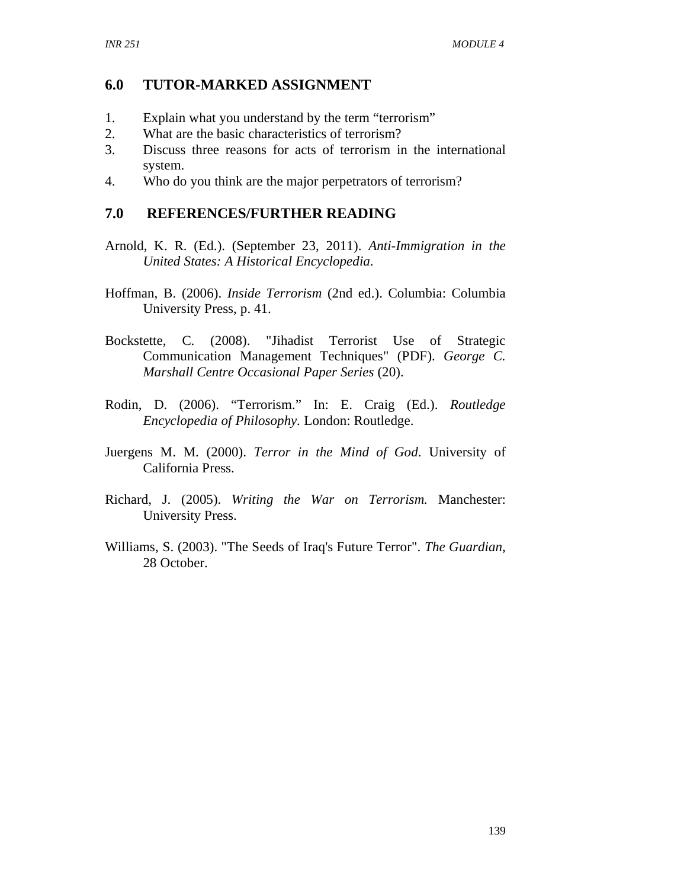### **6.0 TUTOR-MARKED ASSIGNMENT**

- 1. Explain what you understand by the term "terrorism"
- 2. What are the basic characteristics of terrorism?
- 3. Discuss three reasons for acts of terrorism in the international system.
- 4. Who do you think are the major perpetrators of terrorism?

#### **7.0 REFERENCES/FURTHER READING**

- Arnold, K. R. (Ed.). (September 23, 2011). *Anti-Immigration in the United States: A Historical Encyclopedia*.
- Hoffman, B. (2006). *Inside Terrorism* (2nd ed.). Columbia: Columbia University Press, p. 41.
- Bockstette, C. (2008). "Jihadist Terrorist Use of Strategic Communication Management Techniques" (PDF). *George C. Marshall Centre Occasional Paper Series* (20).
- Rodin, D. (2006). "Terrorism." In: E. Craig (Ed.). *Routledge Encyclopedia of Philosophy.* London: Routledge.
- Juergens M. M. (2000). *Terror in the Mind of God*. University of California Press.
- Richard, J. (2005). *Writing the War on Terrorism.* Manchester: University Press.
- Williams, S. (2003). "The Seeds of Iraq's Future Terror". *The Guardian*, 28 October.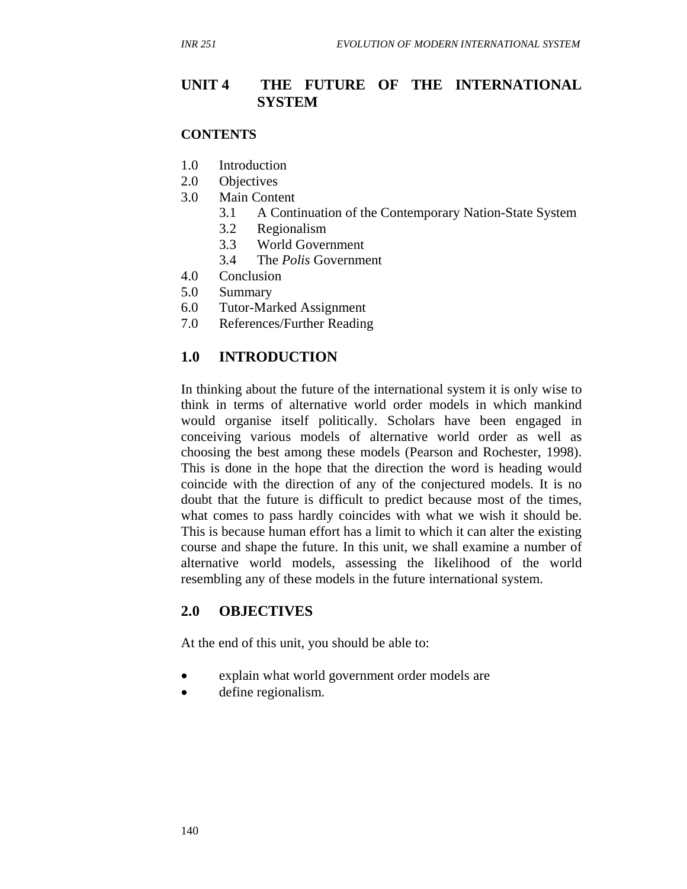## **UNIT 4 THE FUTURE OF THE INTERNATIONAL SYSTEM**

#### **CONTENTS**

- 1.0 Introduction
- 2.0 Objectives
- 3.0 Main Content
	- 3.1 A Continuation of the Contemporary Nation-State System
	- 3.2 Regionalism
	- 3.3 World Government
	- 3.4 The *Polis* Government
- 4.0 Conclusion
- 5.0 Summary
- 6.0 Tutor-Marked Assignment
- 7.0 References/Further Reading

### **1.0 INTRODUCTION**

In thinking about the future of the international system it is only wise to think in terms of alternative world order models in which mankind would organise itself politically. Scholars have been engaged in conceiving various models of alternative world order as well as choosing the best among these models (Pearson and Rochester, 1998). This is done in the hope that the direction the word is heading would coincide with the direction of any of the conjectured models. It is no doubt that the future is difficult to predict because most of the times, what comes to pass hardly coincides with what we wish it should be. This is because human effort has a limit to which it can alter the existing course and shape the future. In this unit, we shall examine a number of alternative world models, assessing the likelihood of the world resembling any of these models in the future international system.

### **2.0 OBJECTIVES**

At the end of this unit, you should be able to:

- explain what world government order models are
- define regionalism.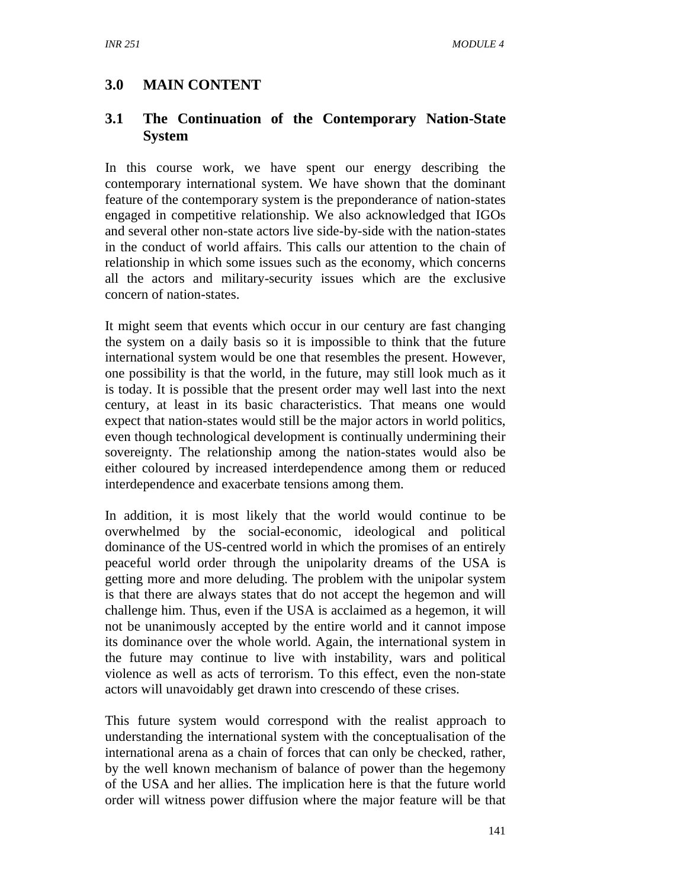# **3.0 MAIN CONTENT**

# **3.1 The Continuation of the Contemporary Nation-State System**

In this course work, we have spent our energy describing the contemporary international system. We have shown that the dominant feature of the contemporary system is the preponderance of nation-states engaged in competitive relationship. We also acknowledged that IGOs and several other non-state actors live side-by-side with the nation-states in the conduct of world affairs. This calls our attention to the chain of relationship in which some issues such as the economy, which concerns all the actors and military-security issues which are the exclusive concern of nation-states.

It might seem that events which occur in our century are fast changing the system on a daily basis so it is impossible to think that the future international system would be one that resembles the present. However, one possibility is that the world, in the future, may still look much as it is today. It is possible that the present order may well last into the next century, at least in its basic characteristics. That means one would expect that nation-states would still be the major actors in world politics, even though technological development is continually undermining their sovereignty. The relationship among the nation-states would also be either coloured by increased interdependence among them or reduced interdependence and exacerbate tensions among them.

In addition, it is most likely that the world would continue to be overwhelmed by the social-economic, ideological and political dominance of the US-centred world in which the promises of an entirely peaceful world order through the unipolarity dreams of the USA is getting more and more deluding. The problem with the unipolar system is that there are always states that do not accept the hegemon and will challenge him. Thus, even if the USA is acclaimed as a hegemon, it will not be unanimously accepted by the entire world and it cannot impose its dominance over the whole world. Again, the international system in the future may continue to live with instability, wars and political violence as well as acts of terrorism. To this effect, even the non-state actors will unavoidably get drawn into crescendo of these crises.

This future system would correspond with the realist approach to understanding the international system with the conceptualisation of the international arena as a chain of forces that can only be checked, rather, by the well known mechanism of balance of power than the hegemony of the USA and her allies. The implication here is that the future world order will witness power diffusion where the major feature will be that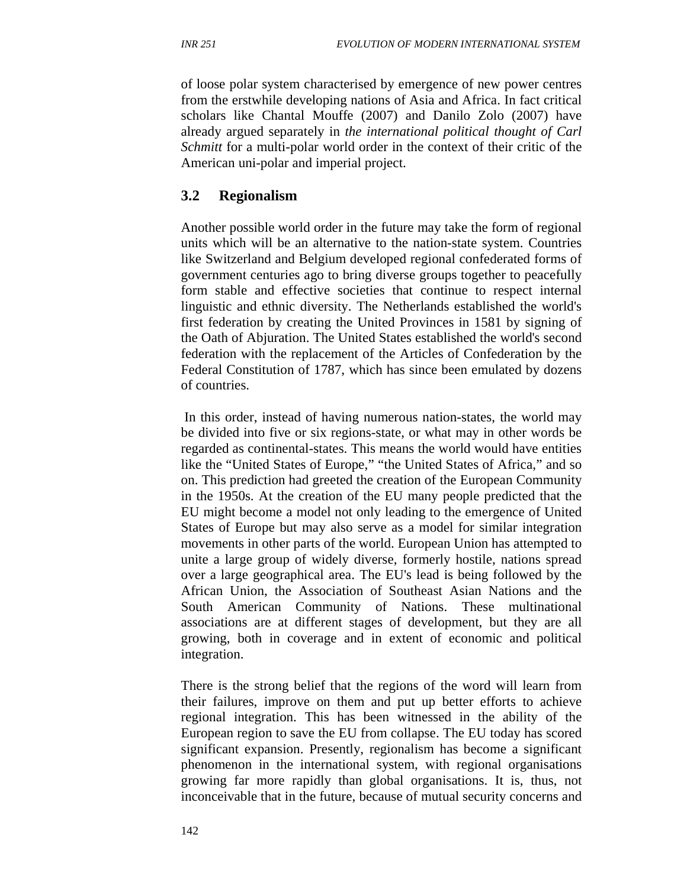of loose polar system characterised by emergence of new power centres from the erstwhile developing nations of Asia and Africa. In fact critical scholars like Chantal Mouffe (2007) and Danilo Zolo (2007) have already argued separately in *the international political thought of Carl Schmitt* for a multi-polar world order in the context of their critic of the American uni-polar and imperial project.

# **3.2 Regionalism**

Another possible world order in the future may take the form of regional units which will be an alternative to the nation-state system. Countries like Switzerland and Belgium developed regional confederated forms of government centuries ago to bring diverse groups together to peacefully form stable and effective societies that continue to respect internal linguistic and ethnic diversity. The Netherlands established the world's first federation by creating the United Provinces in 1581 by signing of the Oath of Abjuration. The United States established the world's second federation with the replacement of the Articles of Confederation by the Federal Constitution of 1787, which has since been emulated by dozens of countries.

 In this order, instead of having numerous nation-states, the world may be divided into five or six regions-state, or what may in other words be regarded as continental-states. This means the world would have entities like the "United States of Europe," "the United States of Africa," and so on. This prediction had greeted the creation of the European Community in the 1950s. At the creation of the EU many people predicted that the EU might become a model not only leading to the emergence of United States of Europe but may also serve as a model for similar integration movements in other parts of the world. European Union has attempted to unite a large group of widely diverse, formerly hostile, nations spread over a large geographical area. The EU's lead is being followed by the African Union, the Association of Southeast Asian Nations and the South American Community of Nations. These multinational associations are at different stages of development, but they are all growing, both in coverage and in extent of economic and political integration.

There is the strong belief that the regions of the word will learn from their failures, improve on them and put up better efforts to achieve regional integration. This has been witnessed in the ability of the European region to save the EU from collapse. The EU today has scored significant expansion. Presently, regionalism has become a significant phenomenon in the international system, with regional organisations growing far more rapidly than global organisations. It is, thus, not inconceivable that in the future, because of mutual security concerns and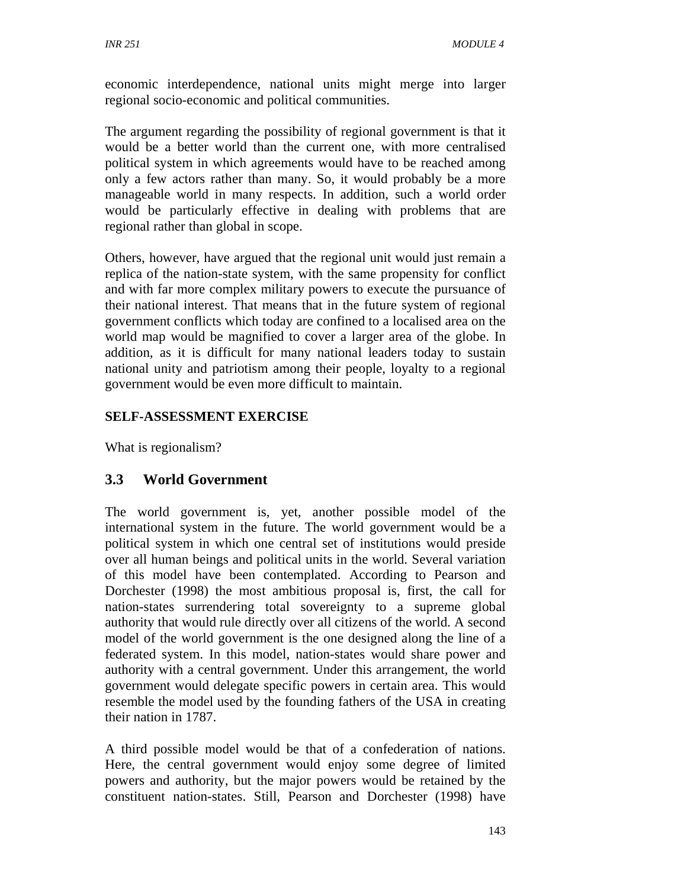economic interdependence, national units might merge into larger regional socio-economic and political communities.

The argument regarding the possibility of regional government is that it would be a better world than the current one, with more centralised political system in which agreements would have to be reached among only a few actors rather than many. So, it would probably be a more manageable world in many respects. In addition, such a world order would be particularly effective in dealing with problems that are regional rather than global in scope.

Others, however, have argued that the regional unit would just remain a replica of the nation-state system, with the same propensity for conflict and with far more complex military powers to execute the pursuance of their national interest. That means that in the future system of regional government conflicts which today are confined to a localised area on the world map would be magnified to cover a larger area of the globe. In addition, as it is difficult for many national leaders today to sustain national unity and patriotism among their people, loyalty to a regional government would be even more difficult to maintain.

# **SELF-ASSESSMENT EXERCISE**

What is regionalism?

# **3.3 World Government**

The world government is, yet, another possible model of the international system in the future. The world government would be a political system in which one central set of institutions would preside over all human beings and political units in the world. Several variation of this model have been contemplated. According to Pearson and Dorchester (1998) the most ambitious proposal is, first, the call for nation-states surrendering total sovereignty to a supreme global authority that would rule directly over all citizens of the world. A second model of the world government is the one designed along the line of a federated system. In this model, nation-states would share power and authority with a central government. Under this arrangement, the world government would delegate specific powers in certain area. This would resemble the model used by the founding fathers of the USA in creating their nation in 1787.

A third possible model would be that of a confederation of nations. Here, the central government would enjoy some degree of limited powers and authority, but the major powers would be retained by the constituent nation-states. Still, Pearson and Dorchester (1998) have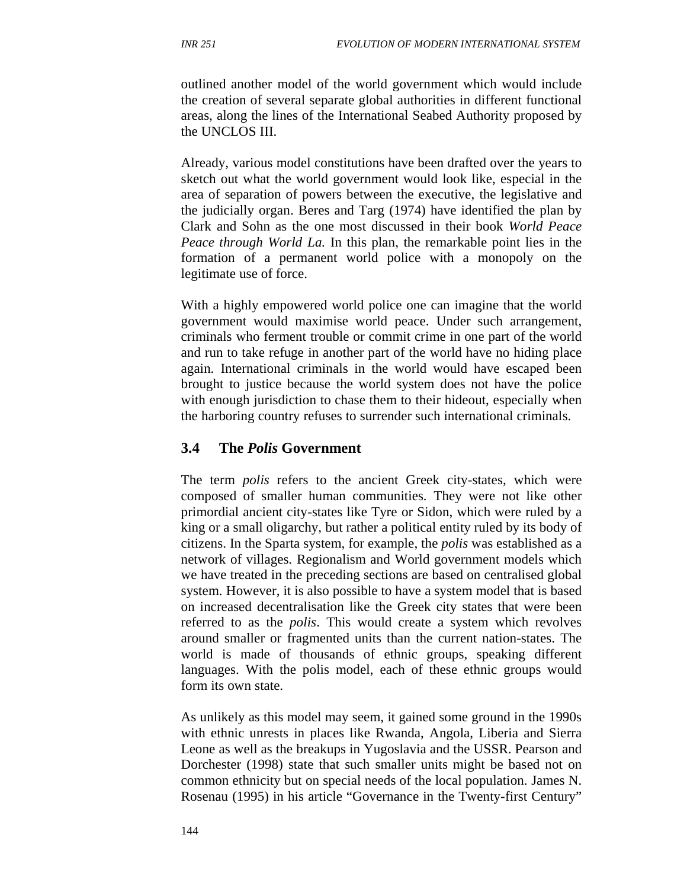outlined another model of the world government which would include the creation of several separate global authorities in different functional areas, along the lines of the International Seabed Authority proposed by the UNCLOS III.

Already, various model constitutions have been drafted over the years to sketch out what the world government would look like, especial in the area of separation of powers between the executive, the legislative and the judicially organ. Beres and Targ (1974) have identified the plan by Clark and Sohn as the one most discussed in their book *World Peace Peace through World La.* In this plan, the remarkable point lies in the formation of a permanent world police with a monopoly on the legitimate use of force.

With a highly empowered world police one can imagine that the world government would maximise world peace. Under such arrangement, criminals who ferment trouble or commit crime in one part of the world and run to take refuge in another part of the world have no hiding place again. International criminals in the world would have escaped been brought to justice because the world system does not have the police with enough jurisdiction to chase them to their hideout, especially when the harboring country refuses to surrender such international criminals.

#### **3.4 The** *Polis* **Government**

The term *polis* refers to the ancient Greek city-states, which were composed of smaller human communities. They were not like other primordial ancient city-states like Tyre or Sidon, which were ruled by a king or a small oligarchy, but rather a political entity ruled by its body of citizens. In the Sparta system, for example, the *polis* was established as a network of villages. Regionalism and World government models which we have treated in the preceding sections are based on centralised global system. However, it is also possible to have a system model that is based on increased decentralisation like the Greek city states that were been referred to as the *polis*. This would create a system which revolves around smaller or fragmented units than the current nation-states. The world is made of thousands of ethnic groups, speaking different languages. With the polis model, each of these ethnic groups would form its own state.

As unlikely as this model may seem, it gained some ground in the 1990s with ethnic unrests in places like Rwanda, Angola, Liberia and Sierra Leone as well as the breakups in Yugoslavia and the USSR. Pearson and Dorchester (1998) state that such smaller units might be based not on common ethnicity but on special needs of the local population. James N. Rosenau (1995) in his article "Governance in the Twenty-first Century"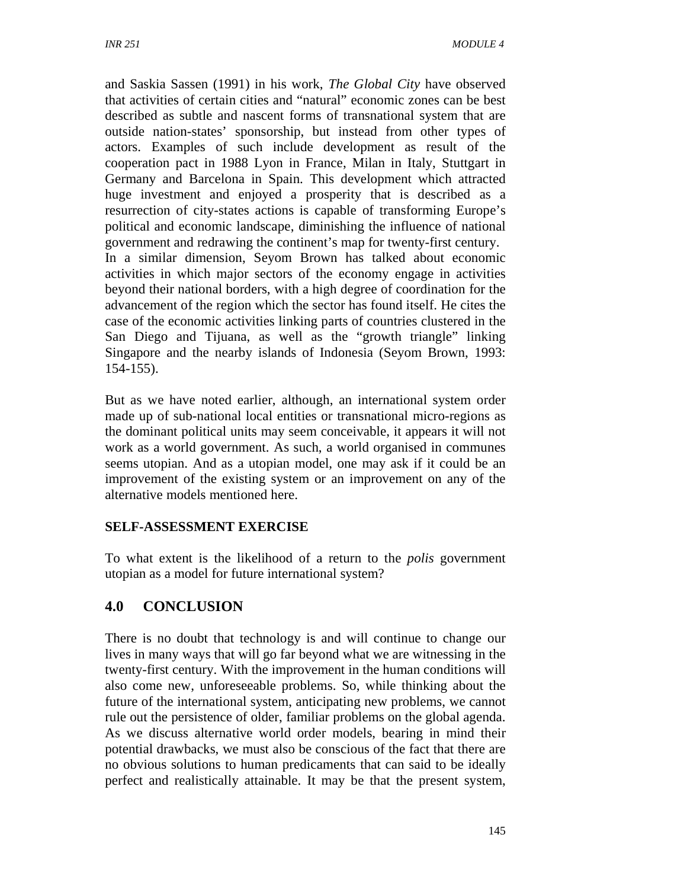154-155).

and Saskia Sassen (1991) in his work, *The Global City* have observed that activities of certain cities and "natural" economic zones can be best described as subtle and nascent forms of transnational system that are outside nation-states' sponsorship, but instead from other types of actors. Examples of such include development as result of the cooperation pact in 1988 Lyon in France, Milan in Italy, Stuttgart in Germany and Barcelona in Spain. This development which attracted huge investment and enjoyed a prosperity that is described as a resurrection of city-states actions is capable of transforming Europe's political and economic landscape, diminishing the influence of national government and redrawing the continent's map for twenty-first century. In a similar dimension, Seyom Brown has talked about economic activities in which major sectors of the economy engage in activities beyond their national borders, with a high degree of coordination for the advancement of the region which the sector has found itself. He cites the case of the economic activities linking parts of countries clustered in the San Diego and Tijuana, as well as the "growth triangle" linking Singapore and the nearby islands of Indonesia (Seyom Brown, 1993:

But as we have noted earlier, although, an international system order made up of sub-national local entities or transnational micro-regions as the dominant political units may seem conceivable, it appears it will not work as a world government. As such, a world organised in communes seems utopian. And as a utopian model, one may ask if it could be an improvement of the existing system or an improvement on any of the alternative models mentioned here.

### **SELF-ASSESSMENT EXERCISE**

To what extent is the likelihood of a return to the *polis* government utopian as a model for future international system?

# **4.0 CONCLUSION**

There is no doubt that technology is and will continue to change our lives in many ways that will go far beyond what we are witnessing in the twenty-first century. With the improvement in the human conditions will also come new, unforeseeable problems. So, while thinking about the future of the international system, anticipating new problems, we cannot rule out the persistence of older, familiar problems on the global agenda. As we discuss alternative world order models, bearing in mind their potential drawbacks, we must also be conscious of the fact that there are no obvious solutions to human predicaments that can said to be ideally perfect and realistically attainable. It may be that the present system,